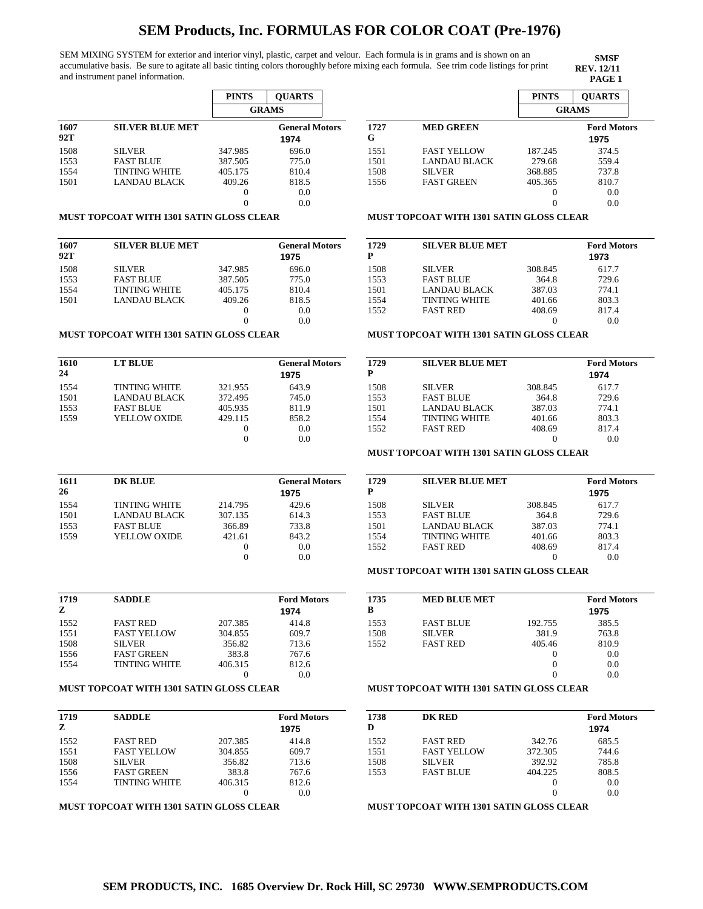SEM MIXING SYSTEM for exterior and interior vinyl, plastic, carpet and velour. Each formula is in grams and is shown on an accumulative basis. Be sure to agitate all basic tinting colors thoroughly before mixing each formula. See trim code listings for print and instrument panel information.

**SMSF REV. 12/11**

|             |                      | <b>PINTS</b> | <b>OUARTS</b>                 |  |
|-------------|----------------------|--------------|-------------------------------|--|
|             |                      |              | <b>GRAMS</b>                  |  |
| 1607<br>92T | SILVER BLUE MET      |              | <b>General Motors</b><br>1974 |  |
| 1508        | <b>SILVER</b>        | 347.985      | 696.0                         |  |
| 1553        | <b>FAST BLUE</b>     | 387.505      | 775.0                         |  |
| 1554        | <b>TINTING WHITE</b> | 405.175      | 810.4                         |  |
| 1501        | LANDAU BLACK         | 409.26       | 818.5                         |  |
|             |                      | 0            | 0.0                           |  |
|             |                      |              | 0.0                           |  |

#### **MUST TOPCOAT WITH 1301 SATIN GLOSS CLEAR**

| 1607<br>92T | <b>SILVER BLUE MET</b> |         | <b>General Motors</b><br>1975 |
|-------------|------------------------|---------|-------------------------------|
| 1508        | <b>SILVER</b>          | 347.985 | 696.0                         |
| 1553        | <b>FAST BLUE</b>       | 387.505 | 775.0                         |
| 1554        | <b>TINTING WHITE</b>   | 405.175 | 810.4                         |
| 1501        | LANDAU BLACK           | 409.26  | 818.5                         |
|             |                        |         | 0.0                           |
|             |                        |         | 0.0                           |

#### **MUST TOPCOAT WITH 1301 SATIN GLOSS CLEAR**

| 1610<br>24 | LT BLUE              |         | <b>General Motors</b><br>1975 |
|------------|----------------------|---------|-------------------------------|
| 1554       | <b>TINTING WHITE</b> | 321.955 | 643.9                         |
| 1501       | LANDAU BLACK         | 372.495 | 745.0                         |
| 1553       | <b>FAST BLUE</b>     | 405.935 | 811.9                         |
| 1559       | YELLOW OXIDE         | 429.115 | 858.2                         |
|            |                      |         | 0.0                           |
|            |                      |         | 0.0                           |

| 1611<br>26 | <b>DK BLUE</b>       |         | <b>General Motors</b><br>1975 |
|------------|----------------------|---------|-------------------------------|
| 1554       | <b>TINTING WHITE</b> | 214.795 | 429.6                         |
| 1501       | <b>LANDAU BLACK</b>  | 307.135 | 614.3                         |
| 1553       | <b>FAST BLUE</b>     | 366.89  | 733.8                         |
| 1559       | YELLOW OXIDE         | 421.61  | 843.2                         |
|            |                      |         | 0.0                           |
|            |                      |         | 0.0                           |

| 1719<br>z | <b>SADDLE</b>        |         | <b>Ford Motors</b><br>1974 |
|-----------|----------------------|---------|----------------------------|
| 1552      | <b>FAST RED</b>      | 207.385 | 414.8                      |
| 1551      | <b>FAST YELLOW</b>   | 304.855 | 609.7                      |
| 1508      | <b>SILVER</b>        | 356.82  | 713.6                      |
| 1556      | <b>FAST GREEN</b>    | 383.8   | 767.6                      |
| 1554      | <b>TINTING WHITE</b> | 406.315 | 812.6                      |
|           |                      |         | 0.0                        |

### **MUST TOPCOAT WITH 1301 SATIN GLOSS CLEAR**

| 1719 | <b>SADDLE</b>        |         | <b>Ford Motors</b> |
|------|----------------------|---------|--------------------|
| z    |                      |         | 1975               |
| 1552 | <b>FAST RED</b>      | 207.385 | 414.8              |
| 1551 | <b>FAST YELLOW</b>   | 304.855 | 609.7              |
| 1508 | <b>SILVER</b>        | 356.82  | 713.6              |
| 1556 | <b>FAST GREEN</b>    | 383.8   | 767.6              |
| 1554 | <b>TINTING WHITE</b> | 406.315 | 812.6              |
|      |                      |         | 0.0                |

## **MUST TOPCOAT WITH 1301 SATIN GLOSS CLEAR**

|      |                     | <b>PINTS</b> | <b>OUARTS</b>      |  |
|------|---------------------|--------------|--------------------|--|
|      |                     |              | <b>GRAMS</b>       |  |
| 1727 | <b>MED GREEN</b>    |              | <b>Ford Motors</b> |  |
| G    |                     |              | 1975               |  |
| 1551 | <b>FAST YELLOW</b>  | 187.245      | 374.5              |  |
| 1501 | <b>LANDAU BLACK</b> | 279.68       | 559.4              |  |
| 1508 | <b>SILVER</b>       | 368.885      | 737.8              |  |
| 1556 | <b>FAST GREEN</b>   | 405.365      | 810.7              |  |
|      |                     |              | 0.0                |  |
|      |                     |              | 0.0                |  |

#### **MUST TOPCOAT WITH 1301 SATIN GLOSS CLEAR**

| 1729<br>P | <b>SILVER BLUE MET</b> |         | <b>Ford Motors</b><br>1973 |
|-----------|------------------------|---------|----------------------------|
| 1508      | <b>SILVER</b>          | 308.845 | 617.7                      |
| 1553      | <b>FAST BLUE</b>       | 364.8   | 729.6                      |
| 1501      | <b>LANDAU BLACK</b>    | 387.03  | 774.1                      |
| 1554      | <b>TINTING WHITE</b>   | 401.66  | 803.3                      |
| 1552      | <b>FAST RED</b>        | 408.69  | 817.4                      |
|           |                        |         | 0.0                        |

#### **MUST TOPCOAT WITH 1301 SATIN GLOSS CLEAR**

| 1729 | <b>SILVER BLUE MET</b> |         | <b>Ford Motors</b> |
|------|------------------------|---------|--------------------|
| P    |                        |         | 1974               |
| 1508 | <b>SILVER</b>          | 308.845 | 617.7              |
| 1553 | <b>FAST BLUE</b>       | 364.8   | 729.6              |
| 1501 | LANDAU BLACK           | 387.03  | 774.1              |
| 1554 | <b>TINTING WHITE</b>   | 401.66  | 803.3              |
| 1552 | <b>FAST RED</b>        | 408.69  | 817.4              |
|      |                        |         | 0.0                |
|      |                        |         |                    |

### **MUST TOPCOAT WITH 1301 SATIN GLOSS CLEAR**

| 1729<br>P | <b>SILVER BLUE MET</b> |         | <b>Ford Motors</b><br>1975 |
|-----------|------------------------|---------|----------------------------|
| 1508      | <b>SILVER</b>          | 308.845 | 617.7                      |
| 1553      | <b>FAST BLUE</b>       | 364.8   | 729.6                      |
| 1501      | <b>LANDAU BLACK</b>    | 387.03  | 774.1                      |
| 1554      | <b>TINTING WHITE</b>   | 401.66  | 803.3                      |
| 1552      | <b>FAST RED</b>        | 408.69  | 817.4                      |
|           |                        |         | 0.0                        |

### **MUST TOPCOAT WITH 1301 SATIN GLOSS CLEAR**

| 1735<br>B | <b>MED BLUE MET</b> |         | <b>Ford Motors</b><br>1975 |
|-----------|---------------------|---------|----------------------------|
|           |                     |         |                            |
| 1553      | <b>FAST BLUE</b>    | 192.755 | 385.5                      |
| 1508      | <b>SILVER</b>       | 381.9   | 763.8                      |
| 1552      | <b>FAST RED</b>     | 405.46  | 810.9                      |
|           |                     |         | 0.0                        |
|           |                     |         | 0.0                        |
|           |                     |         | 0.0                        |

### **MUST TOPCOAT WITH 1301 SATIN GLOSS CLEAR**

| 1738 | DK RED             |         | <b>Ford Motors</b> |
|------|--------------------|---------|--------------------|
| D    |                    |         | 1974               |
| 1552 | <b>FAST RED</b>    | 342.76  | 685.5              |
| 1551 | <b>FAST YELLOW</b> | 372.305 | 744.6              |
| 1508 | <b>SILVER</b>      | 392.92  | 785.8              |
| 1553 | <b>FAST BLUE</b>   | 404.225 | 808.5              |
|      |                    | $_{0}$  | 0.0                |
|      |                    | 0       | 0.0                |
|      |                    |         |                    |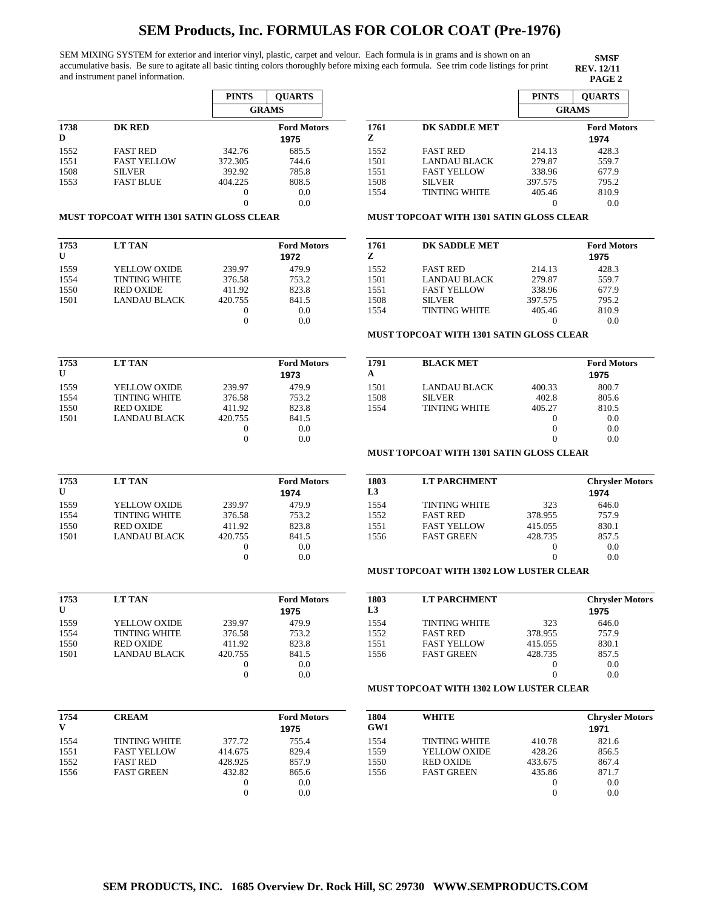SEM MIXING SYSTEM for exterior and interior vinyl, plastic, carpet and velour. Each formula is in grams and is shown on an accumulative basis. Be sure to agitate all basic tinting colors thoroughly before mixing each formula. See trim code listings for print and instrument panel information.

**SMSF REV. 12/11**

**PINTS QUARTS**

|           |                    | <b>PINTS</b> | <b>OUARTS</b>              |
|-----------|--------------------|--------------|----------------------------|
|           |                    |              | <b>GRAMS</b>               |
| 1738<br>D | <b>DK RED</b>      |              | <b>Ford Motors</b><br>1975 |
| 1552      | <b>FAST RED</b>    | 342.76       | 685.5                      |
| 1551      | <b>FAST YELLOW</b> | 372.305      | 744.6                      |
| 1508      | <b>SILVER</b>      | 392.92       | 785.8                      |
| 1553      | <b>FAST BLUE</b>   | 404.225      | 808.5                      |
|           |                    |              | 0.0                        |
|           |                    |              | 0.0                        |

|           |                      |         | GRAMS                      |
|-----------|----------------------|---------|----------------------------|
| 1761<br>z | DK SADDLE MET        |         | <b>Ford Motors</b><br>1974 |
| 1552      | <b>FAST RED</b>      | 214.13  | 428.3                      |
| 1501      | <b>LANDAU BLACK</b>  | 279.87  | 559.7                      |
| 1551      | <b>FAST YELLOW</b>   | 338.96  | 677.9                      |
| 1508      | <b>SILVER</b>        | 397.575 | 795.2                      |
| 1554      | <b>TINTING WHITE</b> | 405.46  | 810.9                      |
|           |                      |         | 0.0                        |

#### **MUST TOPCOAT WITH 1301 SATIN GLOSS CLEAR**

| 1753         | <b>LT TAN</b>        |                   | <b>Ford Motors</b> |
|--------------|----------------------|-------------------|--------------------|
| $\mathbf{U}$ |                      |                   | 1972               |
| 1559         | YELLOW OXIDE         | 239.97            | 479.9              |
| 1554         | <b>TINTING WHITE</b> | 376.58            | 753.2              |
| 1550         | <b>RED OXIDE</b>     | 411.92            | 823.8              |
| 1501         | LANDAU BLACK         | 420.755           | 841.5              |
|              |                      | $\mathbf{\Omega}$ | 0.0                |
|              |                      |                   | 0 0                |

| 1753<br>$\mathbf{U}$ | <b>LT TAN</b>        |         | <b>Ford Motors</b><br>1973 |
|----------------------|----------------------|---------|----------------------------|
| 1559                 | YELLOW OXIDE         | 239.97  | 479.9                      |
| 1554                 | <b>TINTING WHITE</b> | 376.58  | 753.2                      |
| 1550                 | <b>RED OXIDE</b>     | 411.92  | 823.8                      |
| 1501                 | LANDAU BLACK         | 420.755 | 841.5                      |
|                      |                      |         | 0.0                        |
|                      |                      |         | 0.0                        |

| 1753         | <b>LT TAN</b>        |         | <b>Ford Motors</b> |
|--------------|----------------------|---------|--------------------|
| $\mathbf{U}$ |                      |         | 1974               |
| 1559         | <b>YELLOW OXIDE</b>  | 239.97  | 479.9              |
| 1554         | <b>TINTING WHITE</b> | 376.58  | 753.2              |
| 1550         | <b>RED OXIDE</b>     | 411.92  | 823.8              |
| 1501         | LANDAU BLACK         | 420.755 | 841.5              |
|              |                      | 0       | 0.0                |
|              |                      |         |                    |

| 1761<br>Z | DK SADDLE MET        | <b>Ford Motors</b><br>1975 |       |
|-----------|----------------------|----------------------------|-------|
| 1552      | <b>FAST RED</b>      | 214.13                     | 428.3 |
| 1501      | <b>LANDAU BLACK</b>  | 279.87                     | 559.7 |
| 1551      | <b>FAST YELLOW</b>   | 338.96                     | 677.9 |
| 1508      | <b>SILVER</b>        | 397.575                    | 795.2 |
| 1554      | <b>TINTING WHITE</b> | 405.46                     | 810.9 |
|           |                      |                            |       |

### **MUST TOPCOAT WITH 1301 SATIN GLOSS CLEAR**

**MUST TOPCOAT WITH 1301 SATIN GLOSS CLEAR**

| 1791 | <b>BLACK MET</b>     |        | <b>Ford Motors</b> |
|------|----------------------|--------|--------------------|
| A    |                      |        | 1975               |
| 1501 | LANDAU BLACK         | 400.33 | 800.7              |
| 1508 | <b>SILVER</b>        | 402.8  | 805.6              |
| 1554 | <b>TINTING WHITE</b> | 405.27 | 810.5              |
|      |                      |        | 0.0                |
|      |                      | 0      | 0.0                |
|      |                      |        | 0.0                |

## **MUST TOPCOAT WITH 1301 SATIN GLOSS CLEAR**

| 1803<br>L3 | <b>LT PARCHMENT</b>  |         | <b>Chrysler Motors</b><br>1974 |
|------------|----------------------|---------|--------------------------------|
| 1554       | <b>TINTING WHITE</b> | 323     | 646.0                          |
| 1552       | <b>FAST RED</b>      | 378.955 | 757.9                          |
| 1551       | <b>FAST YELLOW</b>   | 415.055 | 830.1                          |
| 1556       | <b>FAST GREEN</b>    | 428.735 | 857.5                          |
|            |                      |         | 0.0                            |
|            |                      |         | 0.0                            |

## **MUST TOPCOAT WITH 1302 LOW LUSTER CLEAR**

| 1753<br>U | <b>LT TAN</b>        |          | <b>Ford Motors</b><br>1975 |
|-----------|----------------------|----------|----------------------------|
| 1559      | YELLOW OXIDE         | 239.97   | 479.9                      |
| 1554      | <b>TINTING WHITE</b> | 376.58   | 753.2                      |
| 1550      | <b>RED OXIDE</b>     | 411.92   | 823.8                      |
| 1501      | LANDAU BLACK         | 420.755  | 841.5                      |
|           |                      | $\theta$ | 0.0                        |
|           |                      |          | 0.0                        |

| 1803           | <b>LT PARCHMENT</b>  |          | <b>Chrysler Motors</b> |
|----------------|----------------------|----------|------------------------|
| L <sub>3</sub> |                      |          | 1975                   |
| 1554           | <b>TINTING WHITE</b> | 323      | 646.0                  |
| 1552           | <b>FAST RED</b>      | 378.955  | 757.9                  |
| 1551           | <b>FAST YELLOW</b>   | 415.055  | 830.1                  |
| 1556           | <b>FAST GREEN</b>    | 428.735  | 857.5                  |
|                |                      | $\Omega$ | 0.0                    |
|                |                      |          | 0.0                    |

## **MUST TOPCOAT WITH 1302 LOW LUSTER CLEAR**

| 1754<br>V | <b>CREAM</b>         |         | <b>Ford Motors</b><br>1975 | 1804<br>GW1 | <b>WHITE</b>         |         | <b>Chrysler Motors</b><br>1971 |
|-----------|----------------------|---------|----------------------------|-------------|----------------------|---------|--------------------------------|
| 1554      | <b>TINTING WHITE</b> | 377.72  | 755.4                      | 1554        | <b>TINTING WHITE</b> | 410.78  | 821.6                          |
| 1551      | <b>FAST YELLOW</b>   | 414.675 | 829.4                      | 1559        | <b>YELLOW OXIDE</b>  | 428.26  | 856.5                          |
| 1552      | <b>FAST RED</b>      | 428.925 | 857.9                      | 1550        | <b>RED OXIDE</b>     | 433.675 | 867.4                          |
| 1556      | <b>FAST GREEN</b>    | 432.82  | 865.6                      | 1556        | <b>FAST GREEN</b>    | 435.86  | 871.7                          |
|           |                      |         | 0.0                        |             |                      |         | 0.0                            |
|           |                      |         | 0.0                        |             |                      |         | 0.0                            |
|           |                      |         |                            |             |                      |         |                                |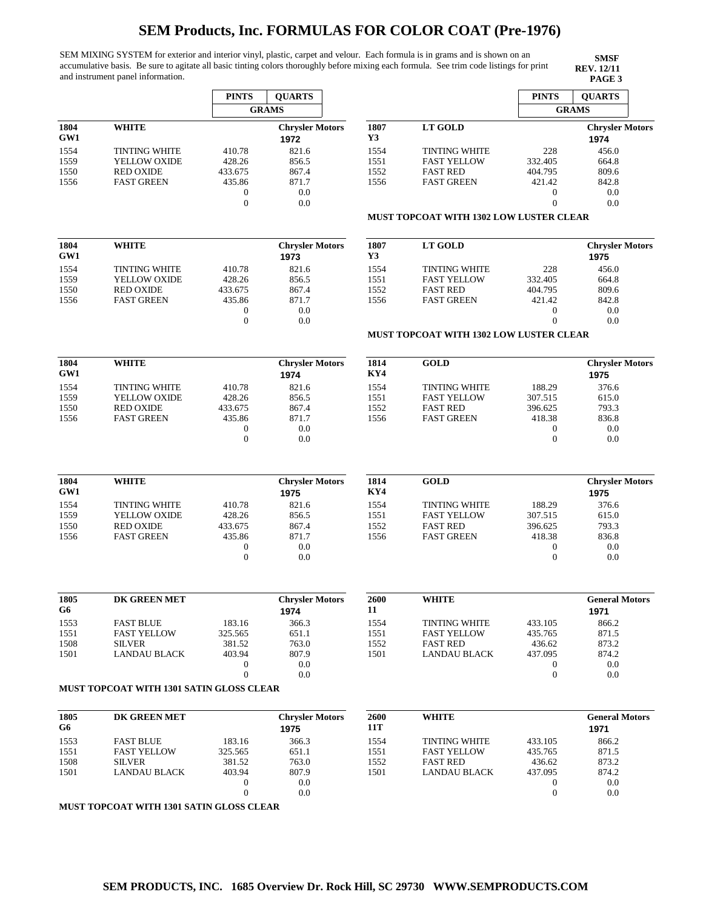SEM MIXING SYSTEM for exterior and interior vinyl, plastic, carpet and velour. Each formula is in grams and is shown on an accumulative basis. Be sure to agitate all basic tinting colors thoroughly before mixing each formula. See trim code listings for print and instrument panel information.

**SMSF REV. 12/11<br>PAGE 3** 

|             |                                          | <b>PINTS</b>     | <b>QUARTS</b>                  |             |                                                | <b>PINTS</b>     | <b>OUARTS</b>                  |
|-------------|------------------------------------------|------------------|--------------------------------|-------------|------------------------------------------------|------------------|--------------------------------|
|             |                                          |                  | <b>GRAMS</b>                   |             |                                                |                  | <b>GRAMS</b>                   |
| 1804<br>GW1 | <b>WHITE</b>                             |                  | <b>Chrysler Motors</b><br>1972 | 1807<br>Y3  | <b>LT GOLD</b>                                 |                  | <b>Chrysler Motors</b><br>1974 |
| 1554        | <b>TINTING WHITE</b>                     | 410.78           | 821.6                          | 1554        | <b>TINTING WHITE</b>                           | 228              | 456.0                          |
| 1559        | YELLOW OXIDE                             | 428.26           | 856.5                          | 1551        | <b>FAST YELLOW</b>                             | 332.405          | 664.8                          |
| 1550        | <b>RED OXIDE</b>                         | 433.675          | 867.4                          | 1552        | <b>FAST RED</b>                                | 404.795          | 809.6                          |
| 1556        | <b>FAST GREEN</b>                        | 435.86           | 871.7                          | 1556        | <b>FAST GREEN</b>                              | 421.42           | 842.8                          |
|             |                                          | $\boldsymbol{0}$ | 0.0                            |             |                                                | $\boldsymbol{0}$ | 0.0                            |
|             |                                          | $\mathbf{0}$     | 0.0                            |             |                                                | $\boldsymbol{0}$ | 0.0                            |
|             |                                          |                  |                                |             | <b>MUST TOPCOAT WITH 1302 LOW LUSTER CLEAR</b> |                  |                                |
| 1804        | <b>WHITE</b>                             |                  | <b>Chrysler Motors</b>         | 1807        | <b>LT GOLD</b>                                 |                  | <b>Chrysler Motors</b>         |
| GW1         |                                          |                  | 1973                           | Y3          |                                                |                  | 1975                           |
| 1554        | <b>TINTING WHITE</b>                     | 410.78           | 821.6                          | 1554        | <b>TINTING WHITE</b>                           | 228              | 456.0                          |
| 1559        | YELLOW OXIDE                             | 428.26           | 856.5                          | 1551        | <b>FAST YELLOW</b>                             | 332.405          | 664.8                          |
| 1550        | <b>RED OXIDE</b>                         | 433.675          | 867.4                          | 1552        | <b>FAST RED</b>                                | 404.795          | 809.6                          |
| 1556        | <b>FAST GREEN</b>                        | 435.86           | 871.7                          | 1556        | <b>FAST GREEN</b>                              | 421.42           | 842.8                          |
|             |                                          | $\boldsymbol{0}$ | 0.0                            |             |                                                | $\boldsymbol{0}$ | 0.0                            |
|             |                                          | $\mathbf{0}$     | 0.0                            |             | <b>MUST TOPCOAT WITH 1302 LOW LUSTER CLEAR</b> | $\overline{0}$   | 0.0                            |
|             |                                          |                  |                                |             |                                                |                  |                                |
| 1804<br>GW1 | <b>WHITE</b>                             |                  | <b>Chrysler Motors</b><br>1974 | 1814<br>KY4 | <b>GOLD</b>                                    |                  | <b>Chrysler Motors</b><br>1975 |
| 1554        | <b>TINTING WHITE</b>                     | 410.78           | 821.6                          | 1554        | <b>TINTING WHITE</b>                           | 188.29           | 376.6                          |
| 1559        | YELLOW OXIDE                             | 428.26           | 856.5                          | 1551        | <b>FAST YELLOW</b>                             | 307.515          | 615.0                          |
| 1550        | <b>RED OXIDE</b>                         | 433.675          | 867.4                          | 1552        | <b>FAST RED</b>                                | 396.625          | 793.3                          |
| 1556        | <b>FAST GREEN</b>                        | 435.86           | 871.7                          | 1556        | <b>FAST GREEN</b>                              | 418.38           | 836.8                          |
|             |                                          | $\boldsymbol{0}$ | 0.0                            |             |                                                | 0                | 0.0                            |
|             |                                          | $\mathbf{0}$     | 0.0                            |             |                                                | $\mathbf{0}$     | 0.0                            |
| 1804<br>GW1 | <b>WHITE</b>                             |                  | <b>Chrysler Motors</b><br>1975 | 1814<br>KY4 | <b>GOLD</b>                                    |                  | <b>Chrysler Motors</b><br>1975 |
| 1554        | <b>TINTING WHITE</b>                     | 410.78           | 821.6                          | 1554        | <b>TINTING WHITE</b>                           | 188.29           | 376.6                          |
| 1559        | YELLOW OXIDE                             | 428.26           | 856.5                          | 1551        | <b>FAST YELLOW</b>                             | 307.515          | 615.0                          |
| 1550        | <b>RED OXIDE</b>                         | 433.675          | 867.4                          | 1552        | <b>FAST RED</b>                                | 396.625          | 793.3                          |
| 1556        | <b>FAST GREEN</b>                        | 435.86           | 871.7                          | 1556        | <b>FAST GREEN</b>                              | 418.38           | 836.8                          |
|             |                                          | $\boldsymbol{0}$ | 0.0                            |             |                                                | 0                | 0.0                            |
|             |                                          | $\boldsymbol{0}$ | 0.0                            |             |                                                | $\boldsymbol{0}$ | 0.0                            |
| 1805        | DK GREEN MET                             |                  | <b>Chrysler Motors</b>         | 2600        | <b>WHITE</b>                                   |                  | <b>General Motors</b>          |
| G6          |                                          |                  | 1974                           | 11          |                                                |                  | 1971                           |
| 1553        | <b>FAST BLUE</b>                         | 183.16           | 366.3                          | 1554        | <b>TINTING WHITE</b>                           | 433.105          | 866.2                          |
| 1551        | <b>FAST YELLOW</b>                       | 325.565          | 651.1                          | 1551        | <b>FAST YELLOW</b>                             | 435.765          | 871.5                          |
| 1508        | <b>SILVER</b>                            | 381.52           | 763.0                          | 1552        | <b>FAST RED</b>                                | 436.62           | 873.2                          |
| 1501        | <b>LANDAU BLACK</b>                      | 403.94           | 807.9                          | 1501        | <b>LANDAU BLACK</b>                            | 437.095          | 874.2                          |
|             |                                          | $\mathbf{0}$     | 0.0                            |             |                                                | $\boldsymbol{0}$ | 0.0                            |
|             |                                          | $\mathbf{0}$     | 0.0                            |             |                                                | $\boldsymbol{0}$ | 0.0                            |
|             | MUST TOPCOAT WITH 1301 SATIN GLOSS CLEAR |                  |                                |             |                                                |                  |                                |
| 1805        | DK GREEN MET                             |                  | <b>Chrysler Motors</b>         | 2600        | WHITE                                          |                  | <b>General Motors</b>          |
| G6          |                                          |                  | 1975                           | 11T         |                                                |                  | 1971                           |
| 1553        | <b>FAST BLUE</b>                         | 183.16           | 366.3                          | 1554        | <b>TINTING WHITE</b>                           | 433.105          | 866.2                          |
| 1551        | <b>FAST YELLOW</b>                       | 325.565          | 651.1                          | 1551        | <b>FAST YELLOW</b>                             | 435.765          | 871.5                          |
| 1508        | <b>SILVER</b>                            | 381.52           | 763.0                          | 1552        | <b>FAST RED</b>                                | 436.62           | 873.2                          |
| 1501        | LANDAU BLACK                             | 403.94           | 807.9                          | 1501        | LANDAU BLACK                                   | 437.095          | 874.2                          |
|             |                                          | $\boldsymbol{0}$ | 0.0                            |             |                                                | 0                | 0.0                            |
|             |                                          | $\overline{0}$   | 0.0                            |             |                                                | $\boldsymbol{0}$ | 0.0                            |
|             | MUST TOPCOAT WITH 1301 SATIN GLOSS CLEAR |                  |                                |             |                                                |                  |                                |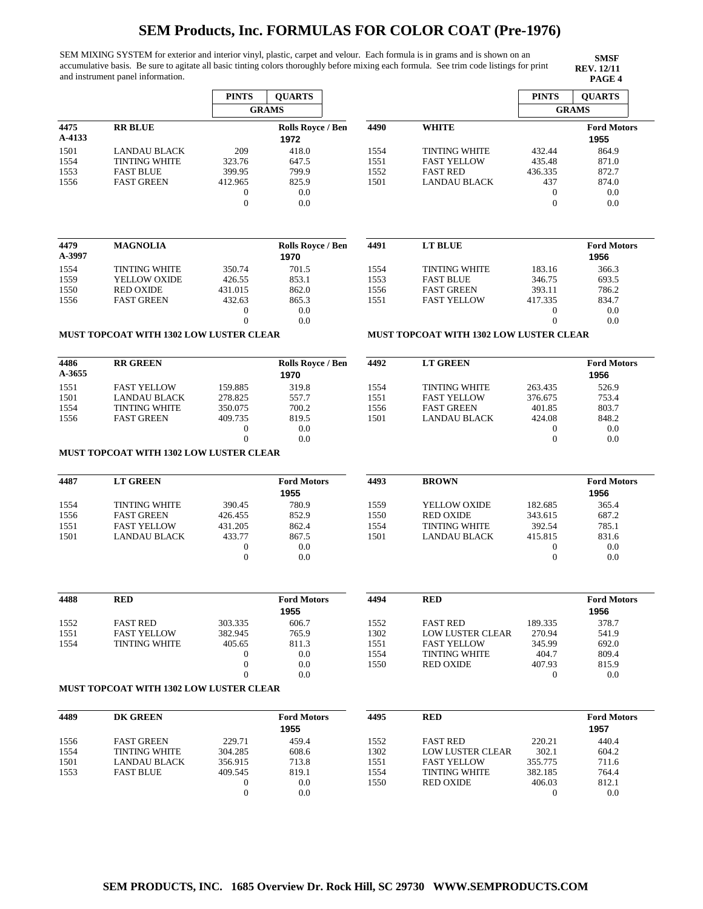SEM MIXING SYSTEM for exterior and interior vinyl, plastic, carpet and velour. Each formula is in grams and is shown on an accumulative basis. Be sure to agitate all basic tinting colors thoroughly before mixing each formula. See trim code listings for print and instrument panel information.

 $\overline{1}$ 

|                |                                                | <b>PINTS</b>                         | <b>QUARTS</b>              |              |                                                | <b>PINTS</b>                         | <b>QUARTS</b>              |
|----------------|------------------------------------------------|--------------------------------------|----------------------------|--------------|------------------------------------------------|--------------------------------------|----------------------------|
|                |                                                |                                      | <b>GRAMS</b>               |              |                                                |                                      | <b>GRAMS</b>               |
| 4475<br>A-4133 | <b>RR BLUE</b>                                 |                                      | Rolls Royce / Ben<br>1972  | 4490         | <b>WHITE</b>                                   |                                      | <b>Ford Motors</b><br>1955 |
| 1501           | <b>LANDAU BLACK</b>                            | 209                                  | 418.0                      | 1554         | <b>TINTING WHITE</b>                           | 432.44                               | 864.9                      |
| 1554           | <b>TINTING WHITE</b>                           | 323.76                               | 647.5                      | 1551         | <b>FAST YELLOW</b>                             | 435.48                               | 871.0                      |
| 1553           | <b>FAST BLUE</b>                               | 399.95                               | 799.9                      | 1552         | <b>FAST RED</b>                                | 436.335                              | 872.7                      |
| 1556           | <b>FAST GREEN</b>                              | 412.965                              | 825.9                      | 1501         | <b>LANDAU BLACK</b>                            | 437                                  | 874.0                      |
|                |                                                | $\boldsymbol{0}$<br>$\mathbf{0}$     | 0.0<br>0.0                 |              |                                                | $\boldsymbol{0}$<br>$\boldsymbol{0}$ | 0.0<br>0.0                 |
| 4479<br>A-3997 | <b>MAGNOLIA</b>                                |                                      | Rolls Royce / Ben          | 4491         | <b>LT BLUE</b>                                 |                                      | <b>Ford Motors</b>         |
|                |                                                |                                      | 1970                       |              |                                                |                                      | 1956                       |
| 1554           | <b>TINTING WHITE</b>                           | 350.74<br>426.55                     | 701.5<br>853.1             | 1554<br>1553 | <b>TINTING WHITE</b><br><b>FAST BLUE</b>       | 183.16                               | 366.3                      |
| 1559<br>1550   | YELLOW OXIDE<br><b>RED OXIDE</b>               | 431.015                              | 862.0                      | 1556         | <b>FAST GREEN</b>                              | 346.75<br>393.11                     | 693.5<br>786.2             |
| 1556           | <b>FAST GREEN</b>                              | 432.63                               | 865.3                      | 1551         | <b>FAST YELLOW</b>                             | 417.335                              | 834.7                      |
|                |                                                | $\boldsymbol{0}$                     | 0.0                        |              |                                                | 0                                    | 0.0                        |
|                |                                                | $\overline{0}$                       | 0.0                        |              |                                                | $\overline{0}$                       | 0.0                        |
|                | <b>MUST TOPCOAT WITH 1302 LOW LUSTER CLEAR</b> |                                      |                            |              | <b>MUST TOPCOAT WITH 1302 LOW LUSTER CLEAR</b> |                                      |                            |
| 4486           | <b>RR GREEN</b>                                |                                      | <b>Rolls Rovce / Ben</b>   | 4492         | <b>LT GREEN</b>                                |                                      | <b>Ford Motors</b>         |
| A-3655         |                                                |                                      | 1970                       |              |                                                |                                      | 1956                       |
| 1551           | <b>FAST YELLOW</b>                             | 159.885                              | 319.8                      | 1554         | <b>TINTING WHITE</b>                           | 263.435                              | 526.9                      |
| 1501           | <b>LANDAU BLACK</b>                            | 278.825                              | 557.7                      | 1551         | <b>FAST YELLOW</b>                             | 376.675                              | 753.4                      |
| 1554           | <b>TINTING WHITE</b>                           | 350.075                              | 700.2                      | 1556         | <b>FAST GREEN</b>                              | 401.85                               | 803.7                      |
| 1556           | <b>FAST GREEN</b>                              | 409.735                              | 819.5                      | 1501         | <b>LANDAU BLACK</b>                            | 424.08                               | 848.2                      |
|                |                                                | $\mathbf{0}$                         | 0.0                        |              |                                                | $\boldsymbol{0}$                     | 0.0                        |
|                |                                                | $\overline{0}$                       | 0.0                        |              |                                                | $\boldsymbol{0}$                     | 0.0                        |
|                | <b>MUST TOPCOAT WITH 1302 LOW LUSTER CLEAR</b> |                                      |                            |              |                                                |                                      |                            |
| 4487           | <b>LT GREEN</b>                                |                                      | <b>Ford Motors</b><br>1955 | 4493         | <b>BROWN</b>                                   |                                      | <b>Ford Motors</b><br>1956 |
| 1554           | <b>TINTING WHITE</b>                           | 390.45                               | 780.9                      | 1559         | YELLOW OXIDE                                   | 182.685                              | 365.4                      |
| 1556           | <b>FAST GREEN</b>                              | 426.455                              | 852.9                      | 1550         | <b>RED OXIDE</b>                               | 343.615                              | 687.2                      |
| 1551           | <b>FAST YELLOW</b>                             | 431.205                              | 862.4                      | 1554         | <b>TINTING WHITE</b>                           | 392.54                               | 785.1                      |
| 1501           | LANDAU BLACK                                   | 433.77                               | 867.5                      | 1501         | <b>LANDAU BLACK</b>                            | 415.815                              | 831.6                      |
|                |                                                | $\boldsymbol{0}$<br>$\mathbf{0}$     | 0.0<br>0.0                 |              |                                                | $\mathbf{0}$<br>$\boldsymbol{0}$     | 0.0<br>0.0                 |
|                |                                                |                                      |                            |              |                                                |                                      |                            |
| 4488           | <b>RED</b>                                     |                                      | <b>Ford Motors</b>         | 4494         | <b>RED</b>                                     |                                      | <b>Ford Motors</b>         |
|                |                                                |                                      | 1955                       |              |                                                |                                      | 1956                       |
| 1552           | <b>FAST RED</b>                                | 303.335                              | 606.7                      | 1552         | <b>FAST RED</b>                                | 189.335                              | 378.7                      |
| 1551           | <b>FAST YELLOW</b>                             | 382.945                              | 765.9                      | 1302         | <b>LOW LUSTER CLEAR</b>                        | 270.94                               | 541.9                      |
| 1554           | <b>TINTING WHITE</b>                           | 405.65                               | 811.3                      | 1551         | <b>FAST YELLOW</b>                             | 345.99                               | 692.0                      |
|                |                                                | 0                                    | $0.0\,$                    | 1554         | <b>TINTING WHITE</b>                           | 404.7                                | 809.4                      |
|                |                                                | $\boldsymbol{0}$                     | 0.0                        | 1550         | <b>RED OXIDE</b>                               | 407.93                               | 815.9<br>0.0               |
|                |                                                |                                      |                            |              |                                                |                                      |                            |
|                | <b>MUST TOPCOAT WITH 1302 LOW LUSTER CLEAR</b> | $\overline{0}$                       | $0.0\,$                    |              |                                                | 0                                    |                            |
|                |                                                |                                      |                            |              |                                                |                                      |                            |
| 4489           | DK GREEN                                       |                                      | <b>Ford Motors</b><br>1955 | 4495         | <b>RED</b>                                     |                                      | <b>Ford Motors</b><br>1957 |
| 1556           | <b>FAST GREEN</b>                              | 229.71                               | 459.4                      | 1552         | <b>FAST RED</b>                                | 220.21                               | 440.4                      |
| 1554           | <b>TINTING WHITE</b>                           | 304.285                              | 608.6                      | 1302         | <b>LOW LUSTER CLEAR</b>                        | 302.1                                | 604.2                      |
| 1501           | <b>LANDAU BLACK</b>                            | 356.915                              | 713.8                      | 1551         | <b>FAST YELLOW</b>                             | 355.775                              | 711.6                      |
| 1553           | <b>FAST BLUE</b>                               | 409.545                              | 819.1                      | 1554         | TINTING WHITE                                  | 382.185                              | 764.4                      |
|                |                                                | $\boldsymbol{0}$<br>$\boldsymbol{0}$ | 0.0<br>0.0                 | 1550         | <b>RED OXIDE</b>                               | 406.03<br>$\mathbf{0}$               | 812.1<br>0.0               |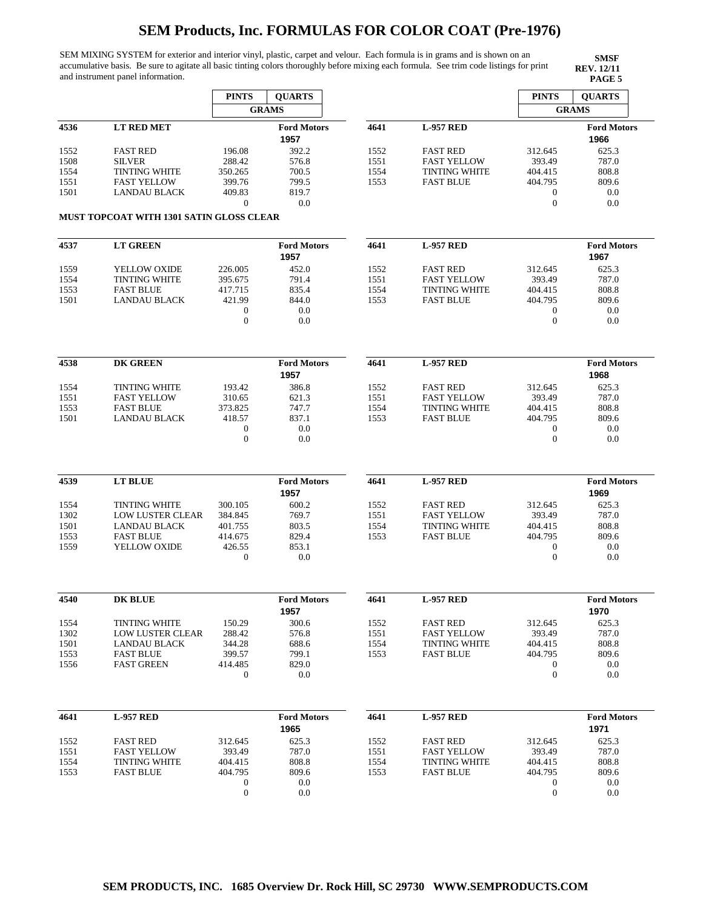SEM MIXING SYSTEM for exterior and interior vinyl, plastic, carpet and velour. Each formula is in grams and is shown on an accumulative basis. Be sure to agitate all basic tinting colors thoroughly before mixing each formula. See trim code listings for print and instrument panel information.

|      |                                          | <b>PINTS</b>     | <b>QUARTS</b>      |      |                      | <b>PINTS</b>     | <b>QUARTS</b>      |
|------|------------------------------------------|------------------|--------------------|------|----------------------|------------------|--------------------|
|      |                                          |                  | <b>GRAMS</b>       |      |                      |                  | <b>GRAMS</b>       |
| 4536 | <b>LT RED MET</b>                        |                  | <b>Ford Motors</b> | 4641 | <b>L-957 RED</b>     |                  | <b>Ford Motors</b> |
|      |                                          |                  | 1957               |      |                      |                  | 1966               |
| 1552 | <b>FAST RED</b>                          | 196.08           | 392.2              | 1552 | <b>FAST RED</b>      | 312.645          | 625.3              |
| 1508 | <b>SILVER</b>                            | 288.42           | 576.8              | 1551 | <b>FAST YELLOW</b>   | 393.49           | 787.0              |
| 1554 | <b>TINTING WHITE</b>                     | 350.265          | 700.5              | 1554 | <b>TINTING WHITE</b> | 404.415          | 808.8              |
| 1551 | <b>FAST YELLOW</b>                       | 399.76           | 799.5              | 1553 | <b>FAST BLUE</b>     | 404.795          | 809.6              |
| 1501 | <b>LANDAU BLACK</b>                      | 409.83           | 819.7              |      |                      | $\boldsymbol{0}$ | 0.0                |
|      |                                          | $\mathbf{0}$     | 0.0                |      |                      | $\mathbf{0}$     | 0.0                |
|      | MUST TOPCOAT WITH 1301 SATIN GLOSS CLEAR |                  |                    |      |                      |                  |                    |
|      |                                          |                  |                    |      |                      |                  |                    |
| 4537 | <b>LT GREEN</b>                          |                  | <b>Ford Motors</b> | 4641 | <b>L-957 RED</b>     |                  | <b>Ford Motors</b> |
|      |                                          |                  | 1957               |      |                      |                  | 1967               |
| 1559 | <b>YELLOW OXIDE</b>                      | 226.005          | 452.0              | 1552 | <b>FAST RED</b>      | 312.645          | 625.3              |
| 1554 | <b>TINTING WHITE</b>                     | 395.675          | 791.4              | 1551 | <b>FAST YELLOW</b>   | 393.49           | 787.0              |
| 1553 | <b>FAST BLUE</b>                         | 417.715          | 835.4              | 1554 | <b>TINTING WHITE</b> | 404.415          | 808.8              |
| 1501 | <b>LANDAU BLACK</b>                      | 421.99           | 844.0              | 1553 | <b>FAST BLUE</b>     | 404.795          | 809.6              |
|      |                                          | $\mathbf{0}$     | 0.0                |      |                      | 0                | 0.0                |
|      |                                          | $\theta$         | 0.0                |      |                      | $\boldsymbol{0}$ | 0.0                |
|      |                                          |                  |                    |      |                      |                  |                    |
|      |                                          |                  |                    |      |                      |                  |                    |
| 4538 | <b>DK GREEN</b>                          |                  | <b>Ford Motors</b> | 4641 | <b>L-957 RED</b>     |                  | <b>Ford Motors</b> |
|      |                                          |                  | 1957               |      |                      |                  | 1968               |
| 1554 | <b>TINTING WHITE</b>                     | 193.42           | 386.8              | 1552 | <b>FAST RED</b>      | 312.645          | 625.3              |
| 1551 | <b>FAST YELLOW</b>                       | 310.65           | 621.3              | 1551 | <b>FAST YELLOW</b>   | 393.49           | 787.0              |
| 1553 | <b>FAST BLUE</b>                         | 373.825          | 747.7              | 1554 | <b>TINTING WHITE</b> | 404.415          | 808.8              |
| 1501 | <b>LANDAU BLACK</b>                      | 418.57           | 837.1              | 1553 | <b>FAST BLUE</b>     | 404.795          | 809.6              |
|      |                                          | $\mathbf{0}$     | 0.0                |      |                      | 0                | 0.0                |
|      |                                          | $\mathbf{0}$     | 0.0                |      |                      | $\boldsymbol{0}$ | 0.0                |
|      |                                          |                  |                    |      |                      |                  |                    |
| 4539 | LT BLUE                                  |                  | <b>Ford Motors</b> | 4641 | <b>L-957 RED</b>     |                  | <b>Ford Motors</b> |
|      |                                          |                  | 1957               |      |                      |                  | 1969               |
| 1554 | <b>TINTING WHITE</b>                     | 300.105          | 600.2              | 1552 | <b>FAST RED</b>      | 312.645          | 625.3              |
| 1302 | <b>LOW LUSTER CLEAR</b>                  | 384.845          | 769.7              | 1551 | <b>FAST YELLOW</b>   | 393.49           | 787.0              |
| 1501 | <b>LANDAU BLACK</b>                      | 401.755          | 803.5              | 1554 | <b>TINTING WHITE</b> | 404.415          | 808.8              |
| 1553 | <b>FAST BLUE</b>                         | 414.675          | 829.4              | 1553 | <b>FAST BLUE</b>     | 404.795          | 809.6              |
| 1559 | YELLOW OXIDE                             | 426.55           | 853.1              |      |                      | 0                | 0.0                |
|      |                                          | $\theta$         | 0.0                |      |                      | $\boldsymbol{0}$ | 0.0                |
|      |                                          |                  |                    |      |                      |                  |                    |
|      |                                          |                  |                    |      |                      |                  |                    |
| 4540 | <b>DK BLUE</b>                           |                  | <b>Ford Motors</b> | 4641 | <b>L-957 RED</b>     |                  | <b>Ford Motors</b> |
|      |                                          |                  | 1957               |      |                      |                  | 1970               |
| 1554 | <b>TINTING WHITE</b>                     | 150.29           | 300.6              | 1552 | <b>FAST RED</b>      | 312.645          | 625.3              |
| 1302 | LOW LUSTER CLEAR                         | 288.42           | 576.8              | 1551 | <b>FAST YELLOW</b>   | 393.49           | 787.0              |
| 1501 | <b>LANDAU BLACK</b>                      | 344.28           | 688.6              | 1554 | <b>TINTING WHITE</b> | 404.415          | 808.8              |
| 1553 | <b>FAST BLUE</b>                         | 399.57           | 799.1              | 1553 | <b>FAST BLUE</b>     | 404.795          | 809.6              |
| 1556 | <b>FAST GREEN</b>                        | 414.485          | 829.0              |      |                      | $\boldsymbol{0}$ | 0.0                |
|      |                                          | $\boldsymbol{0}$ | 0.0                |      |                      | $\boldsymbol{0}$ | 0.0                |
|      |                                          |                  |                    |      |                      |                  |                    |
|      |                                          |                  |                    |      |                      |                  |                    |
| 4641 | <b>L-957 RED</b>                         |                  | <b>Ford Motors</b> | 4641 | <b>L-957 RED</b>     |                  | <b>Ford Motors</b> |
|      |                                          |                  | 1965               |      |                      |                  | 1971               |
| 1552 | <b>FAST RED</b>                          | 312.645          | 625.3              | 1552 | <b>FAST RED</b>      | 312.645          | 625.3              |
| 1551 | <b>FAST YELLOW</b>                       | 393.49           | 787.0              | 1551 | <b>FAST YELLOW</b>   | 393.49           | 787.0              |
| 1554 | <b>TINTING WHITE</b>                     | 404.415          | 808.8              | 1554 | <b>TINTING WHITE</b> | 404.415          | 808.8              |
| 1553 | <b>FAST BLUE</b>                         | 404.795          | 809.6              | 1553 | <b>FAST BLUE</b>     | 404.795          | 809.6              |
|      |                                          | $\boldsymbol{0}$ | 0.0                |      |                      | 0                | 0.0                |
|      |                                          | $\boldsymbol{0}$ | 0.0                |      |                      | $\boldsymbol{0}$ | 0.0                |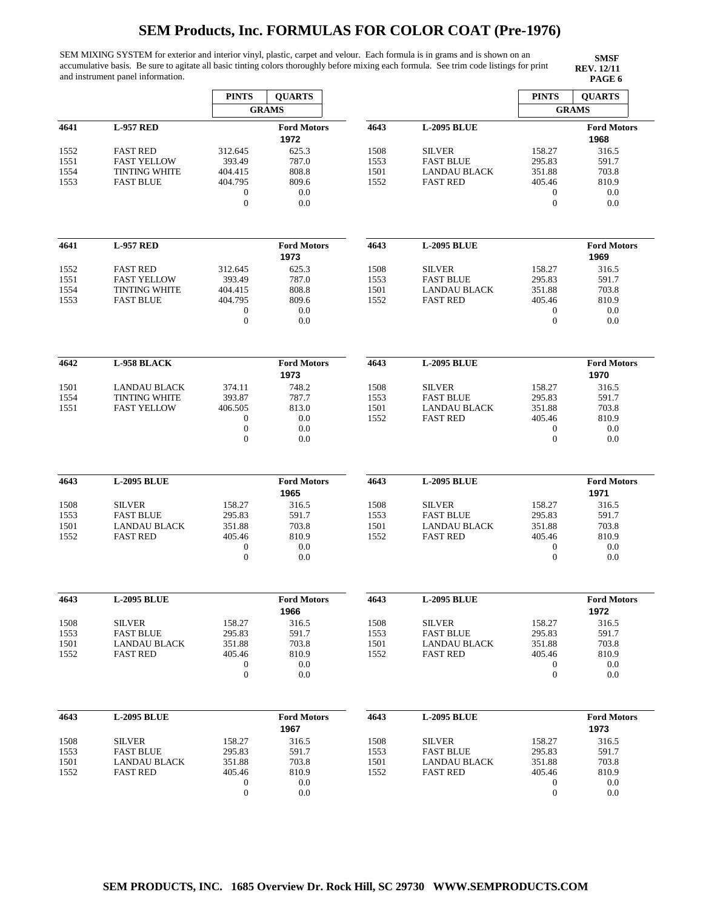SEM MIXING SYSTEM for exterior and interior vinyl, plastic, carpet and velour. Each formula is in grams and is shown on an accumulative basis. Be sure to agitate all basic tinting colors thoroughly before mixing each formula. See trim code listings for print and instrument panel information.

|              |                                      | <b>PINTS</b>                         | <b>QUARTS</b>              |              |                                   | <b>PINTS</b>                         | <b>QUARTS</b>              |
|--------------|--------------------------------------|--------------------------------------|----------------------------|--------------|-----------------------------------|--------------------------------------|----------------------------|
|              |                                      |                                      | <b>GRAMS</b>               |              |                                   |                                      | <b>GRAMS</b>               |
| 4641         | <b>L-957 RED</b>                     |                                      | <b>Ford Motors</b><br>1972 | 4643         | <b>L-2095 BLUE</b>                |                                      | <b>Ford Motors</b><br>1968 |
| 1552         | <b>FAST RED</b>                      | 312.645                              | 625.3                      | 1508         | <b>SILVER</b>                     | 158.27                               | 316.5                      |
| 1551         | <b>FAST YELLOW</b>                   | 393.49                               | 787.0                      | 1553         | <b>FAST BLUE</b>                  | 295.83                               | 591.7                      |
| 1554         | <b>TINTING WHITE</b>                 | 404.415                              | 808.8                      | 1501         | <b>LANDAU BLACK</b>               | 351.88                               | 703.8                      |
| 1553         | <b>FAST BLUE</b>                     | 404.795                              | 809.6                      | 1552         | <b>FAST RED</b>                   | 405.46                               | 810.9                      |
|              |                                      | $\boldsymbol{0}$                     | 0.0                        |              |                                   | $\boldsymbol{0}$                     | 0.0                        |
|              |                                      | $\boldsymbol{0}$                     | 0.0                        |              |                                   | $\boldsymbol{0}$                     | 0.0                        |
|              |                                      |                                      |                            |              |                                   |                                      |                            |
| 4641         | <b>L-957 RED</b>                     |                                      | <b>Ford Motors</b><br>1973 | 4643         | <b>L-2095 BLUE</b>                |                                      | <b>Ford Motors</b><br>1969 |
| 1552         | <b>FAST RED</b>                      | 312.645                              | 625.3                      | 1508         | <b>SILVER</b>                     | 158.27                               | 316.5                      |
| 1551         | <b>FAST YELLOW</b>                   | 393.49                               | 787.0                      | 1553         | <b>FAST BLUE</b>                  | 295.83                               | 591.7                      |
| 1554         | <b>TINTING WHITE</b>                 | 404.415                              | 808.8                      | 1501         | LANDAU BLACK                      | 351.88                               | 703.8                      |
| 1553         | <b>FAST BLUE</b>                     | 404.795                              | 809.6                      | 1552         | <b>FAST RED</b>                   | 405.46                               | 810.9                      |
|              |                                      | $\boldsymbol{0}$                     | 0.0                        |              |                                   | $\boldsymbol{0}$                     | 0.0                        |
|              |                                      | $\boldsymbol{0}$                     | 0.0                        |              |                                   | $\boldsymbol{0}$                     | 0.0                        |
| 4642         | <b>L-958 BLACK</b>                   |                                      | <b>Ford Motors</b>         | 4643         | <b>L-2095 BLUE</b>                |                                      | <b>Ford Motors</b>         |
|              |                                      |                                      | 1973                       |              |                                   |                                      | 1970                       |
|              |                                      |                                      | 748.2                      |              |                                   |                                      | 316.5                      |
| 1501<br>1554 | LANDAU BLACK<br><b>TINTING WHITE</b> | 374.11<br>393.87                     | 787.7                      | 1508<br>1553 | <b>SILVER</b><br><b>FAST BLUE</b> | 158.27<br>295.83                     | 591.7                      |
| 1551         | <b>FAST YELLOW</b>                   | 406.505                              | 813.0                      | 1501         | <b>LANDAU BLACK</b>               | 351.88                               | 703.8                      |
|              |                                      | $\boldsymbol{0}$                     | 0.0                        | 1552         | <b>FAST RED</b>                   | 405.46                               | 810.9                      |
|              |                                      | $\boldsymbol{0}$                     | 0.0                        |              |                                   | $\boldsymbol{0}$                     | 0.0                        |
|              |                                      | $\mathbf{0}$                         | 0.0                        |              |                                   | $\boldsymbol{0}$                     | 0.0                        |
| 4643         | <b>L-2095 BLUE</b>                   |                                      | <b>Ford Motors</b><br>1965 | 4643         | <b>L-2095 BLUE</b>                |                                      | <b>Ford Motors</b><br>1971 |
| 1508         | <b>SILVER</b>                        | 158.27                               | 316.5                      | 1508         | <b>SILVER</b>                     | 158.27                               | 316.5                      |
| 1553         | <b>FAST BLUE</b>                     | 295.83                               | 591.7                      | 1553         | <b>FAST BLUE</b>                  | 295.83                               | 591.7                      |
| 1501         | <b>LANDAU BLACK</b>                  | 351.88                               | 703.8                      | 1501         | <b>LANDAU BLACK</b>               | 351.88                               | 703.8                      |
| 1552         | <b>FAST RED</b>                      | 405.46                               | 810.9                      | 1552         | <b>FAST RED</b>                   | 405.46                               | 810.9                      |
|              |                                      | $\boldsymbol{0}$                     | 0.0                        |              |                                   | $\boldsymbol{0}$                     | 0.0                        |
|              |                                      | $\mathbf{0}$                         | 0.0                        |              |                                   | $\boldsymbol{0}$                     | 0.0                        |
|              |                                      |                                      |                            |              |                                   |                                      |                            |
| 4643         | <b>L-2095 BLUE</b>                   |                                      | <b>Ford Motors</b>         | 4643         | <b>L-2095 BLUE</b>                |                                      | <b>Ford Motors</b>         |
|              |                                      |                                      | 1966                       |              |                                   |                                      | 1972                       |
| 1508         | <b>SILVER</b>                        | 158.27                               | 316.5                      | 1508         | <b>SILVER</b>                     | 158.27                               | 316.5                      |
| 1553         | <b>FAST BLUE</b>                     | 295.83                               | 591.7                      | 1553         | <b>FAST BLUE</b>                  | 295.83                               | 591.7                      |
| 1501         | <b>LANDAU BLACK</b>                  | 351.88                               | 703.8                      | 1501         | LANDAU BLACK                      | 351.88                               | 703.8                      |
| 1552         | <b>FAST RED</b>                      | 405.46                               | 810.9                      | 1552         | <b>FAST RED</b>                   | 405.46                               | 810.9                      |
|              |                                      | $\boldsymbol{0}$<br>$\boldsymbol{0}$ | 0.0<br>0.0                 |              |                                   | $\boldsymbol{0}$<br>$\boldsymbol{0}$ | 0.0<br>0.0                 |
|              |                                      |                                      |                            |              |                                   |                                      |                            |
| 4643         | <b>L-2095 BLUE</b>                   |                                      | <b>Ford Motors</b>         | 4643         | <b>L-2095 BLUE</b>                |                                      | <b>Ford Motors</b>         |
|              |                                      |                                      | 1967                       |              |                                   |                                      | 1973                       |
| 1508         | <b>SILVER</b>                        | 158.27                               | 316.5                      | 1508         | <b>SILVER</b>                     | 158.27                               | 316.5                      |
| 1553         | <b>FAST BLUE</b>                     | 295.83                               | 591.7                      | 1553         | <b>FAST BLUE</b>                  | 295.83                               | 591.7                      |
| 1501         | <b>LANDAU BLACK</b>                  | 351.88                               | 703.8                      | 1501         | LANDAU BLACK                      | 351.88                               | 703.8                      |
| 1552         | <b>FAST RED</b>                      | 405.46                               | 810.9                      | 1552         | <b>FAST RED</b>                   | 405.46                               | 810.9                      |
|              |                                      | $\boldsymbol{0}$                     | 0.0                        |              |                                   | 0                                    | 0.0                        |
|              |                                      | $\boldsymbol{0}$                     | 0.0                        |              |                                   | $\boldsymbol{0}$                     | 0.0                        |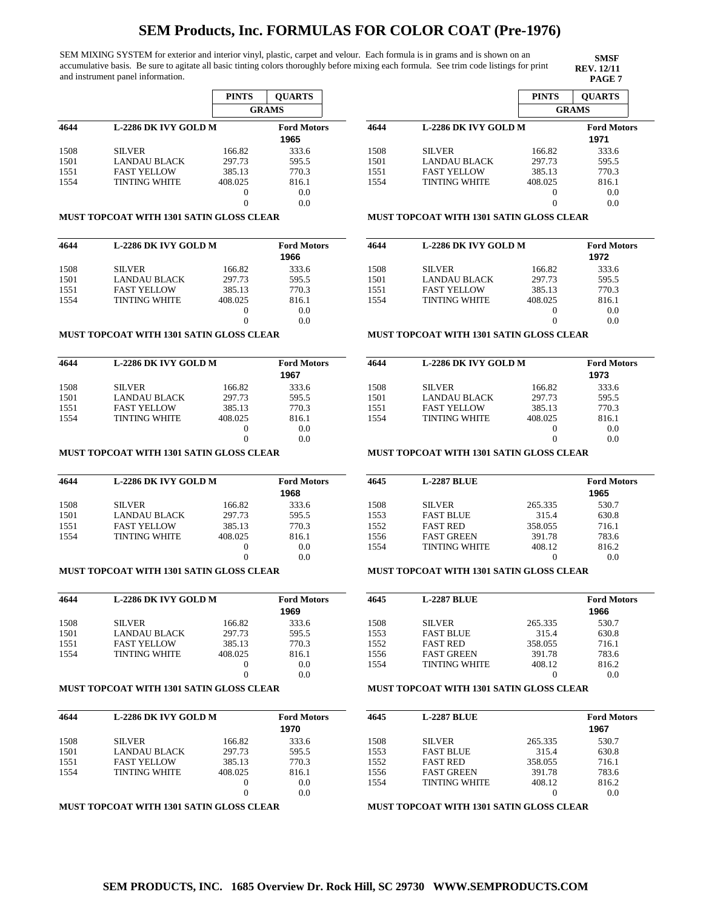SEM MIXING SYSTEM for exterior and interior vinyl, plastic, carpet and velour. Each formula is in grams and is shown on an accumulative basis. Be sure to agitate all basic tinting colors thoroughly before mixing each formula. See trim code listings for print and instrument panel information.

**SMSF REV. 12/11**

|      |                             | <b>PINTS</b> | <b>OUARTS</b>      |
|------|-----------------------------|--------------|--------------------|
|      |                             |              | <b>GRAMS</b>       |
| 4644 | <b>L-2286 DK IVY GOLD M</b> |              | <b>Ford Motors</b> |
|      |                             |              | 1965               |
| 1508 | <b>SILVER</b>               | 166.82       | 333.6              |
| 1501 | <b>LANDAU BLACK</b>         | 297.73       | 595.5              |
| 1551 | <b>FAST YELLOW</b>          | 385.13       | 770.3              |
| 1554 | <b>TINTING WHITE</b>        | 408.025      | 816.1              |
|      |                             | 0            | 0.0                |
|      |                             |              | 0.0                |

#### **MUST TOPCOAT WITH 1301 SATIN GLOSS CLEAR**

| 4644 | L-2286 DK IVY GOLD M | <b>Ford Motors</b> |       |
|------|----------------------|--------------------|-------|
|      |                      |                    | 1966  |
| 1508 | <b>SILVER</b>        | 166.82             | 333.6 |
| 1501 | <b>LANDAU BLACK</b>  | 297.73             | 595.5 |
| 1551 | <b>FAST YELLOW</b>   | 385.13             | 770.3 |
| 1554 | <b>TINTING WHITE</b> | 408.025            | 816.1 |
|      |                      | $\theta$           | 0.0   |
|      |                      |                    | 0.0   |

#### **MUST TOPCOAT WITH 1301 SATIN GLOSS CLEAR**

| 4644 | <b>L-2286 DK IVY GOLD M</b> | <b>Ford Motors</b><br>1967 |       |
|------|-----------------------------|----------------------------|-------|
| 1508 | <b>SILVER</b>               | 166.82                     | 333.6 |
| 1501 | LANDAU BLACK                | 297.73                     | 595.5 |
| 1551 | <b>FAST YELLOW</b>          | 385.13                     | 770.3 |
| 1554 | <b>TINTING WHITE</b>        | 408.025                    | 816.1 |
|      |                             | $\theta$                   | 0.0   |
|      |                             |                            | 0.0   |

## **MUST TOPCOAT WITH 1301 SATIN GLOSS CLEAR**

| 4644 | L-2286 DK IVY GOLD M | <b>Ford Motors</b> |       |
|------|----------------------|--------------------|-------|
|      |                      |                    | 1968  |
| 1508 | <b>SILVER</b>        | 166.82             | 333.6 |
| 1501 | LANDAU BLACK         | 297.73             | 595.5 |
| 1551 | <b>FAST YELLOW</b>   | 385.13             | 770.3 |
| 1554 | <b>TINTING WHITE</b> | 408.025            | 816.1 |
|      |                      | $\theta$           | 0.0   |
|      |                      |                    | 0.0   |

### **MUST TOPCOAT WITH 1301 SATIN GLOSS CLEAR**

| 4644 | <b>L-2286 DK IVY GOLD M</b> |          | <b>Ford Motors</b><br>1969 |
|------|-----------------------------|----------|----------------------------|
| 1508 | <b>SILVER</b>               | 166.82   | 333.6                      |
| 1501 | <b>LANDAU BLACK</b>         | 297.73   | 595.5                      |
| 1551 | <b>FAST YELLOW</b>          | 385.13   | 770.3                      |
| 1554 | <b>TINTING WHITE</b>        | 408.025  | 816.1                      |
|      |                             | $\theta$ | 0.0                        |
|      |                             | $\Omega$ | 0.0                        |

### **MUST TOPCOAT WITH 1301 SATIN GLOSS CLEAR**

| 4644 | <b>L-2286 DK IVY GOLD M</b> | <b>Ford Motors</b><br>1970 |       |
|------|-----------------------------|----------------------------|-------|
| 1508 | <b>SILVER</b>               | 166.82                     | 333.6 |
| 1501 | <b>LANDAU BLACK</b>         | 297.73                     | 595.5 |
| 1551 | <b>FAST YELLOW</b>          | 385.13                     | 770.3 |
| 1554 | <b>TINTING WHITE</b>        | 408.025                    | 816.1 |
|      |                             |                            | 0.0   |
|      |                             |                            | 0.0   |

### **MUST TOPCOAT WITH 1301 SATIN GLOSS CLEAR**

|      |                      | <b>PINTS</b>      | <b>OUARTS</b>      |  |  |
|------|----------------------|-------------------|--------------------|--|--|
|      |                      | <b>GRAMS</b>      |                    |  |  |
| 4644 | L-2286 DK IVY GOLD M |                   | <b>Ford Motors</b> |  |  |
|      |                      |                   | 1971               |  |  |
| 1508 | <b>SILVER</b>        | 166.82            | 333.6              |  |  |
| 1501 | <b>LANDAU BLACK</b>  | 297.73            | 595.5              |  |  |
| 1551 | <b>FAST YELLOW</b>   | 385.13            | 770.3              |  |  |
| 1554 | <b>TINTING WHITE</b> | 408.025           | 816.1              |  |  |
|      |                      | $\mathbf{\Omega}$ | 0.0                |  |  |
|      |                      |                   | 0.0                |  |  |

## **MUST TOPCOAT WITH 1301 SATIN GLOSS CLEAR**

| 4644 | <b>L-2286 DK IVY GOLD M</b> |          | <b>Ford Motors</b><br>1972 |
|------|-----------------------------|----------|----------------------------|
| 1508 | <b>SILVER</b>               | 166.82   | 333.6                      |
| 1501 | LANDAU BLACK                | 297.73   | 595.5                      |
| 1551 | <b>FAST YELLOW</b>          | 385.13   | 770.3                      |
| 1554 | <b>TINTING WHITE</b>        | 408.025  | 816.1                      |
|      |                             | $^{(1)}$ | 0.0                        |
|      |                             |          | 0.0                        |

#### **MUST TOPCOAT WITH 1301 SATIN GLOSS CLEAR**

| 4644 | <b>L-2286 DK IVY GOLD M</b> |         | <b>Ford Motors</b> |
|------|-----------------------------|---------|--------------------|
|      |                             | 1973    |                    |
| 1508 | <b>SILVER</b>               | 166.82  | 333.6              |
| 1501 | <b>LANDAU BLACK</b>         | 297.73  | 595.5              |
| 1551 | <b>FAST YELLOW</b>          | 385.13  | 770.3              |
| 1554 | <b>TINTING WHITE</b>        | 408.025 | 816.1              |
|      |                             |         | 0.0                |
|      |                             |         | 0.0                |

### **MUST TOPCOAT WITH 1301 SATIN GLOSS CLEAR**

| 4645 | <b>L-2287 BLUE</b>   |         | <b>Ford Motors</b><br>1965 |
|------|----------------------|---------|----------------------------|
| 1508 | <b>SILVER</b>        | 265.335 | 530.7                      |
| 1553 | <b>FAST BLUE</b>     | 315.4   | 630.8                      |
| 1552 | <b>FAST RED</b>      | 358.055 | 716.1                      |
| 1556 | <b>FAST GREEN</b>    | 391.78  | 783.6                      |
| 1554 | <b>TINTING WHITE</b> | 408.12  | 816.2                      |
|      |                      |         | 0.0                        |

## **MUST TOPCOAT WITH 1301 SATIN GLOSS CLEAR**

| 4645 | <b>L-2287 BLUE</b>   |         |       |  |  |  |  |
|------|----------------------|---------|-------|--|--|--|--|
|      |                      |         | 1966  |  |  |  |  |
| 1508 | <b>SILVER</b>        | 265.335 | 530.7 |  |  |  |  |
| 1553 | <b>FAST BLUE</b>     | 315.4   | 630.8 |  |  |  |  |
| 1552 | <b>FAST RED</b>      | 358.055 | 716.1 |  |  |  |  |
| 1556 | <b>FAST GREEN</b>    | 391.78  | 783.6 |  |  |  |  |
| 1554 | <b>TINTING WHITE</b> | 408.12  | 816.2 |  |  |  |  |
|      |                      |         | 0.0   |  |  |  |  |

#### **MUST TOPCOAT WITH 1301 SATIN GLOSS CLEAR**

| 4645 | <b>L-2287 BLUE</b>   |         | <b>Ford Motors</b><br>1967 |
|------|----------------------|---------|----------------------------|
| 1508 | <b>SILVER</b>        | 265.335 | 530.7                      |
| 1553 | <b>FAST BLUE</b>     | 315.4   | 630.8                      |
| 1552 | <b>FAST RED</b>      | 358.055 | 716.1                      |
| 1556 | <b>FAST GREEN</b>    | 391.78  | 783.6                      |
| 1554 | <b>TINTING WHITE</b> | 408.12  | 816.2                      |
|      |                      |         | 0.0                        |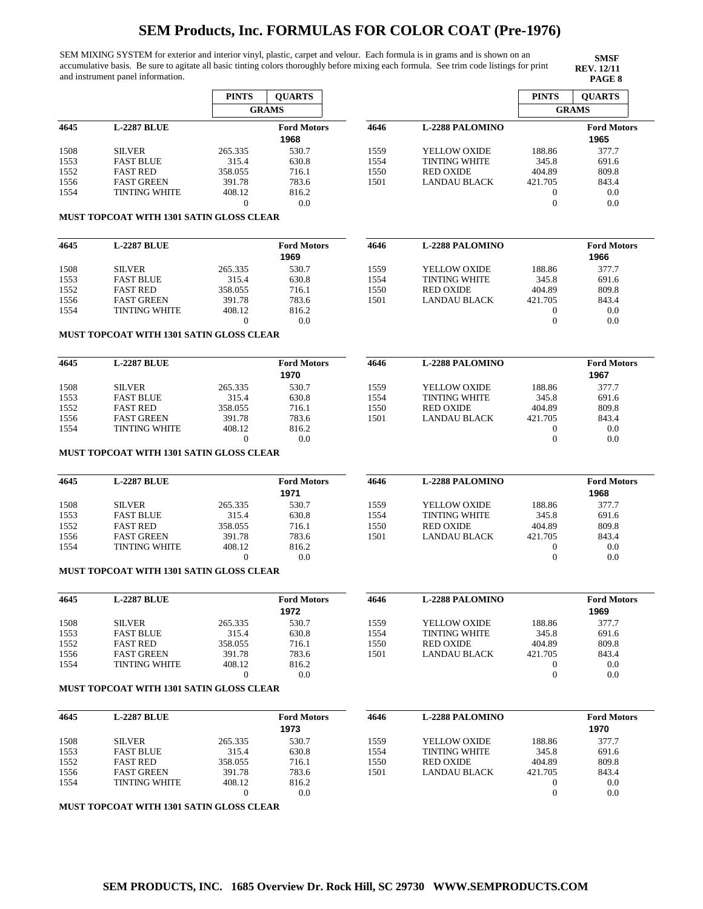SEM MIXING SYSTEM for exterior and interior vinyl, plastic, carpet and velour. Each formula is in grams and is shown on an accumulative basis. Be sure to agitate all basic tinting colors thoroughly before mixing each formula. See trim code listings for print and instrument panel information.

**SMSF REV. 12/11**

|      |                                           | <b>PINTS</b> | <b>OUARTS</b>      |      |                        | <b>PINTS</b> | <b>OUARTS</b>      |
|------|-------------------------------------------|--------------|--------------------|------|------------------------|--------------|--------------------|
|      |                                           |              | <b>GRAMS</b>       |      |                        |              | <b>GRAMS</b>       |
| 4645 | <b>L-2287 BLUE</b>                        |              | <b>Ford Motors</b> | 4646 | <b>L-2288 PALOMINO</b> |              | <b>Ford Motors</b> |
|      |                                           |              | 1968               |      |                        |              | 1965               |
| 1508 | <b>SILVER</b>                             | 265.335      | 530.7              | 1559 | <b>YELLOW OXIDE</b>    | 188.86       | 377.7              |
| 1553 | <b>FAST BLUE</b>                          | 315.4        | 630.8              | 1554 | <b>TINTING WHITE</b>   | 345.8        | 691.6              |
| 1552 | <b>FAST RED</b>                           | 358.055      | 716.1              | 1550 | <b>RED OXIDE</b>       | 404.89       | 809.8              |
| 1556 | <b>FAST GREEN</b>                         | 391.78       | 783.6              | 1501 | <b>LANDAU BLACK</b>    | 421.705      | 843.4              |
| 1554 | <b>TINTING WHITE</b>                      | 408.12       | 816.2              |      |                        |              | 0.0                |
|      |                                           | $\Omega$     | 0.0                |      |                        |              | 0.0                |
|      | MHET TODCOAT WITH 1201 EATIN CLOSE CLEAD. |              |                    |      |                        |              |                    |

#### **MUST TOPCOAT WITH 1301 SATIN GLOSS CLEAR**

| <b>L-2287 BLUE</b>   |         | <b>Ford Motors</b><br>1969 | 4646 | <b>L-2288 PALOMINO</b> |         | <b>Ford Motors</b><br>1966 |
|----------------------|---------|----------------------------|------|------------------------|---------|----------------------------|
| <b>SILVER</b>        | 265.335 | 530.7                      | 1559 | YELLOW OXIDE           | 188.86  | 377.7                      |
| <b>FAST BLUE</b>     | 315.4   | 630.8                      | 1554 | <b>TINTING WHITE</b>   | 345.8   | 691.6                      |
| <b>FAST RED</b>      | 358.055 | 716.1                      | 1550 | <b>RED OXIDE</b>       | 404.89  | 809.8                      |
| <b>FAST GREEN</b>    | 391.78  | 783.6                      | 1501 | LANDAU BLACK           | 421.705 | 843.4                      |
| <b>TINTING WHITE</b> | 408.12  | 816.2                      |      |                        |         | 0.0                        |
|                      |         | 0.0                        |      |                        |         | 0.0                        |
|                      |         |                            |      |                        |         |                            |

### **MUST TOPCOAT WITH 1301 SATIN GLOSS CLEAR**

| 4645 | <b>L-2287 BLUE</b>   |         | <b>Ford Motors</b><br>1970 | 4646 | <b>L-2288 PALOMINO</b> |         | <b>Ford Motors</b><br>1967 |
|------|----------------------|---------|----------------------------|------|------------------------|---------|----------------------------|
| 1508 | <b>SILVER</b>        | 265.335 | 530.7                      | 1559 | YELLOW OXIDE           | 188.86  | 377.7                      |
| 1553 | <b>FAST BLUE</b>     | 315.4   | 630.8                      | 1554 | <b>TINTING WHITE</b>   | 345.8   | 691.6                      |
| 1552 | <b>FAST RED</b>      | 358.055 | 716.1                      | 1550 | <b>RED OXIDE</b>       | 404.89  | 809.8                      |
| 1556 | <b>FAST GREEN</b>    | 391.78  | 783.6                      | 1501 | LANDAU BLACK           | 421.705 | 843.4                      |
| 1554 | <b>TINTING WHITE</b> | 408.12  | 816.2                      |      |                        |         | 0.0                        |
|      |                      |         | 0.0                        |      |                        |         | 0.0                        |

### **MUST TOPCOAT WITH 1301 SATIN GLOSS CLEAR**

| 4645 | <b>L-2287 BLUE</b>   |         | <b>Ford Motors</b><br>1971 | 4646 | <b>L-2288 PALOMINO</b> |          | <b>Ford Motors</b><br>1968 |
|------|----------------------|---------|----------------------------|------|------------------------|----------|----------------------------|
| 1508 | <b>SILVER</b>        | 265.335 | 530.7                      | 1559 | YELLOW OXIDE           | 188.86   | 377.7                      |
| 1553 | <b>FAST BLUE</b>     | 315.4   | 630.8                      | 1554 | <b>TINTING WHITE</b>   | 345.8    | 691.6                      |
| 1552 | <b>FAST RED</b>      | 358.055 | 716.1                      | 1550 | <b>RED OXIDE</b>       | 404.89   | 809.8                      |
| 1556 | <b>FAST GREEN</b>    | 391.78  | 783.6                      | 1501 | LANDAU BLACK           | 421.705  | 843.4                      |
| 1554 | <b>TINTING WHITE</b> | 408.12  | 816.2                      |      |                        | 0        | 0.0                        |
|      |                      |         | 0.0                        |      |                        | $\Omega$ | 0.0                        |

### **MUST TOPCOAT WITH 1301 SATIN GLOSS CLEAR**

| 4645 | <b>L-2287 BLUE</b>   |         | <b>Ford Motors</b><br>1972 | 4646 | <b>L-2288 PALOMINO</b> |         | <b>Ford Motors</b><br>1969 |
|------|----------------------|---------|----------------------------|------|------------------------|---------|----------------------------|
| 1508 | <b>SILVER</b>        | 265.335 | 530.7                      | 1559 | YELLOW OXIDE           | 188.86  | 377.7                      |
| 1553 | <b>FAST BLUE</b>     | 315.4   | 630.8                      | 1554 | <b>TINTING WHITE</b>   | 345.8   | 691.6                      |
| 1552 | <b>FAST RED</b>      | 358.055 | 716.1                      | 1550 | <b>RED OXIDE</b>       | 404.89  | 809.8                      |
| 1556 | <b>FAST GREEN</b>    | 391.78  | 783.6                      | 1501 | LANDAU BLACK           | 421.705 | 843.4                      |
| 1554 | <b>TINTING WHITE</b> | 408.12  | 816.2                      |      |                        |         | 0.0                        |
|      |                      |         | 0.0                        |      |                        |         | 0.0                        |
|      |                      |         |                            |      |                        |         |                            |

### **MUST TOPCOAT WITH 1301 SATIN GLOSS CLEAR**

| 4645 | <b>L-2287 BLUE</b>   |         | <b>Ford Motors</b><br>1973 | 4646 | <b>L-2288 PALOMINO</b> |         | <b>Ford Motors</b><br>1970 |
|------|----------------------|---------|----------------------------|------|------------------------|---------|----------------------------|
| 1508 | <b>SILVER</b>        | 265.335 | 530.7                      | 1559 | YELLOW OXIDE           | 188.86  | 377.7                      |
| 1553 | <b>FAST BLUE</b>     | 315.4   | 630.8                      | 1554 | <b>TINTING WHITE</b>   | 345.8   | 691.6                      |
| 1552 | <b>FAST RED</b>      | 358.055 | 716.1                      | 1550 | <b>RED OXIDE</b>       | 404.89  | 809.8                      |
| 1556 | <b>FAST GREEN</b>    | 391.78  | 783.6                      | 1501 | LANDAU BLACK           | 421.705 | 843.4                      |
| 1554 | <b>TINTING WHITE</b> | 408.12  | 816.2                      |      |                        |         | 0.0                        |
|      |                      |         | 0.0                        |      |                        |         | 0.0                        |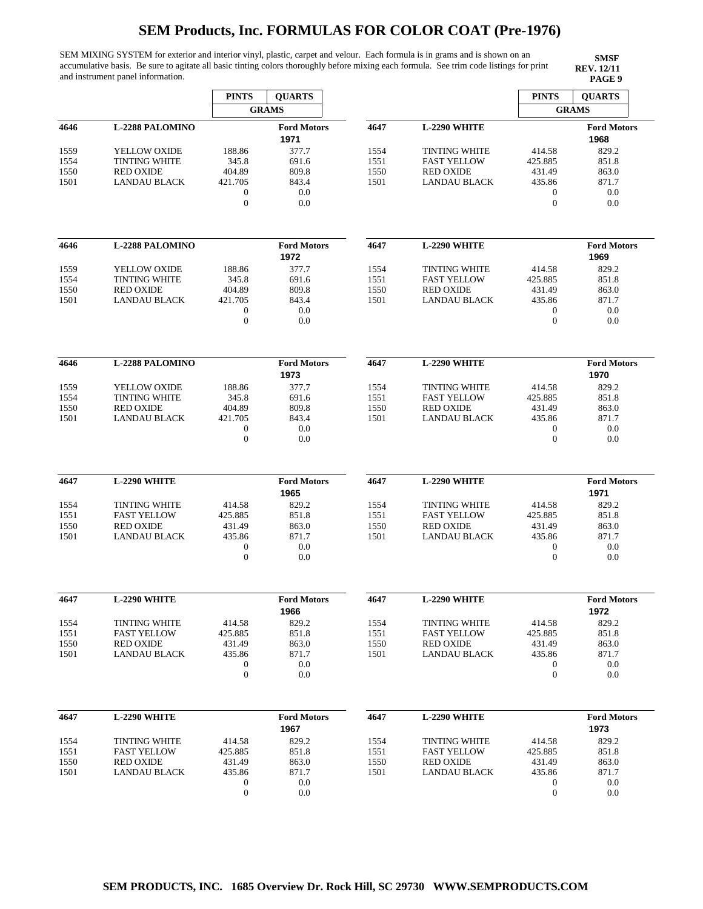SEM MIXING SYSTEM for exterior and interior vinyl, plastic, carpet and velour. Each formula is in grams and is shown on an accumulative basis. Be sure to agitate all basic tinting colors thoroughly before mixing each formula. See trim code listings for print and instrument panel information.

|      |                        | <b>PINTS</b>     | <b>OUARTS</b>      |      |                      | <b>PINTS</b>     | <b>QUARTS</b>      |
|------|------------------------|------------------|--------------------|------|----------------------|------------------|--------------------|
|      |                        |                  | <b>GRAMS</b>       |      |                      |                  | <b>GRAMS</b>       |
| 4646 | <b>L-2288 PALOMINO</b> |                  | <b>Ford Motors</b> | 4647 | L-2290 WHITE         |                  | <b>Ford Motors</b> |
|      |                        |                  | 1971               |      |                      |                  | 1968               |
| 1559 | YELLOW OXIDE           | 188.86           | 377.7              | 1554 | <b>TINTING WHITE</b> | 414.58           | 829.2              |
| 1554 | <b>TINTING WHITE</b>   | 345.8            | 691.6              | 1551 | <b>FAST YELLOW</b>   | 425.885          | 851.8              |
| 1550 | <b>RED OXIDE</b>       | 404.89           | 809.8              | 1550 | <b>RED OXIDE</b>     | 431.49           | 863.0              |
| 1501 | <b>LANDAU BLACK</b>    | 421.705          | 843.4              | 1501 | <b>LANDAU BLACK</b>  | 435.86           | 871.7              |
|      |                        | $\boldsymbol{0}$ | 0.0                |      |                      | $\boldsymbol{0}$ | 0.0                |
|      |                        | $\boldsymbol{0}$ | 0.0                |      |                      | $\mathbf{0}$     | 0.0                |
|      |                        |                  |                    |      |                      |                  |                    |
|      |                        |                  |                    |      |                      |                  |                    |
| 4646 | <b>L-2288 PALOMINO</b> |                  | <b>Ford Motors</b> | 4647 | L-2290 WHITE         |                  | <b>Ford Motors</b> |
|      |                        |                  | 1972               |      |                      |                  | 1969               |
| 1559 | YELLOW OXIDE           | 188.86           | 377.7              | 1554 | <b>TINTING WHITE</b> | 414.58           | 829.2              |
| 1554 | <b>TINTING WHITE</b>   | 345.8            | 691.6              | 1551 | <b>FAST YELLOW</b>   | 425.885          | 851.8              |
| 1550 | <b>RED OXIDE</b>       | 404.89           | 809.8              | 1550 | <b>RED OXIDE</b>     | 431.49           | 863.0              |
| 1501 | <b>LANDAU BLACK</b>    | 421.705          | 843.4              | 1501 | <b>LANDAU BLACK</b>  | 435.86           | 871.7              |
|      |                        | $\boldsymbol{0}$ | 0.0                |      |                      | 0                | 0.0                |
|      |                        | $\boldsymbol{0}$ | 0.0                |      |                      | $\boldsymbol{0}$ | 0.0                |
|      |                        |                  |                    |      |                      |                  |                    |
| 4646 | <b>L-2288 PALOMINO</b> |                  | <b>Ford Motors</b> | 4647 | L-2290 WHITE         |                  | <b>Ford Motors</b> |
|      |                        |                  | 1973               |      |                      |                  | 1970               |
| 1559 | <b>YELLOW OXIDE</b>    | 188.86           | 377.7              | 1554 | <b>TINTING WHITE</b> | 414.58           | 829.2              |
| 1554 | <b>TINTING WHITE</b>   | 345.8            | 691.6              | 1551 | <b>FAST YELLOW</b>   | 425.885          | 851.8              |
| 1550 | <b>RED OXIDE</b>       | 404.89           | 809.8              | 1550 | <b>RED OXIDE</b>     | 431.49           | 863.0              |
| 1501 | LANDAU BLACK           | 421.705          | 843.4              | 1501 | LANDAU BLACK         | 435.86           | 871.7              |
|      |                        | 0                | 0.0                |      |                      | 0                | 0.0                |
|      |                        | $\boldsymbol{0}$ | 0.0                |      |                      | $\boldsymbol{0}$ | 0.0                |
|      |                        |                  |                    |      |                      |                  |                    |
| 4647 | L-2290 WHITE           |                  | <b>Ford Motors</b> | 4647 | L-2290 WHITE         |                  | <b>Ford Motors</b> |
|      |                        |                  | 1965               |      |                      |                  | 1971               |
| 1554 | <b>TINTING WHITE</b>   | 414.58           | 829.2              | 1554 | <b>TINTING WHITE</b> | 414.58           | 829.2              |
| 1551 | <b>FAST YELLOW</b>     | 425.885          | 851.8              | 1551 | <b>FAST YELLOW</b>   | 425.885          | 851.8              |
|      |                        |                  |                    |      | <b>RED OXIDE</b>     |                  |                    |
| 1550 | <b>RED OXIDE</b>       | 431.49           | 863.0              | 1550 |                      | 431.49           | 863.0              |
| 1501 | <b>LANDAU BLACK</b>    | 435.86           | 871.7              | 1501 | <b>LANDAU BLACK</b>  | 435.86           | 871.7              |
|      |                        | $\boldsymbol{0}$ | 0.0                |      |                      | $\boldsymbol{0}$ | 0.0                |
|      |                        | $\boldsymbol{0}$ | 0.0                |      |                      | $\boldsymbol{0}$ | 0.0                |
|      |                        |                  |                    |      |                      |                  |                    |
| 4647 | L-2290 WHITE           |                  | <b>Ford Motors</b> | 4647 | L-2290 WHITE         |                  | <b>Ford Motors</b> |
|      |                        |                  | 1966               |      |                      |                  | 1972               |
| 1554 | <b>TINTING WHITE</b>   | 414.58           | 829.2              | 1554 | <b>TINTING WHITE</b> | 414.58           | 829.2              |
| 1551 | <b>FAST YELLOW</b>     | 425.885          | 851.8              | 1551 | <b>FAST YELLOW</b>   | 425.885          | 851.8              |
| 1550 | <b>RED OXIDE</b>       | 431.49           | 863.0              | 1550 | <b>RED OXIDE</b>     | 431.49           | 863.0              |
| 1501 | <b>LANDAU BLACK</b>    | 435.86           | 871.7              | 1501 | LANDAU BLACK         | 435.86           | 871.7              |
|      |                        | 0                | 0.0                |      |                      | 0                | 0.0                |
|      |                        | $\boldsymbol{0}$ | 0.0                |      |                      | $\boldsymbol{0}$ | 0.0                |
|      |                        |                  |                    |      |                      |                  |                    |
| 4647 | L-2290 WHITE           |                  | <b>Ford Motors</b> | 4647 | <b>L-2290 WHITE</b>  |                  | <b>Ford Motors</b> |
|      |                        |                  | 1967               |      |                      |                  | 1973               |
| 1554 | <b>TINTING WHITE</b>   | 414.58           | 829.2              | 1554 | <b>TINTING WHITE</b> | 414.58           | 829.2              |
| 1551 | <b>FAST YELLOW</b>     | 425.885          | 851.8              | 1551 | <b>FAST YELLOW</b>   | 425.885          | 851.8              |
| 1550 | <b>RED OXIDE</b>       | 431.49           | 863.0              | 1550 | <b>RED OXIDE</b>     | 431.49           | 863.0              |
| 1501 | <b>LANDAU BLACK</b>    | 435.86           | 871.7              | 1501 | <b>LANDAU BLACK</b>  | 435.86           | 871.7              |
|      |                        | 0                | 0.0                |      |                      | 0                | 0.0                |
|      |                        | $\theta$         | 0.0                |      |                      | $\mathbf{0}$     | 0.0                |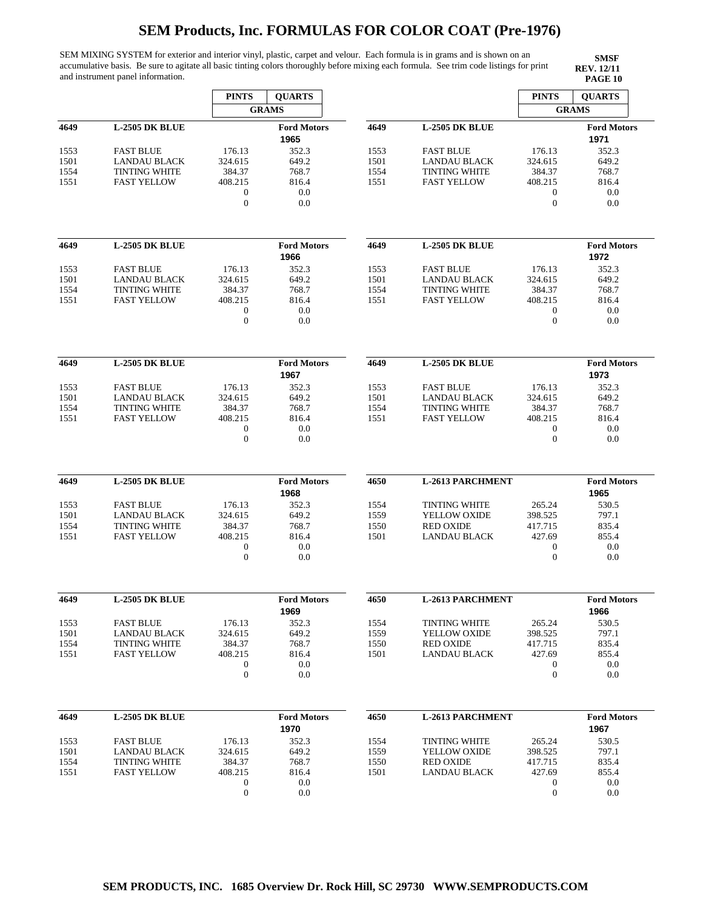SEM MIXING SYSTEM for exterior and interior vinyl, plastic, carpet and velour. Each formula is in grams and is shown on an accumulative basis. Be sure to agitate all basic tinting colors thoroughly before mixing each formula. See trim code listings for print and instrument panel information.

|      |                       | <b>PINTS</b>                         | <b>QUARTS</b>              |      |                         | <b>PINTS</b>                         | <b>QUARTS</b>              |
|------|-----------------------|--------------------------------------|----------------------------|------|-------------------------|--------------------------------------|----------------------------|
|      |                       |                                      | <b>GRAMS</b>               |      |                         |                                      | <b>GRAMS</b>               |
| 4649 | <b>L-2505 DK BLUE</b> |                                      | <b>Ford Motors</b><br>1965 | 4649 | <b>L-2505 DK BLUE</b>   |                                      | <b>Ford Motors</b><br>1971 |
| 1553 | <b>FAST BLUE</b>      | 176.13                               | 352.3                      | 1553 | <b>FAST BLUE</b>        | 176.13                               | 352.3                      |
| 1501 | <b>LANDAU BLACK</b>   | 324.615                              | 649.2                      | 1501 | <b>LANDAU BLACK</b>     | 324.615                              | 649.2                      |
| 1554 | <b>TINTING WHITE</b>  | 384.37                               | 768.7                      | 1554 | <b>TINTING WHITE</b>    | 384.37                               | 768.7                      |
| 1551 | <b>FAST YELLOW</b>    | 408.215                              | 816.4<br>0.0               | 1551 | <b>FAST YELLOW</b>      | 408.215<br>$\boldsymbol{0}$          | 816.4<br>0.0               |
|      |                       | 0<br>$\boldsymbol{0}$                | 0.0                        |      |                         | $\boldsymbol{0}$                     | 0.0                        |
| 4649 | <b>L-2505 DK BLUE</b> |                                      | <b>Ford Motors</b>         | 4649 | <b>L-2505 DK BLUE</b>   |                                      | <b>Ford Motors</b>         |
|      |                       |                                      | 1966                       |      |                         |                                      | 1972                       |
| 1553 | <b>FAST BLUE</b>      | 176.13                               | 352.3                      | 1553 | <b>FAST BLUE</b>        | 176.13                               | 352.3                      |
| 1501 | <b>LANDAU BLACK</b>   | 324.615                              | 649.2                      | 1501 | <b>LANDAU BLACK</b>     | 324.615                              | 649.2                      |
| 1554 | <b>TINTING WHITE</b>  | 384.37                               | 768.7                      | 1554 | <b>TINTING WHITE</b>    | 384.37                               | 768.7                      |
| 1551 | <b>FAST YELLOW</b>    | 408.215                              | 816.4                      | 1551 | <b>FAST YELLOW</b>      | 408.215                              | 816.4                      |
|      |                       | $\boldsymbol{0}$<br>$\boldsymbol{0}$ | 0.0<br>0.0                 |      |                         | $\boldsymbol{0}$<br>$\boldsymbol{0}$ | 0.0<br>0.0                 |
|      |                       |                                      |                            |      |                         |                                      |                            |
| 4649 | <b>L-2505 DK BLUE</b> |                                      | <b>Ford Motors</b>         | 4649 | <b>L-2505 DK BLUE</b>   |                                      | <b>Ford Motors</b>         |
|      |                       |                                      | 1967                       |      |                         |                                      | 1973                       |
| 1553 | <b>FAST BLUE</b>      | 176.13                               | 352.3                      | 1553 | <b>FAST BLUE</b>        | 176.13                               | 352.3                      |
| 1501 | <b>LANDAU BLACK</b>   | 324.615                              | 649.2                      | 1501 | <b>LANDAU BLACK</b>     | 324.615                              | 649.2                      |
| 1554 | <b>TINTING WHITE</b>  | 384.37                               | 768.7                      | 1554 | <b>TINTING WHITE</b>    | 384.37                               | 768.7                      |
| 1551 | <b>FAST YELLOW</b>    | 408.215                              | 816.4                      | 1551 | <b>FAST YELLOW</b>      | 408.215                              | 816.4                      |
|      |                       | $\boldsymbol{0}$                     | 0.0                        |      |                         | $\boldsymbol{0}$                     | 0.0                        |
|      |                       | $\mathbf{0}$                         | 0.0                        |      |                         | $\boldsymbol{0}$                     | 0.0                        |
| 4649 | <b>L-2505 DK BLUE</b> |                                      | <b>Ford Motors</b>         | 4650 | <b>L-2613 PARCHMENT</b> |                                      | <b>Ford Motors</b>         |
|      |                       |                                      | 1968                       |      |                         |                                      | 1965                       |
| 1553 | <b>FAST BLUE</b>      | 176.13                               | 352.3                      | 1554 | <b>TINTING WHITE</b>    | 265.24                               | 530.5                      |
| 1501 | LANDAU BLACK          | 324.615                              | 649.2                      | 1559 | YELLOW OXIDE            | 398.525                              | 797.1                      |
| 1554 | <b>TINTING WHITE</b>  | 384.37                               | 768.7                      | 1550 | <b>RED OXIDE</b>        | 417.715                              | 835.4                      |
| 1551 | <b>FAST YELLOW</b>    | 408.215                              | 816.4                      | 1501 | LANDAU BLACK            | 427.69                               | 855.4                      |
|      |                       | $\boldsymbol{0}$                     | 0.0                        |      |                         | $\boldsymbol{0}$                     | 0.0                        |
|      |                       | $\boldsymbol{0}$                     | 0.0                        |      |                         | $\boldsymbol{0}$                     | 0.0                        |
| 4649 | L-2505 DK BLUE        |                                      | <b>Ford Motors</b>         | 4650 | <b>L-2613 PARCHMENT</b> |                                      | <b>Ford Motors</b>         |
|      |                       |                                      | 1969                       |      |                         |                                      | 1966                       |
| 1553 | <b>FAST BLUE</b>      | 176.13                               | 352.3                      | 1554 | <b>TINTING WHITE</b>    | 265.24                               | 530.5                      |
| 1501 | <b>LANDAU BLACK</b>   | 324.615                              | 649.2                      | 1559 | YELLOW OXIDE            | 398.525                              | 797.1                      |
| 1554 | <b>TINTING WHITE</b>  | 384.37                               | 768.7                      | 1550 | <b>RED OXIDE</b>        | 417.715                              | 835.4                      |
| 1551 | <b>FAST YELLOW</b>    | 408.215                              | 816.4                      | 1501 | <b>LANDAU BLACK</b>     | 427.69                               | 855.4                      |
|      |                       | $\boldsymbol{0}$                     | 0.0                        |      |                         | $\boldsymbol{0}$                     | 0.0                        |
|      |                       | $\boldsymbol{0}$                     | 0.0                        |      |                         | $\boldsymbol{0}$                     | 0.0                        |
| 4649 | <b>L-2505 DK BLUE</b> |                                      | <b>Ford Motors</b>         | 4650 | <b>L-2613 PARCHMENT</b> |                                      | <b>Ford Motors</b>         |
|      |                       |                                      | 1970                       |      |                         |                                      | 1967                       |
| 1553 | <b>FAST BLUE</b>      | 176.13                               | 352.3                      | 1554 | <b>TINTING WHITE</b>    | 265.24                               | 530.5                      |
| 1501 | <b>LANDAU BLACK</b>   | 324.615                              | 649.2                      | 1559 | YELLOW OXIDE            | 398.525                              | 797.1                      |
| 1554 | <b>TINTING WHITE</b>  | 384.37                               | 768.7                      | 1550 | <b>RED OXIDE</b>        | 417.715                              | 835.4                      |
| 1551 | <b>FAST YELLOW</b>    | 408.215                              | 816.4                      | 1501 | LANDAU BLACK            | 427.69                               | 855.4                      |
|      |                       | $\boldsymbol{0}$                     | 0.0                        |      |                         | 0                                    | 0.0                        |
|      |                       | $\boldsymbol{0}$                     | 0.0                        |      |                         | $\boldsymbol{0}$                     | 0.0                        |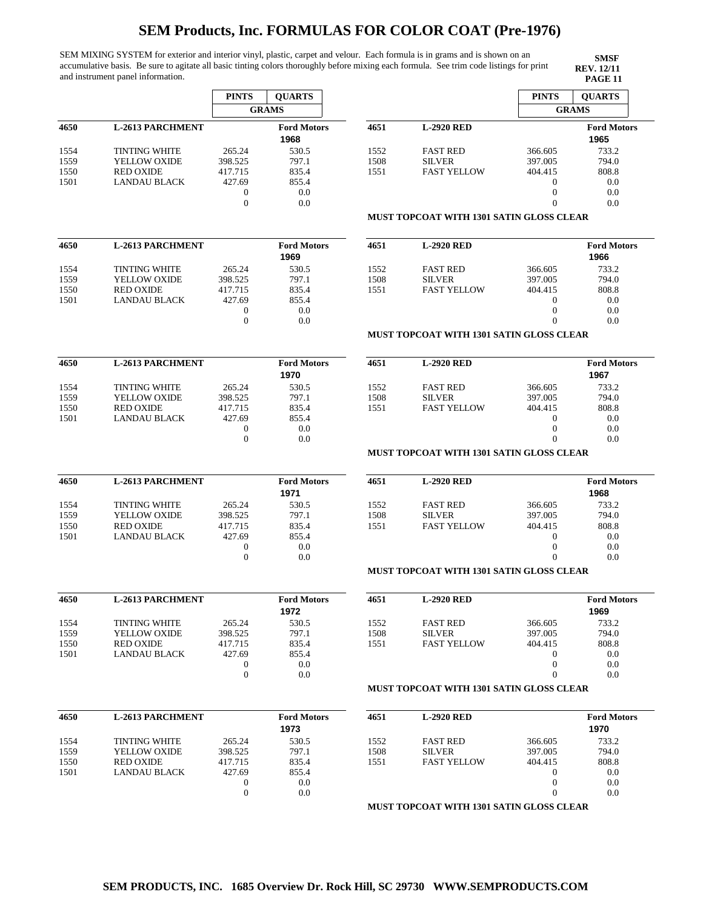SEM MIXING SYSTEM for exterior and interior vinyl, plastic, carpet and velour. Each formula is in grams and is shown on an accumulative basis. Be sure to agitate all basic tinting colors thoroughly before mixing each formula. See trim code listings for print and instrument panel information.

**SMSF REV. 12/11**

|      |                         | <b>PINTS</b>             | <b>QUARTS</b>              |      |                                                 | <b>PINTS</b>             | <b>QUARTS</b>              |
|------|-------------------------|--------------------------|----------------------------|------|-------------------------------------------------|--------------------------|----------------------------|
|      |                         |                          | <b>GRAMS</b>               |      |                                                 |                          | <b>GRAMS</b>               |
| 4650 | <b>L-2613 PARCHMENT</b> |                          | <b>Ford Motors</b>         | 4651 | <b>L-2920 RED</b>                               |                          | <b>Ford Motors</b>         |
|      |                         |                          | 1968                       |      |                                                 |                          | 1965                       |
| 1554 | <b>TINTING WHITE</b>    | 265.24                   | 530.5                      | 1552 | <b>FAST RED</b>                                 | 366.605                  | 733.2                      |
| 1559 | YELLOW OXIDE            | 398.525                  | 797.1                      | 1508 | <b>SILVER</b>                                   | 397.005                  | 794.0                      |
| 1550 | <b>RED OXIDE</b>        | 417.715                  | 835.4                      | 1551 | <b>FAST YELLOW</b>                              | 404.415                  | 808.8                      |
| 1501 | <b>LANDAU BLACK</b>     | 427.69                   | 855.4                      |      |                                                 | $\boldsymbol{0}$         | 0.0                        |
|      |                         | 0                        | 0.0                        |      |                                                 | $\theta$                 | 0.0                        |
|      |                         | $\overline{0}$           | 0.0                        |      |                                                 | $\theta$                 | 0.0                        |
|      |                         |                          |                            |      | MUST TOPCOAT WITH 1301 SATIN GLOSS CLEAR        |                          |                            |
| 4650 | <b>L-2613 PARCHMENT</b> |                          | <b>Ford Motors</b>         | 4651 | <b>L-2920 RED</b>                               |                          | <b>Ford Motors</b>         |
|      |                         |                          | 1969                       |      |                                                 |                          | 1966                       |
| 1554 | <b>TINTING WHITE</b>    | 265.24                   | 530.5                      | 1552 | <b>FAST RED</b>                                 | 366.605                  | 733.2                      |
| 1559 | YELLOW OXIDE            | 398.525                  | 797.1                      | 1508 | <b>SILVER</b>                                   | 397.005                  | 794.0                      |
| 1550 | <b>RED OXIDE</b>        | 417.715                  | 835.4                      | 1551 | <b>FAST YELLOW</b>                              | 404.415                  | 808.8                      |
| 1501 | <b>LANDAU BLACK</b>     | 427.69                   | 855.4                      |      |                                                 | $\mathbf{0}$             | 0.0                        |
|      |                         | $\mathbf{0}$             | 0.0                        |      |                                                 | $\mathbf{0}$             | 0.0                        |
|      |                         | $\theta$                 | 0.0                        |      |                                                 | $\theta$                 | 0.0                        |
|      |                         |                          |                            |      | <b>MUST TOPCOAT WITH 1301 SATIN GLOSS CLEAR</b> |                          |                            |
| 4650 | <b>L-2613 PARCHMENT</b> |                          | <b>Ford Motors</b>         | 4651 | <b>L-2920 RED</b>                               |                          | <b>Ford Motors</b>         |
|      |                         |                          | 1970                       |      |                                                 |                          | 1967                       |
| 1554 | <b>TINTING WHITE</b>    | 265.24                   | 530.5                      | 1552 | <b>FAST RED</b>                                 | 366.605                  | 733.2                      |
| 1559 | YELLOW OXIDE            | 398.525                  | 797.1                      | 1508 | <b>SILVER</b>                                   | 397.005                  | 794.0                      |
| 1550 | <b>RED OXIDE</b>        | 417.715                  | 835.4                      | 1551 | <b>FAST YELLOW</b>                              | 404.415                  | 808.8                      |
| 1501 | <b>LANDAU BLACK</b>     | 427.69                   | 855.4                      |      |                                                 | $\theta$                 | 0.0                        |
|      |                         | $\mathbf 0$              | 0.0                        |      |                                                 | $\theta$                 | 0.0                        |
|      |                         | $\theta$                 | 0.0                        |      |                                                 | $\Omega$                 | 0.0                        |
|      |                         |                          |                            |      | MUST TOPCOAT WITH 1301 SATIN GLOSS CLEAR        |                          |                            |
| 4650 | <b>L-2613 PARCHMENT</b> |                          | <b>Ford Motors</b><br>1971 | 4651 | <b>L-2920 RED</b>                               |                          | <b>Ford Motors</b><br>1968 |
|      |                         |                          |                            |      |                                                 |                          |                            |
| 1554 | <b>TINTING WHITE</b>    | 265.24                   | 530.5                      | 1552 | <b>FAST RED</b>                                 | 366.605                  | 733.2                      |
| 1559 | YELLOW OXIDE            | 398.525                  | 797.1                      | 1508 | <b>SILVER</b>                                   | 397.005                  | 794.0                      |
| 1550 | <b>RED OXIDE</b>        | 417.715                  | 835.4                      | 1551 | <b>FAST YELLOW</b>                              | 404.415                  | 808.8                      |
| 1501 | <b>LANDAU BLACK</b>     | 427.69                   | 855.4                      |      |                                                 | $\mathbf{0}$             | 0.0                        |
|      |                         | $\mathbf{0}$<br>$\theta$ | 0.0<br>0.0                 |      |                                                 | $\mathbf{0}$<br>$\Omega$ | 0.0<br>0.0                 |
|      |                         |                          |                            |      | <b>MUST TOPCOAT WITH 1301 SATIN GLOSS CLEAR</b> |                          |                            |
| 4650 | <b>L-2613 PARCHMENT</b> |                          | <b>Ford Motors</b>         | 4651 | <b>L-2920 RED</b>                               |                          | <b>Ford Motors</b>         |
|      |                         |                          | 1972                       |      |                                                 |                          | 1969                       |
| 1554 | <b>TINTING WHITE</b>    | 265.24                   | 530.5                      | 1552 | <b>FAST RED</b>                                 | 366.605                  | 733.2                      |
| 1559 | YELLOW OXIDE            | 398.525                  | 797.1                      | 1508 | <b>SILVER</b>                                   | 397.005                  | 794.0                      |
| 1550 | <b>RED OXIDE</b>        | 417.715                  | 835.4                      | 1551 | <b>FAST YELLOW</b>                              | 404.415                  | 808.8                      |
| 1501 | LANDAU BLACK            | 427.69                   | 855.4                      |      |                                                 | $\mathbf{0}$             | 0.0                        |
|      |                         | 0                        | 0.0                        |      |                                                 | $\boldsymbol{0}$         | 0.0                        |
|      |                         | $\boldsymbol{0}$         | 0.0                        |      |                                                 | $\overline{0}$           | 0.0                        |
|      |                         |                          |                            |      | <b>MUST TOPCOAT WITH 1301 SATIN GLOSS CLEAR</b> |                          |                            |
| 4650 | <b>L-2613 PARCHMENT</b> |                          | <b>Ford Motors</b>         | 4651 | <b>L-2920 RED</b>                               |                          | <b>Ford Motors</b>         |
|      |                         |                          | 1973                       |      |                                                 |                          | 1970                       |
| 1554 | <b>TINTING WHITE</b>    | 265.24                   | 530.5                      | 1552 | <b>FAST RED</b>                                 | 366.605                  | 733.2                      |
| 1559 | YELLOW OXIDE            | 398.525                  | 797.1                      | 1508 | <b>SILVER</b>                                   | 397.005                  | 794.0                      |
| 1550 | <b>RED OXIDE</b>        | 417.715                  | 835.4                      | 1551 | <b>FAST YELLOW</b>                              | 404.415                  | 808.8                      |
| 1501 | <b>LANDAU BLACK</b>     | 427.69                   | 855.4                      |      |                                                 | $\mathbf{0}$             | 0.0                        |
|      |                         | $\boldsymbol{0}$         | 0.0                        |      |                                                 | $\mathbf{0}$             | 0.0                        |
|      |                         | $\boldsymbol{0}$         | 0.0                        |      |                                                 | $\overline{0}$           | 0.0                        |
|      |                         |                          |                            |      | MUST TOPCOAT WITH 1301 SATIN GLOSS CLEAR        |                          |                            |

|      |                                                 |         | 1965                       |
|------|-------------------------------------------------|---------|----------------------------|
| 1552 | <b>FAST RED</b>                                 | 366.605 | 733.2                      |
| 1508 | <b>SILVER</b>                                   | 397.005 | 794.0                      |
| 1551 | <b>FAST YELLOW</b>                              | 404.415 | 808.8                      |
|      |                                                 | 0       | 0.0                        |
|      |                                                 | 0       | 0.0                        |
|      |                                                 | 0       | 0.0                        |
|      | <b>MUST TOPCOAT WITH 1301 SATIN GLOSS CLEAR</b> |         |                            |
| 4651 | <b>L-2920 RED</b>                               |         | <b>Ford Motors</b><br>1966 |
| 1552 | <b>FAST RED</b>                                 | 366 605 | 733.2                      |

|      |                                          |          | 1966  |
|------|------------------------------------------|----------|-------|
| 1552 | <b>FAST RED</b>                          | 366.605  | 733.2 |
| 1508 | <b>SILVER</b>                            | 397.005  | 794.0 |
| 1551 | <b>FAST YELLOW</b>                       | 404.415  | 808.8 |
|      |                                          | $_{0}$   | 0.0   |
|      |                                          | $_{0}$   | 0.0   |
|      |                                          | $\Omega$ | 0.0   |
|      | MUST TOPCOAT WITH 1301 SATIN GLOSS CLEAR |          |       |

#### **4511 <b>L-3120 C-2020 C-2020 C-2020 C-2020 C-2020 C-2020 C-2020 C-2020 C-2020 C-2020 C-2020 C-2020 C-2020 C-2020 C-2020 C-2020 C-2020 C-2020 C-2020 C-2020 C-2020 C-2020 C-2020** LOW 366.605 397.005 404.415 0 0 0 733.2 794.0 808.8 0.0 0.0 0.0 **1967**

## **H 1301 SATIN GLOSS CLEAR**

| 4651 | <b>L-2920 RED</b>  |          | <b>Ford Motors</b> |
|------|--------------------|----------|--------------------|
|      |                    |          | 1968               |
| 1552 | <b>FAST RED</b>    | 366.605  | 733.2              |
| 1508 | <b>SILVER</b>      | 397.005  | 794.0              |
| 1551 | <b>FAST YELLOW</b> | 404.415  | 808.8              |
|      |                    | $\Omega$ | 0.0                |
|      |                    | 0        | 0.0                |
|      |                    | 0        | 0.0                |

## **H 1301 SATIN GLOSS CLEAR**

| 4651 | <b>L-2920 RED</b>  |                   | <b>Ford Motors</b> |
|------|--------------------|-------------------|--------------------|
|      |                    |                   | 1969               |
| 1552 | <b>FAST RED</b>    | 366.605           | 733.2              |
| 1508 | <b>SILVER</b>      | 397.005           | 794.0              |
| 1551 | <b>FAST YELLOW</b> | 404.415           | 808.8              |
|      |                    | $\mathbf{\Omega}$ | 0.0                |
|      |                    |                   | 0.0                |
|      |                    |                   | 0.0                |

### **H 1301 SATIN GLOSS CLEAR**

| SEM PRODUCTS, INC. 1685 Overview Dr. Rock Hill, SC 29730 WWW.SEMPRODUCTS.COM |  |
|------------------------------------------------------------------------------|--|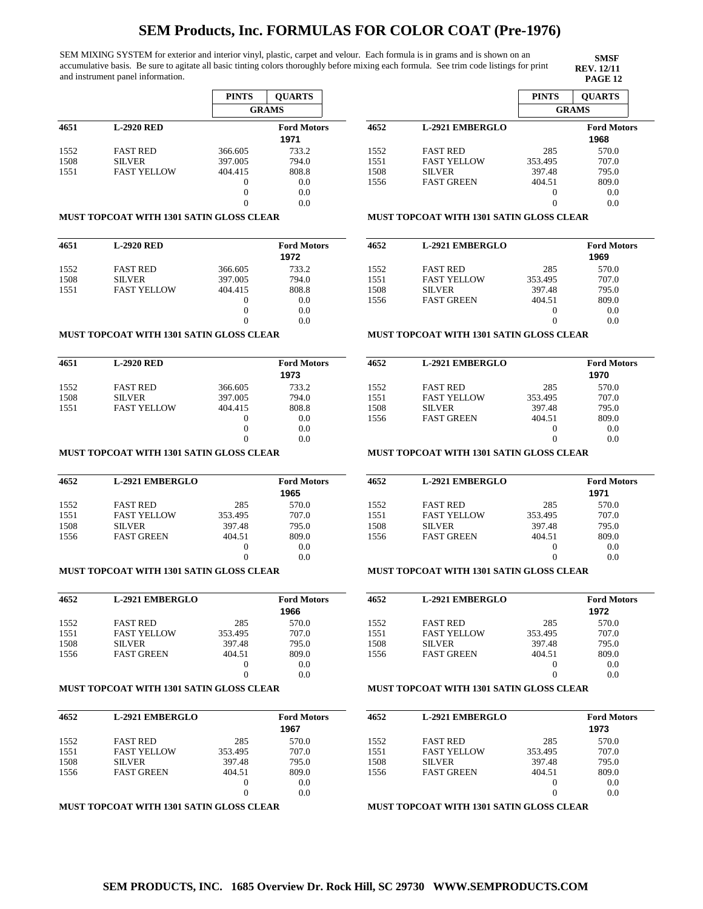SEM MIXING SYSTEM for exterior and interior vinyl, plastic, carpet and velour. Each formula is in grams and is shown on an accumulative basis. Be sure to agitate all basic tinting colors thoroughly before mixing each formula. See trim code listings for print and instrument panel information.

**SMSF REV. 12/11**

|      |                    | <b>PINTS</b> | <b>OUARTS</b>              |
|------|--------------------|--------------|----------------------------|
|      |                    |              | <b>GRAMS</b>               |
| 4651 | <b>L-2920 RED</b>  |              | <b>Ford Motors</b><br>1971 |
| 1552 | <b>FAST RED</b>    | 366.605      | 733.2                      |
| 1508 | <b>SILVER</b>      | 397.005      | 794.0                      |
| 1551 | <b>FAST YELLOW</b> | 404.415      | 808.8                      |
|      |                    | 0            | 0.0                        |
|      |                    | 0            | 0.0                        |
|      |                    |              | 0.0                        |

#### **MUST TOPCOAT WITH 1301 SATIN GLOSS CLEAR**

| 4651 | <b>L-2920 RED</b>  |         | <b>Ford Motors</b> |
|------|--------------------|---------|--------------------|
|      |                    |         | 1972               |
| 1552 | <b>FAST RED</b>    | 366.605 | 733.2              |
| 1508 | <b>SILVER</b>      | 397.005 | 794.0              |
| 1551 | <b>FAST YELLOW</b> | 404.415 | 808.8              |
|      |                    | 0       | 0.0                |
|      |                    | 0       | 0.0                |
|      |                    | 0       | 0.0                |

#### **MUST TOPCOAT WITH 1301 SATIN GLOSS CLEAR**

| 4651 | <b>L-2920 RED</b>  |         | <b>Ford Motors</b> |
|------|--------------------|---------|--------------------|
|      |                    |         | 1973               |
| 1552 | <b>FAST RED</b>    | 366.605 | 733.2              |
| 1508 | <b>SILVER</b>      | 397.005 | 794.0              |
| 1551 | <b>FAST YELLOW</b> | 404.415 | 808.8              |
|      |                    | 0       | 0.0                |
|      |                    | 0       | 0.0                |
|      |                    | $\cup$  | 0.0                |

## **MUST TOPCOAT WITH 1301 SATIN GLOSS CLEAR**

| 4652 | <b>L-2921 EMBERGLO</b> |          | <b>Ford Motors</b> |
|------|------------------------|----------|--------------------|
|      |                        |          | 1965               |
| 1552 | <b>FAST RED</b>        | 285      | 570.0              |
| 1551 | <b>FAST YELLOW</b>     | 353.495  | 707.0              |
| 1508 | <b>SILVER</b>          | 397.48   | 795.0              |
| 1556 | <b>FAST GREEN</b>      | 404.51   | 809.0              |
|      |                        | $\left($ | 0.0                |
|      |                        |          | 0.0                |

### **MUST TOPCOAT WITH 1301 SATIN GLOSS CLEAR**

| 4652 | <b>L-2921 EMBERGLO</b> |         | <b>Ford Motors</b><br>1966 |
|------|------------------------|---------|----------------------------|
| 1552 | <b>FAST RED</b>        | 285     | 570.0                      |
| 1551 | <b>FAST YELLOW</b>     | 353.495 | 707.0                      |
| 1508 | <b>SILVER</b>          | 397.48  | 795.0                      |
| 1556 | <b>FAST GREEN</b>      | 404.51  | 809.0                      |
|      |                        | 0       | 0.0                        |
|      |                        | 0       | 0.0                        |

### **MUST TOPCOAT WITH 1301 SATIN GLOSS CLEAR**

| 4652 | <b>L-2921 EMBERGLO</b> |         | <b>Ford Motors</b><br>1967 |
|------|------------------------|---------|----------------------------|
| 1552 | <b>FAST RED</b>        | 285     | 570.0                      |
| 1551 | <b>FAST YELLOW</b>     | 353.495 | 707.0                      |
| 1508 | <b>SILVER</b>          | 397.48  | 795.0                      |
| 1556 | <b>FAST GREEN</b>      | 404.51  | 809.0                      |
|      |                        |         | 0.0                        |
|      |                        |         | 0.0                        |

## **MUST TOPCOAT WITH 1301 SATIN GLOSS CLEAR**

|      |                        | <b>PINTS</b>      | <b>OUARTS</b>      |
|------|------------------------|-------------------|--------------------|
|      |                        |                   | <b>GRAMS</b>       |
| 4652 | <b>L-2921 EMBERGLO</b> |                   | <b>Ford Motors</b> |
|      |                        |                   | 1968               |
| 1552 | <b>FAST RED</b>        | 285               | 570.0              |
| 1551 | <b>FAST YELLOW</b>     | 353.495           | 707.0              |
| 1508 | <b>SILVER</b>          | 397.48            | 795.0              |
| 1556 | <b>FAST GREEN</b>      | 404.51            | 809.0              |
|      |                        | $\mathbf{\Omega}$ | 0.0                |
|      |                        |                   | 0.0                |

### **MUST TOPCOAT WITH 1301 SATIN GLOSS CLEAR**

| 4652 | <b>L-2921 EMBERGLO</b> |         | <b>Ford Motors</b> |
|------|------------------------|---------|--------------------|
|      |                        |         | 1969               |
| 1552 | <b>FAST RED</b>        | 285     | 570.0              |
| 1551 | <b>FAST YELLOW</b>     | 353.495 | 707.0              |
| 1508 | <b>SILVER</b>          | 397.48  | 795.0              |
| 1556 | <b>FAST GREEN</b>      | 404.51  | 809.0              |
|      |                        | $_{0}$  | 0.0                |
|      |                        |         | 0.0                |
|      |                        |         |                    |

#### **MUST TOPCOAT WITH 1301 SATIN GLOSS CLEAR**

| 4652 | <b>L-2921 EMBERGLO</b> |         | <b>Ford Motors</b><br>1970 |
|------|------------------------|---------|----------------------------|
| 1552 | <b>FAST RED</b>        | 285     | 570.0                      |
| 1551 | <b>FAST YELLOW</b>     | 353.495 | 707.0                      |
| 1508 | <b>SILVER</b>          | 397.48  | 795.0                      |
| 1556 | <b>FAST GREEN</b>      | 404.51  | 809.0                      |
|      |                        |         | 0.0                        |
|      |                        |         | 0.0                        |
|      |                        |         |                            |

## **MUST TOPCOAT WITH 1301 SATIN GLOSS CLEAR**

| 4652 | <b>L-2921 EMBERGLO</b> |         | <b>Ford Motors</b><br>1971 |
|------|------------------------|---------|----------------------------|
| 1552 | <b>FAST RED</b>        | 285     | 570.0                      |
| 1551 | <b>FAST YELLOW</b>     | 353.495 | 707.0                      |
| 1508 | <b>SILVER</b>          | 397.48  | 795.0                      |
| 1556 | <b>FAST GREEN</b>      | 404.51  | 809.0                      |
|      |                        | $_{0}$  | 0.0                        |
|      |                        | $_{0}$  | 0.0                        |

## **MUST TOPCOAT WITH 1301 SATIN GLOSS CLEAR**

| 4652 | <b>L-2921 EMBERGLO</b> |         | <b>Ford Motors</b> |
|------|------------------------|---------|--------------------|
|      |                        |         | 1972               |
| 1552 | <b>FAST RED</b>        | 285     | 570.0              |
| 1551 | <b>FAST YELLOW</b>     | 353.495 | 707.0              |
| 1508 | <b>SILVER</b>          | 397.48  | 795.0              |
| 1556 | <b>FAST GREEN</b>      | 404.51  | 809.0              |
|      |                        |         | 0.0                |
|      |                        |         | 0.0                |
|      |                        |         |                    |

### **MUST TOPCOAT WITH 1301 SATIN GLOSS CLEAR**

| 4652 | <b>L-2921 EMBERGLO</b> |         | <b>Ford Motors</b><br>1973 |
|------|------------------------|---------|----------------------------|
| 1552 | <b>FAST RED</b>        | 285     | 570.0                      |
| 1551 | <b>FAST YELLOW</b>     | 353.495 | 707.0                      |
| 1508 | <b>SILVER</b>          | 397.48  | 795.0                      |
| 1556 | <b>FAST GREEN</b>      | 404.51  | 809.0                      |
|      |                        | $_{0}$  | 0.0                        |
|      |                        | 0       | 0.0                        |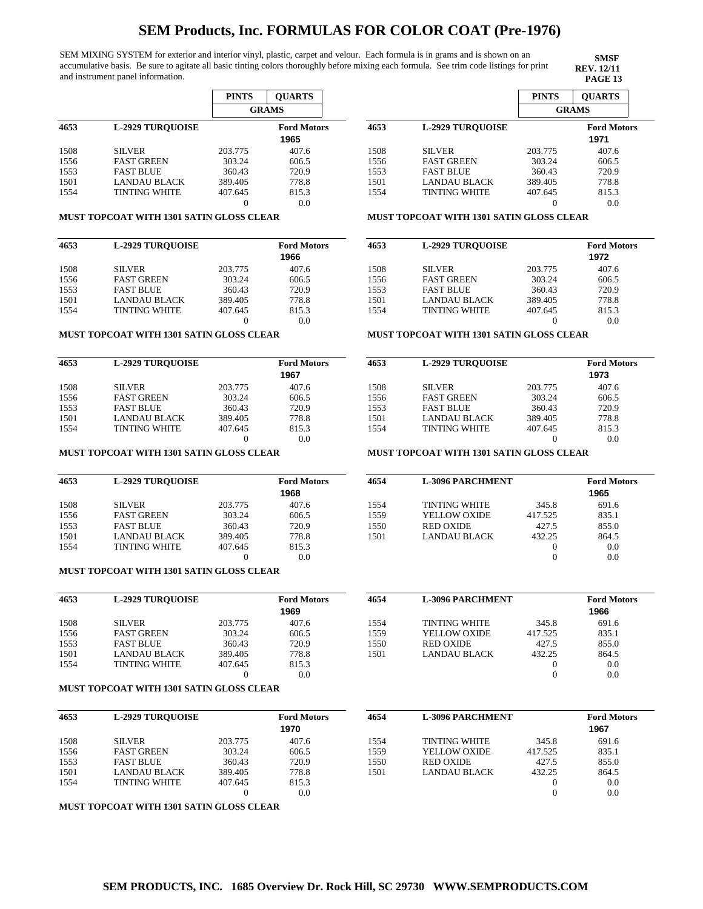SEM MIXING SYSTEM for exterior and interior vinyl, plastic, carpet and velour. Each formula is in grams and is shown on an accumulative basis. Be sure to agitate all basic tinting colors thoroughly before mixing each formula. See trim code listings for print and instrument panel information.

**SMSF REV. 12/11<br>PAGE 13** 

|      |                         | <b>PINTS</b> | <b>OUARTS</b>      |
|------|-------------------------|--------------|--------------------|
|      |                         |              | <b>GRAMS</b>       |
| 4653 | <b>L-2929 TUROUOISE</b> |              | <b>Ford Motors</b> |
|      |                         |              | 1965               |
| 1508 | <b>SILVER</b>           | 203.775      | 407.6              |
| 1556 | <b>FAST GREEN</b>       | 303.24       | 606.5              |
| 1553 | <b>FAST BLUE</b>        | 360.43       | 720.9              |
| 1501 | LANDAU BLACK            | 389.405      | 778.8              |
| 1554 | TINTING WHITE           | 407.645      | 815.3              |
|      |                         | 0            | 0.0                |

### **MUST TOPCOAT WITH 1301 SATIN GLOSS CLEAR**

| 4653 | <b>L-2929 TUROUOISE</b> |         | <b>Ford Motors</b> |
|------|-------------------------|---------|--------------------|
|      |                         |         | 1966               |
| 1508 | <b>SILVER</b>           | 203.775 | 407.6              |
| 1556 | <b>FAST GREEN</b>       | 303.24  | 606.5              |
| 1553 | <b>FAST BLUE</b>        | 360.43  | 720.9              |
| 1501 | <b>LANDAU BLACK</b>     | 389.405 | 778.8              |
| 1554 | <b>TINTING WHITE</b>    | 407.645 | 815.3              |
|      |                         |         | 0.0                |

#### **MUST TOPCOAT WITH 1301 SATIN GLOSS CLEAR**

| 4653 | <b>L-2929 TUROUOISE</b> |         | <b>Ford Motors</b><br>1967 |
|------|-------------------------|---------|----------------------------|
| 1508 | <b>SILVER</b>           | 203.775 | 407.6                      |
| 1556 | <b>FAST GREEN</b>       | 303.24  | 606.5                      |
| 1553 | <b>FAST BLUE</b>        | 360.43  | 720.9                      |
| 1501 | <b>LANDAU BLACK</b>     | 389.405 | 778.8                      |
| 1554 | <b>TINTING WHITE</b>    | 407.645 | 815.3                      |
|      |                         |         | 0.0                        |

### **MUST TOPCOAT WITH 1301 SATIN GLOSS CLEAR**

| 4653 | <b>L-2929 TUROUOISE</b> |         | <b>Ford Motors</b> |
|------|-------------------------|---------|--------------------|
|      |                         |         | 1968               |
| 1508 | <b>SILVER</b>           | 203.775 | 407.6              |
| 1556 | <b>FAST GREEN</b>       | 303.24  | 606.5              |
| 1553 | <b>FAST BLUE</b>        | 360.43  | 720.9              |
| 1501 | LANDAU BLACK            | 389.405 | 778.8              |
| 1554 | <b>TINTING WHITE</b>    | 407.645 | 815.3              |
|      |                         |         | 0.0                |

### **MUST TOPCOAT WITH 1301 SATIN GLOSS CLEAR**

| 4653 | <b>L-2929 TUROUOISE</b> |         | <b>Ford Motors</b><br>1969 | 4654 | <b>L-3096 PARCHMENT</b> |         | <b>Ford Motors</b><br>1966 |
|------|-------------------------|---------|----------------------------|------|-------------------------|---------|----------------------------|
| 1508 | <b>SILVER</b>           | 203.775 | 407.6                      | 1554 | <b>TINTING WHITE</b>    | 345.8   | 691.6                      |
| 1556 | <b>FAST GREEN</b>       | 303.24  | 606.5                      | 1559 | YELLOW OXIDE            | 417.525 | 835.1                      |
| 1553 | <b>FAST BLUE</b>        | 360.43  | 720.9                      | 1550 | <b>RED OXIDE</b>        | 427.5   | 855.0                      |
| 1501 | <b>LANDAU BLACK</b>     | 389.405 | 778.8                      | 1501 | LANDAU BLACK            | 432.25  | 864.5                      |
| 1554 | <b>TINTING WHITE</b>    | 407.645 | 815.3                      |      |                         |         | 0.0                        |
|      |                         |         | 0.0                        |      |                         |         | 0.0                        |

#### **MUST TOPCOAT WITH 1301 SATIN GLOSS CLEAR**

| 4653 | <b>L-2929 TUROUOISE</b> |         | <b>Ford Motors</b><br>1970 | 4654 | <b>L-3096 PARCHMENT</b> |         | <b>Ford Motors</b><br>1967 |
|------|-------------------------|---------|----------------------------|------|-------------------------|---------|----------------------------|
| 1508 | <b>SILVER</b>           | 203.775 | 407.6                      | 1554 | <b>TINTING WHITE</b>    | 345.8   | 691.6                      |
| 1556 | <b>FAST GREEN</b>       | 303.24  | 606.5                      | 1559 | <b>YELLOW OXIDE</b>     | 417.525 | 835.1                      |
| 1553 | <b>FAST BLUE</b>        | 360.43  | 720.9                      | 1550 | <b>RED OXIDE</b>        | 427.5   | 855.0                      |
| 1501 | LANDAU BLACK            | 389.405 | 778.8                      | 1501 | LANDAU BLACK            | 432.25  | 864.5                      |
| 1554 | <b>TINTING WHITE</b>    | 407.645 | 815.3                      |      |                         |         | 0.0                        |
|      |                         |         | 0.0                        |      |                         |         | 0.0                        |

**MUST TOPCOAT WITH 1301 SATIN GLOSS CLEAR**

|      |                         | <b>PINTS</b> | <b>OUARTS</b>              |
|------|-------------------------|--------------|----------------------------|
|      |                         |              | <b>GRAMS</b>               |
| 4653 | <b>L-2929 TUROUOISE</b> |              | <b>Ford Motors</b><br>1971 |
| 1508 | <b>SILVER</b>           | 203.775      | 407.6                      |
| 1556 | <b>FAST GREEN</b>       | 303.24       | 606.5                      |
| 1553 | <b>FAST BLUE</b>        | 360.43       | 720.9                      |
| 1501 | LANDAU BLACK            | 389.405      | 778.8                      |
| 1554 | <b>TINTING WHITE</b>    | 407.645      | 815.3                      |
|      |                         |              | 0.0                        |

## **MUST TOPCOAT WITH 1301 SATIN GLOSS CLEAR**

| 4653 | <b>L-2929 TUROUOISE</b> |         | <b>Ford Motors</b> |
|------|-------------------------|---------|--------------------|
|      |                         |         | 1972               |
| 1508 | <b>SILVER</b>           | 203.775 | 407.6              |
| 1556 | <b>FAST GREEN</b>       | 303.24  | 606.5              |
| 1553 | <b>FAST BLUE</b>        | 360.43  | 720.9              |
| 1501 | <b>LANDAU BLACK</b>     | 389.405 | 778.8              |
| 1554 | <b>TINTING WHITE</b>    | 407.645 | 815.3              |
|      |                         |         | 0.0                |

### **MUST TOPCOAT WITH 1301 SATIN GLOSS CLEAR**

| 4653 | <b>L-2929 TUROUOISE</b> |         | <b>Ford Motors</b><br>1973 |
|------|-------------------------|---------|----------------------------|
| 1508 | <b>SILVER</b>           | 203.775 | 407.6                      |
| 1556 | <b>FAST GREEN</b>       | 303.24  | 606.5                      |
| 1553 | <b>FAST BLUE</b>        | 360.43  | 720.9                      |
| 1501 | LANDAU BLACK            | 389.405 | 778.8                      |
| 1554 | <b>TINTING WHITE</b>    | 407.645 | 815.3                      |
|      |                         | 0       | 0.0                        |

| 4654 | <b>L-3096 PARCHMENT</b> |         | <b>Ford Motors</b> |
|------|-------------------------|---------|--------------------|
|      |                         |         | 1965               |
| 1554 | <b>TINTING WHITE</b>    | 345.8   | 691.6              |
| 1559 | <b>YELLOW OXIDE</b>     | 417.525 | 835.1              |
| 1550 | <b>RED OXIDE</b>        | 427.5   | 855.0              |
| 1501 | LANDAU BLACK            | 432.25  | 864.5              |
|      |                         |         | 0.0                |
|      |                         |         | 0.0                |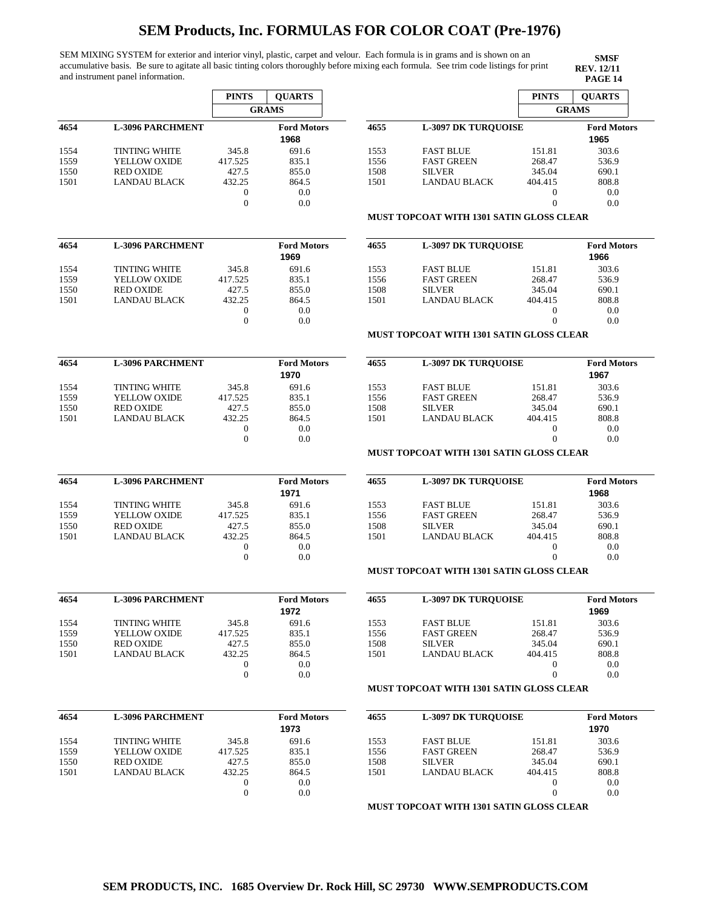SEM MIXING SYSTEM for exterior and interior vinyl, plastic, carpet and velour. Each formula is in grams and is shown on an accumulative basis. Be sure to agitate all basic tinting colors thoroughly before mixing each formula. See trim code listings for print and instrument panel information.

|                              |                         | <b>PINTS</b>     | <b>QUARTS</b>              |      |                                                 | <b>PINTS</b>     | <b>QUARTS</b>              |
|------------------------------|-------------------------|------------------|----------------------------|------|-------------------------------------------------|------------------|----------------------------|
|                              |                         |                  | <b>GRAMS</b>               |      |                                                 |                  | <b>GRAMS</b>               |
| 4654                         | <b>L-3096 PARCHMENT</b> |                  | <b>Ford Motors</b><br>1968 | 4655 | <b>L-3097 DK TUROUOISE</b>                      |                  | <b>Ford Motors</b><br>1965 |
| 1554                         | <b>TINTING WHITE</b>    | 345.8            | 691.6                      | 1553 | <b>FAST BLUE</b>                                | 151.81           | 303.6                      |
| 1559                         | YELLOW OXIDE            | 417.525          | 835.1                      | 1556 | <b>FAST GREEN</b>                               | 268.47           | 536.9                      |
| 1550                         | <b>RED OXIDE</b>        | 427.5            | 855.0                      | 1508 | <b>SILVER</b>                                   | 345.04           | 690.1                      |
| 1501                         | <b>LANDAU BLACK</b>     | 432.25           | 864.5                      | 1501 | <b>LANDAU BLACK</b>                             | 404.415          | 808.8                      |
|                              |                         | $\mathbf{0}$     | 0.0                        |      |                                                 | $\mathbf{0}$     | 0.0                        |
|                              |                         | $\mathbf{0}$     | 0.0                        |      |                                                 | $\overline{0}$   | 0.0                        |
|                              |                         |                  |                            |      | <b>MUST TOPCOAT WITH 1301 SATIN GLOSS CLEAR</b> |                  |                            |
| 4654                         | <b>L-3096 PARCHMENT</b> |                  | <b>Ford Motors</b>         | 4655 | <b>L-3097 DK TUROUOISE</b>                      |                  | <b>Ford Motors</b>         |
|                              |                         |                  | 1969                       |      |                                                 |                  | 1966                       |
| 1554                         | <b>TINTING WHITE</b>    | 345.8            | 691.6                      | 1553 | <b>FAST BLUE</b>                                | 151.81           | 303.6                      |
| 1559                         | YELLOW OXIDE            | 417.525          | 835.1                      | 1556 | <b>FAST GREEN</b>                               | 268.47           | 536.9                      |
| 1550                         | <b>RED OXIDE</b>        | 427.5            | 855.0                      | 1508 | <b>SILVER</b>                                   | 345.04           | 690.1                      |
| 1501                         | <b>LANDAU BLACK</b>     | 432.25           | 864.5                      | 1501 | <b>LANDAU BLACK</b>                             | 404.415          | 808.8                      |
|                              |                         | $\boldsymbol{0}$ | 0.0                        |      |                                                 | 0                | 0.0                        |
|                              |                         | $\boldsymbol{0}$ | 0.0                        |      |                                                 | $\mathbf{0}$     | 0.0                        |
|                              |                         |                  |                            |      | <b>MUST TOPCOAT WITH 1301 SATIN GLOSS CLEAR</b> |                  |                            |
| 4654                         | <b>L-3096 PARCHMENT</b> |                  | <b>Ford Motors</b><br>1970 | 4655 | <b>L-3097 DK TURQUOISE</b>                      |                  | <b>Ford Motors</b><br>1967 |
| 1554                         | <b>TINTING WHITE</b>    | 345.8            | 691.6                      | 1553 | <b>FAST BLUE</b>                                | 151.81           | 303.6                      |
| 1559                         | YELLOW OXIDE            | 417.525          | 835.1                      | 1556 | <b>FAST GREEN</b>                               | 268.47           | 536.9                      |
| 1550                         | <b>RED OXIDE</b>        | 427.5            | 855.0                      | 1508 | <b>SILVER</b>                                   | 345.04           | 690.1                      |
|                              | <b>LANDAU BLACK</b>     | 432.25           | 864.5                      | 1501 |                                                 | 404.415          |                            |
| 1501                         |                         | $\mathbf{0}$     | 0.0                        |      | <b>LANDAU BLACK</b>                             | $\boldsymbol{0}$ | 808.8<br>0.0               |
|                              |                         | $\theta$         | 0.0                        |      |                                                 | $\mathbf{0}$     | 0.0                        |
|                              |                         |                  |                            |      | <b>MUST TOPCOAT WITH 1301 SATIN GLOSS CLEAR</b> |                  |                            |
| 4654                         | <b>L-3096 PARCHMENT</b> |                  | <b>Ford Motors</b>         | 4655 | <b>L-3097 DK TURQUOISE</b>                      |                  | <b>Ford Motors</b>         |
|                              |                         |                  | 1971                       |      |                                                 |                  | 1968                       |
| 1554                         | <b>TINTING WHITE</b>    | 345.8            | 691.6                      | 1553 | <b>FAST BLUE</b>                                | 151.81           | 303.6                      |
| 1559                         | <b>YELLOW OXIDE</b>     | 417.525          | 835.1                      | 1556 | <b>FAST GREEN</b>                               | 268.47           | 536.9                      |
| 1550                         | <b>RED OXIDE</b>        | 427.5            | 855.0                      | 1508 | <b>SILVER</b>                                   | 345.04           | 690.1                      |
| 1501                         | LANDAU BLACK            | 432.25           | 864.5                      | 1501 | <b>LANDAU BLACK</b>                             | 404.415          | 808.8                      |
|                              |                         | $\boldsymbol{0}$ | 0.0                        |      |                                                 | $\mathbf{0}$     | 0.0                        |
|                              |                         | $\theta$         | 0.0                        |      | <b>MUST TOPCOAT WITH 1301 SATIN GLOSS CLEAR</b> | $\overline{0}$   | 0.0                        |
|                              |                         |                  |                            |      |                                                 |                  |                            |
| 4654                         | <b>L-3096 PARCHMENT</b> |                  | <b>Ford Motors</b><br>1972 | 4655 | <b>L-3097 DK TURQUOISE</b>                      |                  | <b>Ford Motors</b><br>1969 |
| 1554                         | <b>TINTING WHITE</b>    | 345.8            | 691.6                      | 1553 | <b>FAST BLUE</b>                                | 151.81           | 303.6                      |
| 1559                         | YELLOW OXIDE            | 417.525          | 835.1                      | 1556 | <b>FAST GREEN</b>                               | 268.47           | 536.9                      |
| 1550                         | <b>RED OXIDE</b>        | 427.5            | 855.0                      | 1508 | <b>SILVER</b>                                   | 345.04           | 690.1                      |
| 1501                         | LANDAU BLACK            | 432.25           | 864.5                      | 1501 | <b>LANDAU BLACK</b>                             | 404.415          | 808.8                      |
|                              |                         | $\boldsymbol{0}$ | 0.0                        |      |                                                 | $\boldsymbol{0}$ | 0.0                        |
|                              |                         | $\theta$         | 0.0                        |      |                                                 | $\boldsymbol{0}$ | 0.0                        |
|                              |                         |                  |                            |      | <b>MUST TOPCOAT WITH 1301 SATIN GLOSS CLEAR</b> |                  |                            |
|                              |                         |                  |                            |      |                                                 |                  |                            |
|                              | <b>L-3096 PARCHMENT</b> |                  | <b>Ford Motors</b>         | 4655 | <b>L-3097 DK TUROUOISE</b>                      |                  | <b>Ford Motors</b>         |
|                              |                         |                  | 1973                       |      |                                                 |                  | 1970                       |
|                              | <b>TINTING WHITE</b>    | 345.8            | 691.6                      | 1553 | <b>FAST BLUE</b>                                | 151.81           | 303.6                      |
|                              | YELLOW OXIDE            | 417.525          | 835.1                      | 1556 | <b>FAST GREEN</b>                               | 268.47           | 536.9                      |
| 4654<br>1554<br>1559<br>1550 | <b>RED OXIDE</b>        | 427.5            | 855.0                      | 1508 | <b>SILVER</b>                                   | 345.04           | 690.1                      |
| 1501                         | <b>LANDAU BLACK</b>     | 432.25           | 864.5                      | 1501 | <b>LANDAU BLACK</b>                             | 404.415          | 808.8                      |
|                              |                         | $\mathbf{0}$     | 0.0                        |      |                                                 | 0                | 0.0                        |
|                              |                         | $\mathbf{0}$     | 0.0                        |      |                                                 | $\overline{0}$   | 0.0                        |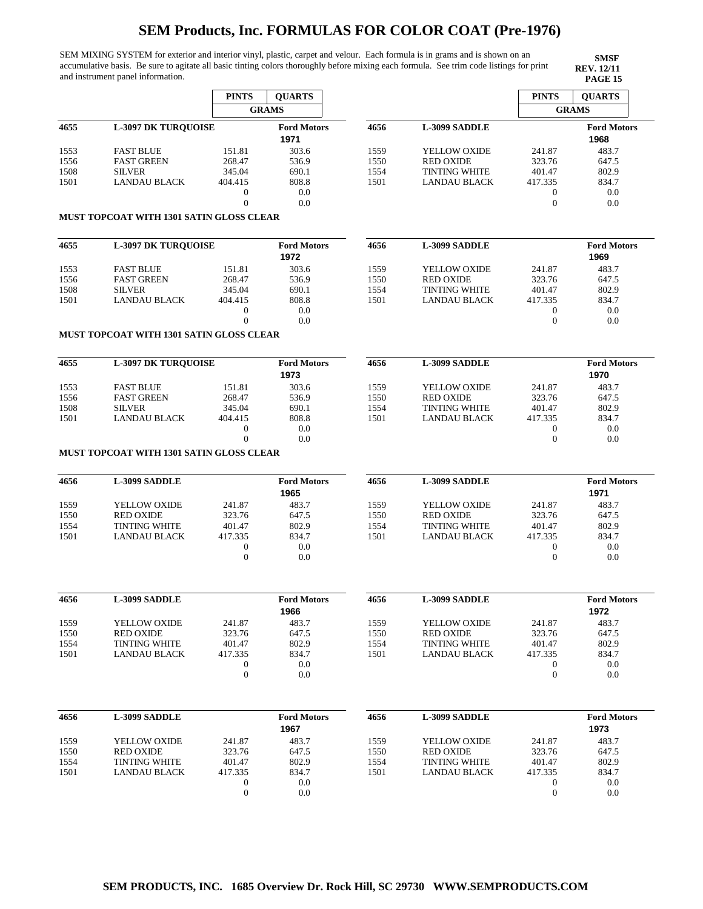SEM MIXING SYSTEM for exterior and interior vinyl, plastic, carpet and velour. Each formula is in grams and is shown on an accumulative basis. Be sure to agitate all basic tinting colors thoroughly before mixing each formula. See trim code listings for print and instrument panel information.

|              |                                                 | <b>PINTS</b>                       | <b>QUARTS</b>              |              |                                             | <b>PINTS</b>                     | <b>QUARTS</b>              |
|--------------|-------------------------------------------------|------------------------------------|----------------------------|--------------|---------------------------------------------|----------------------------------|----------------------------|
|              |                                                 |                                    | <b>GRAMS</b>               |              |                                             |                                  | <b>GRAMS</b>               |
| 4655         | <b>L-3097 DK TURQUOISE</b>                      |                                    | <b>Ford Motors</b><br>1971 | 4656         | <b>L-3099 SADDLE</b>                        |                                  | <b>Ford Motors</b><br>1968 |
| 1553         | <b>FAST BLUE</b>                                | 151.81                             | 303.6                      | 1559         | YELLOW OXIDE                                | 241.87                           | 483.7                      |
| 1556         | <b>FAST GREEN</b>                               | 268.47                             | 536.9                      | 1550         | <b>RED OXIDE</b>                            | 323.76                           | 647.5                      |
| 1508         | <b>SILVER</b>                                   | 345.04                             | 690.1                      | 1554         | <b>TINTING WHITE</b>                        | 401.47                           | 802.9                      |
| 1501         | <b>LANDAU BLACK</b>                             | 404.415                            | 808.8                      | 1501         | <b>LANDAU BLACK</b>                         | 417.335                          | 834.7                      |
|              |                                                 | $\boldsymbol{0}$<br>$\Omega$       | 0.0<br>0.0                 |              |                                             | $\boldsymbol{0}$<br>$\mathbf{0}$ | 0.0<br>0.0                 |
|              | MUST TOPCOAT WITH 1301 SATIN GLOSS CLEAR        |                                    |                            |              |                                             |                                  |                            |
| 4655         | <b>L-3097 DK TURQUOISE</b>                      |                                    | <b>Ford Motors</b>         | 4656         | L-3099 SADDLE                               |                                  | <b>Ford Motors</b>         |
|              |                                                 |                                    | 1972                       |              |                                             |                                  | 1969                       |
| 1553         | <b>FAST BLUE</b>                                | 151.81                             | 303.6                      | 1559         | YELLOW OXIDE                                | 241.87                           | 483.7                      |
| 1556         | <b>FAST GREEN</b>                               | 268.47                             | 536.9                      | 1550         | <b>RED OXIDE</b>                            | 323.76                           | 647.5                      |
| 1508         | <b>SILVER</b>                                   | 345.04                             | 690.1                      | 1554         | <b>TINTING WHITE</b>                        | 401.47                           | 802.9                      |
| 1501         | LANDAU BLACK                                    | 404.415                            | 808.8                      | 1501         | <b>LANDAU BLACK</b>                         | 417.335                          | 834.7                      |
|              |                                                 | $\boldsymbol{0}$<br>$\overline{0}$ | 0.0<br>0.0                 |              |                                             | 0<br>$\boldsymbol{0}$            | 0.0<br>0.0                 |
|              | <b>MUST TOPCOAT WITH 1301 SATIN GLOSS CLEAR</b> |                                    |                            |              |                                             |                                  |                            |
| 4655         | <b>L-3097 DK TURQUOISE</b>                      |                                    | <b>Ford Motors</b><br>1973 | 4656         | <b>L-3099 SADDLE</b>                        |                                  | <b>Ford Motors</b><br>1970 |
|              |                                                 |                                    |                            |              |                                             |                                  |                            |
| 1553         | <b>FAST BLUE</b>                                | 151.81                             | 303.6                      | 1559         | YELLOW OXIDE                                | 241.87                           | 483.7                      |
| 1556         | <b>FAST GREEN</b>                               | 268.47                             | 536.9                      | 1550         | <b>RED OXIDE</b>                            | 323.76                           | 647.5                      |
| 1508<br>1501 | <b>SILVER</b><br><b>LANDAU BLACK</b>            | 345.04                             | 690.1<br>808.8             | 1554<br>1501 | <b>TINTING WHITE</b><br><b>LANDAU BLACK</b> | 401.47<br>417.335                | 802.9                      |
|              |                                                 | 404.415<br>$\mathbf{0}$            | 0.0                        |              |                                             | $\boldsymbol{0}$                 | 834.7<br>0.0               |
|              |                                                 | $\Omega$                           | 0.0                        |              |                                             | $\boldsymbol{0}$                 | 0.0                        |
|              | MUST TOPCOAT WITH 1301 SATIN GLOSS CLEAR        |                                    |                            |              |                                             |                                  |                            |
| 4656         | <b>L-3099 SADDLE</b>                            |                                    | <b>Ford Motors</b><br>1965 | 4656         | <b>L-3099 SADDLE</b>                        |                                  | <b>Ford Motors</b><br>1971 |
| 1559         | YELLOW OXIDE                                    | 241.87                             | 483.7                      | 1559         | YELLOW OXIDE                                | 241.87                           | 483.7                      |
| 1550         | <b>RED OXIDE</b>                                | 323.76                             | 647.5                      | 1550         | <b>RED OXIDE</b>                            | 323.76                           | 647.5                      |
|              | <b>TINTING WHITE</b>                            | 401.47                             | 802.9                      | 1554         | <b>TINTING WHITE</b>                        | 401.47                           | 802.9                      |
|              |                                                 |                                    |                            |              |                                             |                                  |                            |
| 1554         |                                                 |                                    |                            |              |                                             |                                  |                            |
| 1501         | <b>LANDAU BLACK</b>                             | 417.335                            | 834.7                      | 1501         | <b>LANDAU BLACK</b>                         | 417.335                          | 834.7                      |
|              |                                                 | $\mathbf{0}$<br>$\theta$           | 0.0<br>0.0                 |              |                                             | 0<br>$\mathbf{0}$                | 0.0<br>0.0                 |
|              |                                                 |                                    |                            |              |                                             |                                  |                            |
|              | L-3099 SADDLE                                   |                                    | <b>Ford Motors</b><br>1966 | 4656         | L-3099 SADDLE                               |                                  | <b>Ford Motors</b><br>1972 |
|              | YELLOW OXIDE                                    | 241.87                             | 483.7                      | 1559         | YELLOW OXIDE                                | 241.87                           | 483.7                      |
|              | <b>RED OXIDE</b>                                | 323.76                             | 647.5                      | 1550         | <b>RED OXIDE</b>                            | 323.76                           | 647.5                      |
| 1554         | <b>TINTING WHITE</b>                            | 401.47                             | 802.9                      | 1554         | <b>TINTING WHITE</b>                        | 401.47                           | 802.9                      |
| 1501         | <b>LANDAU BLACK</b>                             | 417.335                            | 834.7                      | 1501         | <b>LANDAU BLACK</b>                         | 417.335                          | 834.7                      |
| 1559<br>1550 |                                                 | $\boldsymbol{0}$                   | 0.0                        |              |                                             | 0                                | 0.0                        |
| 4656         |                                                 | $\mathbf{0}$                       | 0.0                        |              |                                             | $\boldsymbol{0}$                 | 0.0                        |
| 4656         | L-3099 SADDLE                                   |                                    | <b>Ford Motors</b>         | 4656         | L-3099 SADDLE                               |                                  | <b>Ford Motors</b>         |
|              |                                                 |                                    | 1967                       |              |                                             |                                  | 1973                       |
| 1559         | YELLOW OXIDE                                    | 241.87                             | 483.7                      | 1559         | YELLOW OXIDE                                | 241.87                           | 483.7                      |
| 1550         | <b>RED OXIDE</b>                                | 323.76                             | 647.5                      | 1550         | <b>RED OXIDE</b>                            | 323.76                           | 647.5                      |
| 1554         | <b>TINTING WHITE</b>                            | 401.47                             | 802.9                      | 1554         | <b>TINTING WHITE</b>                        | 401.47                           | 802.9                      |
| 1501         | <b>LANDAU BLACK</b>                             | 417.335                            | 834.7                      | 1501         | <b>LANDAU BLACK</b>                         | 417.335                          | 834.7                      |
|              |                                                 | $\mathbf{0}$<br>$\boldsymbol{0}$   | 0.0<br>0.0                 |              |                                             | 0<br>$\boldsymbol{0}$            | 0.0<br>0.0                 |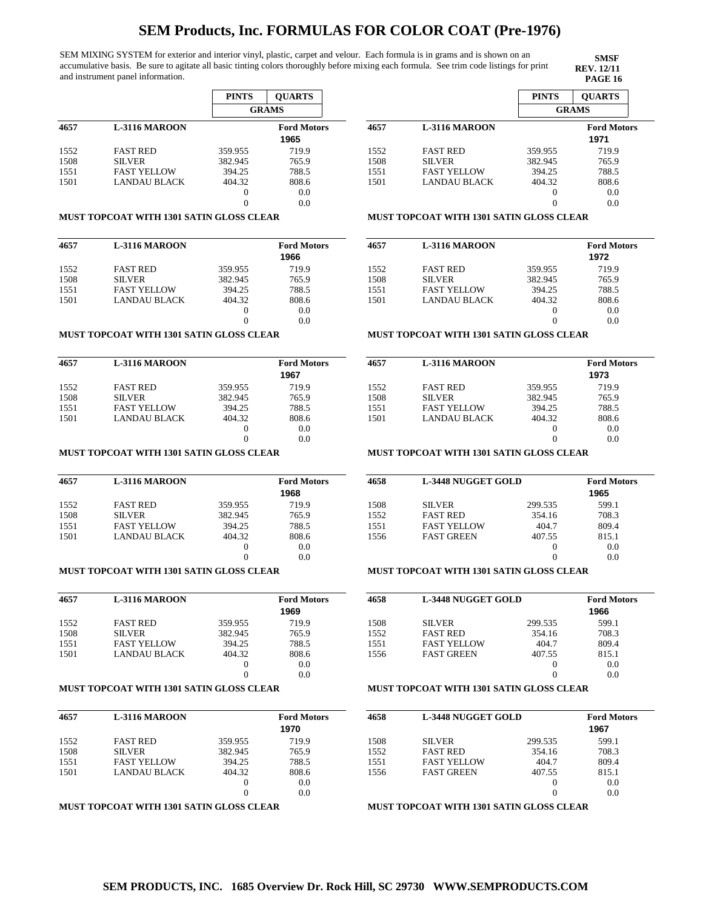SEM MIXING SYSTEM for exterior and interior vinyl, plastic, carpet and velour. Each formula is in grams and is shown on an accumulative basis. Be sure to agitate all basic tinting colors thoroughly before mixing each formula. See trim code listings for print and instrument panel information.

**SMSF REV. 12/11<br>PAGE 16** 

|      |                      | <b>PINTS</b> | <b>OUARTS</b>      |
|------|----------------------|--------------|--------------------|
|      |                      |              | <b>GRAMS</b>       |
| 4657 | <b>L-3116 MAROON</b> |              | <b>Ford Motors</b> |
|      |                      |              | 1965               |
| 1552 | <b>FAST RED</b>      | 359.955      | 719.9              |
| 1508 | <b>SILVER</b>        | 382.945      | 765.9              |
| 1551 | <b>FAST YELLOW</b>   | 394.25       | 788.5              |
| 1501 | LANDAU BLACK         | 404.32       | 808.6              |
|      |                      | 0            | 0.0                |
|      |                      | 0            | 0.0                |

#### **MUST TOPCOAT WITH 1301 SATIN GLOSS CLEAR**

| 4657 | <b>L-3116 MAROON</b> |          | <b>Ford Motors</b><br>1966 |
|------|----------------------|----------|----------------------------|
| 1552 | <b>FAST RED</b>      | 359.955  | 719.9                      |
| 1508 | <b>SILVER</b>        | 382.945  | 765.9                      |
| 1551 | <b>FAST YELLOW</b>   | 394.25   | 788.5                      |
| 1501 | LANDAU BLACK         | 404.32   | 808.6                      |
|      |                      | $\theta$ | 0.0                        |
|      |                      |          | 0.0                        |

#### **MUST TOPCOAT WITH 1301 SATIN GLOSS CLEAR**

| 4657 | <b>L-3116 MAROON</b> |          | <b>Ford Motors</b> |
|------|----------------------|----------|--------------------|
|      |                      |          | 1967               |
| 1552 | <b>FAST RED</b>      | 359.955  | 719.9              |
| 1508 | <b>SILVER</b>        | 382.945  | 765.9              |
| 1551 | <b>FAST YELLOW</b>   | 394.25   | 788.5              |
| 1501 | LANDAU BLACK         | 404.32   | 808.6              |
|      |                      | $\theta$ | 0.0                |
|      |                      |          | 0.0                |

### **MUST TOPCOAT WITH 1301 SATIN GLOSS CLEAR**

| 4657 | <b>L-3116 MAROON</b> |         | <b>Ford Motors</b> |
|------|----------------------|---------|--------------------|
|      |                      |         | 1968               |
| 1552 | <b>FAST RED</b>      | 359.955 | 719.9              |
| 1508 | <b>SILVER</b>        | 382.945 | 765.9              |
| 1551 | <b>FAST YELLOW</b>   | 394.25  | 788.5              |
| 1501 | LANDAU BLACK         | 404.32  | 808.6              |
|      |                      | $_{0}$  | 0.0                |
|      |                      |         | 0.0                |

### **MUST TOPCOAT WITH 1301 SATIN GLOSS CLEAR**

| 4657 | <b>L-3116 MAROON</b> |          | <b>Ford Motors</b> |
|------|----------------------|----------|--------------------|
|      |                      |          | 1969               |
| 1552 | <b>FAST RED</b>      | 359.955  | 719.9              |
| 1508 | <b>SILVER</b>        | 382.945  | 765.9              |
| 1551 | <b>FAST YELLOW</b>   | 394.25   | 788.5              |
| 1501 | LANDAU BLACK         | 404.32   | 808.6              |
|      |                      | $\theta$ | 0.0                |
|      |                      | 0        | 0 0                |

#### **MUST TOPCOAT WITH 1301 SATIN GLOSS CLEAR**

| 4657 | <b>L-3116 MAROON</b> |         | <b>Ford Motors</b> |
|------|----------------------|---------|--------------------|
|      |                      |         | 1970               |
| 1552 | <b>FAST RED</b>      | 359.955 | 719.9              |
| 1508 | <b>SILVER</b>        | 382.945 | 765.9              |
| 1551 | <b>FAST YELLOW</b>   | 394.25  | 788.5              |
| 1501 | LANDAU BLACK         | 404.32  | 808.6              |
|      |                      | $_{0}$  | 0.0                |
|      |                      |         | 0.0                |

## **MUST TOPCOAT WITH 1301 SATIN GLOSS CLEAR**

|      |                      | <b>PINTS</b> | <b>OUARTS</b>      |
|------|----------------------|--------------|--------------------|
|      |                      | <b>GRAMS</b> |                    |
| 4657 | <b>L-3116 MAROON</b> |              | <b>Ford Motors</b> |
|      |                      |              | 1971               |
| 1552 | <b>FAST RED</b>      | 359.955      | 719.9              |
| 1508 | <b>SILVER</b>        | 382.945      | 765.9              |
| 1551 | <b>FAST YELLOW</b>   | 394.25       | 788.5              |
| 1501 | LANDAU BLACK         | 404.32       | 808.6              |
|      |                      | 0            | 0.0                |
|      |                      |              | 0.0                |

#### **MUST TOPCOAT WITH 1301 SATIN GLOSS CLEAR**

| 4657 | <b>L-3116 MAROON</b> | <b>Ford Motors</b><br>1972<br>359.955<br>719.9<br>382.945<br>765.9 |       |
|------|----------------------|--------------------------------------------------------------------|-------|
|      |                      |                                                                    |       |
| 1552 | <b>FAST RED</b>      |                                                                    |       |
| 1508 | <b>SILVER</b>        |                                                                    |       |
| 1551 | <b>FAST YELLOW</b>   | 394.25                                                             | 788.5 |
| 1501 | <b>LANDAU BLACK</b>  | 404.32                                                             | 808.6 |
|      |                      | $_{0}$                                                             | 0.0   |
|      |                      |                                                                    | 0.0   |

#### **MUST TOPCOAT WITH 1301 SATIN GLOSS CLEAR**

| 4657 | <b>L-3116 MAROON</b> |         | <b>Ford Motors</b> |
|------|----------------------|---------|--------------------|
|      |                      |         | 1973               |
| 1552 | <b>FAST RED</b>      | 359.955 | 719.9              |
| 1508 | <b>SILVER</b>        | 382.945 | 765.9              |
| 1551 | <b>FAST YELLOW</b>   | 394.25  | 788.5              |
| 1501 | <b>LANDAU BLACK</b>  | 404.32  | 808.6              |
|      |                      | 0       | 0.0                |
|      |                      |         | 0.0                |

### **MUST TOPCOAT WITH 1301 SATIN GLOSS CLEAR**

| 4658 | <b>L-3448 NUGGET GOLD</b> |         | <b>Ford Motors</b><br>1965 |
|------|---------------------------|---------|----------------------------|
| 1508 | <b>SILVER</b>             | 299.535 | 599.1                      |
| 1552 | <b>FAST RED</b>           | 354.16  | 708.3                      |
| 1551 | <b>FAST YELLOW</b>        | 404.7   | 809.4                      |
| 1556 | <b>FAST GREEN</b>         | 407.55  | 815.1                      |
|      |                           | $_{0}$  | 0.0                        |
|      |                           | $_{0}$  | 0.0                        |

## **MUST TOPCOAT WITH 1301 SATIN GLOSS CLEAR**

| 4658 | <b>L-3448 NUGGET GOLD</b> |                   | <b>Ford Motors</b> |
|------|---------------------------|-------------------|--------------------|
|      |                           |                   | 1966               |
| 1508 | <b>SILVER</b>             | 299.535           | 599.1              |
| 1552 | <b>FAST RED</b>           | 354.16            | 708.3              |
| 1551 | <b>FAST YELLOW</b>        | 404.7             | 809.4              |
| 1556 | <b>FAST GREEN</b>         | 407.55            | 815.1              |
|      |                           | $\mathbf{\Omega}$ | 0.0                |
|      |                           |                   | 0.0                |

### **MUST TOPCOAT WITH 1301 SATIN GLOSS CLEAR**

| 4658 | <b>L-3448 NUGGET GOLD</b> |          | <b>Ford Motors</b><br>1967 |
|------|---------------------------|----------|----------------------------|
| 1508 | <b>SILVER</b>             | 299.535  | 599.1                      |
| 1552 | <b>FAST RED</b>           | 354.16   | 708.3                      |
| 1551 | <b>FAST YELLOW</b>        | 404.7    | 809.4                      |
| 1556 | <b>FAST GREEN</b>         | 407.55   | 815.1                      |
|      |                           | $\theta$ | 0.0                        |
|      |                           | $\theta$ | 0.0                        |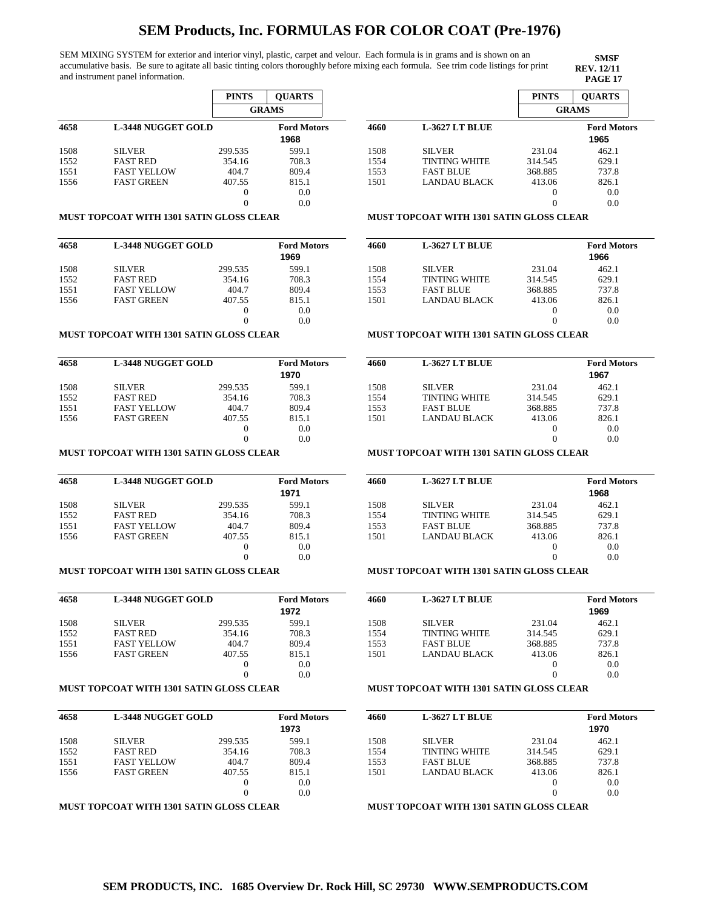SEM MIXING SYSTEM for exterior and interior vinyl, plastic, carpet and velour. Each formula is in grams and is shown on an accumulative basis. Be sure to agitate all basic tinting colors thoroughly before mixing each formula. See trim code listings for print and instrument panel information.

**SMSF REV. 12/11**

|      |                           | <b>PINTS</b> | <b>OUARTS</b>      |
|------|---------------------------|--------------|--------------------|
|      |                           |              | <b>GRAMS</b>       |
| 4658 | <b>L-3448 NUGGET GOLD</b> |              | <b>Ford Motors</b> |
|      |                           |              | 1968               |
| 1508 | <b>SILVER</b>             | 299.535      | 599.1              |
| 1552 | <b>FAST RED</b>           | 354.16       | 708.3              |
| 1551 | <b>FAST YELLOW</b>        | 404.7        | 809.4              |
| 1556 | <b>FAST GREEN</b>         | 407.55       | 815.1              |
|      |                           | 0            | 0.0                |
|      |                           | 0            | 0.0                |

#### **MUST TOPCOAT WITH 1301 SATIN GLOSS CLEAR**

| 4658 | <b>L-3448 NUGGET GOLD</b> |         | <b>Ford Motors</b><br>1969 |
|------|---------------------------|---------|----------------------------|
| 1508 | <b>SILVER</b>             | 299.535 | 599.1                      |
| 1552 | <b>FAST RED</b>           | 354.16  | 708.3                      |
| 1551 | <b>FAST YELLOW</b>        | 404.7   | 809.4                      |
| 1556 | <b>FAST GREEN</b>         | 407.55  | 815.1                      |
|      |                           | 0       | 0.0                        |
|      |                           |         | 0.0                        |

### **MUST TOPCOAT WITH 1301 SATIN GLOSS CLEAR**

| 4658 | L-3448 NUGGET GOLD |         | <b>Ford Motors</b> |
|------|--------------------|---------|--------------------|
|      |                    |         | 1970               |
| 1508 | <b>SILVER</b>      | 299.535 | 599.1              |
| 1552 | <b>FAST RED</b>    | 354.16  | 708.3              |
| 1551 | <b>FAST YELLOW</b> | 404.7   | 809.4              |
| 1556 | <b>FAST GREEN</b>  | 407.55  | 815.1              |
|      |                    | 0       | 0.0                |
|      |                    |         | 0.0                |

## **MUST TOPCOAT WITH 1301 SATIN GLOSS CLEAR**

| 4658 | <b>L-3448 NUGGET GOLD</b> |         | <b>Ford Motors</b> |
|------|---------------------------|---------|--------------------|
|      |                           |         | 1971               |
| 1508 | <b>SILVER</b>             | 299.535 | 599.1              |
| 1552 | <b>FAST RED</b>           | 354.16  | 708.3              |
| 1551 | <b>FAST YELLOW</b>        | 404.7   | 809.4              |
| 1556 | <b>FAST GREEN</b>         | 407.55  | 815.1              |
|      |                           | $_{0}$  | 0.0                |
|      |                           |         | 0.0                |

### **MUST TOPCOAT WITH 1301 SATIN GLOSS CLEAR**

| 4658 | <b>L-3448 NUGGET GOLD</b> |          | <b>Ford Motors</b><br>1972 |
|------|---------------------------|----------|----------------------------|
| 1508 | <b>SILVER</b>             | 299.535  | 599.1                      |
| 1552 | <b>FAST RED</b>           | 354.16   | 708.3                      |
| 1551 | <b>FAST YELLOW</b>        | 404.7    | 809.4                      |
| 1556 | <b>FAST GREEN</b>         | 407.55   | 815.1                      |
|      |                           | $\theta$ | 0.0                        |
|      |                           | $\theta$ | 0.0                        |

### **MUST TOPCOAT WITH 1301 SATIN GLOSS CLEAR**

| 4658<br><b>L-3448 NUGGET GOLD</b> |                    |         | <b>Ford Motors</b><br>1973 |
|-----------------------------------|--------------------|---------|----------------------------|
| 1508                              | <b>SILVER</b>      | 299.535 | 599.1                      |
| 1552                              | <b>FAST RED</b>    | 354.16  | 708.3                      |
| 1551                              | <b>FAST YELLOW</b> | 404.7   | 809.4                      |
| 1556                              | <b>FAST GREEN</b>  | 407.55  | 815.1                      |
|                                   |                    | $_{0}$  | 0.0                        |
|                                   |                    |         | 0.0                        |

### **MUST TOPCOAT WITH 1301 SATIN GLOSS CLEAR**

|                       | <b>PINTS</b> | <b>OUARTS</b>      |
|-----------------------|--------------|--------------------|
|                       | <b>GRAMS</b> |                    |
| <b>L-3627 LT BLUE</b> |              | <b>Ford Motors</b> |
|                       |              | 1965               |
| <b>SILVER</b>         | 231.04       | 462.1              |
| <b>TINTING WHITE</b>  | 314.545      | 629.1              |
| <b>FAST BLUE</b>      | 368.885      | 737.8              |
| <b>LANDAU BLACK</b>   | 413.06       | 826.1              |
|                       |              | 0.0                |
|                       |              | 0.0                |
|                       |              |                    |

### **MUST TOPCOAT WITH 1301 SATIN GLOSS CLEAR**

| 4660 | <b>L-3627 LT BLUE</b> |         | <b>Ford Motors</b><br>1966 |
|------|-----------------------|---------|----------------------------|
| 1508 | <b>SILVER</b>         | 231.04  | 462.1                      |
| 1554 | <b>TINTING WHITE</b>  | 314.545 | 629.1                      |
| 1553 | <b>FAST BLUE</b>      | 368.885 | 737.8                      |
| 1501 | LANDAU BLACK          | 413.06  | 826.1                      |
|      |                       |         | 0.0                        |
|      |                       |         | 0.0                        |
|      |                       |         |                            |

#### **MUST TOPCOAT WITH 1301 SATIN GLOSS CLEAR**

| 4660 | <b>L-3627 LT BLUE</b> |         | <b>Ford Motors</b> |
|------|-----------------------|---------|--------------------|
|      |                       |         | 1967               |
| 1508 | <b>SILVER</b>         | 231.04  | 462.1              |
| 1554 | <b>TINTING WHITE</b>  | 314.545 | 629.1              |
| 1553 | <b>FAST BLUE</b>      | 368.885 | 737.8              |
| 1501 | <b>LANDAU BLACK</b>   | 413.06  | 826.1              |
|      |                       |         | 0.0                |
|      |                       |         | 0.0                |

## **MUST TOPCOAT WITH 1301 SATIN GLOSS CLEAR**

| 4660 | <b>L-3627 LT BLUE</b> |         | <b>Ford Motors</b> |
|------|-----------------------|---------|--------------------|
|      |                       |         | 1968               |
| 1508 | <b>SILVER</b>         | 231.04  | 462.1              |
| 1554 | <b>TINTING WHITE</b>  | 314.545 | 629.1              |
| 1553 | <b>FAST BLUE</b>      | 368.885 | 737.8              |
| 1501 | LANDAU BLACK          | 413.06  | 826.1              |
|      |                       | $_{0}$  | 0.0                |
|      |                       |         | 0.0                |

## **MUST TOPCOAT WITH 1301 SATIN GLOSS CLEAR**

| 4660 | <b>L-3627 LT BLUE</b> |         | <b>Ford Motors</b> |
|------|-----------------------|---------|--------------------|
|      |                       |         | 1969               |
| 1508 | <b>SILVER</b>         | 231.04  | 462.1              |
| 1554 | <b>TINTING WHITE</b>  | 314.545 | 629.1              |
| 1553 | <b>FAST BLUE</b>      | 368.885 | 737.8              |
| 1501 | LANDAU BLACK          | 413.06  | 826.1              |
|      |                       |         | 0.0                |
|      |                       |         | 0.0                |

### **MUST TOPCOAT WITH 1301 SATIN GLOSS CLEAR**

| 4660 | <b>L-3627 LT BLUE</b> |          | <b>Ford Motors</b><br>1970 |
|------|-----------------------|----------|----------------------------|
| 1508 | <b>SILVER</b>         | 231.04   | 462.1                      |
| 1554 | <b>TINTING WHITE</b>  | 314.545  | 629.1                      |
| 1553 | <b>FAST BLUE</b>      | 368.885  | 737.8                      |
| 1501 | <b>LANDAU BLACK</b>   | 413.06   | 826.1                      |
|      |                       | $_{0}$   | 0.0                        |
|      |                       | $\theta$ | 0.0                        |
|      |                       |          |                            |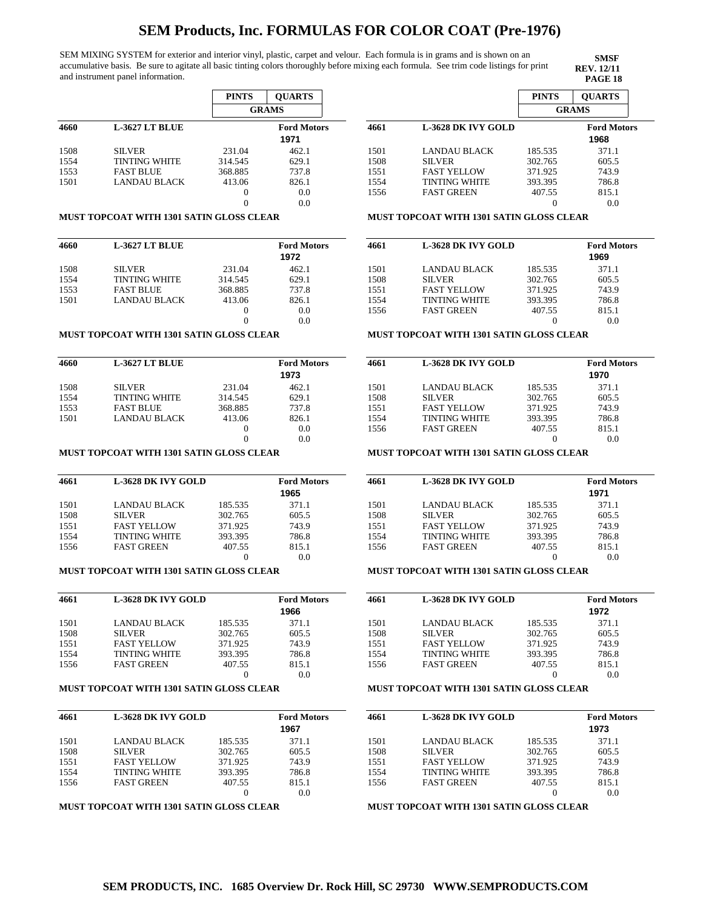SEM MIXING SYSTEM for exterior and interior vinyl, plastic, carpet and velour. Each formula is in grams and is shown on an accumulative basis. Be sure to agitate all basic tinting colors thoroughly before mixing each formula. See trim code listings for print and instrument panel information.

**SMSF REV. 12/11**

|      |                      | <b>PINTS</b> | <b>OUARTS</b>      |
|------|----------------------|--------------|--------------------|
|      |                      |              | <b>GRAMS</b>       |
| 4660 | L-3627 LT BLUE       |              | <b>Ford Motors</b> |
|      |                      |              | 1971               |
| 1508 | <b>SILVER</b>        | 231.04       | 462.1              |
| 1554 | <b>TINTING WHITE</b> | 314.545      | 629.1              |
| 1553 | <b>FAST BLUE</b>     | 368.885      | 737.8              |
| 1501 | LANDAU BLACK         | 413.06       | 826.1              |
|      |                      | 0            | 0.0                |
|      |                      | 0            | 0.0                |

#### **MUST TOPCOAT WITH 1301 SATIN GLOSS CLEAR**

| 4660 | L-3627 LT BLUE       |          | <b>Ford Motors</b> |
|------|----------------------|----------|--------------------|
|      |                      |          | 1972               |
| 1508 | <b>SILVER</b>        | 231.04   | 462.1              |
| 1554 | <b>TINTING WHITE</b> | 314.545  | 629.1              |
| 1553 | <b>FAST BLUE</b>     | 368.885  | 737.8              |
| 1501 | <b>LANDAU BLACK</b>  | 413.06   | 826.1              |
|      |                      | $\theta$ | 0.0                |
|      |                      |          | 0.0                |

#### **MUST TOPCOAT WITH 1301 SATIN GLOSS CLEAR**

| 4660 | <b>L-3627 LT BLUE</b> |          | <b>Ford Motors</b> |
|------|-----------------------|----------|--------------------|
|      |                       |          | 1973               |
| 1508 | <b>SILVER</b>         | 231.04   | 462.1              |
| 1554 | <b>TINTING WHITE</b>  | 314.545  | 629.1              |
| 1553 | <b>FAST BLUE</b>      | 368.885  | 737.8              |
| 1501 | LANDAU BLACK          | 413.06   | 826.1              |
|      |                       | $\theta$ | 0.0                |
|      |                       |          | 0.0                |

### **MUST TOPCOAT WITH 1301 SATIN GLOSS CLEAR**

| 4661 | <b>L-3628 DK IVY GOLD</b> |         | <b>Ford Motors</b> |
|------|---------------------------|---------|--------------------|
|      |                           |         | 1965               |
| 1501 | LANDAU BLACK              | 185.535 | 371.1              |
| 1508 | <b>SILVER</b>             | 302.765 | 605.5              |
| 1551 | <b>FAST YELLOW</b>        | 371.925 | 743.9              |
| 1554 | <b>TINTING WHITE</b>      | 393.395 | 786.8              |
| 1556 | <b>FAST GREEN</b>         | 407.55  | 815.1              |
|      |                           | $_{0}$  | 0.0                |

### **MUST TOPCOAT WITH 1301 SATIN GLOSS CLEAR**

| 4661 | <b>L-3628 DK IVY GOLD</b> |         | <b>Ford Motors</b><br>1966 |
|------|---------------------------|---------|----------------------------|
| 1501 | <b>LANDAU BLACK</b>       | 185.535 | 371.1                      |
| 1508 | <b>SILVER</b>             | 302.765 | 605.5                      |
| 1551 | <b>FAST YELLOW</b>        | 371.925 | 743.9                      |
| 1554 | <b>TINTING WHITE</b>      | 393.395 | 786.8                      |
| 1556 | <b>FAST GREEN</b>         | 407.55  | 815.1                      |
|      |                           |         | 0.0                        |

#### **MUST TOPCOAT WITH 1301 SATIN GLOSS CLEAR**

| 4661 | <b>L-3628 DK IVY GOLD</b> |         | <b>Ford Motors</b> |
|------|---------------------------|---------|--------------------|
|      |                           |         | 1967               |
| 1501 | LANDAU BLACK              | 185.535 | 371.1              |
| 1508 | <b>SILVER</b>             | 302.765 | 605.5              |
| 1551 | <b>FAST YELLOW</b>        | 371.925 | 743.9              |
| 1554 | <b>TINTING WHITE</b>      | 393.395 | 786.8              |
| 1556 | <b>FAST GREEN</b>         | 407.55  | 815.1              |
|      |                           |         | 0.0                |

**MUST TOPCOAT WITH 1301 SATIN GLOSS CLEAR**

|      |                           | <b>PINTS</b> | <b>OUARTS</b>      |
|------|---------------------------|--------------|--------------------|
|      |                           |              | <b>GRAMS</b>       |
| 4661 | <b>L-3628 DK IVY GOLD</b> |              | <b>Ford Motors</b> |
|      |                           |              | 1968               |
| 1501 | LANDAU BLACK              | 185.535      | 371.1              |
| 1508 | <b>SILVER</b>             | 302.765      | 605.5              |
| 1551 | <b>FAST YELLOW</b>        | 371.925      | 743.9              |
| 1554 | <b>TINTING WHITE</b>      | 393.395      | 786.8              |
| 1556 | <b>FAST GREEN</b>         | 407.55       | 815.1              |
|      |                           |              | 0.0                |

#### **MUST TOPCOAT WITH 1301 SATIN GLOSS CLEAR**

| 4661 | <b>L-3628 DK IVY GOLD</b> |         | <b>Ford Motors</b> |
|------|---------------------------|---------|--------------------|
|      |                           |         | 1969               |
| 1501 | <b>LANDAU BLACK</b>       | 185.535 | 371.1              |
| 1508 | <b>SILVER</b>             | 302.765 | 605.5              |
| 1551 | <b>FAST YELLOW</b>        | 371.925 | 743.9              |
| 1554 | <b>TINTING WHITE</b>      | 393.395 | 786.8              |
| 1556 | <b>FAST GREEN</b>         | 407.55  | 815.1              |
|      |                           |         |                    |

#### **MUST TOPCOAT WITH 1301 SATIN GLOSS CLEAR**

| <b>Ford Motors</b><br>1970 |  |
|----------------------------|--|
|                            |  |
| 371.1                      |  |
| 605.5                      |  |
| 743.9                      |  |
| 786.8                      |  |
| 815.1                      |  |
| 0.0                        |  |
|                            |  |

#### **MUST TOPCOAT WITH 1301 SATIN GLOSS CLEAR**

| 4661 | <b>L-3628 DK IVY GOLD</b> |         | <b>Ford Motors</b><br>1971 |
|------|---------------------------|---------|----------------------------|
| 1501 | <b>LANDAU BLACK</b>       | 185.535 | 371.1                      |
| 1508 | <b>SILVER</b>             | 302.765 | 605.5                      |
| 1551 | <b>FAST YELLOW</b>        | 371.925 | 743.9                      |
| 1554 | <b>TINTING WHITE</b>      | 393.395 | 786.8                      |
| 1556 | <b>FAST GREEN</b>         | 407.55  | 815.1                      |
|      |                           |         | 0.0                        |

### **MUST TOPCOAT WITH 1301 SATIN GLOSS CLEAR**

| 4661 | <b>L-3628 DK IVY GOLD</b> |         | <b>Ford Motors</b> |
|------|---------------------------|---------|--------------------|
|      |                           |         | 1972               |
| 1501 | LANDAU BLACK              | 185.535 | 371.1              |
| 1508 | <b>SILVER</b>             | 302.765 | 605.5              |
| 1551 | <b>FAST YELLOW</b>        | 371.925 | 743.9              |
| 1554 | <b>TINTING WHITE</b>      | 393.395 | 786.8              |
| 1556 | <b>FAST GREEN</b>         | 407.55  | 815.1              |
|      |                           |         | 0.0                |

#### **MUST TOPCOAT WITH 1301 SATIN GLOSS CLEAR**

| 4661 | <b>L-3628 DK IVY GOLD</b> | <b>Ford Motors</b> |       |
|------|---------------------------|--------------------|-------|
|      |                           |                    | 1973  |
| 1501 | LANDAU BLACK              | 185.535            | 371.1 |
| 1508 | <b>SILVER</b>             | 302.765            | 605.5 |
| 1551 | <b>FAST YELLOW</b>        | 371.925            | 743.9 |
| 1554 | <b>TINTING WHITE</b>      | 393.395            | 786.8 |
| 1556 | <b>FAST GREEN</b>         | 407.55             | 815.1 |
|      |                           |                    | 0.0   |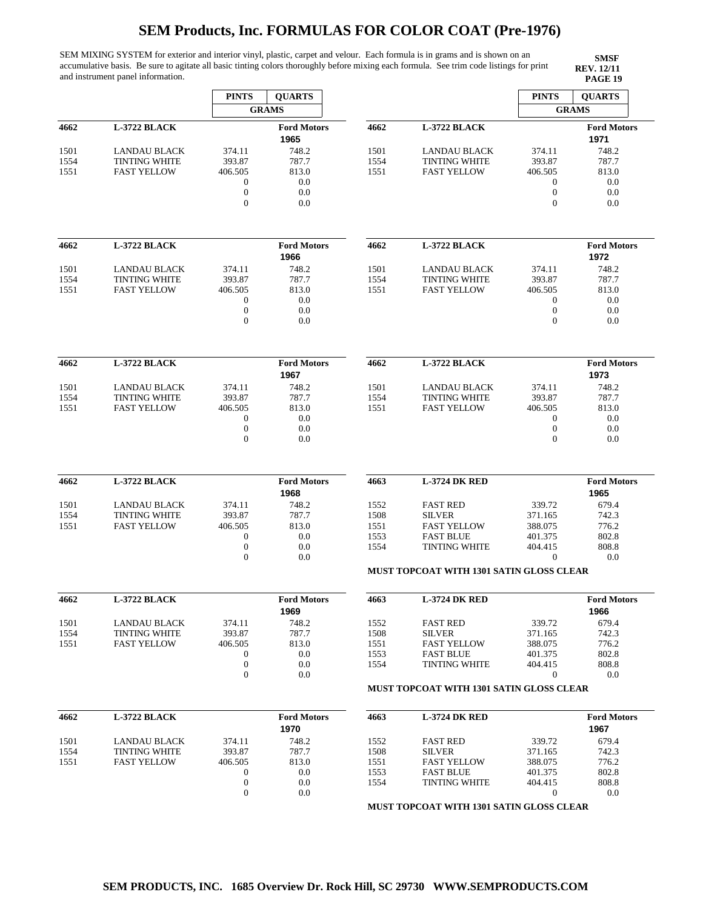SEM MIXING SYSTEM for exterior and interior vinyl, plastic, carpet and velour. Each formula is in grams and is shown on an accumulative basis. Be sure to agitate all basic tinting colors thoroughly before mixing each formula. See trim code listings for print and instrument panel information.

**SMSF REV. 12/11<br>PAGE 19** 

|                              |                      | <b>PINTS</b>     | <b>QUARTS</b>              |      |                                                 | <b>PINTS</b>     | <b>QUARTS</b>              |
|------------------------------|----------------------|------------------|----------------------------|------|-------------------------------------------------|------------------|----------------------------|
|                              |                      |                  | <b>GRAMS</b>               |      |                                                 |                  | <b>GRAMS</b>               |
| 4662                         | L-3722 BLACK         |                  | <b>Ford Motors</b><br>1965 | 4662 | L-3722 BLACK                                    |                  | <b>Ford Motors</b><br>1971 |
| 1501                         | <b>LANDAU BLACK</b>  | 374.11           | 748.2                      | 1501 | LANDAU BLACK                                    | 374.11           | 748.2                      |
|                              | <b>TINTING WHITE</b> | 393.87           | 787.7                      | 1554 | <b>TINTING WHITE</b>                            | 393.87           | 787.7                      |
| 1554                         |                      |                  |                            |      |                                                 |                  |                            |
| 1551                         | <b>FAST YELLOW</b>   | 406.505          | 813.0                      | 1551 | <b>FAST YELLOW</b>                              | 406.505          | 813.0                      |
|                              |                      | $\boldsymbol{0}$ | 0.0                        |      |                                                 | $\boldsymbol{0}$ | 0.0                        |
|                              |                      | $\boldsymbol{0}$ | 0.0                        |      |                                                 | $\boldsymbol{0}$ | 0.0                        |
|                              |                      | $\mathbf{0}$     | 0.0                        |      |                                                 | $\boldsymbol{0}$ | 0.0                        |
| 4662                         | L-3722 BLACK         |                  | <b>Ford Motors</b>         | 4662 | L-3722 BLACK                                    |                  | <b>Ford Motors</b>         |
|                              |                      |                  | 1966                       |      |                                                 |                  | 1972                       |
| 1501                         | LANDAU BLACK         | 374.11           | 748.2                      | 1501 | LANDAU BLACK                                    | 374.11           | 748.2                      |
| 1554                         | <b>TINTING WHITE</b> | 393.87           | 787.7                      | 1554 | <b>TINTING WHITE</b>                            | 393.87           | 787.7                      |
| 1551                         | <b>FAST YELLOW</b>   | 406.505          | 813.0                      | 1551 | <b>FAST YELLOW</b>                              | 406.505          | 813.0                      |
|                              |                      | $\mathbf 0$      | 0.0                        |      |                                                 | 0                | 0.0                        |
|                              |                      | $\boldsymbol{0}$ | 0.0                        |      |                                                 | $\boldsymbol{0}$ | 0.0                        |
|                              |                      | $\boldsymbol{0}$ | 0.0                        |      |                                                 | $\boldsymbol{0}$ | 0.0                        |
|                              |                      |                  |                            |      |                                                 |                  |                            |
| 4662                         | <b>L-3722 BLACK</b>  |                  | <b>Ford Motors</b><br>1967 | 4662 | <b>L-3722 BLACK</b>                             |                  | <b>Ford Motors</b><br>1973 |
| 1501                         | <b>LANDAU BLACK</b>  | 374.11           | 748.2                      | 1501 | <b>LANDAU BLACK</b>                             | 374.11           | 748.2                      |
| 1554                         | <b>TINTING WHITE</b> | 393.87           | 787.7                      | 1554 | <b>TINTING WHITE</b>                            | 393.87           | 787.7                      |
| 1551                         | <b>FAST YELLOW</b>   | 406.505          | 813.0                      | 1551 | <b>FAST YELLOW</b>                              | 406.505          | 813.0                      |
|                              |                      | 0                | 0.0                        |      |                                                 | $\boldsymbol{0}$ | 0.0                        |
|                              |                      | $\boldsymbol{0}$ | 0.0                        |      |                                                 | $\boldsymbol{0}$ | 0.0                        |
|                              |                      | $\mathbf{0}$     | 0.0                        |      |                                                 | $\mathbf{0}$     | 0.0                        |
|                              |                      |                  |                            |      |                                                 |                  |                            |
| 4662                         | L-3722 BLACK         |                  | <b>Ford Motors</b>         | 4663 | <b>L-3724 DK RED</b>                            |                  | <b>Ford Motors</b>         |
|                              |                      |                  | 1968                       |      |                                                 |                  | 1965                       |
| 1501                         | <b>LANDAU BLACK</b>  | 374.11           | 748.2                      | 1552 | <b>FAST RED</b>                                 | 339.72           | 679.4                      |
| 1554                         | <b>TINTING WHITE</b> | 393.87           | 787.7                      | 1508 | <b>SILVER</b>                                   | 371.165          | 742.3                      |
| 1551                         | <b>FAST YELLOW</b>   | 406.505          | 813.0                      | 1551 | <b>FAST YELLOW</b>                              | 388.075          | 776.2                      |
|                              |                      | $\mathbf 0$      | 0.0                        | 1553 | <b>FAST BLUE</b>                                | 401.375          | 802.8                      |
|                              |                      |                  | 0.0                        | 1554 | <b>TINTING WHITE</b>                            | 404.415          | 808.8                      |
|                              |                      |                  |                            |      |                                                 |                  |                            |
|                              |                      | $\boldsymbol{0}$ |                            |      |                                                 |                  |                            |
|                              |                      | $\mathbf{0}$     | 0.0                        |      | <b>MUST TOPCOAT WITH 1301 SATIN GLOSS CLEAR</b> | $\theta$         | 0.0                        |
|                              | L-3722 BLACK         |                  | <b>Ford Motors</b>         | 4663 | <b>L-3724 DK RED</b>                            |                  | <b>Ford Motors</b>         |
|                              |                      |                  |                            |      |                                                 |                  |                            |
|                              |                      |                  | 1969                       |      |                                                 |                  | 1966                       |
|                              | <b>LANDAU BLACK</b>  | 374.11           | 748.2                      | 1552 | <b>FAST RED</b>                                 | 339.72           | 679.4                      |
|                              | <b>TINTING WHITE</b> | 393.87           | 787.7                      | 1508 | <b>SILVER</b>                                   | 371.165          | 742.3                      |
|                              | <b>FAST YELLOW</b>   | 406.505          | 813.0                      | 1551 | <b>FAST YELLOW</b>                              | 388.075          | 776.2                      |
|                              |                      | $\boldsymbol{0}$ | 0.0                        | 1553 | <b>FAST BLUE</b>                                | 401.375          | 802.8                      |
| 4662<br>1501<br>1554<br>1551 |                      | $\boldsymbol{0}$ | 0.0                        | 1554 | <b>TINTING WHITE</b>                            | 404.415          | 808.8                      |
|                              |                      | $\boldsymbol{0}$ | 0.0                        |      | <b>MUST TOPCOAT WITH 1301 SATIN GLOSS CLEAR</b> | $\boldsymbol{0}$ | 0.0                        |
|                              |                      |                  |                            |      |                                                 |                  |                            |
|                              | L-3722 BLACK         |                  | <b>Ford Motors</b><br>1970 | 4663 | <b>L-3724 DK RED</b>                            |                  | <b>Ford Motors</b><br>1967 |
|                              | <b>LANDAU BLACK</b>  | 374.11           | 748.2                      | 1552 | <b>FAST RED</b>                                 | 339.72           | 679.4                      |
|                              | <b>TINTING WHITE</b> | 393.87           | 787.7                      | 1508 | <b>SILVER</b>                                   | 371.165          | 742.3                      |
|                              | <b>FAST YELLOW</b>   | 406.505          | 813.0                      | 1551 | <b>FAST YELLOW</b>                              | 388.075          | 776.2                      |
|                              |                      | $\boldsymbol{0}$ | 0.0                        | 1553 | <b>FAST BLUE</b>                                | 401.375          | 802.8                      |
| 4662<br>1501<br>1554<br>1551 |                      | $\boldsymbol{0}$ | 0.0                        | 1554 | <b>TINTING WHITE</b>                            | 404.415          | 808.8                      |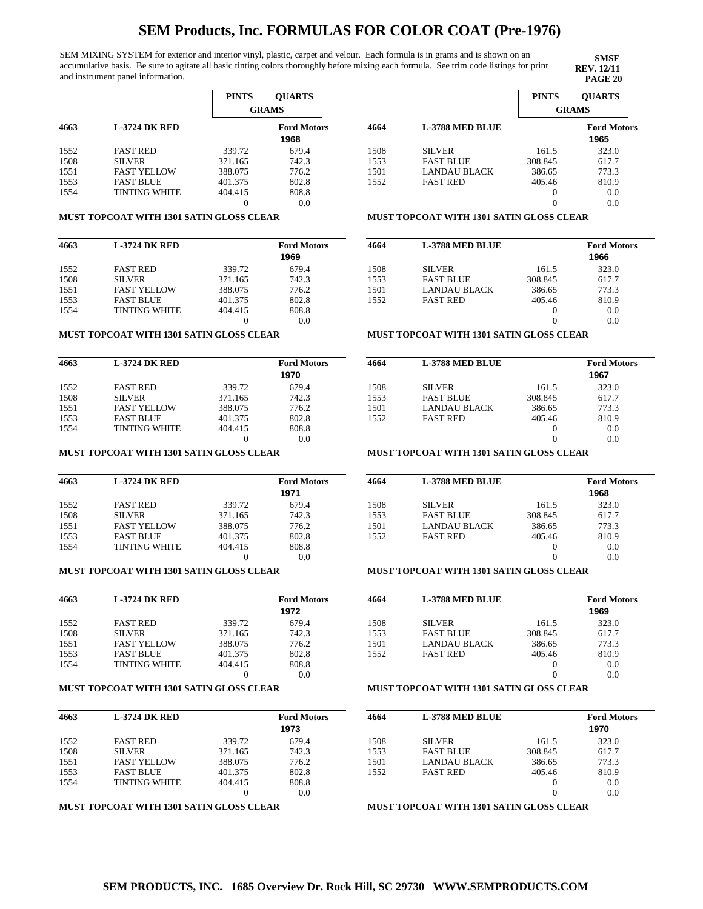SEM MIXING SYSTEM for exterior and interior vinyl, plastic, carpet and velour. Each formula is in grams and is shown on an accumulative basis. Be sure to agitate all basic tinting colors thoroughly before mixing each formula. See trim code listings for print and instrument panel information.

**PINTS QUARTS GRAMS 4663 L-3724 DK RED Ford Motors** 1552 1508 1551 1553 1554 FAST RED SILVER FAST YELLOW FAST BLUE TINTING WHITE 339.72 371.165 388.075 401.375 404.415 0 679.4 742.3 776.2 802.8 808.8 0.0 **1968**

#### **MUST TOPCOAT WITH 1301 SATIN GLOSS CLEAR**

| 4663 | <b>L-3724 DK RED</b> |         | <b>Ford Motors</b> |
|------|----------------------|---------|--------------------|
|      |                      |         | 1969               |
| 1552 | <b>FAST RED</b>      | 339.72  | 679.4              |
| 1508 | <b>SILVER</b>        | 371.165 | 742.3              |
| 1551 | <b>FAST YELLOW</b>   | 388.075 | 776.2              |
| 1553 | <b>FAST BLUE</b>     | 401.375 | 802.8              |
| 1554 | <b>TINTING WHITE</b> | 404.415 | 808.8              |
|      |                      |         | 0.0                |

#### **MUST TOPCOAT WITH 1301 SATIN GLOSS CLEAR**

| 4663 | <b>L-3724 DK RED</b> |         | <b>Ford Motors</b><br>1970 |
|------|----------------------|---------|----------------------------|
| 1552 | <b>FAST RED</b>      | 339.72  | 679.4                      |
| 1508 | <b>SILVER</b>        | 371.165 | 742.3                      |
| 1551 | <b>FAST YELLOW</b>   | 388.075 | 776.2                      |
| 1553 | <b>FAST BLUE</b>     | 401.375 | 802.8                      |
| 1554 | <b>TINTING WHITE</b> | 404.415 | 808.8                      |
|      |                      |         | 0.0                        |

#### **MUST TOPCOAT WITH 1301 SATIN GLOSS CLEAR**

| 4663 | <b>L-3724 DK RED</b> |         | <b>Ford Motors</b> |
|------|----------------------|---------|--------------------|
|      |                      |         | 1971               |
| 1552 | <b>FAST RED</b>      | 339.72  | 679.4              |
| 1508 | <b>SILVER</b>        | 371.165 | 742.3              |
| 1551 | <b>FAST YELLOW</b>   | 388.075 | 776.2              |
| 1553 | <b>FAST BLUE</b>     | 401.375 | 802.8              |
| 1554 | <b>TINTING WHITE</b> | 404.415 | 808.8              |
|      |                      |         | 0.0                |

#### **MUST TOPCOAT WITH 1301 SATIN GLOSS CLEAR**

| 4663 | <b>L-3724 DK RED</b> |         | <b>Ford Motors</b><br>1972 |
|------|----------------------|---------|----------------------------|
| 1552 | <b>FAST RED</b>      | 339.72  | 679.4                      |
| 1508 | <b>SILVER</b>        | 371.165 | 742.3                      |
| 1551 | <b>FAST YELLOW</b>   | 388.075 | 776.2                      |
| 1553 | <b>FAST BLUE</b>     | 401.375 | 802.8                      |
| 1554 | <b>TINTING WHITE</b> | 404.415 | 808.8                      |
|      |                      |         | 0.0                        |

#### **MUST TOPCOAT WITH 1301 SATIN GLOSS CLEAR**

| 4663 | <b>L-3724 DK RED</b> |         | <b>Ford Motors</b> |
|------|----------------------|---------|--------------------|
|      |                      |         | 1973               |
| 1552 | <b>FAST RED</b>      | 339.72  | 679.4              |
| 1508 | <b>SILVER</b>        | 371.165 | 742.3              |
| 1551 | <b>FAST YELLOW</b>   | 388.075 | 776.2              |
| 1553 | <b>FAST BLUE</b>     | 401.375 | 802.8              |
| 1554 | <b>TINTING WHITE</b> | 404.415 | 808.8              |
|      |                      |         | 0.0                |

#### **MUST TOPCOAT WITH 1301 SATIN GLOSS CLEAR**

|      |                        | <b>PINTS</b> | <b>OUARTS</b>              |
|------|------------------------|--------------|----------------------------|
|      |                        | <b>GRAMS</b> |                            |
| 4664 | <b>L-3788 MED BLUE</b> |              | <b>Ford Motors</b><br>1965 |
| 1508 | <b>SILVER</b>          | 161.5        | 323.0                      |
| 1553 | <b>FAST BLUE</b>       | 308.845      | 617.7                      |
| 1501 | <b>LANDAU BLACK</b>    | 386.65       | 773.3                      |
| 1552 | <b>FAST RED</b>        | 405.46       | 810.9                      |
|      |                        |              | 0.0                        |

 $\overline{0}$ 

**SMSF REV. 12/11**

0.0

#### **MUST TOPCOAT WITH 1301 SATIN GLOSS CLEAR**

| 4664 | <b>L-3788 MED BLUE</b> |         | <b>Ford Motors</b> |
|------|------------------------|---------|--------------------|
|      |                        |         | 1966               |
| 1508 | <b>SILVER</b>          | 161.5   | 323.0              |
| 1553 | <b>FAST BLUE</b>       | 308.845 | 617.7              |
| 1501 | <b>LANDAU BLACK</b>    | 386.65  | 773.3              |
| 1552 | <b>FAST RED</b>        | 405.46  | 810.9              |
|      |                        | $_{0}$  | 0.0                |
|      |                        |         | 0.0                |

### **MUST TOPCOAT WITH 1301 SATIN GLOSS CLEAR**

| 4664 | <b>L-3788 MED BLUE</b> |         | <b>Ford Motors</b> |
|------|------------------------|---------|--------------------|
|      |                        |         | 1967               |
| 1508 | <b>SILVER</b>          | 161.5   | 323.0              |
| 1553 | <b>FAST BLUE</b>       | 308.845 | 617.7              |
| 1501 | <b>LANDAU BLACK</b>    | 386.65  | 773.3              |
| 1552 | <b>FAST RED</b>        | 405.46  | 810.9              |
|      |                        | $_{0}$  | 0.0                |
|      |                        |         | 0.0                |

#### **MUST TOPCOAT WITH 1301 SATIN GLOSS CLEAR**

| 4664 | <b>L-3788 MED BLUE</b> |         | <b>Ford Motors</b><br>1968 |
|------|------------------------|---------|----------------------------|
| 1508 | <b>SILVER</b>          | 161.5   | 323.0                      |
| 1553 | <b>FAST BLUE</b>       | 308.845 | 617.7                      |
| 1501 | LANDAU BLACK           | 386.65  | 773.3                      |
| 1552 | <b>FAST RED</b>        | 405.46  | 810.9                      |
|      |                        | $_{0}$  | 0.0                        |
|      |                        | 0       | 0.0                        |

### **MUST TOPCOAT WITH 1301 SATIN GLOSS CLEAR**

| 4664 | <b>L-3788 MED BLUE</b> |         | <b>Ford Motors</b> |
|------|------------------------|---------|--------------------|
|      |                        |         | 1969               |
| 1508 | <b>SILVER</b>          | 161.5   | 323.0              |
| 1553 | <b>FAST BLUE</b>       | 308.845 | 617.7              |
| 1501 | <b>LANDAU BLACK</b>    | 386.65  | 773.3              |
| 1552 | <b>FAST RED</b>        | 405.46  | 810.9              |
|      |                        |         | 0.0                |
|      |                        |         | 0.0                |

### **MUST TOPCOAT WITH 1301 SATIN GLOSS CLEAR**

| 4664 | <b>L-3788 MED BLUE</b> |          | <b>Ford Motors</b><br>1970 |
|------|------------------------|----------|----------------------------|
| 1508 | <b>SILVER</b>          | 161.5    | 323.0                      |
| 1553 | <b>FAST BLUE</b>       | 308.845  | 617.7                      |
| 1501 | <b>LANDAU BLACK</b>    | 386.65   | 773.3                      |
| 1552 | <b>FAST RED</b>        | 405.46   | 810.9                      |
|      |                        | $\theta$ | 0.0                        |
|      |                        | $\theta$ | 0.0                        |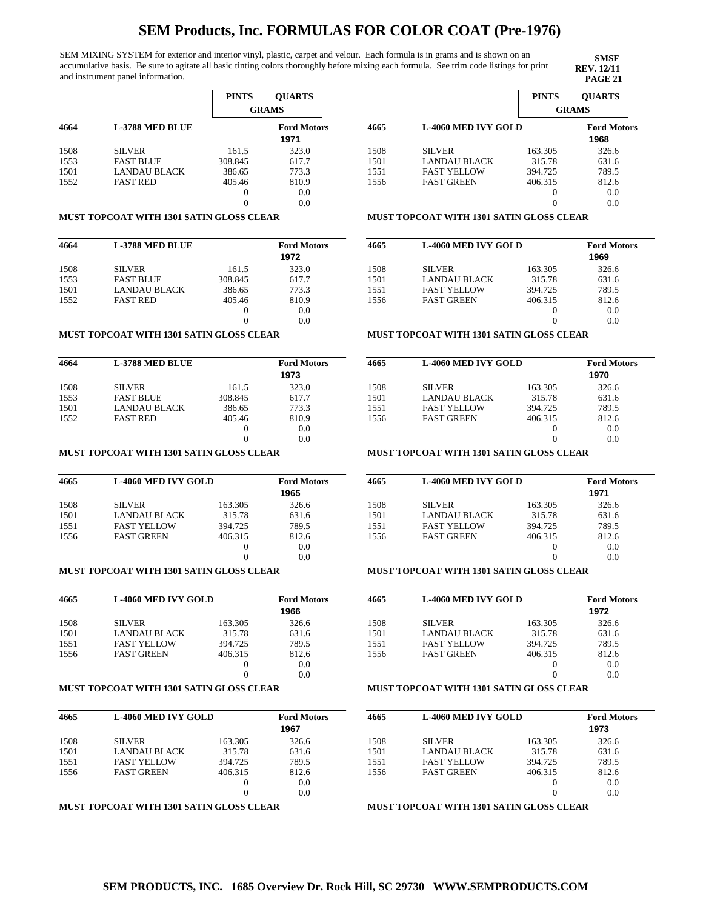SEM MIXING SYSTEM for exterior and interior vinyl, plastic, carpet and velour. Each formula is in grams and is shown on an accumulative basis. Be sure to agitate all basic tinting colors thoroughly before mixing each formula. See trim code listings for print and instrument panel information.

**PINTS QUARTS GRAMS 4664 L-3788 MED BLUE Ford Motors** 1508 1553 1501 1552 SILVER FAST BLUE LANDAU BLACK FAST RED 161.5 308.845 386.65 405.46 0 0 323.0 617.7 773.3 810.9 0.0 0.0 **1971**

#### **MUST TOPCOAT WITH 1301 SATIN GLOSS CLEAR**

| 4664 | <b>L-3788 MED BLUE</b> |         | <b>Ford Motors</b><br>1972 |
|------|------------------------|---------|----------------------------|
| 1508 | <b>SILVER</b>          | 161.5   | 323.0                      |
| 1553 | <b>FAST BLUE</b>       | 308.845 | 617.7                      |
| 1501 | <b>LANDAU BLACK</b>    | 386.65  | 773.3                      |
| 1552 | <b>FAST RED</b>        | 405.46  | 810.9                      |
|      |                        | 0       | 0.0                        |
|      |                        |         | 0.0                        |

#### **MUST TOPCOAT WITH 1301 SATIN GLOSS CLEAR**

| 4664 | <b>L-3788 MED BLUE</b> |          | <b>Ford Motors</b> |
|------|------------------------|----------|--------------------|
|      |                        |          | 1973               |
| 1508 | <b>SILVER</b>          | 161.5    | 323.0              |
| 1553 | <b>FAST BLUE</b>       | 308.845  | 617.7              |
| 1501 | <b>LANDAU BLACK</b>    | 386.65   | 773.3              |
| 1552 | <b>FAST RED</b>        | 405.46   | 810.9              |
|      |                        | $\theta$ | 0.0                |
|      |                        |          | 0.0                |

#### **MUST TOPCOAT WITH 1301 SATIN GLOSS CLEAR**

| 4665 | <b>L-4060 MED IVY GOLD</b> |         | <b>Ford Motors</b> |
|------|----------------------------|---------|--------------------|
|      |                            |         | 1965               |
| 1508 | <b>SILVER</b>              | 163.305 | 326.6              |
| 1501 | LANDAU BLACK               | 315.78  | 631.6              |
| 1551 | <b>FAST YELLOW</b>         | 394.725 | 789.5              |
| 1556 | <b>FAST GREEN</b>          | 406.315 | 812.6              |
|      |                            | 0       | 0.0                |
|      |                            |         | 0.0                |

#### **MUST TOPCOAT WITH 1301 SATIN GLOSS CLEAR**

| 4665 | <b>L-4060 MED IVY GOLD</b> |          | <b>Ford Motors</b><br>1966 |
|------|----------------------------|----------|----------------------------|
| 1508 | <b>SILVER</b>              | 163.305  | 326.6                      |
| 1501 | LANDAU BLACK               | 315.78   | 631.6                      |
| 1551 | <b>FAST YELLOW</b>         | 394.725  | 789.5                      |
| 1556 | <b>FAST GREEN</b>          | 406.315  | 812.6                      |
|      |                            | $\theta$ | 0.0                        |
|      |                            | $\cup$   | 0.0                        |

### **MUST TOPCOAT WITH 1301 SATIN GLOSS CLEAR**

| 4665 | <b>L-4060 MED IVY GOLD</b> |         | <b>Ford Motors</b><br>1967 |
|------|----------------------------|---------|----------------------------|
| 1508 | <b>SILVER</b>              | 163.305 | 326.6                      |
| 1501 | <b>LANDAU BLACK</b>        | 315.78  | 631.6                      |
| 1551 | <b>FAST YELLOW</b>         | 394.725 | 789.5                      |
| 1556 | <b>FAST GREEN</b>          | 406.315 | 812.6                      |
|      |                            |         | 0.0                        |
|      |                            |         | 0.0                        |

#### **MUST TOPCOAT WITH 1301 SATIN GLOSS CLEAR**

|      |                            | <b>PINTS</b> | <b>OUARTS</b>              |
|------|----------------------------|--------------|----------------------------|
|      |                            |              | <b>GRAMS</b>               |
| 4665 | <b>L-4060 MED IVY GOLD</b> |              | <b>Ford Motors</b><br>1968 |
| 1508 | <b>SILVER</b>              | 163.305      | 326.6                      |
| 1501 | LANDAU BLACK               | 315.78       | 631.6                      |
| 1551 | <b>FAST YELLOW</b>         | 394.725      | 789.5                      |
| 1556 | <b>FAST GREEN</b>          | 406.315      | 812.6                      |
|      |                            |              | 0.0                        |
|      |                            |              | 0.0                        |

**SMSF REV. 12/11**

#### **MUST TOPCOAT WITH 1301 SATIN GLOSS CLEAR**

| 4665 | <b>L-4060 MED IVY GOLD</b> |         | <b>Ford Motors</b><br>1969 |
|------|----------------------------|---------|----------------------------|
| 1508 | <b>SILVER</b>              | 163.305 | 326.6                      |
| 1501 | <b>LANDAU BLACK</b>        | 315.78  | 631.6                      |
| 1551 | <b>FAST YELLOW</b>         | 394.725 | 789.5                      |
| 1556 | <b>FAST GREEN</b>          | 406.315 | 812.6                      |
|      |                            | $_{0}$  | 0.0                        |
|      |                            |         | 0.0                        |

### **MUST TOPCOAT WITH 1301 SATIN GLOSS CLEAR**

| 4665 | <b>L-4060 MED IVY GOLD</b> |          | <b>Ford Motors</b> |
|------|----------------------------|----------|--------------------|
|      |                            |          | 1970               |
| 1508 | <b>SILVER</b>              | 163.305  | 326.6              |
| 1501 | <b>LANDAU BLACK</b>        | 315.78   | 631.6              |
| 1551 | <b>FAST YELLOW</b>         | 394.725  | 789.5              |
| 1556 | <b>FAST GREEN</b>          | 406.315  | 812.6              |
|      |                            | $\theta$ | 0.0                |
|      |                            |          | 0.0                |
|      |                            |          |                    |

## **MUST TOPCOAT WITH 1301 SATIN GLOSS CLEAR**

| 4665 | <b>L-4060 MED IVY GOLD</b> |          | <b>Ford Motors</b> |
|------|----------------------------|----------|--------------------|
|      |                            |          | 1971               |
| 1508 | <b>SILVER</b>              | 163.305  | 326.6              |
| 1501 | LANDAU BLACK               | 315.78   | 631.6              |
| 1551 | <b>FAST YELLOW</b>         | 394.725  | 789.5              |
| 1556 | <b>FAST GREEN</b>          | 406.315  | 812.6              |
|      |                            | $_{0}$   | 0.0                |
|      |                            | $\theta$ | 0.0                |

## **MUST TOPCOAT WITH 1301 SATIN GLOSS CLEAR**

| 4665 | <b>L-4060 MED IVY GOLD</b> |         | <b>Ford Motors</b> |
|------|----------------------------|---------|--------------------|
|      |                            |         | 1972               |
| 1508 | <b>SILVER</b>              | 163.305 | 326.6              |
| 1501 | <b>LANDAU BLACK</b>        | 315.78  | 631.6              |
| 1551 | <b>FAST YELLOW</b>         | 394.725 | 789.5              |
| 1556 | <b>FAST GREEN</b>          | 406.315 | 812.6              |
|      |                            |         | 0.0                |
|      |                            |         | 0.0                |
|      |                            |         |                    |

### **MUST TOPCOAT WITH 1301 SATIN GLOSS CLEAR**

| 4665 | <b>L-4060 MED IVY GOLD</b> |         | <b>Ford Motors</b><br>1973 |
|------|----------------------------|---------|----------------------------|
| 1508 | <b>SILVER</b>              | 163.305 | 326.6                      |
| 1501 | <b>LANDAU BLACK</b>        | 315.78  | 631.6                      |
| 1551 | <b>FAST YELLOW</b>         | 394.725 | 789.5                      |
| 1556 | <b>FAST GREEN</b>          | 406.315 | 812.6                      |
|      |                            | $_{0}$  | 0.0                        |
|      |                            | 0       | 0.0                        |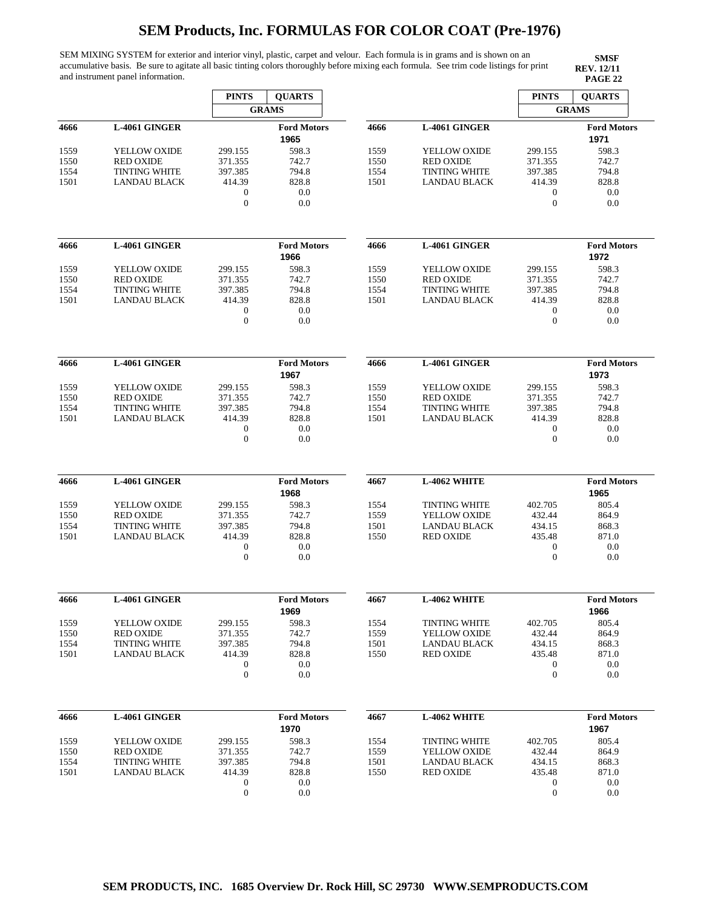SEM MIXING SYSTEM for exterior and interior vinyl, plastic, carpet and velour. Each formula is in grams and is shown on an accumulative basis. Be sure to agitate all basic tinting colors thoroughly before mixing each formula. See trim code listings for print and instrument panel information.

|              |                                             | <b>PINTS</b>                         | <b>QUARTS</b>              |              |                                             | <b>PINTS</b>                         | <b>QUARTS</b>              |
|--------------|---------------------------------------------|--------------------------------------|----------------------------|--------------|---------------------------------------------|--------------------------------------|----------------------------|
|              |                                             |                                      | <b>GRAMS</b>               |              |                                             |                                      | <b>GRAMS</b>               |
| 4666         | L-4061 GINGER                               |                                      | <b>Ford Motors</b><br>1965 | 4666         | L-4061 GINGER                               |                                      | <b>Ford Motors</b><br>1971 |
| 1559         | YELLOW OXIDE                                | 299.155                              | 598.3                      | 1559         | YELLOW OXIDE                                | 299.155                              | 598.3                      |
| 1550         | <b>RED OXIDE</b>                            | 371.355                              | 742.7                      | 1550         | <b>RED OXIDE</b>                            | 371.355                              | 742.7                      |
| 1554         | <b>TINTING WHITE</b><br><b>LANDAU BLACK</b> | 397.385<br>414.39                    | 794.8                      | 1554<br>1501 | <b>TINTING WHITE</b><br><b>LANDAU BLACK</b> | 397.385<br>414.39                    | 794.8                      |
| 1501         |                                             | $\boldsymbol{0}$<br>$\mathbf{0}$     | 828.8<br>0.0<br>0.0        |              |                                             | $\boldsymbol{0}$<br>$\boldsymbol{0}$ | 828.8<br>0.0<br>0.0        |
| 4666         | L-4061 GINGER                               |                                      | <b>Ford Motors</b><br>1966 | 4666         | L-4061 GINGER                               |                                      | <b>Ford Motors</b><br>1972 |
| 1559         | YELLOW OXIDE                                | 299.155                              | 598.3                      | 1559         | YELLOW OXIDE                                | 299.155                              | 598.3                      |
| 1550         | <b>RED OXIDE</b>                            | 371.355                              | 742.7                      | 1550         | <b>RED OXIDE</b>                            | 371.355                              | 742.7                      |
| 1554         | <b>TINTING WHITE</b>                        | 397.385                              | 794.8                      | 1554         | <b>TINTING WHITE</b>                        | 397.385                              | 794.8                      |
| 1501         | LANDAU BLACK                                | 414.39<br>$\boldsymbol{0}$           | 828.8<br>0.0               | 1501         | LANDAU BLACK                                | 414.39<br>$\boldsymbol{0}$           | 828.8<br>0.0               |
|              |                                             | $\boldsymbol{0}$                     | 0.0                        |              |                                             | $\boldsymbol{0}$                     | 0.0                        |
| 4666         | L-4061 GINGER                               |                                      | <b>Ford Motors</b>         | 4666         | L-4061 GINGER                               |                                      | <b>Ford Motors</b>         |
|              |                                             |                                      | 1967                       |              |                                             |                                      | 1973                       |
| 1559         | YELLOW OXIDE                                | 299.155                              | 598.3                      | 1559         | YELLOW OXIDE                                | 299.155                              | 598.3                      |
| 1550         | <b>RED OXIDE</b><br><b>TINTING WHITE</b>    | 371.355<br>397.385                   | 742.7<br>794.8             | 1550<br>1554 | <b>RED OXIDE</b><br><b>TINTING WHITE</b>    | 371.355<br>397.385                   | 742.7<br>794.8             |
| 1554<br>1501 | <b>LANDAU BLACK</b>                         | 414.39                               | 828.8                      | 1501         | <b>LANDAU BLACK</b>                         | 414.39                               | 828.8                      |
|              |                                             | 0                                    | 0.0                        |              |                                             | 0                                    | 0.0                        |
|              |                                             | $\boldsymbol{0}$                     | 0.0                        |              |                                             | $\boldsymbol{0}$                     | 0.0                        |
| 4666         | L-4061 GINGER                               |                                      | <b>Ford Motors</b>         | 4667         | L-4062 WHITE                                |                                      | <b>Ford Motors</b>         |
|              |                                             |                                      | 1968                       |              |                                             |                                      | 1965                       |
| 1559         | YELLOW OXIDE                                | 299.155                              | 598.3                      | 1554         | <b>TINTING WHITE</b>                        | 402.705                              | 805.4                      |
| 1550         | <b>RED OXIDE</b>                            | 371.355                              | 742.7                      | 1559         | YELLOW OXIDE                                | 432.44                               | 864.9                      |
| 1554         | <b>TINTING WHITE</b>                        | 397.385                              | 794.8                      | 1501         | <b>LANDAU BLACK</b>                         | 434.15                               | 868.3                      |
| 1501         | <b>LANDAU BLACK</b>                         | 414.39                               | 828.8                      | 1550         | <b>RED OXIDE</b>                            | 435.48                               | 871.0                      |
|              |                                             | $\boldsymbol{0}$<br>$\boldsymbol{0}$ | 0.0<br>0.0                 |              |                                             | $\boldsymbol{0}$<br>$\boldsymbol{0}$ | 0.0<br>0.0                 |
|              |                                             |                                      |                            |              |                                             |                                      |                            |
| 4666         | L-4061 GINGER                               |                                      | <b>Ford Motors</b><br>1969 | 4667         | L-4062 WHITE                                |                                      | <b>Ford Motors</b><br>1966 |
| 1559         | YELLOW OXIDE                                | 299.155                              | 598.3                      | 1554         | <b>TINTING WHITE</b>                        | 402.705                              | 805.4                      |
| 1550         | <b>RED OXIDE</b>                            | 371.355                              | 742.7                      | 1559         | <b>YELLOW OXIDE</b>                         | 432.44                               | 864.9                      |
| 1554         | <b>TINTING WHITE</b>                        | 397.385                              | 794.8                      | 1501         | <b>LANDAU BLACK</b>                         | 434.15                               | 868.3                      |
| 1501         | <b>LANDAU BLACK</b>                         | 414.39                               | 828.8                      | 1550         | <b>RED OXIDE</b>                            | 435.48                               | 871.0                      |
|              |                                             | 0<br>$\boldsymbol{0}$                | 0.0<br>0.0                 |              |                                             | $\boldsymbol{0}$<br>$\boldsymbol{0}$ | 0.0<br>0.0                 |
| 4666         | L-4061 GINGER                               |                                      | <b>Ford Motors</b>         | 4667         | L-4062 WHITE                                |                                      | <b>Ford Motors</b>         |
|              |                                             |                                      | 1970                       |              |                                             |                                      | 1967                       |
| 1559         | YELLOW OXIDE                                | 299.155                              | 598.3                      | 1554         | <b>TINTING WHITE</b>                        | 402.705                              | 805.4                      |
| 1550         | <b>RED OXIDE</b>                            | 371.355                              | 742.7                      | 1559         | YELLOW OXIDE                                | 432.44                               | 864.9                      |
| 1554         | <b>TINTING WHITE</b>                        | 397.385                              | 794.8                      | 1501         | <b>LANDAU BLACK</b>                         | 434.15                               | 868.3                      |
| 1501         | <b>LANDAU BLACK</b>                         | 414.39                               | 828.8                      | 1550         | <b>RED OXIDE</b>                            | 435.48                               | 871.0                      |
|              |                                             | $\boldsymbol{0}$                     | 0.0                        |              |                                             | $\boldsymbol{0}$                     | 0.0                        |
|              |                                             | $\boldsymbol{0}$                     | 0.0                        |              |                                             | $\boldsymbol{0}$                     | 0.0                        |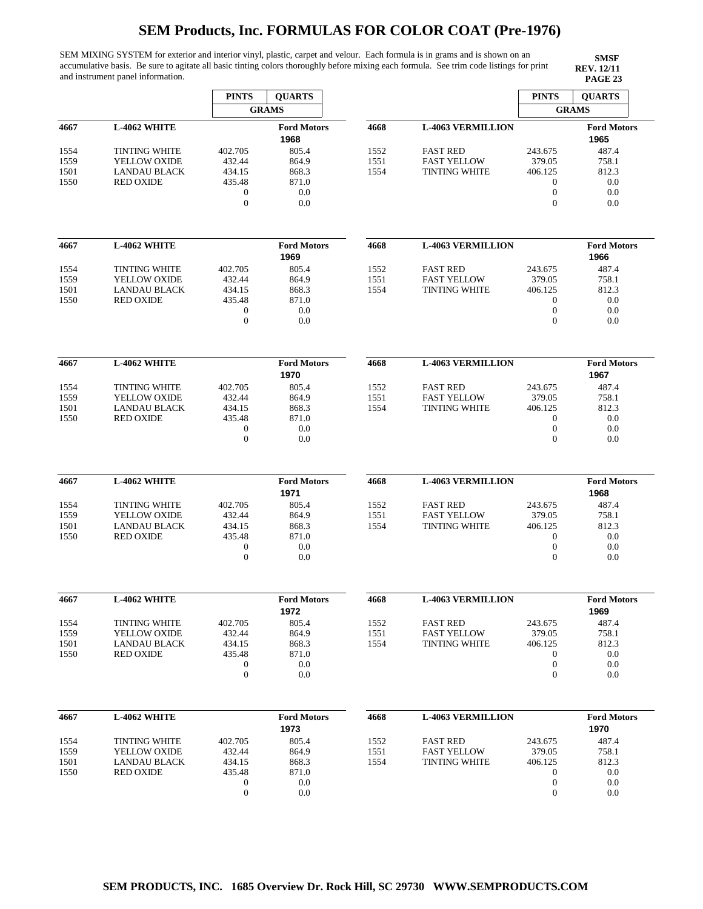SEM MIXING SYSTEM for exterior and interior vinyl, plastic, carpet and velour. Each formula is in grams and is shown on an accumulative basis. Be sure to agitate all basic tinting colors thoroughly before mixing each formula. See trim code listings for print and instrument panel information.

**SMSF REV. 12/11<br>PAGE 23** 

|      |                      | <b>PINTS</b>     | <b>QUARTS</b>              |      |                          | <b>PINTS</b>     | <b>QUARTS</b>              |
|------|----------------------|------------------|----------------------------|------|--------------------------|------------------|----------------------------|
|      |                      |                  | <b>GRAMS</b>               |      |                          |                  | <b>GRAMS</b>               |
| 4667 | L-4062 WHITE         |                  | <b>Ford Motors</b>         | 4668 | <b>L-4063 VERMILLION</b> |                  | <b>Ford Motors</b>         |
|      |                      |                  | 1968                       |      |                          |                  | 1965                       |
| 1554 | <b>TINTING WHITE</b> | 402.705          | 805.4                      | 1552 | <b>FAST RED</b>          | 243.675          | 487.4                      |
| 1559 | YELLOW OXIDE         | 432.44           | 864.9                      | 1551 | <b>FAST YELLOW</b>       | 379.05           | 758.1                      |
| 1501 | <b>LANDAU BLACK</b>  | 434.15           | 868.3                      | 1554 | <b>TINTING WHITE</b>     | 406.125          | 812.3                      |
| 1550 | <b>RED OXIDE</b>     | 435.48           | 871.0                      |      |                          | 0                | 0.0                        |
|      |                      | $\boldsymbol{0}$ | 0.0                        |      |                          | $\boldsymbol{0}$ | 0.0                        |
|      |                      | $\boldsymbol{0}$ | 0.0                        |      |                          | $\overline{0}$   | 0.0                        |
| 4667 | L-4062 WHITE         |                  | <b>Ford Motors</b>         | 4668 | <b>L-4063 VERMILLION</b> |                  | <b>Ford Motors</b>         |
|      |                      |                  | 1969                       |      |                          |                  | 1966                       |
| 1554 | <b>TINTING WHITE</b> | 402.705          | 805.4                      | 1552 | <b>FAST RED</b>          | 243.675          | 487.4                      |
| 1559 | YELLOW OXIDE         | 432.44           | 864.9                      | 1551 | <b>FAST YELLOW</b>       | 379.05           | 758.1                      |
| 1501 | <b>LANDAU BLACK</b>  | 434.15           | 868.3                      | 1554 | <b>TINTING WHITE</b>     | 406.125          | 812.3                      |
| 1550 | <b>RED OXIDE</b>     | 435.48           | 871.0                      |      |                          | $\mathbf{0}$     | 0.0                        |
|      |                      | $\boldsymbol{0}$ | 0.0                        |      |                          | $\boldsymbol{0}$ | 0.0                        |
|      |                      | $\boldsymbol{0}$ | 0.0                        |      |                          | $\theta$         | 0.0                        |
|      |                      |                  |                            |      |                          |                  |                            |
| 4667 | <b>L-4062 WHITE</b>  |                  | <b>Ford Motors</b><br>1970 | 4668 | <b>L-4063 VERMILLION</b> |                  | <b>Ford Motors</b><br>1967 |
| 1554 | <b>TINTING WHITE</b> | 402.705          | 805.4                      | 1552 | <b>FAST RED</b>          | 243.675          | 487.4                      |
| 1559 | YELLOW OXIDE         | 432.44           | 864.9                      | 1551 | <b>FAST YELLOW</b>       | 379.05           | 758.1                      |
| 1501 | <b>LANDAU BLACK</b>  | 434.15           | 868.3                      | 1554 | <b>TINTING WHITE</b>     | 406.125          | 812.3                      |
| 1550 | <b>RED OXIDE</b>     | 435.48           | 871.0                      |      |                          | $\boldsymbol{0}$ | 0.0                        |
|      |                      | 0                | 0.0                        |      |                          | $\boldsymbol{0}$ | 0.0                        |
|      |                      | $\boldsymbol{0}$ | 0.0                        |      |                          | $\overline{0}$   | 0.0                        |
|      |                      |                  |                            |      |                          |                  |                            |
| 4667 | <b>L-4062 WHITE</b>  |                  | <b>Ford Motors</b>         | 4668 | <b>L-4063 VERMILLION</b> |                  | <b>Ford Motors</b>         |
|      |                      |                  | 1971                       |      |                          |                  | 1968                       |
| 1554 | <b>TINTING WHITE</b> | 402.705          | 805.4                      | 1552 | <b>FAST RED</b>          | 243.675          | 487.4                      |
| 1559 | YELLOW OXIDE         | 432.44           | 864.9                      | 1551 | <b>FAST YELLOW</b>       | 379.05           | 758.1                      |
| 1501 | <b>LANDAU BLACK</b>  | 434.15           | 868.3                      | 1554 | <b>TINTING WHITE</b>     | 406.125          | 812.3                      |
| 1550 | <b>RED OXIDE</b>     | 435.48           | 871.0                      |      |                          | $\mathbf{0}$     | 0.0                        |
|      |                      | $\boldsymbol{0}$ | 0.0                        |      |                          | $\boldsymbol{0}$ | 0.0                        |
|      |                      | $\boldsymbol{0}$ | 0.0                        |      |                          | $\boldsymbol{0}$ | 0.0                        |
|      |                      |                  |                            |      |                          |                  |                            |
| 4667 | L-4062 WHITE         |                  | <b>Ford Motors</b>         | 4668 | <b>L-4063 VERMILLION</b> |                  | <b>Ford Motors</b>         |
|      |                      |                  | 1972                       |      |                          |                  | 1969                       |
| 1554 | <b>TINTING WHITE</b> | 402.705          | 805.4                      | 1552 | <b>FAST RED</b>          | 243.675          | 487.4                      |
| 1559 | YELLOW OXIDE         | 432.44           | 864.9                      | 1551 | <b>FAST YELLOW</b>       | 379.05           | 758.1                      |
| 1501 | <b>LANDAU BLACK</b>  | 434.15           | 868.3                      | 1554 | <b>TINTING WHITE</b>     | 406.125          | 812.3                      |
| 1550 | <b>RED OXIDE</b>     | 435.48           | 871.0                      |      |                          | $\boldsymbol{0}$ | 0.0                        |
|      |                      | $\boldsymbol{0}$ | 0.0                        |      |                          | $\boldsymbol{0}$ | 0.0                        |
|      |                      | $\boldsymbol{0}$ | 0.0                        |      |                          | $\boldsymbol{0}$ | 0.0                        |
|      |                      |                  |                            |      |                          |                  |                            |
| 4667 | <b>L-4062 WHITE</b>  |                  | <b>Ford Motors</b><br>1973 | 4668 | <b>L-4063 VERMILLION</b> |                  | <b>Ford Motors</b><br>1970 |
| 1554 | <b>TINTING WHITE</b> | 402.705          | 805.4                      | 1552 | <b>FAST RED</b>          | 243.675          | 487.4                      |
| 1559 | YELLOW OXIDE         | 432.44           | 864.9                      | 1551 | <b>FAST YELLOW</b>       | 379.05           | 758.1                      |
| 1501 | <b>LANDAU BLACK</b>  | 434.15           | 868.3                      | 1554 | <b>TINTING WHITE</b>     | 406.125          | 812.3                      |
| 1550 | <b>RED OXIDE</b>     | 435.48           | 871.0                      |      |                          | $\boldsymbol{0}$ | 0.0                        |
|      |                      | $\boldsymbol{0}$ | 0.0                        |      |                          | $\boldsymbol{0}$ | 0.0                        |
|      |                      | $\mathbf{0}$     | 0.0                        |      |                          | $\boldsymbol{0}$ | 0.0                        |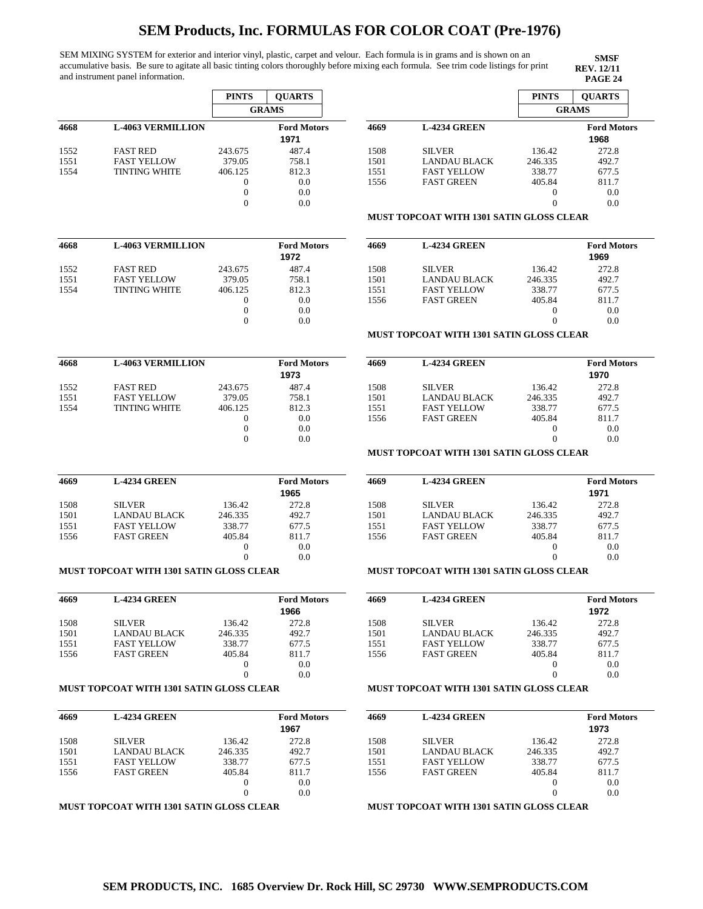SEM MIXING SYSTEM for exterior and interior vinyl, plastic, carpet and velour. Each formula is in grams and is shown on an accumulative basis. Be sure to agitate all basic tinting colors thoroughly before mixing each formula. See trim code listings for print and instrument panel information.

|              |                                                 | <b>PINTS</b>                     | <b>QUARTS</b>              |              |                                                 | <b>PINTS</b>                 | <b>QUARTS</b>              |
|--------------|-------------------------------------------------|----------------------------------|----------------------------|--------------|-------------------------------------------------|------------------------------|----------------------------|
|              |                                                 |                                  | <b>GRAMS</b>               |              |                                                 |                              | <b>GRAMS</b>               |
| 4668         | <b>L-4063 VERMILLION</b>                        |                                  | <b>Ford Motors</b><br>1971 | 4669         | <b>L-4234 GREEN</b>                             |                              | <b>Ford Motors</b><br>1968 |
| 1552         | <b>FAST RED</b>                                 | 243.675                          | 487.4                      | 1508         | <b>SILVER</b>                                   | 136.42                       | 272.8                      |
| 1551         | <b>FAST YELLOW</b>                              | 379.05                           | 758.1                      | 1501         | <b>LANDAU BLACK</b>                             | 246.335                      | 492.7                      |
| 1554         | <b>TINTING WHITE</b>                            | 406.125                          | 812.3                      | 1551         | <b>FAST YELLOW</b>                              | 338.77                       | 677.5                      |
|              |                                                 | $\overline{0}$                   | 0.0                        | 1556         | <b>FAST GREEN</b>                               | 405.84                       | 811.7                      |
|              |                                                 | $\mathbf{0}$                     | 0.0                        |              |                                                 | $\boldsymbol{0}$             | 0.0                        |
|              |                                                 | $\theta$                         | 0.0                        |              |                                                 | $\theta$                     | 0.0                        |
|              |                                                 |                                  |                            |              | <b>MUST TOPCOAT WITH 1301 SATIN GLOSS CLEAR</b> |                              |                            |
| 4668         | <b>L-4063 VERMILLION</b>                        |                                  | <b>Ford Motors</b>         | 4669         | <b>L-4234 GREEN</b>                             |                              | <b>Ford Motors</b>         |
|              |                                                 |                                  | 1972                       |              |                                                 |                              | 1969                       |
| 1552         | <b>FAST RED</b>                                 | 243.675                          | 487.4                      | 1508         | <b>SILVER</b>                                   | 136.42                       | 272.8                      |
| 1551         | <b>FAST YELLOW</b>                              | 379.05                           | 758.1                      | 1501         | <b>LANDAU BLACK</b>                             | 246.335                      | 492.7                      |
| 1554         | <b>TINTING WHITE</b>                            | 406.125                          | 812.3                      | 1551         | <b>FAST YELLOW</b>                              | 338.77                       | 677.5                      |
|              |                                                 | $\mathbf{0}$<br>$\theta$         | 0.0                        | 1556         | <b>FAST GREEN</b>                               | 405.84                       | 811.7                      |
|              |                                                 | $\mathbf{0}$                     | 0.0<br>0.0                 |              |                                                 | $\boldsymbol{0}$<br>$\theta$ | 0.0<br>0.0                 |
|              |                                                 |                                  |                            |              | <b>MUST TOPCOAT WITH 1301 SATIN GLOSS CLEAR</b> |                              |                            |
|              |                                                 |                                  | <b>Ford Motors</b>         |              |                                                 |                              |                            |
| 4668         | <b>L-4063 VERMILLION</b>                        |                                  | 1973                       | 4669         | <b>L-4234 GREEN</b>                             |                              | <b>Ford Motors</b><br>1970 |
|              |                                                 |                                  |                            |              |                                                 |                              |                            |
| 1552         | <b>FAST RED</b>                                 | 243.675                          | 487.4                      | 1508         | <b>SILVER</b>                                   | 136.42                       | 272.8                      |
| 1551         | <b>FAST YELLOW</b>                              | 379.05                           | 758.1                      | 1501         | <b>LANDAU BLACK</b>                             | 246.335                      | 492.7                      |
| 1554         | <b>TINTING WHITE</b>                            | 406.125                          | 812.3                      | 1551         | <b>FAST YELLOW</b>                              | 338.77                       | 677.5                      |
|              |                                                 | $\boldsymbol{0}$<br>$\mathbf{0}$ | 0.0<br>0.0                 | 1556         | <b>FAST GREEN</b>                               | 405.84<br>$\boldsymbol{0}$   | 811.7<br>0.0               |
|              |                                                 | $\theta$                         | 0.0                        |              |                                                 | $\theta$                     | 0.0                        |
|              |                                                 |                                  |                            |              | MUST TOPCOAT WITH 1301 SATIN GLOSS CLEAR        |                              |                            |
| 4669         | <b>L-4234 GREEN</b>                             |                                  | <b>Ford Motors</b>         | 4669         | <b>L-4234 GREEN</b>                             |                              | <b>Ford Motors</b>         |
|              |                                                 |                                  | 1965                       |              |                                                 |                              | 1971                       |
| 1508         | <b>SILVER</b>                                   | 136.42                           | 272.8                      | 1508         | <b>SILVER</b>                                   | 136.42                       | 272.8                      |
| 1501         | <b>LANDAU BLACK</b>                             | 246.335                          | 492.7                      | 1501         | <b>LANDAU BLACK</b>                             | 246.335                      | 492.7                      |
| 1551         | <b>FAST YELLOW</b>                              | 338.77                           | 677.5                      | 1551         | <b>FAST YELLOW</b>                              | 338.77                       | 677.5                      |
| 1556         | <b>FAST GREEN</b>                               | 405.84                           | 811.7                      | 1556         | <b>FAST GREEN</b>                               | 405.84                       | 811.7                      |
|              |                                                 | $\mathbf{0}$                     | 0.0                        |              |                                                 | $\boldsymbol{0}$             | 0.0                        |
|              |                                                 | $\overline{0}$                   | 0.0                        |              |                                                 | $\overline{0}$               | 0.0                        |
|              | <b>MUST TOPCOAT WITH 1301 SATIN GLOSS CLEAR</b> |                                  |                            |              | <b>MUST TOPCOAT WITH 1301 SATIN GLOSS CLEAR</b> |                              |                            |
| 4669         | <b>L-4234 GREEN</b>                             |                                  | <b>Ford Motors</b>         | 4669         | <b>L-4234 GREEN</b>                             |                              | <b>Ford Motors</b>         |
|              |                                                 |                                  | 1966                       |              |                                                 |                              | 1972                       |
| 1508         | <b>SILVER</b>                                   | 136.42                           | 272.8                      | 1508         | <b>SILVER</b>                                   | 136.42                       | 272.8                      |
| 1501         | <b>LANDAU BLACK</b>                             | 246.335                          | 492.7                      | 1501         | <b>LANDAU BLACK</b>                             | 246.335                      | 492.7                      |
| 1551         | <b>FAST YELLOW</b>                              | 338.77                           | 677.5                      | 1551         | <b>FAST YELLOW</b>                              | 338.77                       | 677.5                      |
| 1556         | <b>FAST GREEN</b>                               | 405.84                           | 811.7                      | 1556         | <b>FAST GREEN</b>                               | 405.84                       | 811.7                      |
|              |                                                 | $\mathbf{0}$                     | 0.0                        |              |                                                 | $\boldsymbol{0}$             | 0.0                        |
|              | <b>MUST TOPCOAT WITH 1301 SATIN GLOSS CLEAR</b> | $\theta$                         | 0.0                        |              | <b>MUST TOPCOAT WITH 1301 SATIN GLOSS CLEAR</b> | $\theta$                     | 0.0                        |
|              |                                                 |                                  |                            |              |                                                 |                              |                            |
| 4669         | <b>L-4234 GREEN</b>                             |                                  | <b>Ford Motors</b><br>1967 | 4669         | <b>L-4234 GREEN</b>                             |                              | <b>Ford Motors</b><br>1973 |
|              |                                                 |                                  |                            |              |                                                 |                              |                            |
| 1508         | <b>SILVER</b>                                   | 136.42                           | 272.8                      | 1508         | <b>SILVER</b>                                   | 136.42                       | 272.8                      |
| 1501<br>1551 | <b>LANDAU BLACK</b><br><b>FAST YELLOW</b>       | 246.335<br>338.77                | 492.7<br>677.5             | 1501<br>1551 | <b>LANDAU BLACK</b><br><b>FAST YELLOW</b>       | 246.335<br>338.77            | 492.7<br>677.5             |
| 1556         | <b>FAST GREEN</b>                               | 405.84                           | 811.7                      | 1556         | <b>FAST GREEN</b>                               | 405.84                       | 811.7                      |
|              |                                                 | $\boldsymbol{0}$                 | 0.0                        |              |                                                 | $\mathbf{0}$                 | 0.0                        |
|              |                                                 | $\mathbf{0}$                     | 0.0                        |              |                                                 | $\theta$                     | 0.0                        |
|              |                                                 |                                  |                            |              |                                                 |                              |                            |
|              | <b>MUST TOPCOAT WITH 1301 SATIN GLOSS CLEAR</b> |                                  |                            |              | <b>MUST TOPCOAT WITH 1301 SATIN GLOSS CLEAR</b> |                              |                            |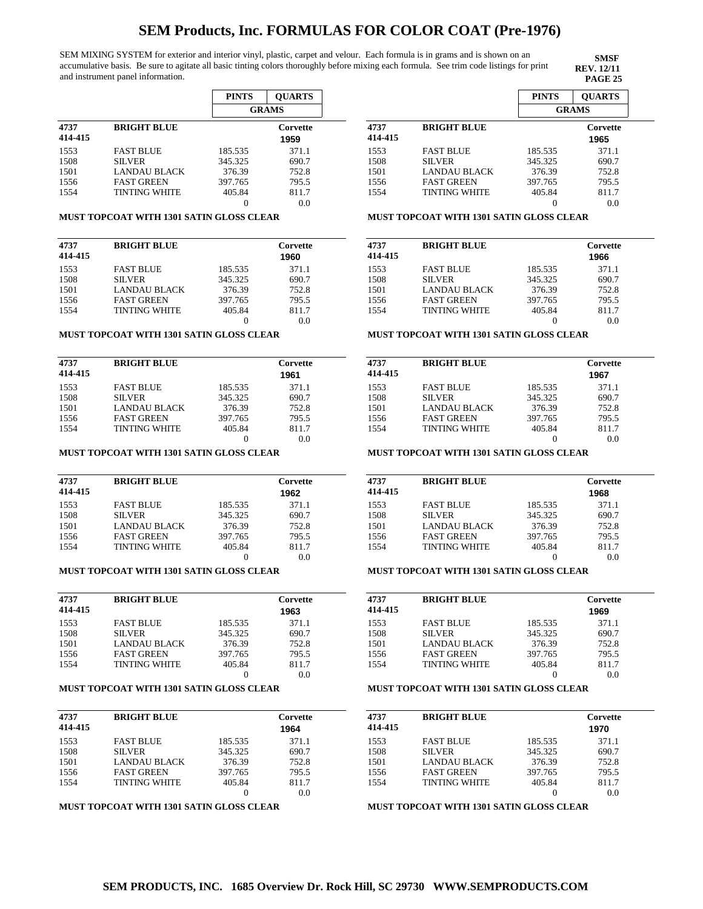SEM MIXING SYSTEM for exterior and interior vinyl, plastic, carpet and velour. Each formula is in grams and is shown on an accumulative basis. Be sure to agitate all basic tinting colors thoroughly before mixing each formula. See trim code listings for print and instrument panel information.

**SMSF REV. 12/11**

|         |                      | <b>PINTS</b> | <b>OUARTS</b> |  |
|---------|----------------------|--------------|---------------|--|
|         |                      |              | <b>GRAMS</b>  |  |
| 4737    | <b>BRIGHT BLUE</b>   |              | Corvette      |  |
| 414-415 |                      |              | 1959          |  |
| 1553    | <b>FAST BLUE</b>     | 185.535      | 371.1         |  |
| 1508    | <b>SILVER</b>        | 345.325      | 690.7         |  |
| 1501    | LANDAU BLACK         | 376.39       | 752.8         |  |
| 1556    | <b>FAST GREEN</b>    | 397.765      | 795.5         |  |
| 1554    | <b>TINTING WHITE</b> | 405.84       | 811.7         |  |
|         |                      | 0            | 0.0           |  |

#### **MUST TOPCOAT WITH 1301 SATIN GLOSS CLEAR**

| 4737    | <b>BRIGHT BLUE</b>   |         | Corvette |
|---------|----------------------|---------|----------|
| 414-415 |                      |         | 1960     |
| 1553    | <b>FAST BLUE</b>     | 185.535 | 371.1    |
| 1508    | <b>SILVER</b>        | 345.325 | 690.7    |
| 1501    | LANDAU BLACK         | 376.39  | 752.8    |
| 1556    | <b>FAST GREEN</b>    | 397.765 | 795.5    |
| 1554    | <b>TINTING WHITE</b> | 405.84  | 811.7    |
|         |                      |         | 0.0      |

#### **MUST TOPCOAT WITH 1301 SATIN GLOSS CLEAR**

| 4737<br>414-415 | <b>BRIGHT BLUE</b>   |         | Corvette<br>1961 |
|-----------------|----------------------|---------|------------------|
| 1553            | <b>FAST BLUE</b>     | 185.535 | 371.1            |
| 1508            | <b>SILVER</b>        | 345.325 | 690.7            |
| 1501            | LANDAU BLACK         | 376.39  | 752.8            |
| 1556            | <b>FAST GREEN</b>    | 397.765 | 795.5            |
| 1554            | <b>TINTING WHITE</b> | 405.84  | 811.7            |
|                 |                      |         | 0.0              |

#### **MUST TOPCOAT WITH 1301 SATIN GLOSS CLEAR**

| 4737<br>414-415 | <b>BRIGHT BLUE</b>   |         | Corvette<br>1962 |
|-----------------|----------------------|---------|------------------|
| 1553            | <b>FAST BLUE</b>     | 185.535 | 371.1            |
| 1508            | <b>SILVER</b>        | 345.325 | 690.7            |
| 1501            | LANDAU BLACK         | 376.39  | 752.8            |
| 1556            | <b>FAST GREEN</b>    | 397.765 | 795.5            |
| 1554            | <b>TINTING WHITE</b> | 405.84  | 811.7            |
|                 |                      |         | 0.0              |

### **MUST TOPCOAT WITH 1301 SATIN GLOSS CLEAR**

| 4737<br>414-415 | <b>BRIGHT BLUE</b>   |         | Corvette<br>1963 |
|-----------------|----------------------|---------|------------------|
| 1553            | <b>FAST BLUE</b>     | 185.535 | 371.1            |
| 1508            | <b>SILVER</b>        | 345.325 | 690.7            |
| 1501            | <b>LANDAU BLACK</b>  | 376.39  | 752.8            |
| 1556            | <b>FAST GREEN</b>    | 397.765 | 795.5            |
| 1554            | <b>TINTING WHITE</b> | 405.84  | 811.7            |
|                 |                      |         | 0.0              |

### **MUST TOPCOAT WITH 1301 SATIN GLOSS CLEAR**

| 4737    | <b>BRIGHT BLUE</b>   | Corvette |       |
|---------|----------------------|----------|-------|
| 414-415 |                      |          | 1964  |
| 1553    | <b>FAST BLUE</b>     | 185.535  | 371.1 |
| 1508    | <b>SILVER</b>        | 345.325  | 690.7 |
| 1501    | LANDAU BLACK         | 376.39   | 752.8 |
| 1556    | <b>FAST GREEN</b>    | 397.765  | 795.5 |
| 1554    | <b>TINTING WHITE</b> | 405.84   | 811.7 |
|         |                      |          |       |

**MUST TOPCOAT WITH 1301 SATIN GLOSS CLEAR**

|                 |                      | <b>PINTS</b> | <b>OUARTS</b>    |
|-----------------|----------------------|--------------|------------------|
|                 |                      |              | <b>GRAMS</b>     |
| 4737<br>414-415 | <b>BRIGHT BLUE</b>   |              | Corvette<br>1965 |
| 1553            | <b>FAST BLUE</b>     | 185.535      | 371.1            |
| 1508            | <b>SILVER</b>        | 345.325      | 690.7            |
| 1501            | <b>LANDAU BLACK</b>  | 376.39       | 752.8            |
| 1556            | <b>FAST GREEN</b>    | 397.765      | 795.5            |
| 1554            | <b>TINTING WHITE</b> | 405.84       | 811.7            |
|                 |                      |              | 0.0              |

#### **MUST TOPCOAT WITH 1301 SATIN GLOSS CLEAR**

| 4737    | <b>BRIGHT BLUE</b>   | Corvette |       |
|---------|----------------------|----------|-------|
| 414-415 |                      |          | 1966  |
| 1553    | <b>FAST BLUE</b>     | 185.535  | 371.1 |
| 1508    | <b>SILVER</b>        | 345.325  | 690.7 |
| 1501    | <b>LANDAU BLACK</b>  | 376.39   | 752.8 |
| 1556    | <b>FAST GREEN</b>    | 397.765  | 795.5 |
| 1554    | <b>TINTING WHITE</b> | 405.84   | 811.7 |
|         |                      |          | 0.0   |

#### **MUST TOPCOAT WITH 1301 SATIN GLOSS CLEAR**

| 4737<br>414-415 | <b>BRIGHT BLUE</b>   | Corvette<br>1967 |       |
|-----------------|----------------------|------------------|-------|
| 1553            | <b>FAST BLUE</b>     | 185.535          | 371.1 |
| 1508            | <b>SILVER</b>        | 345.325          | 690.7 |
| 1501            | <b>LANDAU BLACK</b>  | 376.39           | 752.8 |
| 1556            | <b>FAST GREEN</b>    | 397.765          | 795.5 |
| 1554            | <b>TINTING WHITE</b> | 405.84           | 811.7 |
|                 |                      |                  | 0.0   |

#### **MUST TOPCOAT WITH 1301 SATIN GLOSS CLEAR**

| 4737    | <b>BRIGHT BLUE</b>   |         | Corvette |  |
|---------|----------------------|---------|----------|--|
| 414-415 |                      |         | 1968     |  |
| 1553    | <b>FAST BLUE</b>     | 185.535 | 371.1    |  |
| 1508    | <b>SILVER</b>        | 345.325 | 690.7    |  |
| 1501    | LANDAU BLACK         | 376.39  | 752.8    |  |
| 1556    | <b>FAST GREEN</b>    | 397.765 | 795.5    |  |
| 1554    | <b>TINTING WHITE</b> | 405.84  | 811.7    |  |
|         |                      |         | 0.0      |  |

### **MUST TOPCOAT WITH 1301 SATIN GLOSS CLEAR**

| 4737    | <b>BRIGHT BLUE</b>   | Corvette |       |
|---------|----------------------|----------|-------|
| 414-415 |                      |          | 1969  |
| 1553    | <b>FAST BLUE</b>     | 185.535  | 371.1 |
| 1508    | <b>SILVER</b>        | 345.325  | 690.7 |
| 1501    | LANDAU BLACK         | 376.39   | 752.8 |
| 1556    | <b>FAST GREEN</b>    | 397.765  | 795.5 |
| 1554    | <b>TINTING WHITE</b> | 405.84   | 811.7 |
|         |                      |          | 0.0   |

#### **MUST TOPCOAT WITH 1301 SATIN GLOSS CLEAR**

| <b>BRIGHT BLUE</b><br>4737 |                      | Corvette |       |
|----------------------------|----------------------|----------|-------|
| 414-415                    |                      |          | 1970  |
| 1553                       | <b>FAST BLUE</b>     | 185.535  | 371.1 |
| 1508                       | <b>SILVER</b>        | 345.325  | 690.7 |
| 1501                       | LANDAU BLACK         | 376.39   | 752.8 |
| 1556                       | <b>FAST GREEN</b>    | 397.765  | 795.5 |
| 1554                       | <b>TINTING WHITE</b> | 405.84   | 811.7 |
|                            |                      |          | 0.0   |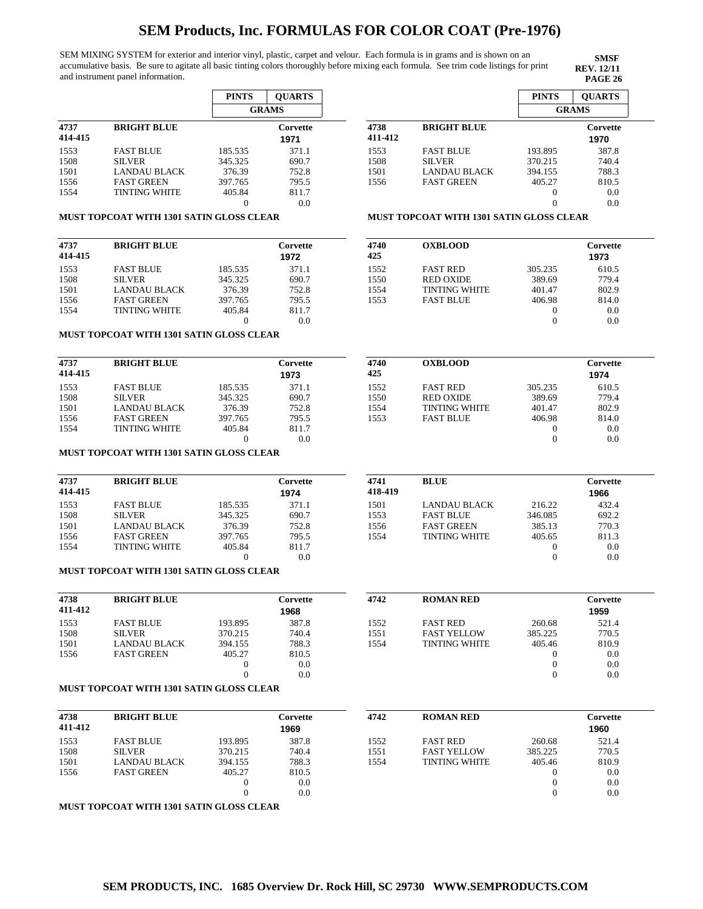SEM MIXING SYSTEM for exterior and interior vinyl, plastic, carpet and velour. Each formula is in grams and is shown on an accumulative basis. Be sure to agitate all basic tinting colors thoroughly before mixing each formula. See trim code listings for print and instrument panel information.

**SMSF REV. 12/11**

|                            |                   | <b>PINTS</b> | <b>OUARTS</b> |  |
|----------------------------|-------------------|--------------|---------------|--|
| 4737<br><b>BRIGHT BLUE</b> |                   |              | <b>GRAMS</b>  |  |
|                            |                   |              | Corvette      |  |
| 414-415                    |                   |              | 1971          |  |
| 1553                       | <b>FAST BLUE</b>  | 185.535      | 371.1         |  |
| 1508                       | <b>SILVER</b>     | 345.325      | 690.7         |  |
| 1501                       | LANDAU BLACK      | 376.39       | 752.8         |  |
| 1556                       | <b>FAST GREEN</b> | 397.765      | 795.5         |  |
| 1554                       | TINTING WHITE     | 405.84       | 811.7         |  |
|                            |                   |              | 0.0           |  |

|                 |                                                 | <b>PINTS</b> | <b>OUARTS</b>    |  |
|-----------------|-------------------------------------------------|--------------|------------------|--|
|                 |                                                 |              | <b>GRAMS</b>     |  |
| 4738<br>411-412 | <b>BRIGHT BLUE</b>                              |              | Corvette<br>1970 |  |
| 1553            | <b>FAST BLUE</b>                                | 193.895      | 387.8            |  |
| 1508            | <b>SILVER</b>                                   | 370.215      | 740.4            |  |
| 1501            | <b>LANDAU BLACK</b>                             | 394.155      | 788.3            |  |
| 1556            | <b>FAST GREEN</b>                               | 405.27       | 810.5            |  |
|                 |                                                 |              | 0.0              |  |
|                 |                                                 |              | 0.0              |  |
|                 | <b>MUST TOPCOAT WITH 1301 SATIN GLOSS CLEAR</b> |              |                  |  |

### **MUST TOPCOAT WITH 1301 SATIN GLOSS CLEAR**

| 4737    | <b>BRIGHT BLUE</b>   | Corvette |       |
|---------|----------------------|----------|-------|
| 414-415 |                      |          | 1972  |
| 1553    | <b>FAST BLUE</b>     | 185.535  | 371.1 |
| 1508    | <b>SILVER</b>        | 345.325  | 690.7 |
| 1501    | LANDAU BLACK         | 376.39   | 752.8 |
| 1556    | <b>FAST GREEN</b>    | 397.765  | 795.5 |
| 1554    | <b>TINTING WHITE</b> | 405.84   | 811.7 |
|         |                      |          | 0.0   |

| 4740<br>425 | <b>OXBLOOD</b>       |          |       |  |
|-------------|----------------------|----------|-------|--|
| 1552        | <b>FAST RED</b>      | 305.235  | 610.5 |  |
| 1550        | <b>RED OXIDE</b>     | 389.69   | 779.4 |  |
| 1554        | <b>TINTING WHITE</b> | 401.47   | 802.9 |  |
| 1553        | <b>FAST BLUE</b>     | 406.98   | 814.0 |  |
|             |                      | $\theta$ | 0.0   |  |
|             |                      |          | 0.0   |  |

#### **MUST TOPCOAT WITH 1301 SATIN GLOSS CLEAR**

| 4737<br>414-415 | <b>BRIGHT BLUE</b>   |         | Corvette<br>1973 | 4740<br>425 | <b>OXBLOOD</b>       |         | Corvette<br>1974 |  |
|-----------------|----------------------|---------|------------------|-------------|----------------------|---------|------------------|--|
|                 |                      |         |                  |             |                      |         |                  |  |
| 1553            | <b>FAST BLUE</b>     | 185.535 | 371.1            | 1552        | <b>FAST RED</b>      | 305.235 | 610.5            |  |
| 1508            | <b>SILVER</b>        | 345.325 | 690.7            | 1550        | <b>RED OXIDE</b>     | 389.69  | 779.4            |  |
| 1501            | <b>LANDAU BLACK</b>  | 376.39  | 752.8            | 1554        | <b>TINTING WHITE</b> | 401.47  | 802.9            |  |
| 1556            | <b>FAST GREEN</b>    | 397.765 | 795.5            | 1553        | <b>FAST BLUE</b>     | 406.98  | 814.0            |  |
| 1554            | <b>TINTING WHITE</b> | 405.84  | 811.7            |             |                      |         | 0.0              |  |
|                 |                      |         | 0.0              |             |                      |         | 0.0              |  |

### **MUST TOPCOAT WITH 1301 SATIN GLOSS CLEAR**

| 4737<br>414-415 | <b>BRIGHT BLUE</b>   |         | Corvette<br>1974 | 4741<br>418-419 | <b>BLUE</b>          |         | Corvette<br>1966 |
|-----------------|----------------------|---------|------------------|-----------------|----------------------|---------|------------------|
| 1553            | <b>FAST BLUE</b>     | 185.535 | 371.1            | 1501            | LANDAU BLACK         | 216.22  | 432.4            |
| 1508            | <b>SILVER</b>        | 345.325 | 690.7            | 1553            | <b>FAST BLUE</b>     | 346.085 | 692.2            |
| 1501            | <b>LANDAU BLACK</b>  | 376.39  | 752.8            | 1556            | <b>FAST GREEN</b>    | 385.13  | 770.3            |
| 1556            | <b>FAST GREEN</b>    | 397.765 | 795.5            | 1554            | <b>TINTING WHITE</b> | 405.65  | 811.3            |
| 1554            | <b>TINTING WHITE</b> | 405.84  | 811.7            |                 |                      |         | 0.0              |
|                 |                      |         | $_{\rm 0.0}$     |                 |                      |         | 0.0              |

### **MUST TOPCOAT WITH 1301 SATIN GLOSS CLEAR**

| 4738<br>411-412 | <b>BRIGHT BLUE</b>  |         | Corvette<br>1968 | 4742 | <b>ROMAN RED</b>     |         | Corvette<br>1959 |
|-----------------|---------------------|---------|------------------|------|----------------------|---------|------------------|
| 1553            | <b>FAST BLUE</b>    | 193.895 | 387.8            | 1552 | <b>FAST RED</b>      | 260.68  | 521.4            |
| 1508            | <b>SILVER</b>       | 370.215 | 740.4            | 1551 | <b>FAST YELLOW</b>   | 385.225 | 770.5            |
| 1501            | <b>LANDAU BLACK</b> | 394.155 | 788.3            | 1554 | <b>TINTING WHITE</b> | 405.46  | 810.9            |
| 1556            | <b>FAST GREEN</b>   | 405.27  | 810.5            |      |                      |         | 0.0              |
|                 |                     |         | 0.0              |      |                      |         | 0.0              |
|                 |                     |         | 0.0              |      |                      |         | 0.0              |

#### **MUST TOPCOAT WITH 1301 SATIN GLOSS CLEAR**

| 4738<br>411-412 | <b>BRIGHT BLUE</b> |         | Corvette<br>1969 | 4742 | <b>ROMAN RED</b>     |         | Corvette<br>1960 |
|-----------------|--------------------|---------|------------------|------|----------------------|---------|------------------|
| 1553            | <b>FAST BLUE</b>   | 193.895 | 387.8            | 1552 | <b>FAST RED</b>      | 260.68  | 521.4            |
| 1508            | <b>SILVER</b>      | 370.215 | 740.4            | 1551 | <b>FAST YELLOW</b>   | 385.225 | 770.5            |
| 1501            | LANDAU BLACK       | 394.155 | 788.3            | 1554 | <b>TINTING WHITE</b> | 405.46  | 810.9            |
| 1556            | <b>FAST GREEN</b>  | 405.27  | 810.5            |      |                      |         | 0.0              |
|                 |                    |         | 0.0              |      |                      |         | 0.0              |
|                 |                    |         | 0.0              |      |                      |         | 0.0              |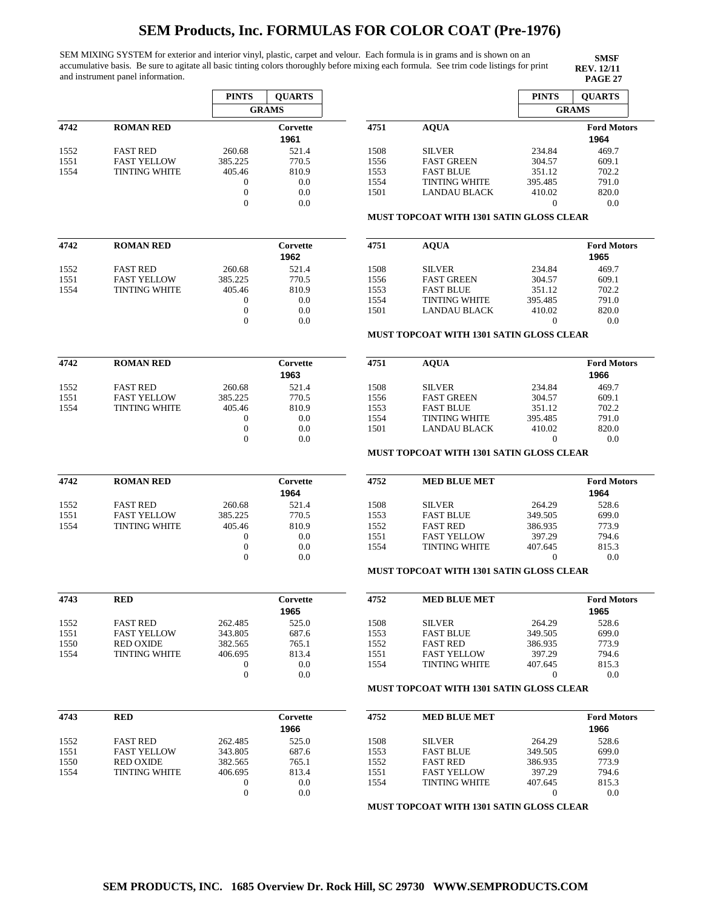SEM MIXING SYSTEM for exterior and interior vinyl, plastic, carpet and velour. Each formula is in grams and is shown on an accumulative basis. Be sure to agitate all basic tinting colors thoroughly before mixing each formula. See trim code listings for print and instrument panel information.

|              |                      | <b>PINTS</b>                     | <b>QUARTS</b>    |      |                                                 | <b>PINTS</b>   | <b>QUARTS</b>              |
|--------------|----------------------|----------------------------------|------------------|------|-------------------------------------------------|----------------|----------------------------|
|              |                      |                                  | <b>GRAMS</b>     |      |                                                 |                | <b>GRAMS</b>               |
| 4742         | <b>ROMAN RED</b>     |                                  | Corvette<br>1961 | 4751 | <b>AQUA</b>                                     |                | <b>Ford Motors</b><br>1964 |
| 1552         | <b>FAST RED</b>      | 260.68                           | 521.4            | 1508 | <b>SILVER</b>                                   | 234.84         | 469.7                      |
| 1551         | <b>FAST YELLOW</b>   | 385.225                          | 770.5            | 1556 | <b>FAST GREEN</b>                               | 304.57         | 609.1                      |
| 1554         | <b>TINTING WHITE</b> | 405.46                           | 810.9            | 1553 | <b>FAST BLUE</b>                                | 351.12         | 702.2                      |
|              |                      | $\mathbf{0}$                     | 0.0              | 1554 | <b>TINTING WHITE</b>                            | 395.485        | 791.0                      |
|              |                      | $\mathbf{0}$                     | 0.0              | 1501 | <b>LANDAU BLACK</b>                             | 410.02         | 820.0                      |
|              |                      | $\mathbf{0}$                     | 0.0              |      |                                                 | $\theta$       | 0.0                        |
|              |                      |                                  |                  |      | <b>MUST TOPCOAT WITH 1301 SATIN GLOSS CLEAR</b> |                |                            |
|              |                      |                                  |                  |      |                                                 |                |                            |
| 4742         | <b>ROMAN RED</b>     |                                  | Corvette<br>1962 | 4751 | <b>AOUA</b>                                     |                | <b>Ford Motors</b><br>1965 |
| 1552         | <b>FAST RED</b>      | 260.68                           | 521.4            | 1508 | <b>SILVER</b>                                   | 234.84         | 469.7                      |
| 1551         | <b>FAST YELLOW</b>   | 385.225                          | 770.5            | 1556 | <b>FAST GREEN</b>                               | 304.57         | 609.1                      |
| 1554         | <b>TINTING WHITE</b> | 405.46                           | 810.9            | 1553 | <b>FAST BLUE</b>                                | 351.12         | 702.2                      |
|              |                      | $\mathbf{0}$                     | 0.0              | 1554 | <b>TINTING WHITE</b>                            | 395.485        | 791.0                      |
|              |                      | $\mathbf{0}$                     | 0.0              | 1501 | <b>LANDAU BLACK</b>                             | 410.02         | 820.0                      |
|              |                      | $\mathbf{0}$                     | 0.0              |      |                                                 | $\theta$       | 0.0                        |
|              |                      |                                  |                  |      | MUST TOPCOAT WITH 1301 SATIN GLOSS CLEAR        |                |                            |
|              |                      |                                  |                  |      |                                                 |                |                            |
| 4742         | <b>ROMAN RED</b>     |                                  | Corvette<br>1963 | 4751 | <b>AQUA</b>                                     |                | <b>Ford Motors</b><br>1966 |
| 1552         | <b>FAST RED</b>      | 260.68                           | 521.4            | 1508 | <b>SILVER</b>                                   | 234.84         | 469.7                      |
| 1551         | <b>FAST YELLOW</b>   | 385.225                          | 770.5            | 1556 | <b>FAST GREEN</b>                               | 304.57         | 609.1                      |
| 1554         | <b>TINTING WHITE</b> | 405.46                           | 810.9            | 1553 | <b>FAST BLUE</b>                                | 351.12         | 702.2                      |
|              |                      | $\mathbf{0}$                     | 0.0              | 1554 | <b>TINTING WHITE</b>                            | 395.485        | 791.0                      |
|              |                      | $\boldsymbol{0}$                 | 0.0              | 1501 | <b>LANDAU BLACK</b>                             | 410.02         | 820.0                      |
|              |                      | $\Omega$                         | 0.0              |      |                                                 | $\overline{0}$ | 0.0                        |
|              |                      |                                  |                  |      |                                                 |                |                            |
|              |                      |                                  |                  |      | MUST TOPCOAT WITH 1301 SATIN GLOSS CLEAR        |                |                            |
| 4742         | <b>ROMAN RED</b>     |                                  | Corvette<br>1964 | 4752 | <b>MED BLUE MET</b>                             |                | <b>Ford Motors</b><br>1964 |
|              |                      |                                  |                  |      |                                                 |                |                            |
| 1552         | <b>FAST RED</b>      | 260.68                           | 521.4            | 1508 | <b>SILVER</b>                                   | 264.29         | 528.6                      |
| 1551         | <b>FAST YELLOW</b>   | 385.225                          | 770.5            | 1553 | <b>FAST BLUE</b>                                | 349.505        | 699.0                      |
| 1554         | <b>TINTING WHITE</b> | 405.46                           | 810.9            | 1552 | <b>FAST RED</b>                                 | 386.935        | 773.9                      |
|              |                      | $\mathbf{0}$                     | 0.0              | 1551 | <b>FAST YELLOW</b>                              | 397.29         | 794.6                      |
|              |                      | $\mathbf{0}$                     | 0.0              | 1554 | <b>TINTING WHITE</b>                            | 407.645        | 815.3                      |
|              |                      | $\mathbf{0}$                     | 0.0              |      | MUST TOPCOAT WITH 1301 SATIN GLOSS CLEAR        | $\mathbf{0}$   | 0.0                        |
|              |                      |                                  |                  |      |                                                 |                |                            |
|              | <b>RED</b>           |                                  | Corvette<br>1965 | 4752 | <b>MED BLUE MET</b>                             |                | <b>Ford Motors</b><br>1965 |
| 1552         | <b>FAST RED</b>      | 262.485                          | 525.0            | 1508 | <b>SILVER</b>                                   | 264.29         | 528.6                      |
| 1551         | <b>FAST YELLOW</b>   | 343.805                          | 687.6            | 1553 | <b>FAST BLUE</b>                                | 349.505        | 699.0                      |
| 1550         | <b>RED OXIDE</b>     | 382.565                          | 765.1            | 1552 | <b>FAST RED</b>                                 | 386.935        | 773.9                      |
| 4743<br>1554 | <b>TINTING WHITE</b> | 406.695                          | 813.4            | 1551 | <b>FAST YELLOW</b>                              | 397.29         | 794.6                      |
|              |                      | $\boldsymbol{0}$                 |                  | 1554 |                                                 | 407.645        | 815.3                      |
|              |                      | $\boldsymbol{0}$                 | 0.0<br>0.0       |      | <b>TINTING WHITE</b>                            | $\theta$       | 0.0                        |
|              |                      |                                  |                  |      | MUST TOPCOAT WITH 1301 SATIN GLOSS CLEAR        |                |                            |
| 4743         | <b>RED</b>           |                                  | Corvette         | 4752 | <b>MED BLUE MET</b>                             |                | <b>Ford Motors</b>         |
|              |                      |                                  | 1966             |      |                                                 |                | 1966                       |
| 1552         | <b>FAST RED</b>      | 262.485                          | 525.0            | 1508 | <b>SILVER</b>                                   | 264.29         | 528.6                      |
| 1551         | <b>FAST YELLOW</b>   | 343.805                          | 687.6            | 1553 | <b>FAST BLUE</b>                                | 349.505        | 699.0                      |
|              | <b>RED OXIDE</b>     | 382.565                          |                  |      |                                                 |                | 773.9                      |
| 1550         |                      |                                  | 765.1            | 1552 | <b>FAST RED</b>                                 | 386.935        |                            |
| 1554         | TINTING WHITE        | 406.695                          | 813.4            | 1551 | <b>FAST YELLOW</b>                              | 397.29         | 794.6                      |
|              |                      | $\mathbf{0}$<br>$\boldsymbol{0}$ | 0.0<br>0.0       | 1554 | TINTING WHITE                                   | 407.645<br>0   | 815.3<br>0.0               |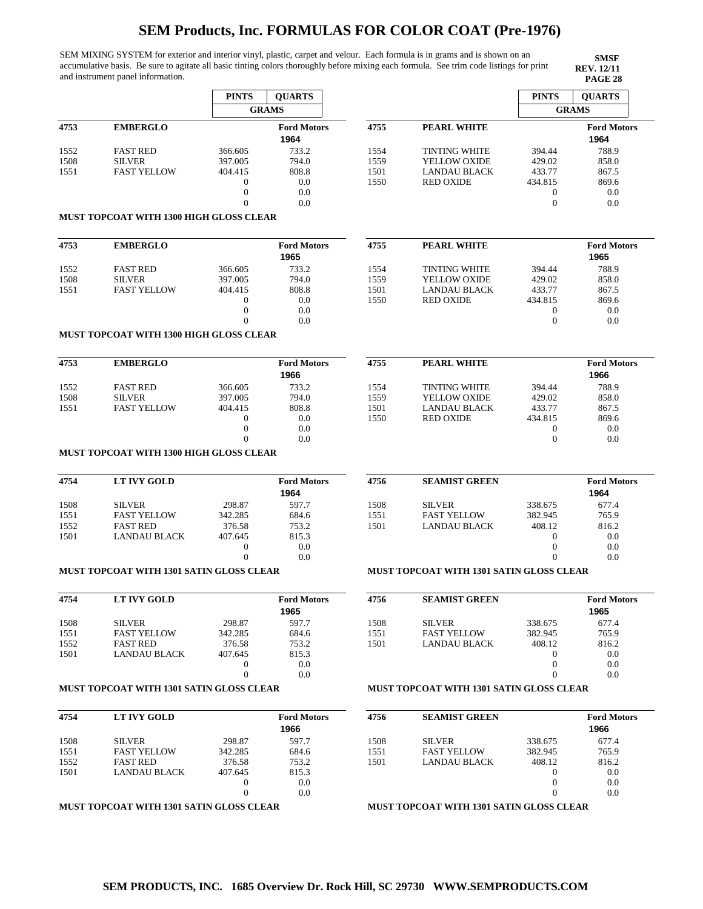SEM MIXING SYSTEM for exterior and interior vinyl, plastic, carpet and velour. Each formula is in grams and is shown on an accumulative basis. Be sure to agitate all basic tinting colors thoroughly before mixing each formula. See trim code listings for print and instrument panel information.

**SMSF REV. 12/11**

|      |                                                 | <b>PINTS</b>             | <b>OUARTS</b>              |      |                                                 | <b>PINTS</b>         | <b>OUARTS</b>              |
|------|-------------------------------------------------|--------------------------|----------------------------|------|-------------------------------------------------|----------------------|----------------------------|
|      |                                                 |                          | <b>GRAMS</b>               |      |                                                 |                      | <b>GRAMS</b>               |
| 4753 | <b>EMBERGLO</b>                                 |                          | <b>Ford Motors</b><br>1964 | 4755 | <b>PEARL WHITE</b>                              |                      | <b>Ford Motors</b><br>1964 |
| 1552 | <b>FAST RED</b>                                 | 366.605                  | 733.2                      | 1554 | <b>TINTING WHITE</b>                            | 394.44               | 788.9                      |
| 1508 | <b>SILVER</b>                                   | 397.005                  | 794.0                      | 1559 | YELLOW OXIDE                                    | 429.02               | 858.0                      |
| 1551 | <b>FAST YELLOW</b>                              | 404.415                  | 808.8                      | 1501 | <b>LANDAU BLACK</b>                             | 433.77               | 867.5                      |
|      |                                                 | $\mathbf{0}$             | 0.0                        | 1550 | <b>RED OXIDE</b>                                | 434.815              | 869.6                      |
|      |                                                 | $\overline{0}$           | 0.0                        |      |                                                 | $\bf{0}$             | 0.0                        |
|      |                                                 | $\theta$                 | 0.0                        |      |                                                 | $\mathbf{0}$         | 0.0                        |
|      | <b>MUST TOPCOAT WITH 1300 HIGH GLOSS CLEAR</b>  |                          |                            |      |                                                 |                      |                            |
| 4753 | <b>EMBERGLO</b>                                 |                          | <b>Ford Motors</b>         | 4755 | <b>PEARL WHITE</b>                              |                      | <b>Ford Motors</b>         |
| 1552 | <b>FAST RED</b>                                 | 366.605                  | 1965<br>733.2              | 1554 | <b>TINTING WHITE</b>                            | 394.44               | 1965<br>788.9              |
| 1508 | <b>SILVER</b>                                   | 397.005                  | 794.0                      | 1559 | YELLOW OXIDE                                    | 429.02               | 858.0                      |
| 1551 | <b>FAST YELLOW</b>                              | 404.415                  | 808.8                      | 1501 | <b>LANDAU BLACK</b>                             | 433.77               | 867.5                      |
|      |                                                 | $\mathbf{0}$             | 0.0                        | 1550 | <b>RED OXIDE</b>                                | 434.815              | 869.6                      |
|      |                                                 | $\boldsymbol{0}$         | 0.0                        |      |                                                 | $\bf{0}$             | 0.0                        |
|      |                                                 | $\theta$                 | 0.0                        |      |                                                 | $\mathbf{0}$         | 0.0                        |
|      | MUST TOPCOAT WITH 1300 HIGH GLOSS CLEAR         |                          |                            |      |                                                 |                      |                            |
| 4753 | <b>EMBERGLO</b>                                 |                          | <b>Ford Motors</b>         | 4755 | <b>PEARL WHITE</b>                              |                      | <b>Ford Motors</b>         |
|      |                                                 |                          | 1966                       |      |                                                 |                      | 1966                       |
| 1552 | <b>FAST RED</b>                                 | 366.605                  | 733.2                      | 1554 | <b>TINTING WHITE</b>                            | 394.44               | 788.9                      |
| 1508 | <b>SILVER</b>                                   | 397.005                  | 794.0                      | 1559 | YELLOW OXIDE                                    | 429.02               | 858.0                      |
| 1551 | <b>FAST YELLOW</b>                              | 404.415                  | 808.8                      | 1501 | LANDAU BLACK                                    | 433.77               | 867.5                      |
|      |                                                 | $\mathbf{0}$             | 0.0                        | 1550 | <b>RED OXIDE</b>                                | 434.815              | 869.6                      |
|      |                                                 | $\mathbf{0}$             | 0.0                        |      |                                                 | 0                    | 0.0                        |
|      |                                                 | $\theta$                 | 0.0                        |      |                                                 | $\overline{0}$       | 0.0                        |
|      | MUST TOPCOAT WITH 1300 HIGH GLOSS CLEAR         |                          |                            |      |                                                 |                      |                            |
| 4754 | <b>LT IVY GOLD</b>                              |                          | <b>Ford Motors</b><br>1964 | 4756 | <b>SEAMIST GREEN</b>                            |                      | <b>Ford Motors</b><br>1964 |
|      |                                                 |                          |                            |      |                                                 |                      |                            |
| 1508 | <b>SILVER</b>                                   | 298.87                   | 597.7                      | 1508 | <b>SILVER</b>                                   | 338.675              | 677.4                      |
| 1551 | <b>FAST YELLOW</b>                              | 342.285                  | 684.6                      | 1551 | <b>FAST YELLOW</b>                              | 382.945              | 765.9                      |
| 1552 | <b>FAST RED</b>                                 | 376.58                   | 753.2                      | 1501 | <b>LANDAU BLACK</b>                             | 408.12               | 816.2                      |
| 1501 | <b>LANDAU BLACK</b>                             | 407.645                  | 815.3                      |      |                                                 | $\theta$             | 0.0                        |
|      |                                                 | $\mathbf{0}$<br>$\Omega$ | 0.0<br>0.0                 |      |                                                 | $\theta$<br>$\Omega$ | 0.0<br>0.0                 |
|      |                                                 |                          |                            |      |                                                 |                      |                            |
|      | <b>MUST TOPCOAT WITH 1301 SATIN GLOSS CLEAR</b> |                          |                            |      | <b>MUST TOPCOAT WITH 1301 SATIN GLOSS CLEAR</b> |                      |                            |
| 4754 | LT IVY GOLD                                     |                          | <b>Ford Motors</b><br>1965 | 4756 | <b>SEAMIST GREEN</b>                            |                      | <b>Ford Motors</b><br>1965 |
| 1508 | <b>SILVER</b>                                   | 298.87                   | 597.7                      | 1508 | <b>SILVER</b>                                   | 338.675              | 677.4                      |
| 1551 | <b>FAST YELLOW</b>                              | 342.285                  | 684.6                      | 1551 | <b>FAST YELLOW</b>                              | 382.945              | 765.9                      |
| 1552 | <b>FAST RED</b>                                 | 376.58                   | 753.2                      | 1501 | <b>LANDAU BLACK</b>                             | 408.12               | 816.2                      |
| 1501 | <b>LANDAU BLACK</b>                             | 407.645                  | 815.3                      |      |                                                 | $\bf{0}$             | 0.0                        |
|      |                                                 | $\boldsymbol{0}$         | 0.0                        |      |                                                 | $\boldsymbol{0}$     | 0.0                        |
|      |                                                 | $\mathbf{0}$             | 0.0                        |      |                                                 | $\overline{0}$       | 0.0                        |
|      | MUST TOPCOAT WITH 1301 SATIN GLOSS CLEAR        |                          |                            |      | <b>MUST TOPCOAT WITH 1301 SATIN GLOSS CLEAR</b> |                      |                            |
| 4754 | <b>LT IVY GOLD</b>                              |                          | <b>Ford Motors</b>         | 4756 | <b>SEAMIST GREEN</b>                            |                      | <b>Ford Motors</b>         |
|      |                                                 |                          | 1966                       |      |                                                 |                      | 1966                       |
| 1508 | <b>SILVER</b>                                   | 298.87                   | 597.7                      | 1508 | <b>SILVER</b>                                   | 338.675              | 677.4                      |
| 1551 | <b>FAST YELLOW</b>                              | 342.285                  | 684.6                      | 1551 | <b>FAST YELLOW</b>                              | 382.945              | 765.9                      |
| 1552 | <b>FAST RED</b>                                 | 376.58                   | 753.2                      | 1501 | LANDAU BLACK                                    | 408.12               | 816.2                      |
| 1501 | LANDAU BLACK                                    | 407.645                  | 815.3                      |      |                                                 | $\boldsymbol{0}$     | 0.0                        |
|      |                                                 | $\overline{0}$           | 0.0                        |      |                                                 | $\mathbf{0}$         | 0.0                        |

**MUST TOPCOAT WITH 1301 SATIN GLOSS CLEAR**

 $\Omega$ 

0.0

0

0.0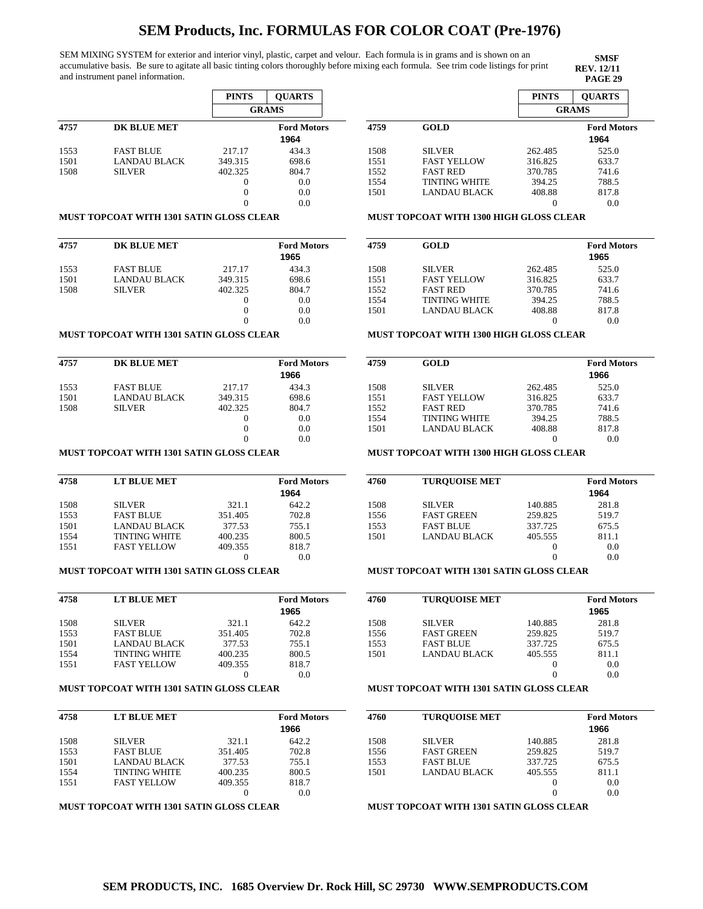SEM MIXING SYSTEM for exterior and interior vinyl, plastic, carpet and velour. Each formula is in grams and is shown on an accumulative basis. Be sure to agitate all basic tinting colors thoroughly before mixing each formula. See trim code listings for print and instrument panel information.

**SMSF REV. 12/11**

|      |                     | <b>PINTS</b> | <b>OUARTS</b>      |
|------|---------------------|--------------|--------------------|
|      |                     |              | <b>GRAMS</b>       |
| 4757 | <b>DK BLUE MET</b>  |              | <b>Ford Motors</b> |
|      |                     |              | 1964               |
| 1553 | <b>FAST BLUE</b>    | 217.17       | 434.3              |
| 1501 | <b>LANDAU BLACK</b> | 349.315      | 698.6              |
| 1508 | <b>SILVER</b>       | 402.325      | 804.7              |
|      |                     | 0            | 0.0                |
|      |                     | 0            | 0.0                |
|      |                     |              | 0.0                |

#### **MUST TOPCOAT WITH 1301 SATIN GLOSS CLEAR**

| 4757 | <b>DK BLUE MET</b>  |          | <b>Ford Motors</b><br>1965 |
|------|---------------------|----------|----------------------------|
| 1553 | <b>FAST BLUE</b>    | 217.17   | 434.3                      |
| 1501 | <b>LANDAU BLACK</b> | 349.315  | 698.6                      |
| 1508 | <b>SILVER</b>       | 402.325  | 804.7                      |
|      |                     | $\theta$ | 0.0                        |
|      |                     | 0        | 0.0                        |
|      |                     |          | 0.0                        |

#### **MUST TOPCOAT WITH 1301 SATIN GLOSS CLEAR**

| 4757 | <b>DK BLUE MET</b>  |          | <b>Ford Motors</b><br>1966 |
|------|---------------------|----------|----------------------------|
| 1553 | <b>FAST BLUE</b>    | 217.17   | 434.3                      |
| 1501 | <b>LANDAU BLACK</b> | 349.315  | 698.6                      |
| 1508 | <b>SILVER</b>       | 402.325  | 804.7                      |
|      |                     | $\theta$ | 0.0                        |
|      |                     | 0        | 0.0                        |
|      |                     | 0        | 0.0                        |

## **MUST TOPCOAT WITH 1301 SATIN GLOSS CLEAR**

| 4758 | LT BLUE MET          | <b>Ford Motors</b> |       |
|------|----------------------|--------------------|-------|
|      |                      |                    | 1964  |
| 1508 | <b>SILVER</b>        | 321.1              | 642.2 |
| 1553 | <b>FAST BLUE</b>     | 351.405            | 702.8 |
| 1501 | LANDAU BLACK         | 377.53             | 755.1 |
| 1554 | <b>TINTING WHITE</b> | 400.235            | 800.5 |
| 1551 | <b>FAST YELLOW</b>   | 409.355            | 818.7 |
|      |                      |                    | 0.0   |

### **MUST TOPCOAT WITH 1301 SATIN GLOSS CLEAR**

| 4758 | LT BLUE MET          |         | <b>Ford Motors</b><br>1965 |
|------|----------------------|---------|----------------------------|
| 1508 | <b>SILVER</b>        | 321.1   | 642.2                      |
| 1553 | <b>FAST BLUE</b>     | 351.405 | 702.8                      |
| 1501 | LANDAU BLACK         | 377.53  | 755.1                      |
| 1554 | <b>TINTING WHITE</b> | 400.235 | 800.5                      |
| 1551 | <b>FAST YELLOW</b>   | 409.355 | 818.7                      |
|      |                      |         | 0.0                        |

#### **MUST TOPCOAT WITH 1301 SATIN GLOSS CLEAR**

| 4758 | LT BLUE MET          | <b>Ford Motors</b> |       |
|------|----------------------|--------------------|-------|
|      |                      |                    | 1966  |
| 1508 | <b>SILVER</b>        | 321.1              | 642.2 |
| 1553 | <b>FAST BLUE</b>     | 351.405            | 702.8 |
| 1501 | LANDAU BLACK         | 377.53             | 755.1 |
| 1554 | <b>TINTING WHITE</b> | 400.235            | 800.5 |
| 1551 | <b>FAST YELLOW</b>   | 409.355            | 818.7 |
|      |                      |                    | 0.0   |

## **MUST TOPCOAT WITH 1301 SATIN GLOSS CLEAR**

|      |                      | <b>PINTS</b> | <b>OUARTS</b>      |
|------|----------------------|--------------|--------------------|
|      |                      |              | <b>GRAMS</b>       |
| 4759 | <b>GOLD</b>          |              | <b>Ford Motors</b> |
|      |                      |              | 1964               |
| 1508 | <b>SILVER</b>        | 262.485      | 525.0              |
| 1551 | <b>FAST YELLOW</b>   | 316.825      | 633.7              |
| 1552 | <b>FAST RED</b>      | 370.785      | 741.6              |
| 1554 | <b>TINTING WHITE</b> | 394.25       | 788.5              |
| 1501 | LANDAU BLACK         | 408.88       | 817.8              |
|      |                      |              | 0.0                |

#### **MUST TOPCOAT WITH 1300 HIGH GLOSS CLEAR**

| 4759 | <b>GOLD</b>          |         | <b>Ford Motors</b> |
|------|----------------------|---------|--------------------|
|      |                      |         | 1965               |
| 1508 | <b>SILVER</b>        | 262.485 | 525.0              |
| 1551 | <b>FAST YELLOW</b>   | 316.825 | 633.7              |
| 1552 | <b>FAST RED</b>      | 370.785 | 741.6              |
| 1554 | <b>TINTING WHITE</b> | 394.25  | 788.5              |
| 1501 | <b>LANDAU BLACK</b>  | 408.88  | 817.8              |
|      |                      |         | 0.0                |

#### **MUST TOPCOAT WITH 1300 HIGH GLOSS CLEAR**

| 4759 | <b>GOLD</b>          |         | <b>Ford Motors</b> |
|------|----------------------|---------|--------------------|
|      |                      |         | 1966               |
| 1508 | <b>SILVER</b>        | 262.485 | 525.0              |
| 1551 | <b>FAST YELLOW</b>   | 316.825 | 633.7              |
| 1552 | <b>FAST RED</b>      | 370.785 | 741.6              |
| 1554 | <b>TINTING WHITE</b> | 394.25  | 788.5              |
| 1501 | LANDAU BLACK         | 408.88  | 817.8              |
|      |                      |         | 0.0                |
|      |                      |         |                    |

### **MUST TOPCOAT WITH 1300 HIGH GLOSS CLEAR**

| 4760 | <b>TUROUOISE MET</b> |         | <b>Ford Motors</b><br>1964 |
|------|----------------------|---------|----------------------------|
| 1508 | <b>SILVER</b>        | 140.885 | 281.8                      |
| 1556 | <b>FAST GREEN</b>    | 259.825 | 519.7                      |
| 1553 | <b>FAST BLUE</b>     | 337.725 | 675.5                      |
| 1501 | LANDAU BLACK         | 405.555 | 811.1                      |
|      |                      | $_{0}$  | 0.0                        |
|      |                      |         | 0.0                        |

## **MUST TOPCOAT WITH 1301 SATIN GLOSS CLEAR**

| 4760 | <b>TUROUOISE MET</b> |         | <b>Ford Motors</b> |
|------|----------------------|---------|--------------------|
|      |                      |         | 1965               |
| 1508 | <b>SILVER</b>        | 140.885 | 281.8              |
| 1556 | <b>FAST GREEN</b>    | 259.825 | 519.7              |
| 1553 | <b>FAST BLUE</b>     | 337.725 | 675.5              |
| 1501 | LANDAU BLACK         | 405.555 | 811.1              |
|      |                      |         | 0.0                |
|      |                      |         | 0.0                |

### **MUST TOPCOAT WITH 1301 SATIN GLOSS CLEAR**

| 4760 | <b>TUROUOISE MET</b> |          | <b>Ford Motors</b><br>1966 |
|------|----------------------|----------|----------------------------|
| 1508 | <b>SILVER</b>        | 140.885  | 281.8                      |
| 1556 | <b>FAST GREEN</b>    | 259.825  | 519.7                      |
| 1553 | <b>FAST BLUE</b>     | 337.725  | 675.5                      |
| 1501 | <b>LANDAU BLACK</b>  | 405.555  | 811.1                      |
|      |                      | $\theta$ | 0.0                        |
|      |                      | 0        | 0.0                        |
|      |                      |          |                            |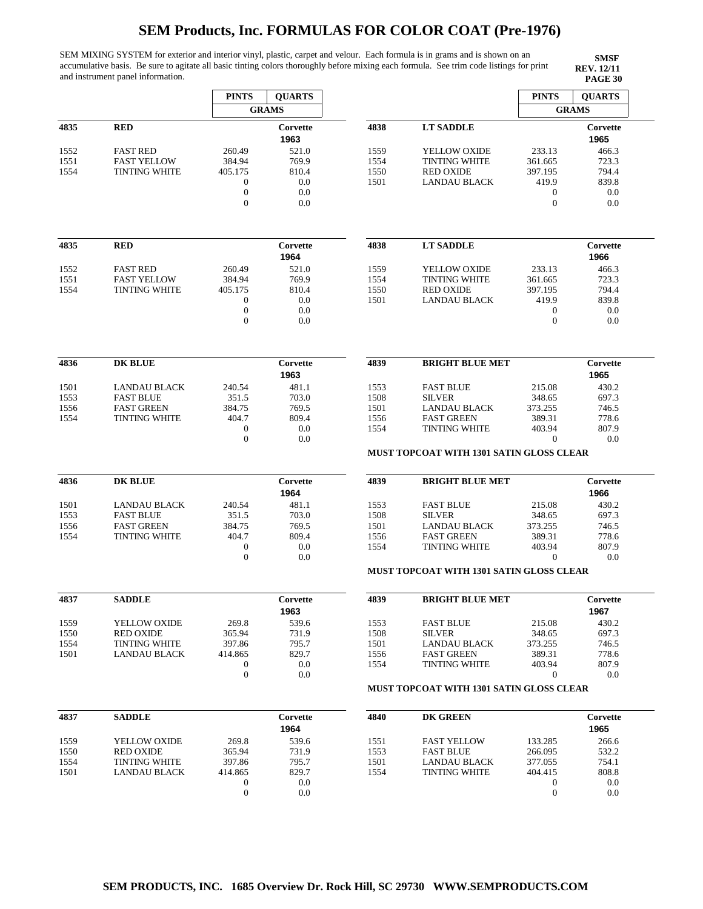SEM MIXING SYSTEM for exterior and interior vinyl, plastic, carpet and velour. Each formula is in grams and is shown on an accumulative basis. Be sure to agitate all basic tinting colors thoroughly before mixing each formula. See trim code listings for print and instrument panel information.

**SMSF REV. 12/11<br>PAGE 30** 

| <b>RED</b><br><b>FAST RED</b><br><b>FAST YELLOW</b><br><b>TINTING WHITE</b> | 260.49<br>384.94<br>405.175                                                                               | <b>GRAMS</b><br>Corvette<br>1963<br>521.0                                                                                            | 4838                                                                                   | <b>LT SADDLE</b>                                     |                                                                                                                                                               | <b>GRAMS</b><br>Corvette<br>1965                                                                                                                                                                                                                                   |
|-----------------------------------------------------------------------------|-----------------------------------------------------------------------------------------------------------|--------------------------------------------------------------------------------------------------------------------------------------|----------------------------------------------------------------------------------------|------------------------------------------------------|---------------------------------------------------------------------------------------------------------------------------------------------------------------|--------------------------------------------------------------------------------------------------------------------------------------------------------------------------------------------------------------------------------------------------------------------|
|                                                                             |                                                                                                           |                                                                                                                                      |                                                                                        |                                                      |                                                                                                                                                               |                                                                                                                                                                                                                                                                    |
|                                                                             |                                                                                                           |                                                                                                                                      |                                                                                        |                                                      |                                                                                                                                                               |                                                                                                                                                                                                                                                                    |
|                                                                             |                                                                                                           |                                                                                                                                      | 1559                                                                                   | YELLOW OXIDE                                         | 233.13                                                                                                                                                        | 466.3                                                                                                                                                                                                                                                              |
|                                                                             |                                                                                                           | 769.9                                                                                                                                | 1554                                                                                   | <b>TINTING WHITE</b>                                 | 361.665                                                                                                                                                       | 723.3                                                                                                                                                                                                                                                              |
|                                                                             |                                                                                                           | 810.4                                                                                                                                | 1550                                                                                   | <b>RED OXIDE</b>                                     | 397.195                                                                                                                                                       | 794.4                                                                                                                                                                                                                                                              |
|                                                                             | $\boldsymbol{0}$                                                                                          | 0.0                                                                                                                                  | 1501                                                                                   | <b>LANDAU BLACK</b>                                  | 419.9                                                                                                                                                         | 839.8                                                                                                                                                                                                                                                              |
|                                                                             | $\boldsymbol{0}$                                                                                          | 0.0                                                                                                                                  |                                                                                        |                                                      | $\boldsymbol{0}$                                                                                                                                              | 0.0                                                                                                                                                                                                                                                                |
|                                                                             | $\mathbf{0}$                                                                                              | 0.0                                                                                                                                  |                                                                                        |                                                      | $\overline{0}$                                                                                                                                                | 0.0                                                                                                                                                                                                                                                                |
|                                                                             |                                                                                                           |                                                                                                                                      |                                                                                        |                                                      |                                                                                                                                                               |                                                                                                                                                                                                                                                                    |
| <b>RED</b>                                                                  |                                                                                                           | Corvette<br>1964                                                                                                                     | 4838                                                                                   | <b>LT SADDLE</b>                                     |                                                                                                                                                               | Corvette<br>1966                                                                                                                                                                                                                                                   |
|                                                                             |                                                                                                           |                                                                                                                                      |                                                                                        |                                                      |                                                                                                                                                               | 466.3                                                                                                                                                                                                                                                              |
|                                                                             |                                                                                                           |                                                                                                                                      |                                                                                        |                                                      |                                                                                                                                                               | 723.3                                                                                                                                                                                                                                                              |
|                                                                             |                                                                                                           |                                                                                                                                      |                                                                                        |                                                      |                                                                                                                                                               | 794.4                                                                                                                                                                                                                                                              |
|                                                                             |                                                                                                           |                                                                                                                                      |                                                                                        |                                                      |                                                                                                                                                               | 839.8                                                                                                                                                                                                                                                              |
|                                                                             | $\mathbf{0}$                                                                                              | 0.0                                                                                                                                  |                                                                                        |                                                      | $\mathbf{0}$                                                                                                                                                  | 0.0<br>0.0                                                                                                                                                                                                                                                         |
|                                                                             |                                                                                                           |                                                                                                                                      |                                                                                        |                                                      |                                                                                                                                                               |                                                                                                                                                                                                                                                                    |
| <b>DK BLUE</b>                                                              |                                                                                                           | Corvette<br>1963                                                                                                                     | 4839                                                                                   | <b>BRIGHT BLUE MET</b>                               |                                                                                                                                                               | Corvette<br>1965                                                                                                                                                                                                                                                   |
| <b>LANDAU BLACK</b>                                                         | 240.54                                                                                                    | 481.1                                                                                                                                | 1553                                                                                   | <b>FAST BLUE</b>                                     | 215.08                                                                                                                                                        | 430.2                                                                                                                                                                                                                                                              |
| <b>FAST BLUE</b>                                                            | 351.5                                                                                                     | 703.0                                                                                                                                | 1508                                                                                   | <b>SILVER</b>                                        | 348.65                                                                                                                                                        | 697.3                                                                                                                                                                                                                                                              |
| <b>FAST GREEN</b>                                                           |                                                                                                           |                                                                                                                                      |                                                                                        |                                                      |                                                                                                                                                               | 746.5                                                                                                                                                                                                                                                              |
|                                                                             |                                                                                                           |                                                                                                                                      |                                                                                        |                                                      |                                                                                                                                                               | 778.6                                                                                                                                                                                                                                                              |
|                                                                             |                                                                                                           |                                                                                                                                      | 1554                                                                                   |                                                      |                                                                                                                                                               | 807.9                                                                                                                                                                                                                                                              |
|                                                                             |                                                                                                           |                                                                                                                                      |                                                                                        |                                                      |                                                                                                                                                               | 0.0                                                                                                                                                                                                                                                                |
| <b>DK BLUE</b>                                                              |                                                                                                           | Corvette                                                                                                                             | 4839                                                                                   | <b>BRIGHT BLUE MET</b>                               |                                                                                                                                                               | Corvette                                                                                                                                                                                                                                                           |
|                                                                             |                                                                                                           | 1964                                                                                                                                 |                                                                                        |                                                      |                                                                                                                                                               | 1966                                                                                                                                                                                                                                                               |
| LANDAU BLACK                                                                | 240.54                                                                                                    | 481.1                                                                                                                                | 1553                                                                                   | <b>FAST BLUE</b>                                     | 215.08                                                                                                                                                        | 430.2                                                                                                                                                                                                                                                              |
| <b>FAST BLUE</b>                                                            | 351.5                                                                                                     | 703.0                                                                                                                                | 1508                                                                                   | <b>SILVER</b>                                        | 348.65                                                                                                                                                        | 697.3                                                                                                                                                                                                                                                              |
| <b>FAST GREEN</b>                                                           | 384.75                                                                                                    | 769.5                                                                                                                                | 1501                                                                                   | <b>LANDAU BLACK</b>                                  | 373.255                                                                                                                                                       | 746.5                                                                                                                                                                                                                                                              |
| <b>TINTING WHITE</b>                                                        | 404.7                                                                                                     | 809.4                                                                                                                                | 1556                                                                                   | <b>FAST GREEN</b>                                    | 389.31                                                                                                                                                        | 778.6                                                                                                                                                                                                                                                              |
|                                                                             | $\boldsymbol{0}$                                                                                          | 0.0                                                                                                                                  | 1554                                                                                   | <b>TINTING WHITE</b>                                 | 403.94                                                                                                                                                        | 807.9                                                                                                                                                                                                                                                              |
|                                                                             | $\boldsymbol{0}$                                                                                          | 0.0                                                                                                                                  |                                                                                        |                                                      | $\theta$                                                                                                                                                      | 0.0                                                                                                                                                                                                                                                                |
|                                                                             |                                                                                                           |                                                                                                                                      |                                                                                        |                                                      |                                                                                                                                                               |                                                                                                                                                                                                                                                                    |
| <b>SADDLE</b>                                                               |                                                                                                           | Corvette<br>1963                                                                                                                     | 4839                                                                                   | <b>BRIGHT BLUE MET</b>                               |                                                                                                                                                               | Corvette<br>1967                                                                                                                                                                                                                                                   |
| YELLOW OXIDE                                                                | 269.8                                                                                                     | 539.6                                                                                                                                | 1553                                                                                   | <b>FAST BLUE</b>                                     | 215.08                                                                                                                                                        | 430.2                                                                                                                                                                                                                                                              |
|                                                                             |                                                                                                           |                                                                                                                                      |                                                                                        |                                                      |                                                                                                                                                               | 697.3                                                                                                                                                                                                                                                              |
| <b>TINTING WHITE</b>                                                        | 397.86                                                                                                    | 795.7                                                                                                                                | 1501                                                                                   | <b>LANDAU BLACK</b>                                  | 373.255                                                                                                                                                       | 746.5                                                                                                                                                                                                                                                              |
| <b>LANDAU BLACK</b>                                                         | 414.865                                                                                                   | 829.7                                                                                                                                | 1556                                                                                   | <b>FAST GREEN</b>                                    | 389.31                                                                                                                                                        | 778.6                                                                                                                                                                                                                                                              |
|                                                                             | $\boldsymbol{0}$                                                                                          | 0.0                                                                                                                                  | 1554                                                                                   | <b>TINTING WHITE</b>                                 | 403.94                                                                                                                                                        | 807.9                                                                                                                                                                                                                                                              |
|                                                                             | $\mathbf{0}$                                                                                              | 0.0                                                                                                                                  |                                                                                        |                                                      | $\boldsymbol{0}$                                                                                                                                              | 0.0                                                                                                                                                                                                                                                                |
|                                                                             |                                                                                                           |                                                                                                                                      |                                                                                        |                                                      |                                                                                                                                                               |                                                                                                                                                                                                                                                                    |
| <b>SADDLE</b>                                                               |                                                                                                           | Corvette                                                                                                                             | 4840                                                                                   | DK GREEN                                             |                                                                                                                                                               | Corvette                                                                                                                                                                                                                                                           |
|                                                                             |                                                                                                           |                                                                                                                                      |                                                                                        |                                                      |                                                                                                                                                               | 1965                                                                                                                                                                                                                                                               |
| YELLOW OXIDE                                                                | 269.8                                                                                                     | 539.6                                                                                                                                | 1551                                                                                   | <b>FAST YELLOW</b>                                   | 133.285                                                                                                                                                       | 266.6                                                                                                                                                                                                                                                              |
| <b>RED OXIDE</b>                                                            | 365.94                                                                                                    | 731.9                                                                                                                                | 1553                                                                                   | <b>FAST BLUE</b>                                     | 266.095                                                                                                                                                       | 532.2                                                                                                                                                                                                                                                              |
| <b>TINTING WHITE</b>                                                        | 397.86                                                                                                    | 795.7                                                                                                                                | 1501                                                                                   | <b>LANDAU BLACK</b>                                  | 377.055                                                                                                                                                       | 754.1                                                                                                                                                                                                                                                              |
| <b>LANDAU BLACK</b>                                                         | 414.865                                                                                                   | 829.7                                                                                                                                | 1554                                                                                   | <b>TINTING WHITE</b>                                 | 404.415                                                                                                                                                       | 808.8                                                                                                                                                                                                                                                              |
|                                                                             | $\boldsymbol{0}$                                                                                          | 0.0                                                                                                                                  |                                                                                        |                                                      | $\mathbf{0}$                                                                                                                                                  | 0.0                                                                                                                                                                                                                                                                |
|                                                                             | $\boldsymbol{0}$                                                                                          | 0.0                                                                                                                                  |                                                                                        |                                                      | $\mathbf{0}$                                                                                                                                                  | 0.0                                                                                                                                                                                                                                                                |
|                                                                             | <b>FAST RED</b><br><b>FAST YELLOW</b><br><b>TINTING WHITE</b><br><b>TINTING WHITE</b><br><b>RED OXIDE</b> | 260.49<br>384.94<br>405.175<br>$\mathbf{0}$<br>$\boldsymbol{0}$<br>384.75<br>404.7<br>$\boldsymbol{0}$<br>$\boldsymbol{0}$<br>365.94 | 521.0<br>769.9<br>810.4<br>0.0<br>0.0<br>769.5<br>809.4<br>0.0<br>0.0<br>731.9<br>1964 | 1559<br>1554<br>1550<br>1501<br>1501<br>1556<br>1508 | YELLOW OXIDE<br><b>TINTING WHITE</b><br><b>RED OXIDE</b><br><b>LANDAU BLACK</b><br>LANDAU BLACK<br><b>FAST GREEN</b><br><b>TINTING WHITE</b><br><b>SILVER</b> | 233.13<br>361.665<br>397.195<br>419.9<br>$\mathbf 0$<br>373.255<br>389.31<br>403.94<br>$\theta$<br><b>MUST TOPCOAT WITH 1301 SATIN GLOSS CLEAR</b><br><b>MUST TOPCOAT WITH 1301 SATIN GLOSS CLEAR</b><br>348.65<br><b>MUST TOPCOAT WITH 1301 SATIN GLOSS CLEAR</b> |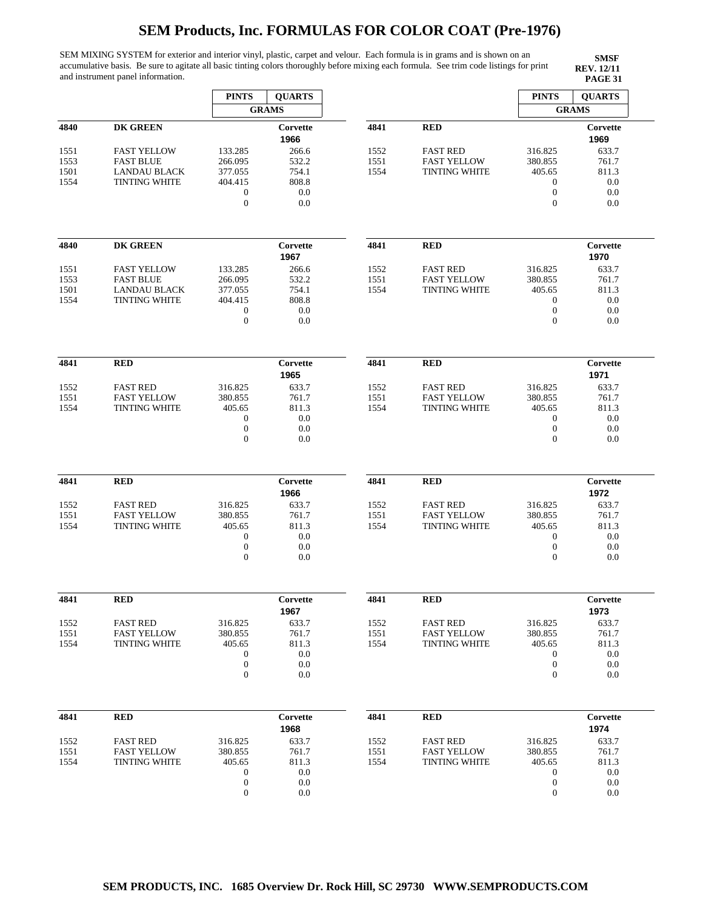SEM MIXING SYSTEM for exterior and interior vinyl, plastic, carpet and velour. Each formula is in grams and is shown on an accumulative basis. Be sure to agitate all basic tinting colors thoroughly before mixing each formula. See trim code listings for print and instrument panel information.

|      |                      | <b>PINTS</b>                     | <b>QUARTS</b>    |      |                      | <b>PINTS</b>                     | <b>QUARTS</b>    |
|------|----------------------|----------------------------------|------------------|------|----------------------|----------------------------------|------------------|
|      |                      |                                  | <b>GRAMS</b>     |      |                      |                                  | <b>GRAMS</b>     |
| 4840 | <b>DK GREEN</b>      |                                  | Corvette<br>1966 | 4841 | <b>RED</b>           |                                  | Corvette<br>1969 |
| 1551 | <b>FAST YELLOW</b>   | 133.285                          | 266.6            | 1552 | <b>FAST RED</b>      | 316.825                          | 633.7            |
| 1553 | <b>FAST BLUE</b>     | 266.095                          | 532.2            | 1551 | <b>FAST YELLOW</b>   | 380.855                          | 761.7            |
| 1501 | <b>LANDAU BLACK</b>  | 377.055                          | 754.1            | 1554 | <b>TINTING WHITE</b> | 405.65                           | 811.3            |
|      |                      |                                  |                  |      |                      |                                  | 0.0              |
| 1554 | <b>TINTING WHITE</b> | 404.415                          | 808.8            |      |                      | $\mathbf{0}$                     |                  |
|      |                      | $\boldsymbol{0}$                 | 0.0              |      |                      | $\boldsymbol{0}$                 | 0.0              |
|      |                      | $\boldsymbol{0}$                 | 0.0              |      |                      | $\boldsymbol{0}$                 | 0.0              |
| 4840 | <b>DK GREEN</b>      |                                  | Corvette<br>1967 | 4841 | <b>RED</b>           |                                  | Corvette<br>1970 |
| 1551 | <b>FAST YELLOW</b>   | 133.285                          | 266.6            | 1552 | <b>FAST RED</b>      | 316.825                          | 633.7            |
| 1553 | <b>FAST BLUE</b>     | 266.095                          | 532.2            | 1551 | <b>FAST YELLOW</b>   | 380.855                          | 761.7            |
|      |                      |                                  |                  |      |                      |                                  |                  |
| 1501 | <b>LANDAU BLACK</b>  | 377.055                          | 754.1            | 1554 | <b>TINTING WHITE</b> | 405.65                           | 811.3            |
| 1554 | <b>TINTING WHITE</b> | 404.415                          | 808.8            |      |                      | $\boldsymbol{0}$                 | 0.0              |
|      |                      | $\boldsymbol{0}$<br>$\mathbf{0}$ | 0.0<br>0.0       |      |                      | $\boldsymbol{0}$<br>$\mathbf{0}$ | 0.0<br>0.0       |
|      |                      |                                  |                  |      |                      |                                  |                  |
| 4841 | <b>RED</b>           |                                  | Corvette         | 4841 | <b>RED</b>           |                                  | Corvette         |
|      |                      |                                  | 1965             |      |                      |                                  | 1971             |
| 1552 | <b>FAST RED</b>      | 316.825                          | 633.7            | 1552 | <b>FAST RED</b>      | 316.825                          | 633.7            |
| 1551 | <b>FAST YELLOW</b>   | 380.855                          | 761.7            | 1551 | <b>FAST YELLOW</b>   | 380.855                          | 761.7            |
| 1554 | <b>TINTING WHITE</b> | 405.65                           | 811.3            | 1554 | <b>TINTING WHITE</b> | 405.65                           | 811.3            |
|      |                      | $\boldsymbol{0}$                 | 0.0              |      |                      | $\boldsymbol{0}$                 | 0.0              |
|      |                      | $\boldsymbol{0}$                 | 0.0              |      |                      | $\boldsymbol{0}$                 | 0.0              |
|      |                      | $\mathbf{0}$                     | 0.0              |      |                      | $\mathbf{0}$                     | 0.0              |
|      |                      |                                  |                  |      |                      |                                  |                  |
| 4841 | <b>RED</b>           |                                  | Corvette<br>1966 | 4841 | <b>RED</b>           |                                  | Corvette<br>1972 |
|      |                      |                                  |                  |      |                      |                                  |                  |
| 1552 | <b>FAST RED</b>      | 316.825                          | 633.7            | 1552 | <b>FAST RED</b>      | 316.825                          | 633.7            |
| 1551 | <b>FAST YELLOW</b>   | 380.855                          | 761.7            | 1551 | <b>FAST YELLOW</b>   | 380.855                          | 761.7            |
| 1554 | <b>TINTING WHITE</b> | 405.65                           | 811.3            | 1554 | TINTING WHITE        | 405.65                           | 811.3            |
|      |                      | $\boldsymbol{0}$                 | 0.0              |      |                      | $\boldsymbol{0}$                 | 0.0              |
|      |                      | $\boldsymbol{0}$                 | 0.0              |      |                      | $\boldsymbol{0}$                 | 0.0              |
|      |                      | $\boldsymbol{0}$                 | 0.0              |      |                      | $\boldsymbol{0}$                 | 0.0              |
| 4841 | <b>RED</b>           |                                  | Corvette         | 4841 | <b>RED</b>           |                                  | Corvette         |
|      |                      |                                  | 1967             |      |                      |                                  | 1973             |
|      |                      |                                  |                  |      |                      |                                  |                  |
| 1552 | <b>FAST RED</b>      | 316.825                          | 633.7            | 1552 | <b>FAST RED</b>      | 316.825                          | 633.7            |
| 1551 | <b>FAST YELLOW</b>   | 380.855                          | 761.7            | 1551 | <b>FAST YELLOW</b>   | 380.855                          | 761.7            |
| 1554 | <b>TINTING WHITE</b> | 405.65                           | 811.3            | 1554 | <b>TINTING WHITE</b> | 405.65                           | 811.3            |
|      |                      | $\boldsymbol{0}$                 | 0.0              |      |                      | $\boldsymbol{0}$                 | 0.0              |
|      |                      | $\boldsymbol{0}$                 | 0.0              |      |                      | $\boldsymbol{0}$                 | 0.0              |
|      |                      | $\boldsymbol{0}$                 | 0.0              |      |                      | $\boldsymbol{0}$                 | 0.0              |
| 4841 | <b>RED</b>           |                                  | Corvette         | 4841 | <b>RED</b>           |                                  | Corvette         |
|      |                      |                                  | 1968             |      |                      |                                  | 1974             |
| 1552 | <b>FAST RED</b>      | 316.825                          | 633.7            | 1552 | <b>FAST RED</b>      | 316.825                          | 633.7            |
| 1551 | <b>FAST YELLOW</b>   | 380.855                          | 761.7            | 1551 | <b>FAST YELLOW</b>   | 380.855                          | 761.7            |
| 1554 | <b>TINTING WHITE</b> | 405.65                           | 811.3            | 1554 | <b>TINTING WHITE</b> | 405.65                           | 811.3            |
|      |                      | $\boldsymbol{0}$                 | 0.0              |      |                      | 0                                | 0.0              |
|      |                      | $\boldsymbol{0}$                 | 0.0              |      |                      | $\boldsymbol{0}$                 | 0.0              |
|      |                      |                                  |                  |      |                      |                                  |                  |
|      |                      | $\boldsymbol{0}$                 | 0.0              |      |                      | $\boldsymbol{0}$                 | 0.0              |
|      |                      |                                  |                  |      |                      |                                  |                  |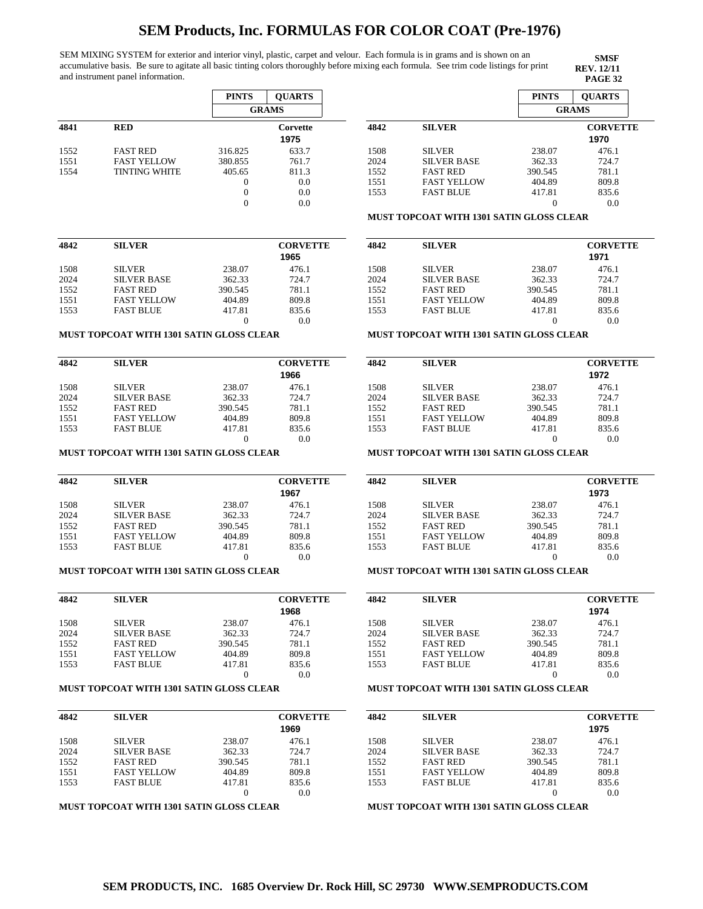1508 2024 SILVER SILVER BASE FAST RED FAST YELLOW FAST BLUE

SILVER SILVER BASE

SEM MIXING SYSTEM for exterior and interior vinyl, plastic, carpet and velour. Each formula is in grams and is shown on an accumulative basis. Be sure to agitate all basic tinting colors thoroughly before mixing each formula. See trim code listings for print and instrument panel information.

**SMSF REV. 12/11**

> 476.1 724.7 781.1 809.8 835.6 0.0

476.1 724.7

**1972**

0.0

**1971**

|      |                      | <b>PINTS</b>   | <b>OUARTS</b>    |      |                                                 | <b>PINTS</b> | <b>OUARTS</b>           |
|------|----------------------|----------------|------------------|------|-------------------------------------------------|--------------|-------------------------|
|      |                      |                | <b>GRAMS</b>     |      |                                                 |              | <b>GRAMS</b>            |
| 4841 | <b>RED</b>           |                | Corvette<br>1975 | 4842 | <b>SILVER</b>                                   |              | <b>CORVETTE</b><br>1970 |
| 1552 | <b>FAST RED</b>      | 316.825        | 633.7            | 1508 | <b>SILVER</b>                                   | 238.07       | 476.1                   |
| 1551 | <b>FAST YELLOW</b>   | 380.855        | 761.7            | 2024 | <b>SILVER BASE</b>                              | 362.33       | 724.7                   |
| 1554 | <b>TINTING WHITE</b> | 405.65         | 811.3            | 1552 | <b>FAST RED</b>                                 | 390.545      | 781.1                   |
|      |                      | 0              | 0.0              | 1551 | <b>FAST YELLOW</b>                              | 404.89       | 809.8                   |
|      |                      |                | 0.0              | 1553 | <b>FAST BLUE</b>                                | 417.81       | 835.6                   |
|      |                      | $\overline{0}$ | 0.0              |      |                                                 | 0            | 0.0                     |
|      |                      |                |                  |      | <b>MUST TOPCOAT WITH 1301 SATIN GLOSS CLEAR</b> |              |                         |
| 4842 | <b>SILVER</b>        |                | <b>CORVETTE</b>  | 4842 | <b>SILVER</b>                                   |              | <b>CORVETTE</b>         |

| 4842 | <b>SILVER</b>      |         | <b>CORVETTE</b> |
|------|--------------------|---------|-----------------|
|      |                    |         | 1965            |
| 1508 | <b>SILVER</b>      | 238.07  | 476.1           |
| 2024 | <b>SILVER BASE</b> | 362.33  | 724.7           |
| 1552 | <b>FAST RED</b>    | 390.545 | 781.1           |
| 1551 | <b>FAST YELLOW</b> | 404.89  | 809.8           |
| 1553 | <b>FAST BLUE</b>   | 417.81  | 835.6           |
|      |                    |         | 0.0             |

#### **MUST TOPCOAT WITH 1301 SATIN GLOSS CLEAR**

| 4842 | <b>SILVER</b>      |         | <b>CORVETTE</b> |
|------|--------------------|---------|-----------------|
|      |                    |         | 1966            |
| 1508 | <b>SILVER</b>      | 238.07  | 476.1           |
| 2024 | <b>SILVER BASE</b> | 362.33  | 724.7           |
| 1552 | <b>FAST RED</b>    | 390.545 | 781.1           |
| 1551 | <b>FAST YELLOW</b> | 404.89  | 809.8           |
| 1553 | <b>FAST BLUE</b>   | 417.81  | 835.6           |
|      |                    |         | 0.0             |

#### **MUST TOPCOAT WITH 1301 SATIN GLOSS CLEAR**

| 4842 | <b>SILVER</b>      |         | <b>CORVETTE</b> |
|------|--------------------|---------|-----------------|
|      |                    |         | 1967            |
| 1508 | <b>SILVER</b>      | 238.07  | 476.1           |
| 2024 | <b>SILVER BASE</b> | 362.33  | 724.7           |
| 1552 | <b>FAST RED</b>    | 390.545 | 781.1           |
| 1551 | <b>FAST YELLOW</b> | 404.89  | 809.8           |
| 1553 | <b>FAST BLUE</b>   | 417.81  | 835.6           |
|      |                    |         | 0.0             |

#### **MUST TOPCOAT WITH 1301 SATIN GLOSS CLEAR**

| 4842 | <b>SILVER</b>      |         | <b>CORVETTE</b> |
|------|--------------------|---------|-----------------|
|      |                    |         | 1968            |
| 1508 | <b>SILVER</b>      | 238.07  | 476.1           |
| 2024 | <b>SILVER BASE</b> | 362.33  | 724.7           |
| 1552 | <b>FAST RED</b>    | 390.545 | 781.1           |
| 1551 | <b>FAST YELLOW</b> | 404.89  | 809.8           |
| 1553 | <b>FAST BLUE</b>   | 417.81  | 835.6           |
|      |                    |         | 0.0             |

#### **MUST TOPCOAT WITH 1301 SATIN GLOSS CLEAR**

| 4842 | <b>SILVER</b>      |         | <b>CORVETTE</b> |
|------|--------------------|---------|-----------------|
|      |                    |         | 1969            |
| 1508 | <b>SILVER</b>      | 238.07  | 476.1           |
| 2024 | <b>SILVER BASE</b> | 362.33  | 724.7           |
| 1552 | <b>FAST RED</b>    | 390.545 | 781.1           |
| 1551 | <b>FAST YELLOW</b> | 404.89  | 809.8           |
| 1553 | <b>FAST BLUE</b>   | 417.81  | 835.6           |
|      |                    |         | 0.0             |

#### **MUST TOPCOAT WITH 1301 SATIN GLOSS CLEAR**

#### 1552 1551 1553 FAST RED FAST YELLOW FAST BLUE 390.545 404.89 417.81 781.1 809.8 835.6

**4842 SILVER CORVETTE**

**MUST TOPCOAT WITH 1301 SATIN GLOSS CLEAR**

#### **MUST TOPCOAT WITH 1301 SATIN GLOSS CLEAR**

| 4842 | <b>SILVER</b>      |         | <b>CORVETTE</b> |  |
|------|--------------------|---------|-----------------|--|
|      |                    |         | 1973            |  |
| 1508 | <b>SILVER</b>      | 238.07  | 476.1           |  |
| 2024 | <b>SILVER BASE</b> | 362.33  | 724.7           |  |
| 1552 | <b>FAST RED</b>    | 390.545 | 781.1           |  |
| 1551 | <b>FAST YELLOW</b> | 404.89  | 809.8           |  |
| 1553 | <b>FAST BLUE</b>   | 417.81  | 835.6           |  |
|      |                    |         | 0.0             |  |

238.07 362.33 390.545 404.89 417.81 0

> 238.07 362.33

> > 0

### **MUST TOPCOAT WITH 1301 SATIN GLOSS CLEAR**

| 4842 | <b>SILVER</b>      |         | <b>CORVETTE</b> |
|------|--------------------|---------|-----------------|
|      |                    |         | 1974            |
| 1508 | <b>SILVER</b>      | 238.07  | 476.1           |
| 2024 | <b>SILVER BASE</b> | 362.33  | 724.7           |
| 1552 | <b>FAST RED</b>    | 390.545 | 781.1           |
| 1551 | <b>FAST YELLOW</b> | 404.89  | 809.8           |
| 1553 | <b>FAST BLUE</b>   | 417.81  | 835.6           |
|      |                    |         | 0.0             |

### **MUST TOPCOAT WITH 1301 SATIN GLOSS CLEAR**

| 4842 | <b>SILVER</b>      |         | <b>CORVETTE</b> |
|------|--------------------|---------|-----------------|
|      |                    |         | 1975            |
| 1508 | <b>SILVER</b>      | 238.07  | 476.1           |
| 2024 | <b>SILVER BASE</b> | 362.33  | 724.7           |
| 1552 | <b>FAST RED</b>    | 390.545 | 781.1           |
| 1551 | <b>FAST YELLOW</b> | 404.89  | 809.8           |
| 1553 | <b>FAST BLUE</b>   | 417.81  | 835.6           |
|      |                    |         | 0.0             |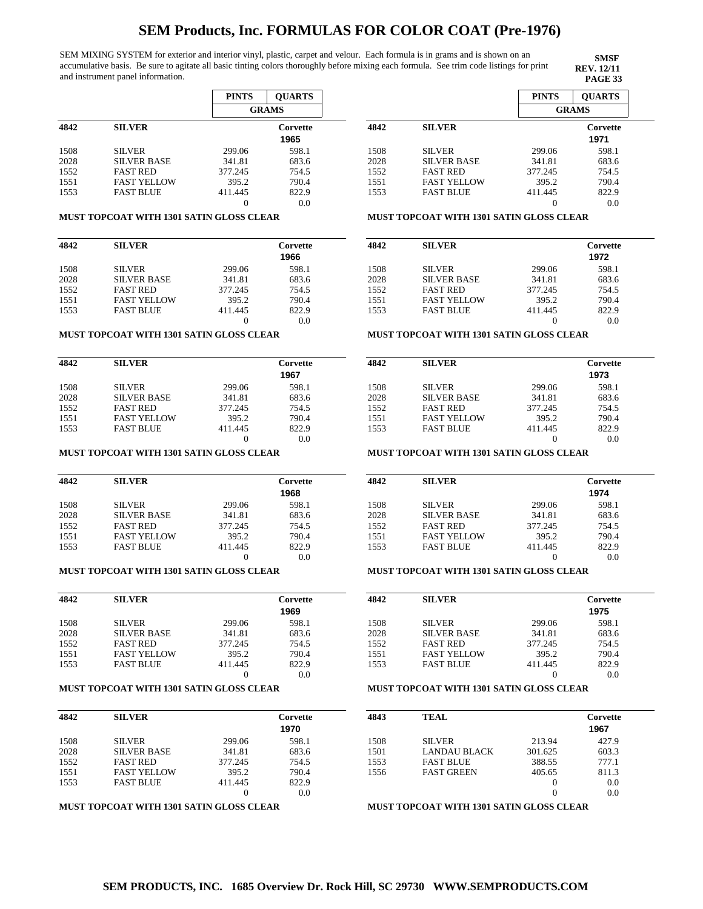SEM MIXING SYSTEM for exterior and interior vinyl, plastic, carpet and velour. Each formula is in grams and is shown on an accumulative basis. Be sure to agitate all basic tinting colors thoroughly before mixing each formula. See trim code listings for print and instrument panel information.

**SMSF REV. 12/11<br>PAGE 33** 

|      |                    | <b>PINTS</b> | <b>OUARTS</b>    |  |
|------|--------------------|--------------|------------------|--|
|      |                    |              | <b>GRAMS</b>     |  |
| 4842 | <b>SILVER</b>      |              | Corvette<br>1965 |  |
| 1508 | <b>SILVER</b>      | 299.06       | 598.1            |  |
| 2028 | <b>SILVER BASE</b> | 341.81       | 683.6            |  |
| 1552 | <b>FAST RED</b>    | 377.245      | 754.5            |  |
| 1551 | <b>FAST YELLOW</b> | 395.2        | 790.4            |  |
| 1553 | <b>FAST BLUE</b>   | 411.445      | 822.9            |  |
|      |                    | 0            | 0.0              |  |

### **MUST TOPCOAT WITH 1301 SATIN GLOSS CLEAR**

| 4842 | <b>SILVER</b>      |         | Corvette |
|------|--------------------|---------|----------|
|      |                    |         | 1966     |
| 1508 | <b>SILVER</b>      | 299.06  | 598.1    |
| 2028 | <b>SILVER BASE</b> | 341.81  | 683.6    |
| 1552 | <b>FAST RED</b>    | 377.245 | 754.5    |
| 1551 | <b>FAST YELLOW</b> | 395.2   | 790.4    |
| 1553 | <b>FAST BLUE</b>   | 411.445 | 822.9    |
|      |                    |         | 0.0      |

#### **MUST TOPCOAT WITH 1301 SATIN GLOSS CLEAR**

| 4842 | <b>SILVER</b>      |         | Corvette<br>1967 |
|------|--------------------|---------|------------------|
| 1508 | <b>SILVER</b>      | 299.06  | 598.1            |
| 2028 | <b>SILVER BASE</b> | 341.81  | 683.6            |
| 1552 | <b>FAST RED</b>    | 377.245 | 754.5            |
| 1551 | <b>FAST YELLOW</b> | 395.2   | 790.4            |
| 1553 | <b>FAST BLUE</b>   | 411.445 | 822.9            |
|      |                    |         | 0.0              |

#### **MUST TOPCOAT WITH 1301 SATIN GLOSS CLEAR**

| 4842 | <b>SILVER</b>      |         | Corvette |
|------|--------------------|---------|----------|
|      |                    |         | 1968     |
| 1508 | <b>SILVER</b>      | 299.06  | 598.1    |
| 2028 | <b>SILVER BASE</b> | 341.81  | 683.6    |
| 1552 | <b>FAST RED</b>    | 377.245 | 754.5    |
| 1551 | <b>FAST YELLOW</b> | 395.2   | 790.4    |
| 1553 | <b>FAST BLUE</b>   | 411.445 | 822.9    |
|      |                    |         | 0.0      |

## **MUST TOPCOAT WITH 1301 SATIN GLOSS CLEAR**

| 4842 | <b>SILVER</b>      |         | Corvette<br>1969 |
|------|--------------------|---------|------------------|
| 1508 | <b>SILVER</b>      | 299.06  | 598.1            |
| 2028 | <b>SILVER BASE</b> | 341.81  | 683.6            |
| 1552 | <b>FAST RED</b>    | 377.245 | 754.5            |
| 1551 | <b>FAST YELLOW</b> | 395.2   | 790.4            |
| 1553 | <b>FAST BLUE</b>   | 411.445 | 822.9            |
|      |                    |         | 0.0              |

#### **MUST TOPCOAT WITH 1301 SATIN GLOSS CLEAR**

| 4842 | <b>SILVER</b>      |         | Corvette |
|------|--------------------|---------|----------|
|      |                    |         | 1970     |
| 1508 | <b>SILVER</b>      | 299.06  | 598.1    |
| 2028 | <b>SILVER BASE</b> | 341.81  | 683.6    |
| 1552 | <b>FAST RED</b>    | 377.245 | 754.5    |
| 1551 | <b>FAST YELLOW</b> | 395.2   | 790.4    |
| 1553 | <b>FAST BLUE</b>   | 411.445 | 822.9    |
|      |                    | 0       | 0.0      |

## **MUST TOPCOAT WITH 1301 SATIN GLOSS CLEAR**

|                       |                    | <b>PINTS</b> | <b>OUARTS</b>    |
|-----------------------|--------------------|--------------|------------------|
|                       |                    |              | <b>GRAMS</b>     |
| 4842<br><b>SILVER</b> |                    |              | Corvette<br>1971 |
| 1508                  | <b>SILVER</b>      | 299.06       | 598.1            |
| 2028                  | <b>SILVER BASE</b> | 341.81       | 683.6            |
| 1552                  | <b>FAST RED</b>    | 377.245      | 754.5            |
| 1551                  | <b>FAST YELLOW</b> | 395.2        | 790.4            |
| 1553                  | <b>FAST BLUE</b>   | 411.445      | 822.9            |
|                       |                    |              | 0.0              |

#### **MUST TOPCOAT WITH 1301 SATIN GLOSS CLEAR**

| 4842 | <b>SILVER</b>      |         | Corvette<br>1972 |  |
|------|--------------------|---------|------------------|--|
| 1508 | <b>SILVER</b>      | 299.06  | 598.1            |  |
| 2028 | <b>SILVER BASE</b> | 341.81  | 683.6            |  |
| 1552 | <b>FAST RED</b>    | 377.245 | 754.5            |  |
| 1551 | <b>FAST YELLOW</b> | 395.2   | 790.4            |  |
| 1553 | <b>FAST BLUE</b>   | 411.445 | 822.9            |  |
|      |                    |         | 0.0              |  |
|      |                    |         |                  |  |

#### **MUST TOPCOAT WITH 1301 SATIN GLOSS CLEAR**

| 4842 | <b>SILVER</b>      |         | Corvette |
|------|--------------------|---------|----------|
|      |                    |         | 1973     |
| 1508 | <b>SILVER</b>      | 299.06  | 598.1    |
| 2028 | <b>SILVER BASE</b> | 341.81  | 683.6    |
| 1552 | <b>FAST RED</b>    | 377.245 | 754.5    |
| 1551 | <b>FAST YELLOW</b> | 395.2   | 790.4    |
| 1553 | <b>FAST BLUE</b>   | 411.445 | 822.9    |
|      |                    |         | 0.0      |

#### **MUST TOPCOAT WITH 1301 SATIN GLOSS CLEAR**

| 4842 | <b>SILVER</b>      |         | Corvette |
|------|--------------------|---------|----------|
|      |                    |         | 1974     |
| 1508 | <b>SILVER</b>      | 299.06  | 598.1    |
| 2028 | <b>SILVER BASE</b> | 341.81  | 683.6    |
| 1552 | <b>FAST RED</b>    | 377.245 | 754.5    |
| 1551 | <b>FAST YELLOW</b> | 395.2   | 790.4    |
| 1553 | <b>FAST BLUE</b>   | 411.445 | 822.9    |
|      |                    |         | 0.0      |

### **MUST TOPCOAT WITH 1301 SATIN GLOSS CLEAR**

| 4842 | <b>SILVER</b>      |         | Corvette |
|------|--------------------|---------|----------|
|      |                    |         | 1975     |
| 1508 | <b>SILVER</b>      | 299.06  | 598.1    |
| 2028 | <b>SILVER BASE</b> | 341.81  | 683.6    |
| 1552 | <b>FAST RED</b>    | 377.245 | 754.5    |
| 1551 | <b>FAST YELLOW</b> | 395.2   | 790.4    |
| 1553 | <b>FAST BLUE</b>   | 411.445 | 822.9    |
|      |                    |         | 0.0      |

#### **MUST TOPCOAT WITH 1301 SATIN GLOSS CLEAR**

| 4843 | <b>TEAL</b>       |         | Corvette |
|------|-------------------|---------|----------|
|      |                   |         | 1967     |
| 1508 | <b>SILVER</b>     | 213.94  | 427.9    |
| 1501 | LANDAU BLACK      | 301.625 | 603.3    |
| 1553 | <b>FAST BLUE</b>  | 388.55  | 777.1    |
| 1556 | <b>FAST GREEN</b> | 405.65  | 811.3    |
|      |                   |         | 0.0      |
|      |                   |         | 0.0      |
|      |                   |         |          |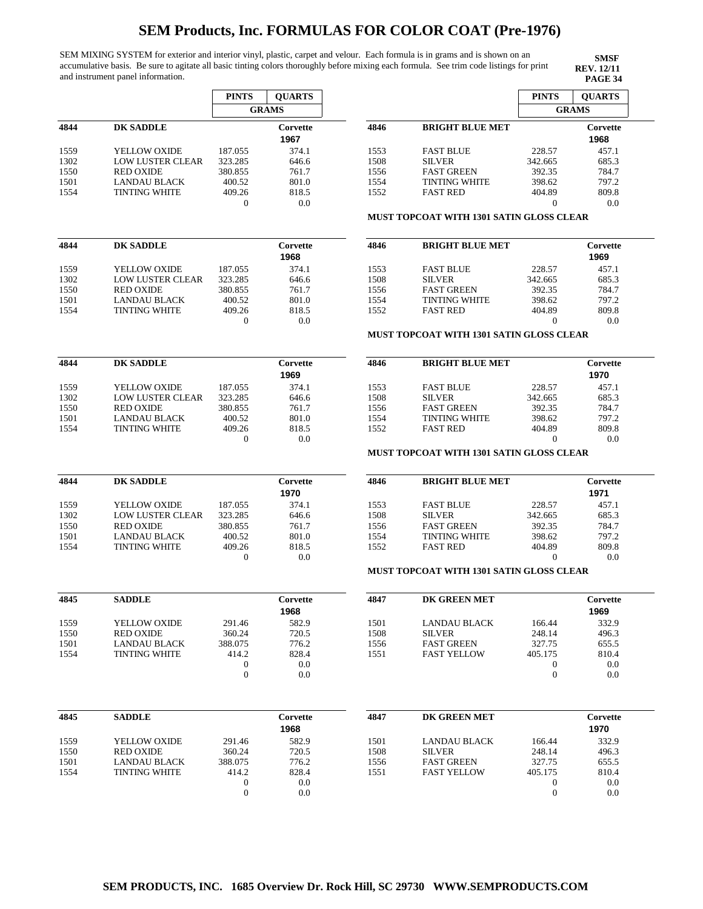SEM MIXING SYSTEM for exterior and interior vinyl, plastic, carpet and velour. Each formula is in grams and is shown on an accumulative basis. Be sure to agitate all basic tinting colors thoroughly before mixing each formula. See trim code listings for print and instrument panel information.

|                                                                      |                         | <b>PINTS</b>                         | <b>QUARTS</b>    |      |                                                 | <b>PINTS</b>                         | <b>QUARTS</b>    |
|----------------------------------------------------------------------|-------------------------|--------------------------------------|------------------|------|-------------------------------------------------|--------------------------------------|------------------|
|                                                                      |                         |                                      | <b>GRAMS</b>     |      |                                                 |                                      | <b>GRAMS</b>     |
| 4844                                                                 | <b>DK SADDLE</b>        |                                      | Corvette<br>1967 | 4846 | <b>BRIGHT BLUE MET</b>                          |                                      | Corvette<br>1968 |
| 1559                                                                 | YELLOW OXIDE            | 187.055                              | 374.1            | 1553 | <b>FAST BLUE</b>                                | 228.57                               | 457.1            |
| 1302                                                                 | <b>LOW LUSTER CLEAR</b> | 323.285                              | 646.6            | 1508 | <b>SILVER</b>                                   | 342.665                              | 685.3            |
| 1550                                                                 | <b>RED OXIDE</b>        | 380.855                              | 761.7            | 1556 | <b>FAST GREEN</b>                               | 392.35                               | 784.7            |
| 1501                                                                 | LANDAU BLACK            | 400.52                               | 801.0            | 1554 | <b>TINTING WHITE</b>                            | 398.62                               | 797.2            |
| 1554                                                                 | <b>TINTING WHITE</b>    | 409.26                               | 818.5            | 1552 | <b>FAST RED</b>                                 | 404.89                               | 809.8            |
|                                                                      |                         | $\mathbf{0}$                         | 0.0              |      |                                                 | $\overline{0}$                       | 0.0              |
|                                                                      |                         |                                      |                  |      | <b>MUST TOPCOAT WITH 1301 SATIN GLOSS CLEAR</b> |                                      |                  |
| 4844                                                                 | <b>DK SADDLE</b>        |                                      | Corvette<br>1968 | 4846 | <b>BRIGHT BLUE MET</b>                          |                                      | Corvette<br>1969 |
|                                                                      |                         |                                      |                  |      |                                                 |                                      |                  |
| 1559                                                                 | YELLOW OXIDE            | 187.055                              | 374.1            | 1553 | <b>FAST BLUE</b>                                | 228.57                               | 457.1            |
| 1302                                                                 | <b>LOW LUSTER CLEAR</b> | 323.285                              | 646.6            | 1508 | <b>SILVER</b>                                   | 342.665                              | 685.3            |
| 1550                                                                 | <b>RED OXIDE</b>        | 380.855                              | 761.7            | 1556 | <b>FAST GREEN</b>                               | 392.35                               | 784.7            |
| 1501                                                                 | <b>LANDAU BLACK</b>     | 400.52                               | 801.0            | 1554 | <b>TINTING WHITE</b>                            | 398.62                               | 797.2            |
| 1554                                                                 | <b>TINTING WHITE</b>    | 409.26<br>$\mathbf 0$                | 818.5<br>0.0     | 1552 | <b>FAST RED</b>                                 | 404.89<br>$\theta$                   | 809.8<br>0.0     |
|                                                                      |                         |                                      |                  |      | MUST TOPCOAT WITH 1301 SATIN GLOSS CLEAR        |                                      |                  |
| 4844                                                                 | <b>DK SADDLE</b>        |                                      | Corvette         | 4846 | <b>BRIGHT BLUE MET</b>                          |                                      | Corvette         |
|                                                                      |                         |                                      | 1969             |      |                                                 |                                      | 1970             |
| 1559                                                                 | YELLOW OXIDE            | 187.055                              | 374.1            | 1553 | <b>FAST BLUE</b>                                | 228.57                               | 457.1            |
| 1302                                                                 | <b>LOW LUSTER CLEAR</b> | 323.285                              | 646.6            | 1508 | <b>SILVER</b>                                   | 342.665                              | 685.3            |
|                                                                      |                         |                                      |                  |      | <b>FAST GREEN</b>                               |                                      |                  |
| 1550                                                                 | <b>RED OXIDE</b>        | 380.855                              | 761.7            | 1556 |                                                 | 392.35                               | 784.7            |
| 1501                                                                 | <b>LANDAU BLACK</b>     | 400.52                               | 801.0            | 1554 | <b>TINTING WHITE</b>                            | 398.62                               | 797.2            |
| 1554                                                                 | <b>TINTING WHITE</b>    | 409.26                               | 818.5            | 1552 | <b>FAST RED</b>                                 | 404.89                               | 809.8            |
|                                                                      |                         | 0                                    | 0.0              |      | MUST TOPCOAT WITH 1301 SATIN GLOSS CLEAR        | $\theta$                             | 0.0              |
| 4844                                                                 | <b>DK SADDLE</b>        |                                      | Corvette         | 4846 | <b>BRIGHT BLUE MET</b>                          |                                      | Corvette         |
|                                                                      |                         |                                      | 1970             |      |                                                 |                                      | 1971             |
| 1559                                                                 | YELLOW OXIDE            | 187.055                              | 374.1            | 1553 | <b>FAST BLUE</b>                                | 228.57                               | 457.1            |
| 1302                                                                 | <b>LOW LUSTER CLEAR</b> | 323.285                              | 646.6            | 1508 | <b>SILVER</b>                                   | 342.665                              | 685.3            |
| 1550                                                                 | <b>RED OXIDE</b>        | 380.855                              | 761.7            | 1556 | <b>FAST GREEN</b>                               | 392.35                               | 784.7            |
| 1501                                                                 | <b>LANDAU BLACK</b>     | 400.52                               | 801.0            | 1554 | <b>TINTING WHITE</b>                            | 398.62                               | 797.2            |
| 1554                                                                 | <b>TINTING WHITE</b>    | 409.26                               | 818.5            | 1552 | <b>FAST RED</b>                                 | 404.89                               | 809.8            |
|                                                                      |                         | 0                                    | 0.0              |      |                                                 | $\overline{0}$                       | 0.0              |
|                                                                      |                         |                                      |                  |      | MUST TOPCOAT WITH 1301 SATIN GLOSS CLEAR        |                                      |                  |
| 4845                                                                 | <b>SADDLE</b>           |                                      | Corvette<br>1968 | 4847 | DK GREEN MET                                    |                                      | Corvette<br>1969 |
|                                                                      | YELLOW OXIDE            | 291.46                               | 582.9            | 1501 |                                                 | 166.44                               | 332.9            |
|                                                                      |                         |                                      |                  |      | LANDAU BLACK                                    |                                      |                  |
|                                                                      |                         | 360.24                               | 720.5            | 1508 | <b>SILVER</b>                                   | 248.14                               | 496.3            |
|                                                                      | RED OXIDE               |                                      |                  | 1556 | <b>FAST GREEN</b>                               | 327.75                               | 655.5            |
|                                                                      | <b>LANDAU BLACK</b>     | 388.075                              | 776.2            |      |                                                 |                                      | 810.4            |
|                                                                      | <b>TINTING WHITE</b>    | 414.2                                | 828.4            | 1551 | <b>FAST YELLOW</b>                              | 405.175                              |                  |
|                                                                      |                         | 0<br>$\boldsymbol{0}$                | 0.0<br>0.0       |      |                                                 | $\boldsymbol{0}$<br>$\boldsymbol{0}$ | 0.0<br>0.0       |
|                                                                      |                         |                                      |                  |      |                                                 |                                      |                  |
|                                                                      | <b>SADDLE</b>           |                                      | Corvette         | 4847 | DK GREEN MET                                    |                                      | Corvette         |
|                                                                      |                         |                                      | 1968             |      |                                                 |                                      | 1970             |
|                                                                      | YELLOW OXIDE            | 291.46                               | 582.9            | 1501 | <b>LANDAU BLACK</b>                             | 166.44                               | 332.9            |
|                                                                      |                         |                                      |                  |      |                                                 |                                      |                  |
|                                                                      | <b>RED OXIDE</b>        | 360.24                               | 720.5            | 1508 | <b>SILVER</b>                                   | 248.14                               | 496.3            |
|                                                                      | <b>LANDAU BLACK</b>     | 388.075                              | 776.2            | 1556 | <b>FAST GREEN</b>                               | 327.75                               | 655.5            |
|                                                                      | <b>TINTING WHITE</b>    | 414.2                                | 828.4            | 1551 | <b>FAST YELLOW</b>                              | 405.175                              | 810.4            |
| 1559<br>1550<br>1501<br>1554<br>4845<br>1559<br>1550<br>1501<br>1554 |                         | $\boldsymbol{0}$<br>$\boldsymbol{0}$ | 0.0<br>0.0       |      |                                                 | $\boldsymbol{0}$<br>$\boldsymbol{0}$ | 0.0<br>0.0       |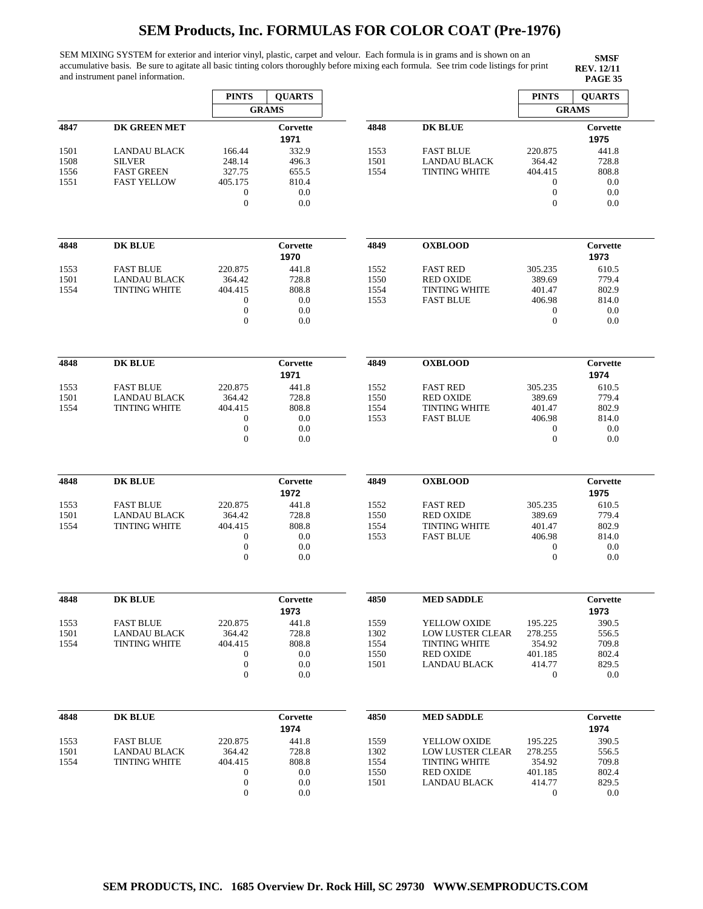SEM MIXING SYSTEM for exterior and interior vinyl, plastic, carpet and velour. Each formula is in grams and is shown on an accumulative basis. Be sure to agitate all basic tinting colors thoroughly before mixing each formula. See trim code listings for print and instrument panel information.

|      |                      | <b>PINTS</b>     | <b>QUARTS</b>    |      |                         | <b>PINTS</b>     | <b>QUARTS</b>    |
|------|----------------------|------------------|------------------|------|-------------------------|------------------|------------------|
|      |                      |                  | <b>GRAMS</b>     |      |                         |                  | <b>GRAMS</b>     |
| 4847 | <b>DK GREEN MET</b>  |                  | Corvette<br>1971 | 4848 | <b>DK BLUE</b>          |                  | Corvette<br>1975 |
| 1501 | <b>LANDAU BLACK</b>  | 166.44           | 332.9            | 1553 | <b>FAST BLUE</b>        | 220.875          | 441.8            |
| 1508 | <b>SILVER</b>        | 248.14           | 496.3            | 1501 | <b>LANDAU BLACK</b>     | 364.42           | 728.8            |
| 1556 | <b>FAST GREEN</b>    | 327.75           | 655.5            | 1554 | <b>TINTING WHITE</b>    | 404.415          | 808.8            |
| 1551 | <b>FAST YELLOW</b>   | 405.175          | 810.4            |      |                         | $\boldsymbol{0}$ | 0.0              |
|      |                      | $\boldsymbol{0}$ | 0.0              |      |                         | $\mathbf{0}$     | 0.0              |
|      |                      | $\theta$         | 0.0              |      |                         | $\overline{0}$   | 0.0              |
|      |                      |                  |                  |      |                         |                  |                  |
| 4848 | <b>DK BLUE</b>       |                  | Corvette         | 4849 | <b>OXBLOOD</b>          |                  | Corvette         |
|      |                      |                  | 1970             |      |                         |                  | 1973             |
| 1553 | <b>FAST BLUE</b>     | 220.875          | 441.8            | 1552 | <b>FAST RED</b>         | 305.235          | 610.5            |
| 1501 | <b>LANDAU BLACK</b>  | 364.42           | 728.8            | 1550 | <b>RED OXIDE</b>        | 389.69           | 779.4            |
| 1554 | <b>TINTING WHITE</b> | 404.415          | 808.8            | 1554 | <b>TINTING WHITE</b>    | 401.47           | 802.9            |
|      |                      | $\boldsymbol{0}$ | 0.0              | 1553 | <b>FAST BLUE</b>        | 406.98           | 814.0            |
|      |                      | $\boldsymbol{0}$ | 0.0              |      |                         | $\bf{0}$         | 0.0              |
|      |                      | $\boldsymbol{0}$ | 0.0              |      |                         | $\mathbf{0}$     | 0.0              |
|      |                      |                  |                  |      |                         |                  |                  |
| 4848 | <b>DK BLUE</b>       |                  | Corvette<br>1971 | 4849 | <b>OXBLOOD</b>          |                  | Corvette<br>1974 |
| 1553 | <b>FAST BLUE</b>     | 220.875          | 441.8            | 1552 | <b>FAST RED</b>         | 305.235          | 610.5            |
| 1501 | <b>LANDAU BLACK</b>  | 364.42           | 728.8            | 1550 | <b>RED OXIDE</b>        | 389.69           | 779.4            |
| 1554 | <b>TINTING WHITE</b> | 404.415          | 808.8            | 1554 | <b>TINTING WHITE</b>    | 401.47           | 802.9            |
|      |                      | $\mathbf{0}$     | 0.0              | 1553 | <b>FAST BLUE</b>        | 406.98           | 814.0            |
|      |                      | $\mathbf{0}$     | 0.0              |      |                         | $\mathbf{0}$     | 0.0              |
|      |                      | $\mathbf{0}$     | 0.0              |      |                         | $\boldsymbol{0}$ | 0.0              |
| 4848 | <b>DK BLUE</b>       |                  | Corvette         | 4849 | <b>OXBLOOD</b>          |                  | Corvette         |
|      |                      |                  | 1972             |      |                         |                  | 1975             |
| 1553 | <b>FAST BLUE</b>     | 220.875          | 441.8            | 1552 | <b>FAST RED</b>         | 305.235          | 610.5            |
| 1501 | <b>LANDAU BLACK</b>  | 364.42           | 728.8            | 1550 | <b>RED OXIDE</b>        | 389.69           | 779.4            |
| 1554 | <b>TINTING WHITE</b> | 404.415          | 808.8            | 1554 | <b>TINTING WHITE</b>    | 401.47           | 802.9            |
|      |                      | $\mathbf{0}$     | 0.0              | 1553 | <b>FAST BLUE</b>        | 406.98           | 814.0            |
|      |                      | $\boldsymbol{0}$ | 0.0              |      |                         | $\boldsymbol{0}$ | 0.0              |
|      |                      | $\theta$         | 0.0              |      |                         | $\mathbf{0}$     | 0.0              |
| 4848 | <b>DK BLUE</b>       |                  | Corvette         | 4850 | <b>MED SADDLE</b>       |                  | Corvette         |
|      |                      |                  | 1973             |      |                         |                  | 1973             |
| 1553 | <b>FAST BLUE</b>     | 220.875          | 441.8            | 1559 | YELLOW OXIDE            | 195.225          | 390.5            |
| 1501 | <b>LANDAU BLACK</b>  | 364.42           | 728.8            | 1302 | <b>LOW LUSTER CLEAR</b> | 278.255          | 556.5            |
| 1554 | <b>TINTING WHITE</b> | 404.415          | 808.8            | 1554 | <b>TINTING WHITE</b>    | 354.92           | 709.8            |
|      |                      | $\mathbf{0}$     | 0.0              | 1550 | <b>RED OXIDE</b>        | 401.185          | 802.4            |
|      |                      | $\boldsymbol{0}$ | 0.0              | 1501 | <b>LANDAU BLACK</b>     | 414.77           | 829.5            |
|      |                      | $\mathbf{0}$     | 0.0              |      |                         | $\mathbf{0}$     | 0.0              |
| 4848 | <b>DK BLUE</b>       |                  | Corvette         | 4850 | <b>MED SADDLE</b>       |                  | Corvette         |
|      |                      |                  | 1974             |      |                         |                  | 1974             |
| 1553 | <b>FAST BLUE</b>     | 220.875          | 441.8            | 1559 | YELLOW OXIDE            | 195.225          | 390.5            |
| 1501 | <b>LANDAU BLACK</b>  | 364.42           | 728.8            | 1302 | <b>LOW LUSTER CLEAR</b> | 278.255          | 556.5            |
| 1554 | <b>TINTING WHITE</b> | 404.415          | 808.8            | 1554 | <b>TINTING WHITE</b>    | 354.92           | 709.8            |
|      |                      | $\boldsymbol{0}$ | 0.0              | 1550 | <b>RED OXIDE</b>        | 401.185          | 802.4            |
|      |                      | $\boldsymbol{0}$ | 0.0              | 1501 | <b>LANDAU BLACK</b>     | 414.77           | 829.5            |
|      |                      | $\mathbf{0}$     | 0.0              |      |                         | $\mathbf{0}$     | 0.0              |
|      |                      |                  |                  |      |                         |                  |                  |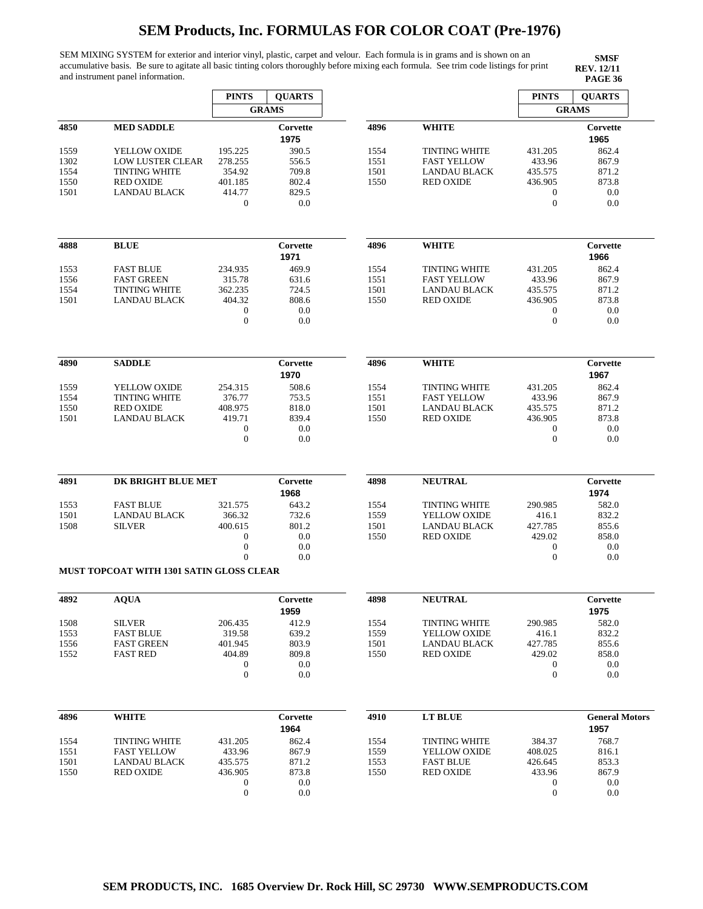SEM MIXING SYSTEM for exterior and interior vinyl, plastic, carpet and velour. Each formula is in grams and is shown on an accumulative basis. Be sure to agitate all basic tinting colors thoroughly before mixing each formula. See trim code listings for print and instrument panel information.

|      |                                                 | <b>PINTS</b>                         | <b>QUARTS</b> |      |                      | <b>PINTS</b>                         | <b>QUARTS</b>         |
|------|-------------------------------------------------|--------------------------------------|---------------|------|----------------------|--------------------------------------|-----------------------|
|      |                                                 |                                      | <b>GRAMS</b>  |      |                      |                                      | <b>GRAMS</b>          |
| 4850 | <b>MED SADDLE</b>                               |                                      | Corvette      | 4896 | <b>WHITE</b>         |                                      | Corvette              |
|      |                                                 |                                      | 1975          |      |                      |                                      | 1965                  |
| 1559 | YELLOW OXIDE                                    | 195.225                              | 390.5         | 1554 | <b>TINTING WHITE</b> | 431.205                              | 862.4                 |
| 1302 | <b>LOW LUSTER CLEAR</b>                         | 278.255                              | 556.5         | 1551 | <b>FAST YELLOW</b>   | 433.96                               | 867.9                 |
| 1554 | <b>TINTING WHITE</b>                            | 354.92                               | 709.8         | 1501 | <b>LANDAU BLACK</b>  | 435.575                              | 871.2                 |
|      | <b>RED OXIDE</b>                                | 401.185                              | 802.4         | 1550 | <b>RED OXIDE</b>     |                                      | 873.8                 |
| 1550 |                                                 |                                      |               |      |                      | 436.905                              |                       |
| 1501 | <b>LANDAU BLACK</b>                             | 414.77<br>$\boldsymbol{0}$           | 829.5<br>0.0  |      |                      | $\boldsymbol{0}$<br>$\boldsymbol{0}$ | 0.0<br>0.0            |
|      |                                                 |                                      |               |      |                      |                                      |                       |
| 4888 | <b>BLUE</b>                                     |                                      | Corvette      | 4896 | <b>WHITE</b>         |                                      | Corvette              |
|      |                                                 |                                      | 1971          |      |                      |                                      | 1966                  |
| 1553 | <b>FAST BLUE</b>                                | 234.935                              | 469.9         | 1554 | <b>TINTING WHITE</b> | 431.205                              | 862.4                 |
| 1556 | <b>FAST GREEN</b>                               | 315.78                               | 631.6         | 1551 | <b>FAST YELLOW</b>   | 433.96                               | 867.9                 |
| 1554 | <b>TINTING WHITE</b>                            | 362.235                              | 724.5         | 1501 | <b>LANDAU BLACK</b>  | 435.575                              | 871.2                 |
| 1501 | <b>LANDAU BLACK</b>                             | 404.32                               | 808.6         | 1550 | <b>RED OXIDE</b>     | 436.905                              | 873.8                 |
|      |                                                 | $\boldsymbol{0}$                     | 0.0           |      |                      | $\boldsymbol{0}$                     | 0.0                   |
|      |                                                 | $\mathbf{0}$                         | 0.0           |      |                      | $\mathbf{0}$                         | 0.0                   |
|      |                                                 |                                      |               |      |                      |                                      |                       |
| 4890 | <b>SADDLE</b>                                   |                                      | Corvette      | 4896 | <b>WHITE</b>         |                                      | Corvette              |
|      |                                                 |                                      | 1970          |      |                      |                                      | 1967                  |
| 1559 | YELLOW OXIDE                                    | 254.315                              | 508.6         | 1554 | <b>TINTING WHITE</b> | 431.205                              | 862.4                 |
| 1554 | <b>TINTING WHITE</b>                            | 376.77                               | 753.5         | 1551 | <b>FAST YELLOW</b>   | 433.96                               | 867.9                 |
| 1550 | <b>RED OXIDE</b>                                | 408.975                              | 818.0         | 1501 | <b>LANDAU BLACK</b>  | 435.575                              | 871.2                 |
| 1501 | <b>LANDAU BLACK</b>                             | 419.71                               | 839.4         | 1550 | <b>RED OXIDE</b>     | 436.905                              | 873.8                 |
|      |                                                 | $\boldsymbol{0}$                     | 0.0           |      |                      | $\boldsymbol{0}$                     | 0.0                   |
|      |                                                 | $\mathbf{0}$                         | 0.0           |      |                      | $\theta$                             | 0.0                   |
|      |                                                 |                                      |               |      |                      |                                      |                       |
| 4891 | DK BRIGHT BLUE MET                              |                                      | Corvette      | 4898 | <b>NEUTRAL</b>       |                                      | Corvette              |
|      |                                                 |                                      | 1968          |      |                      |                                      | 1974                  |
| 1553 | <b>FAST BLUE</b>                                | 321.575                              | 643.2         | 1554 | <b>TINTING WHITE</b> | 290.985                              | 582.0                 |
| 1501 | <b>LANDAU BLACK</b>                             | 366.32                               | 732.6         | 1559 | YELLOW OXIDE         | 416.1                                | 832.2                 |
| 1508 | <b>SILVER</b>                                   | 400.615                              | 801.2         | 1501 | <b>LANDAU BLACK</b>  | 427.785                              | 855.6                 |
|      |                                                 | $\boldsymbol{0}$                     | 0.0           | 1550 | <b>RED OXIDE</b>     | 429.02                               | 858.0                 |
|      |                                                 | $\mathbf{0}$                         | 0.0           |      |                      | $\boldsymbol{0}$                     | 0.0                   |
|      |                                                 | $\overline{0}$                       | 0.0           |      |                      | $\boldsymbol{0}$                     | 0.0                   |
|      | <b>MUST TOPCOAT WITH 1301 SATIN GLOSS CLEAR</b> |                                      |               |      |                      |                                      |                       |
| 4892 | <b>AQUA</b>                                     |                                      | Corvette      | 4898 | <b>NEUTRAL</b>       |                                      | Corvette              |
|      |                                                 |                                      | 1959          |      |                      |                                      | 1975                  |
| 1508 | <b>SILVER</b>                                   | 206.435                              | 412.9         | 1554 | <b>TINTING WHITE</b> | 290.985                              | 582.0                 |
| 1553 | <b>FAST BLUE</b>                                | 319.58                               | 639.2         | 1559 | YELLOW OXIDE         | 416.1                                | 832.2                 |
|      | <b>FAST GREEN</b>                               | 401.945                              | 803.9         | 1501 |                      |                                      | 855.6                 |
| 1556 |                                                 |                                      |               |      | <b>LANDAU BLACK</b>  | 427.785                              |                       |
| 1552 | <b>FAST RED</b>                                 | 404.89                               | 809.8         | 1550 | <b>RED OXIDE</b>     | 429.02                               | 858.0                 |
|      |                                                 | $\boldsymbol{0}$<br>$\boldsymbol{0}$ | 0.0<br>0.0    |      |                      | $\boldsymbol{0}$<br>$\boldsymbol{0}$ | 0.0<br>0.0            |
| 4896 | <b>WHITE</b>                                    |                                      | Corvette      | 4910 | <b>LT BLUE</b>       |                                      | <b>General Motors</b> |
|      |                                                 |                                      | 1964          |      |                      |                                      | 1957                  |
|      |                                                 |                                      |               |      |                      |                                      |                       |
| 1554 | <b>TINTING WHITE</b>                            | 431.205                              | 862.4         | 1554 | <b>TINTING WHITE</b> | 384.37                               | 768.7                 |
| 1551 | <b>FAST YELLOW</b>                              | 433.96                               | 867.9         | 1559 | YELLOW OXIDE         | 408.025                              | 816.1                 |
| 1501 | LANDAU BLACK                                    | 435.575                              | 871.2         | 1553 | <b>FAST BLUE</b>     | 426.645                              | 853.3                 |
| 1550 | <b>RED OXIDE</b>                                | 436.905                              | 873.8         | 1550 | <b>RED OXIDE</b>     | 433.96                               | 867.9                 |
|      |                                                 | $\boldsymbol{0}$                     | 0.0           |      |                      | $\boldsymbol{0}$                     | 0.0                   |
|      |                                                 | $\mathbf{0}$                         | 0.0           |      |                      | $\mathbf{0}$                         | 0.0                   |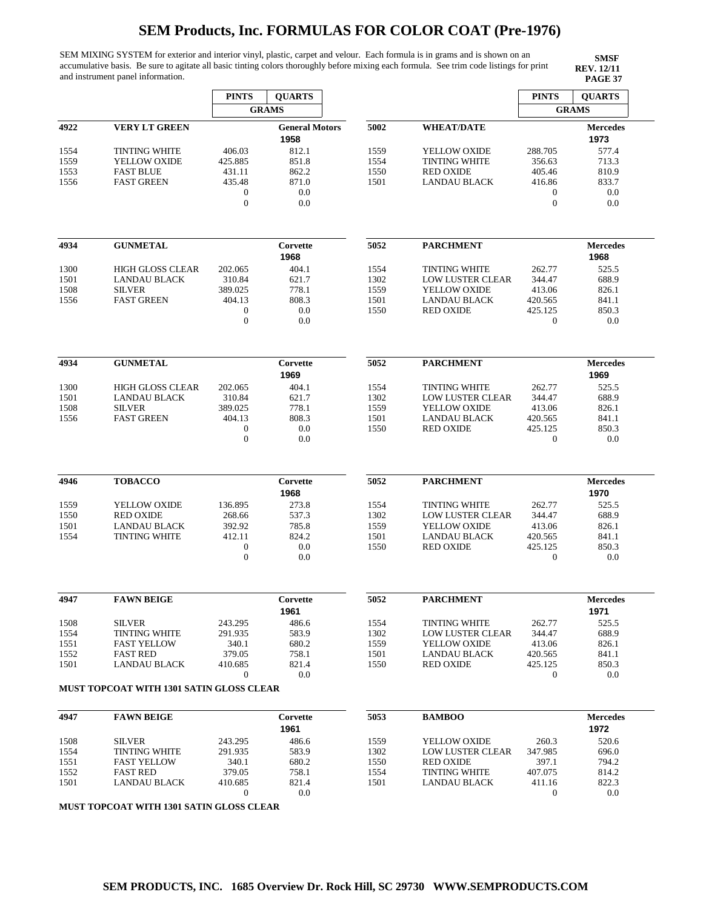SEM MIXING SYSTEM for exterior and interior vinyl, plastic, carpet and velour. Each formula is in grams and is shown on an accumulative basis. Be sure to agitate all basic tinting colors thoroughly before mixing each formula. See trim code listings for print and instrument panel information.

**SMSF REV. 12/11**

|      |                                          | <b>PINTS</b>                 | <b>OUARTS</b>                 |      |                         | <b>PINTS</b>                | <b>QUARTS</b>           |
|------|------------------------------------------|------------------------------|-------------------------------|------|-------------------------|-----------------------------|-------------------------|
|      |                                          |                              | <b>GRAMS</b>                  |      |                         |                             | <b>GRAMS</b>            |
| 4922 | <b>VERY LT GREEN</b>                     |                              | <b>General Motors</b><br>1958 | 5002 | <b>WHEAT/DATE</b>       |                             | <b>Mercedes</b><br>1973 |
| 1554 | <b>TINTING WHITE</b>                     | 406.03                       | 812.1                         | 1559 | YELLOW OXIDE            | 288.705                     | 577.4                   |
| 1559 | YELLOW OXIDE                             | 425.885                      | 851.8                         | 1554 | <b>TINTING WHITE</b>    | 356.63                      | 713.3                   |
| 1553 | <b>FAST BLUE</b>                         | 431.11                       | 862.2                         | 1550 | <b>RED OXIDE</b>        | 405.46                      | 810.9                   |
| 1556 | <b>FAST GREEN</b>                        | 435.48                       | 871.0                         | 1501 | <b>LANDAU BLACK</b>     | 416.86                      | 833.7                   |
|      |                                          | $\boldsymbol{0}$             | 0.0                           |      |                         | $\boldsymbol{0}$            | 0.0                     |
|      |                                          | $\theta$                     | 0.0                           |      |                         | $\mathbf{0}$                | 0.0                     |
|      |                                          |                              |                               |      |                         |                             |                         |
| 4934 | <b>GUNMETAL</b>                          |                              | Corvette<br>1968              | 5052 | <b>PARCHMENT</b>        |                             | <b>Mercedes</b><br>1968 |
| 1300 | <b>HIGH GLOSS CLEAR</b>                  | 202.065                      | 404.1                         | 1554 | <b>TINTING WHITE</b>    | 262.77                      | 525.5                   |
| 1501 | <b>LANDAU BLACK</b>                      | 310.84                       | 621.7                         | 1302 | <b>LOW LUSTER CLEAR</b> | 344.47                      | 688.9                   |
| 1508 | <b>SILVER</b>                            | 389.025                      | 778.1                         | 1559 | YELLOW OXIDE            | 413.06                      | 826.1                   |
| 1556 | <b>FAST GREEN</b>                        | 404.13                       | 808.3                         | 1501 | <b>LANDAU BLACK</b>     | 420.565                     | 841.1                   |
|      |                                          | $\mathbf{0}$<br>$\mathbf{0}$ | 0.0<br>0.0                    | 1550 | <b>RED OXIDE</b>        | 425.125<br>$\boldsymbol{0}$ | 850.3<br>0.0            |
|      |                                          |                              |                               |      |                         |                             |                         |
| 4934 | <b>GUNMETAL</b>                          |                              | Corvette<br>1969              | 5052 | <b>PARCHMENT</b>        |                             | <b>Mercedes</b><br>1969 |
| 1300 | <b>HIGH GLOSS CLEAR</b>                  | 202.065                      | 404.1                         | 1554 | <b>TINTING WHITE</b>    | 262.77                      | 525.5                   |
| 1501 | <b>LANDAU BLACK</b>                      | 310.84                       | 621.7                         | 1302 | <b>LOW LUSTER CLEAR</b> | 344.47                      | 688.9                   |
| 1508 | <b>SILVER</b>                            | 389.025                      | 778.1                         | 1559 | YELLOW OXIDE            | 413.06                      | 826.1                   |
| 1556 | <b>FAST GREEN</b>                        | 404.13                       | 808.3                         | 1501 | <b>LANDAU BLACK</b>     | 420.565                     | 841.1                   |
|      |                                          | $\mathbf{0}$                 | 0.0                           | 1550 | <b>RED OXIDE</b>        | 425.125                     | 850.3                   |
|      |                                          | $\theta$                     | 0.0                           |      |                         | $\boldsymbol{0}$            | 0.0                     |
| 4946 | <b>TOBACCO</b>                           |                              | Corvette                      | 5052 | <b>PARCHMENT</b>        |                             | <b>Mercedes</b>         |
|      |                                          |                              | 1968                          |      |                         |                             | 1970                    |
| 1559 | YELLOW OXIDE                             | 136.895                      | 273.8                         | 1554 | <b>TINTING WHITE</b>    | 262.77                      | 525.5                   |
| 1550 | <b>RED OXIDE</b>                         | 268.66                       | 537.3                         | 1302 | <b>LOW LUSTER CLEAR</b> | 344.47                      | 688.9                   |
| 1501 | <b>LANDAU BLACK</b>                      | 392.92                       | 785.8                         | 1559 | YELLOW OXIDE            | 413.06                      | 826.1                   |
| 1554 | <b>TINTING WHITE</b>                     | 412.11                       | 824.2                         | 1501 | <b>LANDAU BLACK</b>     | 420.565                     | 841.1                   |
|      |                                          | $\boldsymbol{0}$<br>$\theta$ | 0.0<br>0.0                    | 1550 | <b>RED OXIDE</b>        | 425.125<br>$\boldsymbol{0}$ | 850.3<br>0.0            |
|      |                                          |                              |                               |      |                         |                             |                         |
| 4947 | <b>FAWN BEIGE</b>                        |                              | Corvette<br>1961              | 5052 | <b>PARCHMENT</b>        |                             | <b>Mercedes</b><br>1971 |
| 1508 | <b>SILVER</b>                            | 243.295                      | 486.6                         | 1554 | <b>TINTING WHITE</b>    | 262.77                      | 525.5                   |
| 1554 | <b>TINTING WHITE</b>                     | 291.935                      | 583.9                         | 1302 | LOW LUSTER CLEAR        | 344.47                      | 688.9                   |
| 1551 | <b>FAST YELLOW</b>                       | 340.1                        | 680.2                         | 1559 | YELLOW OXIDE            | 413.06                      | 826.1                   |
| 1552 | <b>FAST RED</b>                          | 379.05                       | 758.1                         | 1501 | <b>LANDAU BLACK</b>     | 420.565                     | 841.1                   |
| 1501 | LANDAU BLACK                             | 410.685                      | 821.4                         | 1550 | <b>RED OXIDE</b>        | 425.125                     | 850.3                   |
|      | MUST TOPCOAT WITH 1301 SATIN GLOSS CLEAR | $\mathbf{0}$                 | 0.0                           |      |                         | $\boldsymbol{0}$            | 0.0                     |
|      |                                          |                              |                               |      |                         |                             |                         |
|      |                                          |                              | Corvette                      | 5053 | <b>BAMBOO</b>           |                             | <b>Mercedes</b><br>1972 |
| 4947 | <b>FAWN BEIGE</b>                        |                              | 1961                          |      |                         |                             |                         |
| 1508 | <b>SILVER</b>                            | 243.295                      | 486.6                         | 1559 | YELLOW OXIDE            | 260.3                       | 520.6                   |
| 1554 | <b>TINTING WHITE</b>                     | 291.935                      | 583.9                         | 1302 | <b>LOW LUSTER CLEAR</b> | 347.985                     | 696.0                   |
| 1551 | <b>FAST YELLOW</b>                       | 340.1                        | 680.2                         | 1550 | <b>RED OXIDE</b>        | 397.1                       | 794.2                   |
| 1552 | <b>FAST RED</b>                          | 379.05                       | 758.1                         | 1554 | <b>TINTING WHITE</b>    | 407.075                     | 814.2                   |
| 1501 | <b>LANDAU BLACK</b>                      | 410.685                      | 821.4                         | 1501 | <b>LANDAU BLACK</b>     | 411.16                      | 822.3                   |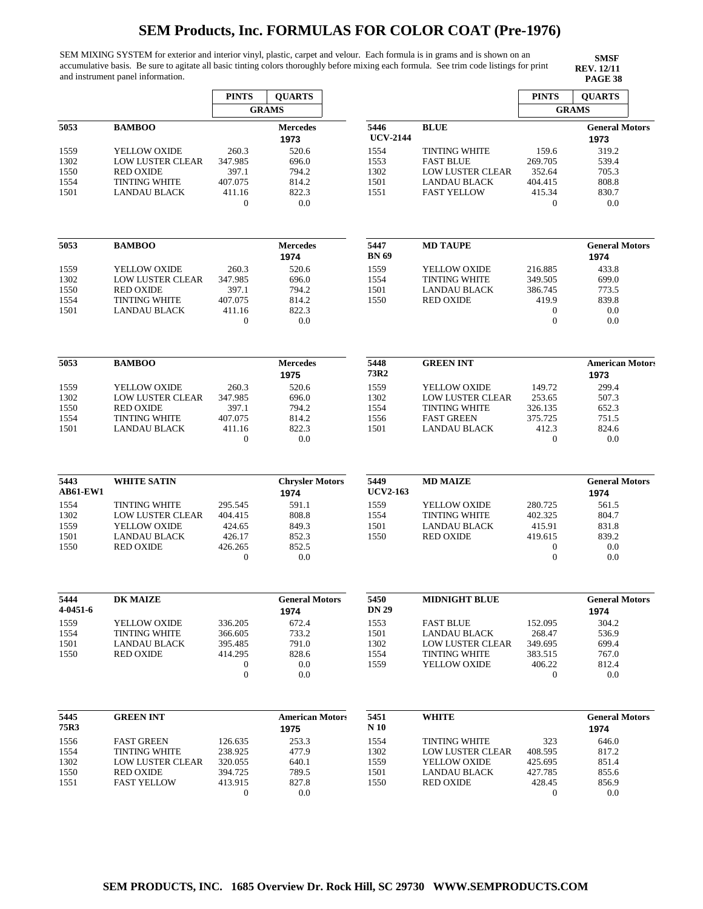SEM MIXING SYSTEM for exterior and interior vinyl, plastic, carpet and velour. Each formula is in grams and is shown on an accumulative basis. Be sure to agitate all basic tinting colors thoroughly before mixing each formula. See trim code listings for print and instrument panel information.

 $\mathsf{r}$ 

**SMSF REV. 12/11**

 $\overline{r}$ 

|                         |                         | <b>PINTS</b>                | <b>QUARTS</b>                  |                         |                         | <b>PINTS</b>                         | <b>QUARTS</b>                 |
|-------------------------|-------------------------|-----------------------------|--------------------------------|-------------------------|-------------------------|--------------------------------------|-------------------------------|
|                         |                         |                             | <b>GRAMS</b>                   |                         |                         |                                      | <b>GRAMS</b>                  |
| 5053                    | <b>BAMBOO</b>           |                             | <b>Mercedes</b><br>1973        | 5446<br><b>UCV-2144</b> | <b>BLUE</b>             |                                      | <b>General Motors</b><br>1973 |
| 1559                    | YELLOW OXIDE            | 260.3                       | 520.6                          | 1554                    | <b>TINTING WHITE</b>    | 159.6                                | 319.2                         |
| 1302                    | <b>LOW LUSTER CLEAR</b> | 347.985                     | 696.0                          | 1553                    | <b>FAST BLUE</b>        | 269.705                              | 539.4                         |
| 1550                    | <b>RED OXIDE</b>        | 397.1                       | 794.2                          | 1302                    | <b>LOW LUSTER CLEAR</b> | 352.64                               | 705.3                         |
| 1554                    | <b>TINTING WHITE</b>    | 407.075                     | 814.2                          | 1501                    | <b>LANDAU BLACK</b>     | 404.415                              | 808.8                         |
| 1501                    | <b>LANDAU BLACK</b>     | 411.16                      | 822.3                          | 1551                    | <b>FAST YELLOW</b>      | 415.34                               | 830.7                         |
|                         |                         | $\mathbf{0}$                | 0.0                            |                         |                         | $\boldsymbol{0}$                     | 0.0                           |
| 5053                    | <b>BAMBOO</b>           |                             | <b>Mercedes</b>                | 5447                    | <b>MD TAUPE</b>         |                                      | <b>General Motors</b>         |
|                         |                         |                             | 1974                           | <b>BN</b> 69            |                         |                                      | 1974                          |
| 1559                    | YELLOW OXIDE            | 260.3                       | 520.6                          | 1559                    | YELLOW OXIDE            | 216.885                              | 433.8                         |
| 1302                    | <b>LOW LUSTER CLEAR</b> | 347.985                     | 696.0                          | 1554                    | <b>TINTING WHITE</b>    | 349.505                              | 699.0                         |
| 1550                    | <b>RED OXIDE</b>        | 397.1                       | 794.2                          | 1501                    | <b>LANDAU BLACK</b>     | 386.745                              | 773.5                         |
| 1554                    | <b>TINTING WHITE</b>    | 407.075                     | 814.2                          | 1550                    | <b>RED OXIDE</b>        | 419.9                                | 839.8                         |
| 1501                    | <b>LANDAU BLACK</b>     | 411.16                      | 822.3                          |                         |                         | $\boldsymbol{0}$                     | 0.0                           |
|                         |                         | $\mathbf{0}$                | 0.0                            |                         |                         | $\boldsymbol{0}$                     | 0.0                           |
| 5053                    | <b>BAMBOO</b>           |                             | <b>Mercedes</b>                | 5448                    | <b>GREEN INT</b>        |                                      | American Motors               |
|                         |                         |                             | 1975                           | 73R2                    |                         |                                      | 1973                          |
|                         |                         |                             |                                |                         |                         |                                      |                               |
| 1559                    | YELLOW OXIDE            | 260.3                       | 520.6                          | 1559                    | YELLOW OXIDE            | 149.72                               | 299.4                         |
| 1302                    | LOW LUSTER CLEAR        | 347.985                     | 696.0                          | 1302                    | LOW LUSTER CLEAR        | 253.65                               | 507.3                         |
| 1550                    | <b>RED OXIDE</b>        | 397.1                       | 794.2                          | 1554                    | <b>TINTING WHITE</b>    | 326.135                              | 652.3                         |
| 1554                    | <b>TINTING WHITE</b>    | 407.075                     | 814.2                          | 1556                    | <b>FAST GREEN</b>       | 375.725                              | 751.5                         |
| 1501                    | LANDAU BLACK            | 411.16<br>$\overline{0}$    | 822.3<br>0.0                   | 1501                    | LANDAU BLACK            | 412.3<br>$\boldsymbol{0}$            | 824.6<br>0.0                  |
| 5443<br><b>AB61-EW1</b> | <b>WHITE SATIN</b>      |                             | <b>Chrysler Motors</b><br>1974 | 5449<br><b>UCV2-163</b> | <b>MD MAIZE</b>         |                                      | <b>General Motors</b><br>1974 |
|                         |                         |                             |                                |                         |                         |                                      |                               |
| 1554                    | <b>TINTING WHITE</b>    | 295.545                     | 591.1                          | 1559                    | YELLOW OXIDE            | 280.725                              | 561.5                         |
| 1302                    | <b>LOW LUSTER CLEAR</b> | 404.415                     | 808.8                          | 1554                    | <b>TINTING WHITE</b>    | 402.325                              | 804.7                         |
| 1559                    | YELLOW OXIDE            | 424.65                      | 849.3                          | 1501                    | <b>LANDAU BLACK</b>     | 415.91                               | 831.8                         |
| 1501                    | <b>LANDAU BLACK</b>     | 426.17                      | 852.3                          | 1550                    | <b>RED OXIDE</b>        | 419.615                              | 839.2                         |
| 1550                    | <b>RED OXIDE</b>        | 426.265<br>$\boldsymbol{0}$ | 852.5<br>0.0                   |                         |                         | $\boldsymbol{0}$<br>$\boldsymbol{0}$ | 0.0<br>0.0                    |
| 5444                    | <b>DK MAIZE</b>         |                             | <b>General Motors</b>          | 5450                    | <b>MIDNIGHT BLUE</b>    |                                      | <b>General Motors</b>         |
| 4-0451-6                |                         |                             | 1974                           | <b>DN 29</b>            |                         |                                      | 1974                          |
| 1559                    | YELLOW OXIDE            | 336.205                     | 672.4                          | 1553                    | <b>FAST BLUE</b>        | 152.095                              | 304.2                         |
| 1554                    | <b>TINTING WHITE</b>    | 366.605                     | 733.2                          | 1501                    | <b>LANDAU BLACK</b>     | 268.47                               | 536.9                         |
| 1501                    | LANDAU BLACK            | 395.485                     | 791.0                          | 1302                    | <b>LOW LUSTER CLEAR</b> | 349.695                              | 699.4                         |
| 1550                    | <b>RED OXIDE</b>        | 414.295                     | 828.6                          | 1554                    | <b>TINTING WHITE</b>    | 383.515                              | 767.0                         |
|                         |                         | $\boldsymbol{0}$            | 0.0                            | 1559                    | YELLOW OXIDE            | 406.22                               | 812.4                         |
|                         |                         | $\overline{0}$              | 0.0                            |                         |                         | $\mathbf{0}$                         | 0.0                           |
| 5445<br>75R3            | <b>GREEN INT</b>        |                             | <b>American Motors</b><br>1975 | 5451<br>$N_{10}$        | <b>WHITE</b>            |                                      | <b>General Motors</b><br>1974 |
|                         |                         |                             |                                |                         |                         |                                      |                               |
| 1556                    | <b>FAST GREEN</b>       | 126.635                     | 253.3                          | 1554                    | <b>TINTING WHITE</b>    | 323                                  | 646.0                         |
| 1554                    | <b>TINTING WHITE</b>    | 238.925                     | 477.9                          | 1302                    | <b>LOW LUSTER CLEAR</b> | 408.595                              | 817.2                         |
| 1302                    | <b>LOW LUSTER CLEAR</b> | 320.055                     | 640.1                          | 1559                    | YELLOW OXIDE            | 425.695                              | 851.4                         |
| 1550                    | <b>RED OXIDE</b>        | 394.725                     | 789.5                          | 1501                    | <b>LANDAU BLACK</b>     | 427.785                              | 855.6                         |
| 1551                    | <b>FAST YELLOW</b>      | 413.915                     | 827.8                          | 1550                    | <b>RED OXIDE</b>        | 428.45                               | 856.9                         |
|                         |                         | $\boldsymbol{0}$            | 0.0                            |                         |                         | $\boldsymbol{0}$                     | 0.0                           |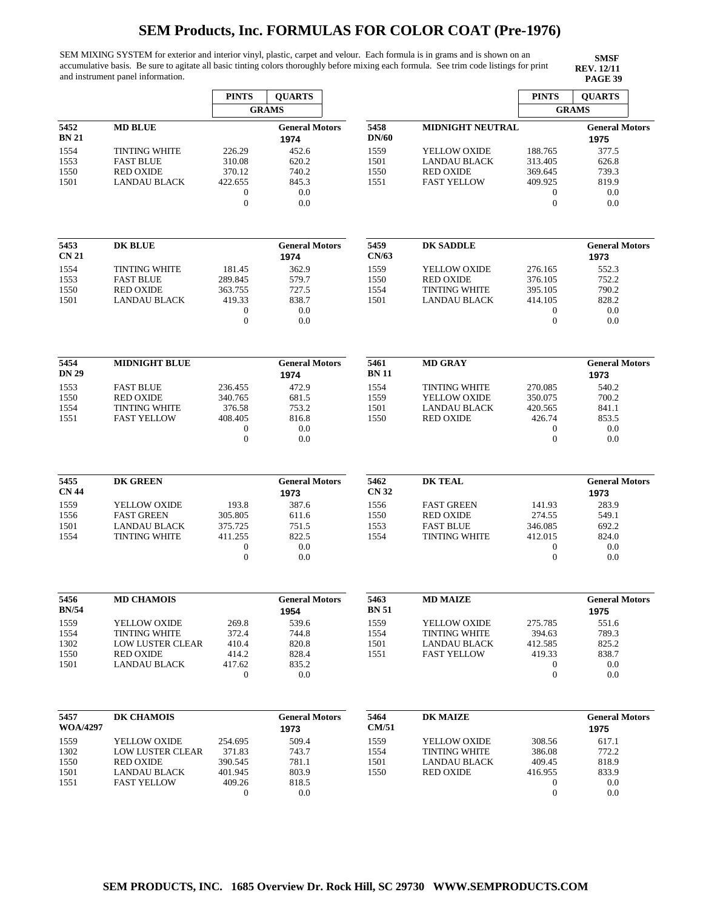SEM MIXING SYSTEM for exterior and interior vinyl, plastic, carpet and velour. Each formula is in grams and is shown on an accumulative basis. Be sure to agitate all basic tinting colors thoroughly before mixing each formula. See trim code listings for print and instrument panel information.

|                 |                         | <b>PINTS</b>               | <b>QUARTS</b>                 |                      |                                      | <b>PINTS</b>                         | <b>QUARTS</b>                 |
|-----------------|-------------------------|----------------------------|-------------------------------|----------------------|--------------------------------------|--------------------------------------|-------------------------------|
|                 |                         |                            | <b>GRAMS</b>                  |                      |                                      |                                      | <b>GRAMS</b>                  |
| 5452<br>BN 21   | <b>MD BLUE</b>          |                            | <b>General Motors</b><br>1974 | 5458<br><b>DN/60</b> | <b>MIDNIGHT NEUTRAL</b>              |                                      | <b>General Motors</b><br>1975 |
| 1554            | <b>TINTING WHITE</b>    | 226.29                     | 452.6                         | 1559                 | YELLOW OXIDE                         | 188.765                              | 377.5                         |
| 1553            | <b>FAST BLUE</b>        | 310.08                     | 620.2                         | 1501                 | <b>LANDAU BLACK</b>                  | 313.405                              | 626.8                         |
| 1550            | <b>RED OXIDE</b>        | 370.12                     | 740.2                         | 1550                 | <b>RED OXIDE</b>                     | 369.645                              | 739.3                         |
| 1501            | <b>LANDAU BLACK</b>     | 422.655                    | 845.3                         | 1551                 | <b>FAST YELLOW</b>                   | 409.925                              | 819.9                         |
|                 |                         | $\boldsymbol{0}$           | 0.0                           |                      |                                      | $\boldsymbol{0}$                     | 0.0                           |
|                 |                         | $\mathbf{0}$               | 0.0                           |                      |                                      | $\boldsymbol{0}$                     | 0.0                           |
| 5453            | <b>DK BLUE</b>          |                            | <b>General Motors</b>         | 5459                 | <b>DK SADDLE</b>                     |                                      | <b>General Motors</b>         |
| <b>CN 21</b>    |                         |                            | 1974                          | CN/63                |                                      |                                      | 1973                          |
| 1554            | <b>TINTING WHITE</b>    | 181.45                     | 362.9                         | 1559                 | YELLOW OXIDE                         | 276.165                              | 552.3                         |
| 1553            | <b>FAST BLUE</b>        | 289.845                    | 579.7                         | 1550                 | <b>RED OXIDE</b>                     | 376.105                              | 752.2                         |
| 1550            | <b>RED OXIDE</b>        | 363.755                    | 727.5                         | 1554                 | <b>TINTING WHITE</b>                 | 395.105                              | 790.2                         |
| 1501            | <b>LANDAU BLACK</b>     | 419.33                     | 838.7                         | 1501                 | <b>LANDAU BLACK</b>                  | 414.105                              | 828.2                         |
|                 |                         | $\boldsymbol{0}$           | 0.0                           |                      |                                      | $\boldsymbol{0}$                     | 0.0                           |
|                 |                         | $\mathbf{0}$               | 0.0                           |                      |                                      | $\overline{0}$                       | 0.0                           |
| 5454<br>DN 29   | <b>MIDNIGHT BLUE</b>    |                            | <b>General Motors</b><br>1974 | 5461<br><b>BN11</b>  | <b>MD GRAY</b>                       |                                      | <b>General Motors</b><br>1973 |
|                 | <b>FAST BLUE</b>        | 236.455                    | 472.9                         | 1554                 |                                      |                                      | 540.2                         |
| 1553<br>1550    | <b>RED OXIDE</b>        | 340.765                    | 681.5                         | 1559                 | <b>TINTING WHITE</b><br>YELLOW OXIDE | 270.085<br>350.075                   | 700.2                         |
| 1554            | <b>TINTING WHITE</b>    | 376.58                     | 753.2                         | 1501                 | <b>LANDAU BLACK</b>                  | 420.565                              | 841.1                         |
| 1551            | <b>FAST YELLOW</b>      | 408.405                    | 816.8                         | 1550                 | <b>RED OXIDE</b>                     | 426.74                               | 853.5                         |
|                 |                         | $\boldsymbol{0}$           | 0.0                           |                      |                                      | $\boldsymbol{0}$                     | 0.0                           |
|                 |                         | $\mathbf{0}$               | 0.0                           |                      |                                      | $\overline{0}$                       | 0.0                           |
| 5455            | <b>DK GREEN</b>         |                            | <b>General Motors</b>         | 5462                 | <b>DK TEAL</b>                       |                                      | <b>General Motors</b>         |
| <b>CN 44</b>    |                         |                            | 1973                          | <b>CN 32</b>         |                                      |                                      | 1973                          |
| 1559            | YELLOW OXIDE            | 193.8                      | 387.6                         | 1556                 | <b>FAST GREEN</b>                    | 141.93                               | 283.9                         |
| 1556            | <b>FAST GREEN</b>       | 305.805                    | 611.6                         | 1550                 | <b>RED OXIDE</b>                     | 274.55                               | 549.1                         |
| 1501            | <b>LANDAU BLACK</b>     | 375.725                    | 751.5                         | 1553                 | <b>FAST BLUE</b>                     | 346.085                              | 692.2                         |
| 1554            | <b>TINTING WHITE</b>    | 411.255                    | 822.5                         | 1554                 | <b>TINTING WHITE</b>                 | 412.015                              | 824.0                         |
|                 |                         | 0<br>$\overline{0}$        | 0.0<br>0.0                    |                      |                                      | $\mathbf{0}$<br>$\mathbf{0}$         | 0.0<br>0.0                    |
|                 |                         |                            |                               |                      |                                      |                                      |                               |
| 5456            | <b>MD CHAMOIS</b>       |                            | <b>General Motors</b>         | 5463                 | <b>MD MAIZE</b>                      |                                      | <b>General Motors</b>         |
| BN/54           |                         |                            | 1954                          | <b>BN 51</b>         |                                      |                                      | 1975                          |
| 1559            | YELLOW OXIDE            | 269.8                      | 539.6                         | 1559                 | YELLOW OXIDE                         | 275.785                              | 551.6                         |
| 1554            | <b>TINTING WHITE</b>    | 372.4                      | 744.8                         | 1554                 | <b>TINTING WHITE</b>                 | 394.63                               | 789.3                         |
| 1302            | <b>LOW LUSTER CLEAR</b> | 410.4                      | 820.8                         | 1501                 | LANDAU BLACK                         | 412.585                              | 825.2                         |
| 1550            | <b>RED OXIDE</b>        | 414.2                      | 828.4                         | 1551                 | <b>FAST YELLOW</b>                   | 419.33                               | 838.7                         |
| 1501            | LANDAU BLACK            | 417.62<br>$\boldsymbol{0}$ | 835.2<br>0.0                  |                      |                                      | $\boldsymbol{0}$<br>$\boldsymbol{0}$ | 0.0<br>0.0                    |
|                 |                         |                            |                               |                      |                                      |                                      |                               |
| 5457            | DK CHAMOIS              |                            | <b>General Motors</b>         | 5464                 | <b>DK MAIZE</b>                      |                                      | <b>General Motors</b>         |
| <b>WOA/4297</b> |                         |                            | 1973                          | <b>CM/51</b>         |                                      |                                      | 1975                          |
| 1559            | YELLOW OXIDE            | 254.695                    | 509.4                         | 1559                 | YELLOW OXIDE                         | 308.56                               | 617.1                         |
| 1302            | LOW LUSTER CLEAR        | 371.83                     | 743.7                         | 1554                 | <b>TINTING WHITE</b>                 | 386.08                               | 772.2                         |
| 1550            | <b>RED OXIDE</b>        | 390.545                    | 781.1                         | 1501                 | LANDAU BLACK                         | 409.45                               | 818.9                         |
| 1501            | LANDAU BLACK            | 401.945                    | 803.9                         | 1550                 | <b>RED OXIDE</b>                     | 416.955                              | 833.9                         |
| 1551            | <b>FAST YELLOW</b>      | 409.26                     | 818.5                         |                      |                                      | $\mathbf{0}$                         | 0.0                           |
|                 |                         | $\mathbf 0$                | 0.0                           |                      |                                      | $\mathbf{0}$                         | 0.0                           |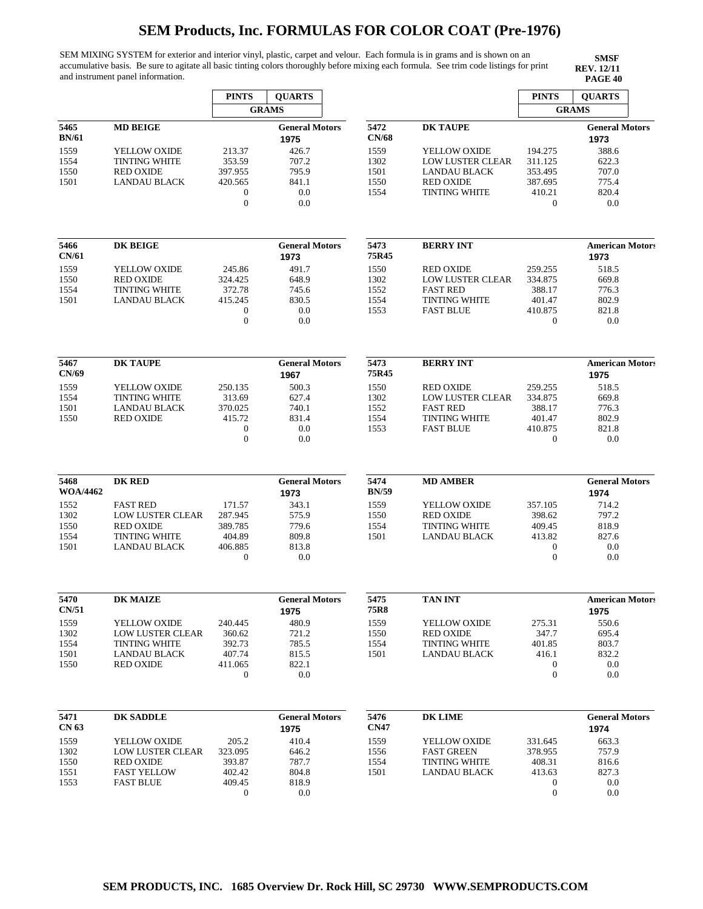SEM MIXING SYSTEM for exterior and interior vinyl, plastic, carpet and velour. Each formula is in grams and is shown on an accumulative basis. Be sure to agitate all basic tinting colors thoroughly before mixing each formula. See trim code listings for print and instrument panel information.

|                         |                         | <b>PINTS</b>                     | <b>QUARTS</b>                 |                      |                         | <b>PINTS</b>                     | <b>QUARTS</b>                 |
|-------------------------|-------------------------|----------------------------------|-------------------------------|----------------------|-------------------------|----------------------------------|-------------------------------|
|                         |                         |                                  | <b>GRAMS</b>                  |                      |                         |                                  | <b>GRAMS</b>                  |
| 5465<br><b>BN/61</b>    | <b>MD BEIGE</b>         |                                  | <b>General Motors</b><br>1975 | 5472<br><b>CN/68</b> | <b>DK TAUPE</b>         |                                  | <b>General Motors</b><br>1973 |
| 1559                    | YELLOW OXIDE            | 213.37                           | 426.7                         | 1559                 | YELLOW OXIDE            | 194.275                          | 388.6                         |
| 1554                    | <b>TINTING WHITE</b>    | 353.59                           | 707.2                         | 1302                 | <b>LOW LUSTER CLEAR</b> | 311.125                          | 622.3                         |
| 1550                    | <b>RED OXIDE</b>        | 397.955                          | 795.9                         | 1501                 | <b>LANDAU BLACK</b>     | 353.495                          | 707.0                         |
| 1501                    | <b>LANDAU BLACK</b>     | 420.565                          | 841.1                         | 1550                 | <b>RED OXIDE</b>        | 387.695                          | 775.4                         |
|                         |                         | $\boldsymbol{0}$                 | 0.0                           | 1554                 | <b>TINTING WHITE</b>    | 410.21                           | 820.4                         |
|                         |                         | $\mathbf{0}$                     | 0.0                           |                      |                         | $\boldsymbol{0}$                 | 0.0                           |
| 5466<br>CN/61           | <b>DK BEIGE</b>         |                                  | <b>General Motors</b>         | 5473<br>75R45        | <b>BERRY INT</b>        |                                  | <b>American Motors</b>        |
|                         |                         |                                  | 1973                          |                      |                         |                                  | 1973                          |
| 1559                    | YELLOW OXIDE            | 245.86                           | 491.7                         | 1550                 | <b>RED OXIDE</b>        | 259.255                          | 518.5                         |
| 1550                    | <b>RED OXIDE</b>        | 324.425                          | 648.9                         | 1302                 | <b>LOW LUSTER CLEAR</b> | 334.875                          | 669.8                         |
| 1554                    | <b>TINTING WHITE</b>    | 372.78                           | 745.6                         | 1552                 | <b>FAST RED</b>         | 388.17                           | 776.3                         |
| 1501                    | <b>LANDAU BLACK</b>     | 415.245                          | 830.5                         | 1554                 | <b>TINTING WHITE</b>    | 401.47                           | 802.9                         |
|                         |                         | $\boldsymbol{0}$<br>$\mathbf{0}$ | 0.0<br>0.0                    | 1553                 | <b>FAST BLUE</b>        | 410.875<br>$\mathbf{0}$          | 821.8<br>0.0                  |
|                         |                         |                                  |                               |                      |                         |                                  |                               |
| 5467                    | <b>DK TAUPE</b>         |                                  | <b>General Motors</b>         | 5473                 | <b>BERRY INT</b>        |                                  | <b>American Motors</b>        |
| CN/69                   |                         |                                  | 1967                          | 75R45                |                         |                                  | 1975                          |
| 1559                    | YELLOW OXIDE            | 250.135                          | 500.3                         | 1550                 | <b>RED OXIDE</b>        | 259.255                          | 518.5                         |
| 1554                    | <b>TINTING WHITE</b>    | 313.69                           | 627.4                         | 1302                 | LOW LUSTER CLEAR        | 334.875                          | 669.8                         |
| 1501                    | LANDAU BLACK            | 370.025                          | 740.1                         | 1552                 | <b>FAST RED</b>         | 388.17                           | 776.3                         |
| 1550                    | <b>RED OXIDE</b>        | 415.72                           | 831.4                         | 1554                 | <b>TINTING WHITE</b>    | 401.47                           | 802.9                         |
|                         |                         | $\mathbf 0$                      | 0.0                           | 1553                 | <b>FAST BLUE</b>        | 410.875                          | 821.8                         |
|                         |                         | $\mathbf{0}$                     | 0.0                           |                      |                         | $\mathbf{0}$                     | 0.0                           |
| 5468<br><b>WOA/4462</b> | <b>DK RED</b>           |                                  | <b>General Motors</b><br>1973 | 5474<br><b>BN/59</b> | <b>MD AMBER</b>         |                                  | <b>General Motors</b><br>1974 |
|                         |                         |                                  |                               |                      |                         |                                  |                               |
| 1552                    | <b>FAST RED</b>         | 171.57                           | 343.1                         | 1559                 | YELLOW OXIDE            | 357.105                          | 714.2                         |
| 1302                    | <b>LOW LUSTER CLEAR</b> | 287.945                          | 575.9                         | 1550                 | <b>RED OXIDE</b>        | 398.62                           | 797.2                         |
| 1550                    | <b>RED OXIDE</b>        | 389.785                          | 779.6                         | 1554                 | <b>TINTING WHITE</b>    | 409.45                           | 818.9                         |
| 1554                    | <b>TINTING WHITE</b>    | 404.89                           | 809.8                         | 1501                 | <b>LANDAU BLACK</b>     | 413.82                           | 827.6                         |
| 1501                    | <b>LANDAU BLACK</b>     | 406.885<br>$\mathbf{0}$          | 813.8<br>0.0                  |                      |                         | $\boldsymbol{0}$<br>$\mathbf{0}$ | 0.0<br>0.0                    |
| 5470                    | <b>DK MAIZE</b>         |                                  | <b>General Motors</b>         | 5475                 | <b>TAN INT</b>          |                                  | <b>American Motors</b>        |
| CN/51                   |                         |                                  |                               | 75R8                 |                         |                                  |                               |
|                         |                         |                                  | 1975                          |                      |                         |                                  | 1975                          |
| 1559                    | YELLOW OXIDE            | 240.445                          | 480.9                         | 1559                 | YELLOW OXIDE            | 275.31                           | 550.6                         |
| 1302                    | LOW LUSTER CLEAR        | 360.62                           | 721.2                         | 1550                 | <b>RED OXIDE</b>        | 347.7                            | 695.4                         |
| 1554                    | <b>TINTING WHITE</b>    | 392.73                           | 785.5                         | 1554                 | <b>TINTING WHITE</b>    | 401.85                           | 803.7                         |
| 1501                    | LANDAU BLACK            | 407.74                           | 815.5                         | 1501                 | <b>LANDAU BLACK</b>     | 416.1                            | 832.2                         |
| 1550                    | <b>RED OXIDE</b>        | 411.065                          | 822.1                         |                      |                         | $\mathbf{0}$                     | 0.0                           |
|                         |                         | $\mathbf{0}$                     | 0.0                           |                      |                         | $\boldsymbol{0}$                 | 0.0                           |
| 5471<br><b>CN 63</b>    | <b>DK SADDLE</b>        |                                  | <b>General Motors</b><br>1975 | 5476<br><b>CN47</b>  | <b>DK LIME</b>          |                                  | <b>General Motors</b><br>1974 |
|                         |                         |                                  |                               |                      |                         |                                  |                               |
| 1559                    | YELLOW OXIDE            | 205.2                            | 410.4                         | 1559                 | YELLOW OXIDE            | 331.645                          | 663.3                         |
| 1302                    | <b>LOW LUSTER CLEAR</b> | 323.095                          | 646.2                         | 1556                 | <b>FAST GREEN</b>       | 378.955                          | 757.9                         |
| 1550                    | <b>RED OXIDE</b>        | 393.87                           | 787.7                         | 1554                 | TINTING WHITE           | 408.31                           | 816.6                         |
| 1551                    | <b>FAST YELLOW</b>      | 402.42                           | 804.8                         | 1501                 | <b>LANDAU BLACK</b>     | 413.63                           | 827.3                         |
| 1553                    | <b>FAST BLUE</b>        | 409.45                           | 818.9                         |                      |                         | 0                                | 0.0                           |
|                         |                         | $\boldsymbol{0}$                 | 0.0                           |                      |                         | $\boldsymbol{0}$                 | 0.0                           |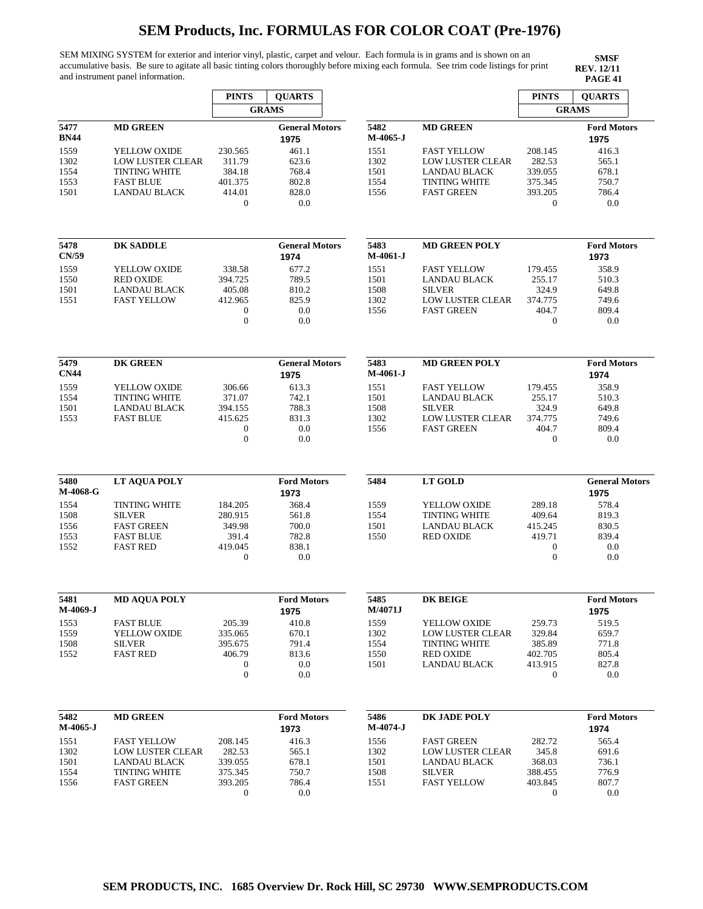SEM MIXING SYSTEM for exterior and interior vinyl, plastic, carpet and velour. Each formula is in grams and is shown on an accumulative basis. Be sure to agitate all basic tinting colors thoroughly before mixing each formula. See trim code listings for print and instrument panel information.

|             |                         | <b>PINTS</b>     | <b>QUARTS</b>         |            |                         | <b>PINTS</b>     | <b>OUARTS</b>         |
|-------------|-------------------------|------------------|-----------------------|------------|-------------------------|------------------|-----------------------|
|             |                         |                  | <b>GRAMS</b>          |            |                         |                  | <b>GRAMS</b>          |
| 5477        | <b>MD GREEN</b>         |                  | <b>General Motors</b> | 5482       | <b>MD GREEN</b>         |                  | <b>Ford Motors</b>    |
| BN44        |                         |                  | 1975                  | M-4065-J   |                         |                  | 1975                  |
| 1559        | YELLOW OXIDE            | 230.565          | 461.1                 | 1551       | <b>FAST YELLOW</b>      | 208.145          | 416.3                 |
| 1302        | <b>LOW LUSTER CLEAR</b> | 311.79           | 623.6                 | 1302       | LOW LUSTER CLEAR        | 282.53           | 565.1                 |
| 1554        | <b>TINTING WHITE</b>    | 384.18           | 768.4                 | 1501       | LANDAU BLACK            | 339.055          | 678.1                 |
| 1553        | <b>FAST BLUE</b>        | 401.375          | 802.8                 | 1554       | <b>TINTING WHITE</b>    | 375.345          | 750.7                 |
| 1501        | <b>LANDAU BLACK</b>     | 414.01           | 828.0                 | 1556       | <b>FAST GREEN</b>       | 393.205          | 786.4                 |
|             |                         | $\boldsymbol{0}$ | 0.0                   |            |                         | 0                | 0.0                   |
| 5478        | <b>DK SADDLE</b>        |                  | <b>General Motors</b> | 5483       | <b>MD GREEN POLY</b>    |                  | <b>Ford Motors</b>    |
| CN/59       |                         |                  | 1974                  | $M-4061-J$ |                         |                  | 1973                  |
| 1559        | YELLOW OXIDE            | 338.58           | 677.2                 | 1551       | <b>FAST YELLOW</b>      | 179.455          | 358.9                 |
| 1550        | <b>RED OXIDE</b>        | 394.725          | 789.5                 | 1501       | <b>LANDAU BLACK</b>     | 255.17           | 510.3                 |
| 1501        | <b>LANDAU BLACK</b>     | 405.08           | 810.2                 | 1508       | <b>SILVER</b>           | 324.9            | 649.8                 |
| 1551        | <b>FAST YELLOW</b>      | 412.965          | 825.9                 | 1302       | <b>LOW LUSTER CLEAR</b> | 374.775          | 749.6                 |
|             |                         | 0                | 0.0                   | 1556       | <b>FAST GREEN</b>       | 404.7            | 809.4                 |
|             |                         | $\boldsymbol{0}$ | 0.0                   |            |                         | $\boldsymbol{0}$ | 0.0                   |
| 5479        | <b>DK GREEN</b>         |                  | <b>General Motors</b> | 5483       | <b>MD GREEN POLY</b>    |                  | <b>Ford Motors</b>    |
| <b>CN44</b> |                         |                  | 1975                  | $M-4061-J$ |                         |                  | 1974                  |
| 1559        | YELLOW OXIDE            | 306.66           | 613.3                 | 1551       | <b>FAST YELLOW</b>      | 179.455          | 358.9                 |
| 1554        | <b>TINTING WHITE</b>    | 371.07           | 742.1                 | 1501       | <b>LANDAU BLACK</b>     | 255.17           | 510.3                 |
| 1501        | LANDAU BLACK            | 394.155          | 788.3                 | 1508       | <b>SILVER</b>           | 324.9            | 649.8                 |
| 1553        | <b>FAST BLUE</b>        | 415.625          | 831.3                 | 1302       | <b>LOW LUSTER CLEAR</b> | 374.775          | 749.6                 |
|             |                         | 0                | 0.0                   | 1556       | <b>FAST GREEN</b>       | 404.7            | 809.4                 |
|             |                         | $\boldsymbol{0}$ | 0.0                   |            |                         | $\boldsymbol{0}$ | 0.0                   |
| 5480        | LT AQUA POLY            |                  | <b>Ford Motors</b>    | 5484       | <b>LT GOLD</b>          |                  | <b>General Motors</b> |
| M-4068-G    |                         |                  | 1973                  |            |                         |                  | 1975                  |
| 1554        | <b>TINTING WHITE</b>    | 184.205          | 368.4                 | 1559       | YELLOW OXIDE            | 289.18           | 578.4                 |
| 1508        | <b>SILVER</b>           | 280.915          | 561.8                 | 1554       | <b>TINTING WHITE</b>    | 409.64           | 819.3                 |
| 1556        | <b>FAST GREEN</b>       | 349.98           | 700.0                 | 1501       | <b>LANDAU BLACK</b>     | 415.245          | 830.5                 |
| 1553        | <b>FAST BLUE</b>        | 391.4            | 782.8                 | 1550       | <b>RED OXIDE</b>        | 419.71           | 839.4                 |
| 1552        | <b>FAST RED</b>         | 419.045          | 838.1                 |            |                         | $\boldsymbol{0}$ | 0.0                   |
|             |                         | $\boldsymbol{0}$ | 0.0                   |            |                         | $\boldsymbol{0}$ | 0.0                   |
|             |                         |                  |                       |            |                         |                  |                       |
| 5481        | <b>MD AQUA POLY</b>     |                  | <b>Ford Motors</b>    | 5485       | DK BEIGE                |                  | <b>Ford Motors</b>    |
| M-4069-J    |                         |                  | 1975                  | M/4071J    |                         |                  | 1975                  |
| 1553        | <b>FAST BLUE</b>        | 205.39           | 410.8                 | 1559       | YELLOW OXIDE            | 259.73           | 519.5                 |
| 1559        | YELLOW OXIDE            | 335.065          | 670.1                 | 1302       | LOW LUSTER CLEAR        | 329.84           | 659.7                 |
| 1508        | <b>SILVER</b>           | 395.675          | 791.4                 | 1554       | <b>TINTING WHITE</b>    | 385.89           | 771.8                 |
| 1552        | <b>FAST RED</b>         | 406.79           | 813.6                 | 1550       | <b>RED OXIDE</b>        | 402.705          | 805.4                 |
|             |                         | $\boldsymbol{0}$ | 0.0                   | 1501       | LANDAU BLACK            | 413.915          | 827.8                 |
|             |                         | $\boldsymbol{0}$ | 0.0                   |            |                         | 0                | 0.0                   |
| 5482        | <b>MD GREEN</b>         |                  | <b>Ford Motors</b>    | 5486       | DK JADE POLY            |                  | <b>Ford Motors</b>    |
| M-4065-J    |                         |                  | 1973                  | M-4074-J   |                         |                  | 1974                  |
| 1551        | <b>FAST YELLOW</b>      | 208.145          | 416.3                 | 1556       | <b>FAST GREEN</b>       | 282.72           | 565.4                 |
| 1302        | <b>LOW LUSTER CLEAR</b> | 282.53           | 565.1                 | 1302       | LOW LUSTER CLEAR        | 345.8            | 691.6                 |
| 1501        | LANDAU BLACK            | 339.055          | 678.1                 | 1501       | LANDAU BLACK            | 368.03           | 736.1                 |
| 1554        | <b>TINTING WHITE</b>    | 375.345          | 750.7                 | 1508       | <b>SILVER</b>           | 388.455          | 776.9                 |
| 1556        | <b>FAST GREEN</b>       | 393.205          | 786.4                 | 1551       | <b>FAST YELLOW</b>      | 403.845          | 807.7                 |
|             |                         | $\boldsymbol{0}$ | 0.0                   |            |                         | $\theta$         | 0.0                   |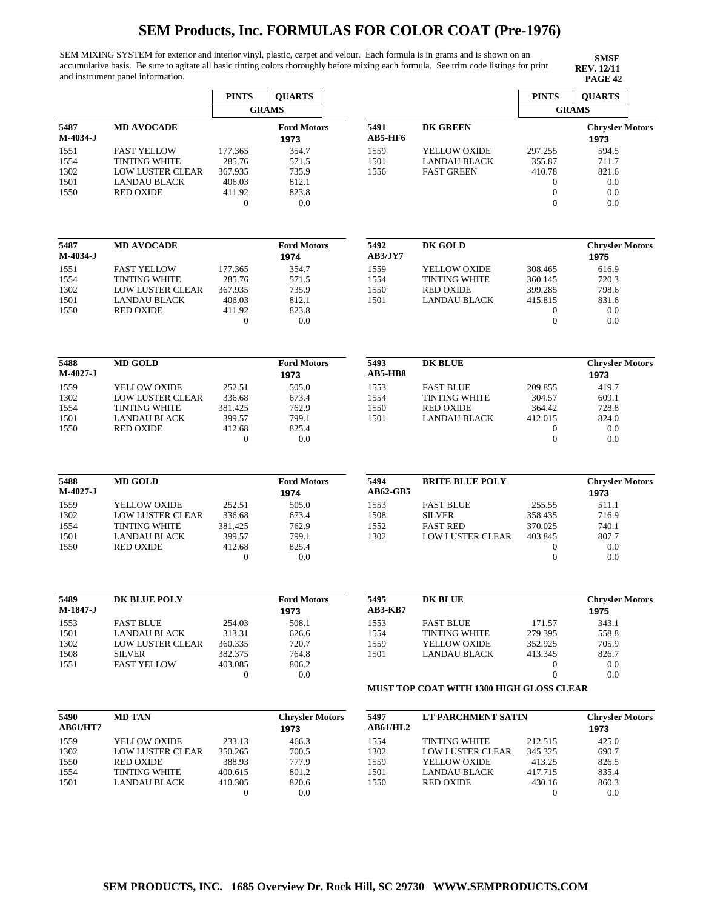SEM MIXING SYSTEM for exterior and interior vinyl, plastic, carpet and velour. Each formula is in grams and is shown on an accumulative basis. Be sure to agitate all basic tinting colors thoroughly before mixing each formula. See trim code listings for print and instrument panel information.

|                                      |                                                                                                           | <b>PINTS</b>                                                         | <b>QUARTS</b>                                    |                              |                                                                                 | <b>PINTS</b>                                                  | <b>OUARTS</b>                                  |
|--------------------------------------|-----------------------------------------------------------------------------------------------------------|----------------------------------------------------------------------|--------------------------------------------------|------------------------------|---------------------------------------------------------------------------------|---------------------------------------------------------------|------------------------------------------------|
|                                      |                                                                                                           |                                                                      | <b>GRAMS</b>                                     |                              |                                                                                 | <b>GRAMS</b>                                                  |                                                |
| 5487<br>$M-4034-J$<br>1551           | <b>MD AVOCADE</b><br><b>FAST YELLOW</b>                                                                   | 177.365                                                              | <b>Ford Motors</b><br>1973<br>354.7              | 5491<br>AB5-HF6<br>1559      | <b>DK GREEN</b><br><b>YELLOW OXIDE</b>                                          | 297.255                                                       | <b>Chrysler Motors</b><br>1973<br>594.5        |
| 1554<br>1302<br>1501<br>1550         | <b>TINTING WHITE</b><br>LOW LUSTER CLEAR<br>LANDAU BLACK<br><b>RED OXIDE</b>                              | 285.76<br>367.935<br>406.03<br>411.92<br>$\boldsymbol{0}$            | 571.5<br>735.9<br>812.1<br>823.8<br>0.0          | 1501<br>1556                 | <b>LANDAU BLACK</b><br><b>FAST GREEN</b>                                        | 355.87<br>410.78<br>0<br>$\boldsymbol{0}$<br>$\mathbf{0}$     | 711.7<br>821.6<br>0.0<br>0.0<br>0.0            |
| 5487<br>M-4034-J                     | <b>MD AVOCADE</b>                                                                                         |                                                                      | <b>Ford Motors</b><br>1974                       | 5492<br>AB3/JY7              | DK GOLD                                                                         |                                                               | <b>Chrysler Motors</b><br>1975                 |
| 1551<br>1554<br>1302<br>1501<br>1550 | <b>FAST YELLOW</b><br><b>TINTING WHITE</b><br><b>LOW LUSTER CLEAR</b><br>LANDAU BLACK<br><b>RED OXIDE</b> | 177.365<br>285.76<br>367.935<br>406.03<br>411.92<br>$\boldsymbol{0}$ | 354.7<br>571.5<br>735.9<br>812.1<br>823.8<br>0.0 | 1559<br>1554<br>1550<br>1501 | YELLOW OXIDE<br><b>TINTING WHITE</b><br><b>RED OXIDE</b><br><b>LANDAU BLACK</b> | 308.465<br>360.145<br>399.285<br>415.815<br>0<br>$\mathbf{0}$ | 616.9<br>720.3<br>798.6<br>831.6<br>0.0<br>0.0 |
|                                      |                                                                                                           |                                                                      |                                                  |                              |                                                                                 |                                                               |                                                |
| 5488<br>M-4027-J                     | <b>MD GOLD</b>                                                                                            |                                                                      | <b>Ford Motors</b><br>1973                       | 5493<br>AB5-HB8              | <b>DK BLUE</b>                                                                  |                                                               | <b>Chrysler Motors</b><br>1973                 |
| 1559<br>1302                         | YELLOW OXIDE<br>LOW LUSTER CLEAR                                                                          | 252.51<br>336.68                                                     | 505.0<br>673.4                                   | 1553<br>1554                 | <b>FAST BLUE</b><br><b>TINTING WHITE</b>                                        | 209.855<br>304.57                                             | 419.7<br>609.1                                 |
| 1554                                 | <b>TINTING WHITE</b>                                                                                      | 381.425                                                              | 762.9                                            | 1550                         | <b>RED OXIDE</b>                                                                | 364.42                                                        | 728.8                                          |
| 1501                                 | <b>LANDAU BLACK</b>                                                                                       | 399.57                                                               | 799.1                                            | 1501                         | <b>LANDAU BLACK</b>                                                             | 412.015                                                       | 824.0                                          |
| 1550                                 | <b>RED OXIDE</b>                                                                                          | 412.68<br>0                                                          | 825.4<br>0.0                                     |                              |                                                                                 | 0<br>$\boldsymbol{0}$                                         | 0.0<br>0.0                                     |
| 5488<br>$M-4027-J$                   | <b>MD GOLD</b>                                                                                            |                                                                      | <b>Ford Motors</b><br>1974                       | 5494<br><b>AB62-GB5</b>      | <b>BRITE BLUE POLY</b>                                                          |                                                               | <b>Chrysler Motors</b><br>1973                 |
| 1559                                 | YELLOW OXIDE                                                                                              | 252.51                                                               | 505.0                                            | 1553                         | <b>FAST BLUE</b>                                                                | 255.55                                                        | 511.1                                          |
| 1302                                 | <b>LOW LUSTER CLEAR</b>                                                                                   | 336.68                                                               | 673.4                                            | 1508                         | <b>SILVER</b>                                                                   | 358.435                                                       | 716.9                                          |
| 1554                                 | <b>TINTING WHITE</b>                                                                                      | 381.425                                                              | 762.9                                            | 1552                         | <b>FAST RED</b>                                                                 | 370.025                                                       | 740.1                                          |
| 1501<br>1550                         | <b>LANDAU BLACK</b><br><b>RED OXIDE</b>                                                                   | 399.57<br>412.68                                                     | 799.1<br>825.4                                   | 1302                         | <b>LOW LUSTER CLEAR</b>                                                         | 403.845<br>$\boldsymbol{0}$                                   | 807.7<br>0.0                                   |
|                                      |                                                                                                           | 0                                                                    | 0.0                                              |                              |                                                                                 | $\boldsymbol{0}$                                              | 0.0                                            |
| 5489<br>M-1847-J                     | <b>DK BLUE POLY</b>                                                                                       |                                                                      | <b>Ford Motors</b><br>1973                       | 5495<br><b>AB3-KB7</b>       | <b>DK BLUE</b>                                                                  |                                                               | <b>Chrysler Motors</b><br>1975                 |
| 1553                                 | <b>FAST BLUE</b>                                                                                          | 254.03                                                               | 508.1                                            | 1553                         | <b>FAST BLUE</b>                                                                | 171.57                                                        | 343.1                                          |
| 1501                                 | LANDAU BLACK                                                                                              | 313.31                                                               | 626.6                                            | 1554                         | <b>TINTING WHITE</b>                                                            | 279.395                                                       | 558.8                                          |
| 1302                                 | LOW LUSTER CLEAR                                                                                          | 360.335                                                              | 720.7                                            | 1559                         | <b>YELLOW OXIDE</b>                                                             | 352.925                                                       | 705.9                                          |
| 1508<br>1551                         | <b>SILVER</b><br><b>FAST YELLOW</b>                                                                       | 382.375<br>403.085                                                   | 764.8<br>806.2                                   | 1501                         | LANDAU BLACK                                                                    | 413.345<br>0                                                  | 826.7<br>0.0                                   |
|                                      |                                                                                                           | 0                                                                    | 0.0                                              |                              | MUST TOP COAT WITH 1300 HIGH GLOSS CLEAR                                        | $\boldsymbol{0}$                                              | 0.0                                            |
| 5490                                 | <b>MD TAN</b>                                                                                             |                                                                      | <b>Chrysler Motors</b>                           | 5497                         | LT PARCHMENT SATIN                                                              |                                                               | <b>Chrysler Motors</b>                         |
| <b>AB61/HT7</b>                      |                                                                                                           |                                                                      | 1973                                             | <b>AB61/HL2</b>              |                                                                                 |                                                               | 1973                                           |
| 1559                                 | YELLOW OXIDE                                                                                              | 233.13                                                               | 466.3                                            | 1554                         | <b>TINTING WHITE</b>                                                            | 212.515                                                       | 425.0                                          |
| 1302                                 | LOW LUSTER CLEAR                                                                                          | 350.265                                                              | 700.5                                            | 1302                         | LOW LUSTER CLEAR                                                                | 345.325                                                       | 690.7                                          |
| 1550                                 | <b>RED OXIDE</b>                                                                                          | 388.93                                                               | 777.9                                            | 1559                         | YELLOW OXIDE                                                                    | 413.25                                                        | 826.5                                          |
| 1554<br>1501                         | <b>TINTING WHITE</b><br><b>LANDAU BLACK</b>                                                               | 400.615<br>410.305                                                   | 801.2<br>820.6                                   | 1501<br>1550                 | LANDAU BLACK<br><b>RED OXIDE</b>                                                | 417.715<br>430.16                                             | 835.4<br>860.3                                 |
|                                      |                                                                                                           | 0                                                                    | 0.0                                              |                              |                                                                                 | 0                                                             | 0.0                                            |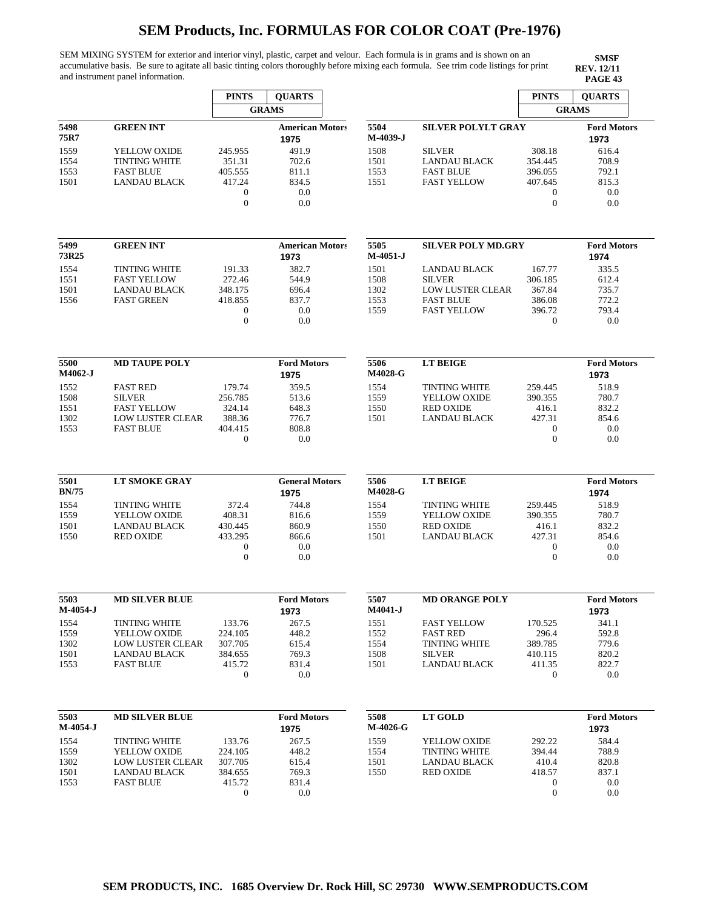SEM MIXING SYSTEM for exterior and interior vinyl, plastic, carpet and velour. Each formula is in grams and is shown on an accumulative basis. Be sure to agitate all basic tinting colors thoroughly before mixing each formula. See trim code listings for print and instrument panel information.

|                |                         | <b>PINTS</b>     | <b>QUARTS</b>          |          |                           | <b>PINTS</b>     | <b>QUARTS</b>      |
|----------------|-------------------------|------------------|------------------------|----------|---------------------------|------------------|--------------------|
|                |                         |                  | <b>GRAMS</b>           |          |                           |                  | <b>GRAMS</b>       |
| 5498           | <b>GREEN INT</b>        |                  | <b>American Motors</b> | 5504     | <b>SILVER POLYLT GRAY</b> |                  | <b>Ford Motors</b> |
| 75R7           |                         |                  | 1975                   | M-4039-J |                           |                  | 1973               |
| 1559           | YELLOW OXIDE            | 245.955          | 491.9                  | 1508     | <b>SILVER</b>             | 308.18           | 616.4              |
| 1554           | <b>TINTING WHITE</b>    | 351.31           | 702.6                  | 1501     | <b>LANDAU BLACK</b>       | 354.445          | 708.9              |
| 1553           | <b>FAST BLUE</b>        | 405.555          | 811.1                  | 1553     | <b>FAST BLUE</b>          | 396.055          | 792.1              |
| 1501           | <b>LANDAU BLACK</b>     | 417.24           | 834.5                  | 1551     | <b>FAST YELLOW</b>        | 407.645          | 815.3              |
|                |                         | $\mathbf{0}$     | 0.0                    |          |                           | 0                | 0.0                |
|                |                         | $\mathbf{0}$     | 0.0                    |          |                           | $\boldsymbol{0}$ | 0.0                |
|                |                         |                  |                        |          |                           |                  |                    |
| 5499           | <b>GREEN INT</b>        |                  | <b>American Motors</b> | 5505     | <b>SILVER POLY MD.GRY</b> |                  | <b>Ford Motors</b> |
| 73R25          |                         |                  | 1973                   | M-4051-J |                           |                  | 1974               |
| 1554           | <b>TINTING WHITE</b>    | 191.33           | 382.7                  | 1501     | <b>LANDAU BLACK</b>       | 167.77           | 335.5              |
| 1551           | <b>FAST YELLOW</b>      | 272.46           | 544.9                  | 1508     | <b>SILVER</b>             | 306.185          | 612.4              |
| 1501           | <b>LANDAU BLACK</b>     | 348.175          | 696.4                  | 1302     | LOW LUSTER CLEAR          | 367.84           | 735.7              |
| 1556           | <b>FAST GREEN</b>       | 418.855          | 837.7                  | 1553     | <b>FAST BLUE</b>          | 386.08           | 772.2              |
|                |                         | $\boldsymbol{0}$ | 0.0                    | 1559     | <b>FAST YELLOW</b>        | 396.72           | 793.4              |
|                |                         | $\boldsymbol{0}$ | 0.0                    |          |                           | $\mathbf{0}$     | 0.0                |
|                |                         |                  |                        |          |                           |                  |                    |
| 5500           | <b>MD TAUPE POLY</b>    |                  | <b>Ford Motors</b>     | 5506     | <b>LT BEIGE</b>           |                  | <b>Ford Motors</b> |
| <b>M4062-J</b> |                         |                  | 1975                   | M4028-G  |                           |                  | 1973               |
| 1552           | <b>FAST RED</b>         | 179.74           | 359.5                  | 1554     | <b>TINTING WHITE</b>      | 259.445          | 518.9              |
| 1508           | <b>SILVER</b>           | 256.785          | 513.6                  | 1559     | YELLOW OXIDE              | 390.355          | 780.7              |
| 1551           | <b>FAST YELLOW</b>      | 324.14           | 648.3                  | 1550     | <b>RED OXIDE</b>          | 416.1            | 832.2              |
| 1302           | <b>LOW LUSTER CLEAR</b> | 388.36           | 776.7                  | 1501     | <b>LANDAU BLACK</b>       | 427.31           | 854.6              |
| 1553           | <b>FAST BLUE</b>        | 404.415          | 808.8                  |          |                           | $\mathbf{0}$     | 0.0                |
|                |                         | $\boldsymbol{0}$ | 0.0                    |          |                           | $\overline{0}$   | 0.0                |
|                |                         |                  |                        |          |                           |                  |                    |
| 5501           | <b>LT SMOKE GRAY</b>    |                  | <b>General Motors</b>  | 5506     | <b>LT BEIGE</b>           |                  | <b>Ford Motors</b> |
| <b>BN/75</b>   |                         |                  | 1975                   | M4028-G  |                           |                  | 1974               |
| 1554           | <b>TINTING WHITE</b>    | 372.4            | 744.8                  | 1554     | <b>TINTING WHITE</b>      | 259.445          | 518.9              |
| 1559           | YELLOW OXIDE            | 408.31           | 816.6                  | 1559     | YELLOW OXIDE              | 390.355          | 780.7              |
| 1501           | <b>LANDAU BLACK</b>     | 430.445          | 860.9                  | 1550     | <b>RED OXIDE</b>          | 416.1            | 832.2              |
| 1550           | <b>RED OXIDE</b>        | 433.295          | 866.6                  | 1501     | <b>LANDAU BLACK</b>       | 427.31           | 854.6              |
|                |                         | 0                | 0.0                    |          |                           | 0                | 0.0                |
|                |                         | $\boldsymbol{0}$ | 0.0                    |          |                           | $\boldsymbol{0}$ | 0.0                |
|                |                         |                  |                        |          |                           |                  |                    |
| 5503           | <b>MD SILVER BLUE</b>   |                  | <b>Ford Motors</b>     | 5507     | <b>MD ORANGE POLY</b>     |                  | <b>Ford Motors</b> |
| $M-4054-J$     |                         |                  | 1973                   | M4041-J  |                           |                  | 1973               |
| 1554           | <b>TINTING WHITE</b>    | 133.76           | 267.5                  | 1551     | <b>FAST YELLOW</b>        | 170.525          | 341.1              |
| 1559           | YELLOW OXIDE            | 224.105          | 448.2                  | 1552     | <b>FAST RED</b>           | 296.4            | 592.8              |
| 1302           | <b>LOW LUSTER CLEAR</b> | 307.705          | 615.4                  | 1554     | <b>TINTING WHITE</b>      | 389.785          | 779.6              |
| 1501           | LANDAU BLACK            | 384.655          | 769.3                  | 1508     | <b>SILVER</b>             | 410.115          | 820.2              |
| 1553           | <b>FAST BLUE</b>        | 415.72           | 831.4                  | 1501     | <b>LANDAU BLACK</b>       | 411.35           | 822.7              |
|                |                         | $\mathbf{0}$     | 0.0                    |          |                           | $\boldsymbol{0}$ | 0.0                |
|                |                         |                  |                        |          |                           |                  |                    |
| 5503           | <b>MD SILVER BLUE</b>   |                  | <b>Ford Motors</b>     | 5508     | <b>LT GOLD</b>            |                  | <b>Ford Motors</b> |
| M-4054-J       |                         |                  | 1975                   | M-4026-G |                           |                  | 1973               |
| 1554           | <b>TINTING WHITE</b>    | 133.76           | 267.5                  | 1559     | <b>YELLOW OXIDE</b>       | 292.22           | 584.4              |
| 1559           | YELLOW OXIDE            | 224.105          | 448.2                  | 1554     | <b>TINTING WHITE</b>      | 394.44           | 788.9              |
| 1302           | LOW LUSTER CLEAR        | 307.705          | 615.4                  | 1501     | <b>LANDAU BLACK</b>       | 410.4            | 820.8              |
| 1501           | LANDAU BLACK            | 384.655          | 769.3                  | 1550     | <b>RED OXIDE</b>          | 418.57           | 837.1              |
| 1553           | <b>FAST BLUE</b>        | 415.72           | 831.4                  |          |                           | 0                | 0.0                |
|                |                         | $\mathbf 0$      | 0.0                    |          |                           | $\boldsymbol{0}$ | 0.0                |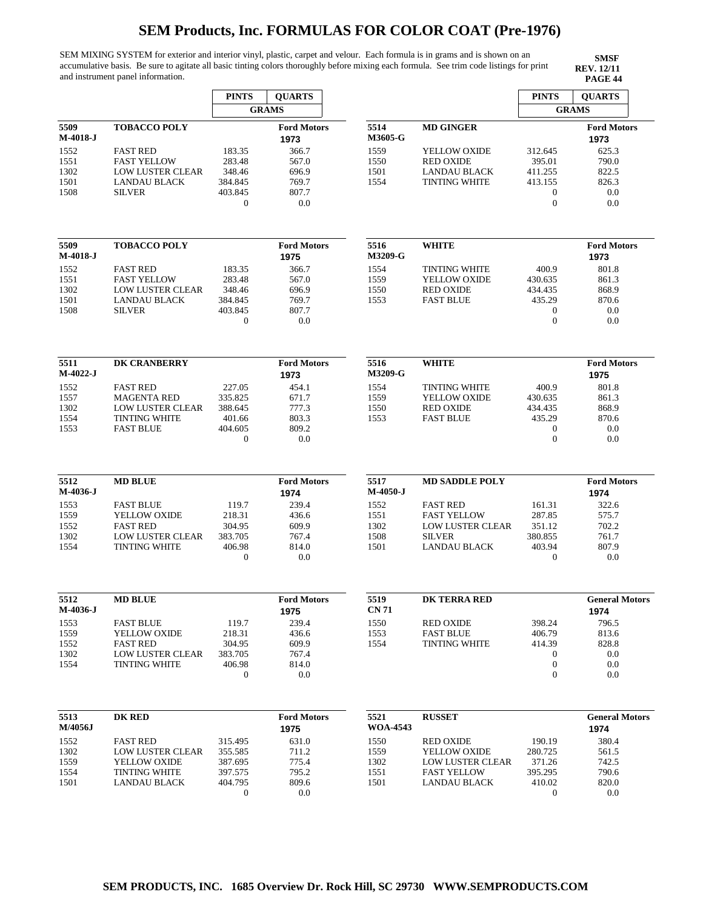SEM MIXING SYSTEM for exterior and interior vinyl, plastic, carpet and velour. Each formula is in grams and is shown on an accumulative basis. Be sure to agitate all basic tinting colors thoroughly before mixing each formula. See trim code listings for print and instrument panel information.

|                  |                                                 | <b>PINTS</b>      | <b>QUARTS</b>              |                    |                                          | <b>PINTS</b>      | <b>QUARTS</b>              |
|------------------|-------------------------------------------------|-------------------|----------------------------|--------------------|------------------------------------------|-------------------|----------------------------|
|                  |                                                 |                   | <b>GRAMS</b>               |                    |                                          | <b>GRAMS</b>      |                            |
| 5509<br>M-4018-J | <b>TOBACCO POLY</b>                             |                   | <b>Ford Motors</b><br>1973 | 5514<br>M3605-G    | <b>MD GINGER</b>                         |                   | <b>Ford Motors</b><br>1973 |
| 1552             | <b>FAST RED</b>                                 | 183.35            | 366.7                      | 1559               | YELLOW OXIDE                             | 312.645           | 625.3                      |
| 1551             | <b>FAST YELLOW</b>                              | 283.48            | 567.0                      | 1550               | <b>RED OXIDE</b>                         | 395.01            | 790.0                      |
| 1302             | <b>LOW LUSTER CLEAR</b>                         | 348.46            | 696.9                      | 1501               | <b>LANDAU BLACK</b>                      | 411.255           | 822.5                      |
| 1501             | <b>LANDAU BLACK</b>                             | 384.845           | 769.7                      | 1554               | <b>TINTING WHITE</b>                     | 413.155           | 826.3                      |
| 1508             | <b>SILVER</b>                                   | 403.845           | 807.7                      |                    |                                          | $\boldsymbol{0}$  | 0.0                        |
|                  |                                                 | $\theta$          | 0.0                        |                    |                                          | $\overline{0}$    | 0.0                        |
| 5509             | <b>TOBACCO POLY</b>                             |                   | <b>Ford Motors</b>         | 5516               | <b>WHITE</b>                             |                   | <b>Ford Motors</b>         |
| M-4018-J         |                                                 |                   | 1975                       | M3209-G            |                                          |                   | 1973                       |
| 1552             | <b>FAST RED</b>                                 | 183.35            | 366.7                      | 1554               | <b>TINTING WHITE</b>                     | 400.9             | 801.8                      |
| 1551             | <b>FAST YELLOW</b>                              | 283.48            | 567.0                      | 1559               | YELLOW OXIDE                             | 430.635           | 861.3                      |
| 1302             | <b>LOW LUSTER CLEAR</b>                         | 348.46            | 696.9                      | 1550               | <b>RED OXIDE</b>                         | 434.435           | 868.9                      |
| 1501             | <b>LANDAU BLACK</b>                             | 384.845           | 769.7                      | 1553               | <b>FAST BLUE</b>                         | 435.29            | 870.6                      |
| 1508             | <b>SILVER</b>                                   | 403.845           | 807.7                      |                    |                                          | 0                 | 0.0                        |
|                  |                                                 | $\boldsymbol{0}$  | 0.0                        |                    |                                          | $\boldsymbol{0}$  | 0.0                        |
| 5511             | DK CRANBERRY                                    |                   | <b>Ford Motors</b>         | 5516               | <b>WHITE</b>                             |                   | <b>Ford Motors</b>         |
| M-4022-J         |                                                 |                   | 1973                       | <b>M3209-G</b>     |                                          |                   | 1975                       |
|                  | <b>FAST RED</b>                                 |                   |                            |                    |                                          |                   |                            |
| 1552             | <b>MAGENTA RED</b>                              | 227.05<br>335.825 | 454.1<br>671.7             | 1554<br>1559       | <b>TINTING WHITE</b><br>YELLOW OXIDE     | 400.9<br>430.635  | 801.8<br>861.3             |
| 1557<br>1302     | <b>LOW LUSTER CLEAR</b>                         | 388.645           | 777.3                      | 1550               | <b>RED OXIDE</b>                         | 434.435           | 868.9                      |
| 1554             | <b>TINTING WHITE</b>                            | 401.66            | 803.3                      | 1553               | <b>FAST BLUE</b>                         | 435.29            | 870.6                      |
| 1553             | <b>FAST BLUE</b>                                | 404.605           | 809.2                      |                    |                                          | $\boldsymbol{0}$  | 0.0                        |
|                  |                                                 | 0                 | 0.0                        |                    |                                          | $\boldsymbol{0}$  | 0.0                        |
|                  |                                                 |                   |                            |                    |                                          |                   |                            |
| 5512<br>M-4036-J | <b>MD BLUE</b>                                  |                   | <b>Ford Motors</b><br>1974 | 5517<br>$M-4050-J$ | <b>MD SADDLE POLY</b>                    |                   | <b>Ford Motors</b><br>1974 |
| 1553             | <b>FAST BLUE</b>                                | 119.7             | 239.4                      | 1552               | <b>FAST RED</b>                          | 161.31            | 322.6                      |
| 1559             | YELLOW OXIDE                                    | 218.31            | 436.6                      | 1551               | <b>FAST YELLOW</b>                       | 287.85            | 575.7                      |
| 1552             | <b>FAST RED</b>                                 | 304.95            | 609.9                      | 1302               | <b>LOW LUSTER CLEAR</b><br><b>SILVER</b> | 351.12            | 702.2                      |
| 1302<br>1554     | <b>LOW LUSTER CLEAR</b><br><b>TINTING WHITE</b> | 383.705<br>406.98 | 767.4<br>814.0             | 1508<br>1501       | <b>LANDAU BLACK</b>                      | 380.855<br>403.94 | 761.7<br>807.9             |
|                  |                                                 | $\boldsymbol{0}$  | 0.0                        |                    |                                          | $\boldsymbol{0}$  | 0.0                        |
|                  |                                                 |                   |                            |                    |                                          |                   |                            |
| 5512             | <b>MD BLUE</b>                                  |                   | <b>Ford Motors</b>         | 5519               | <b>DK TERRA RED</b>                      |                   | <b>General Motors</b>      |
| M-4036-J         |                                                 |                   | 1975                       | <b>CN 71</b>       |                                          |                   | 1974                       |
| 1553             | <b>FAST BLUE</b>                                | 119.7             | 239.4                      | 1550               | <b>RED OXIDE</b>                         | 398.24            | 796.5                      |
| 1559             | YELLOW OXIDE                                    | 218.31            | 436.6                      | 1553               | <b>FAST BLUE</b>                         | 406.79            | 813.6                      |
| 1552             | <b>FAST RED</b>                                 | 304.95            | 609.9                      | 1554               | <b>TINTING WHITE</b>                     | 414.39            | 828.8                      |
| 1302             | <b>LOW LUSTER CLEAR</b>                         | 383.705           | 767.4                      |                    |                                          | 0                 | 0.0                        |
| 1554             | <b>TINTING WHITE</b>                            | 406.98            | 814.0                      |                    |                                          | $\boldsymbol{0}$  | 0.0                        |
|                  |                                                 | $\mathbf{0}$      | 0.0                        |                    |                                          | $\boldsymbol{0}$  | 0.0                        |
| 5513             | <b>DK RED</b>                                   |                   | <b>Ford Motors</b>         | 5521               | <b>RUSSET</b>                            |                   | <b>General Motors</b>      |
| M/4056J          |                                                 |                   | 1975                       | <b>WOA-4543</b>    |                                          |                   | 1974                       |
| 1552             | <b>FAST RED</b>                                 | 315.495           | 631.0                      | 1550               | <b>RED OXIDE</b>                         | 190.19            | 380.4                      |
| 1302             | LOW LUSTER CLEAR                                | 355.585           | 711.2                      | 1559               | YELLOW OXIDE                             | 280.725           | 561.5                      |
| 1559             | YELLOW OXIDE                                    | 387.695           | 775.4                      | 1302               | <b>LOW LUSTER CLEAR</b>                  | 371.26            | 742.5                      |
| 1554             | <b>TINTING WHITE</b>                            | 397.575           | 795.2                      | 1551               | <b>FAST YELLOW</b>                       | 395.295           | 790.6                      |
| 1501             | <b>LANDAU BLACK</b>                             | 404.795           | 809.6                      | 1501               | LANDAU BLACK                             | 410.02            | 820.0                      |
|                  |                                                 | $\boldsymbol{0}$  | 0.0                        |                    |                                          | $\theta$          | 0.0                        |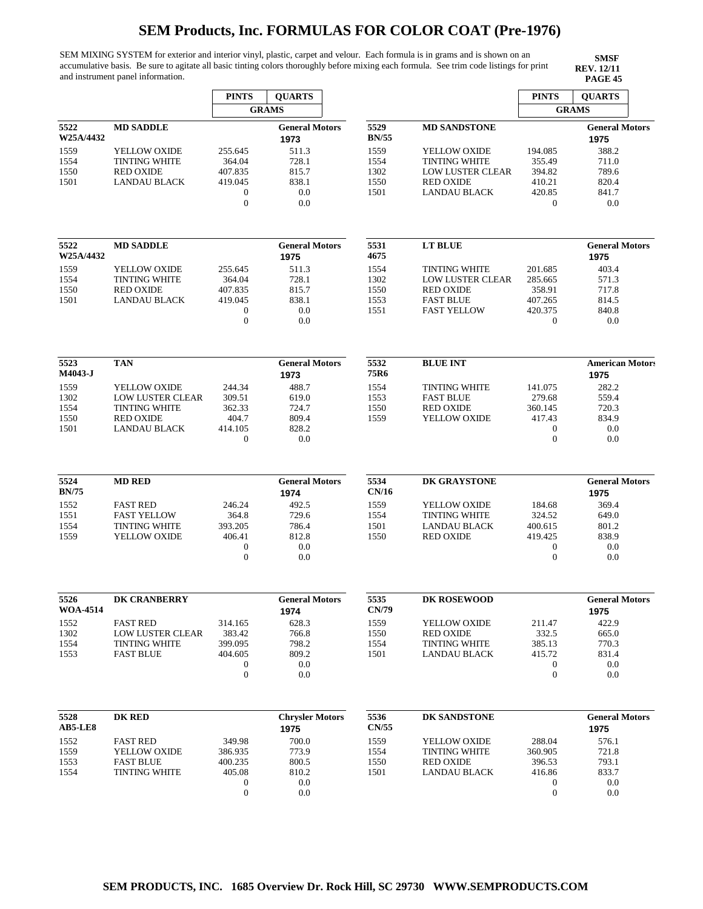SEM MIXING SYSTEM for exterior and interior vinyl, plastic, carpet and velour. Each formula is in grams and is shown on an accumulative basis. Be sure to agitate all basic tinting colors thoroughly before mixing each formula. See trim code listings for print and instrument panel information.

|                         |                         | <b>PINTS</b>                     | <b>QUARTS</b>                 |                      |                         | <b>PINTS</b>                | <b>QUARTS</b>                 |  |
|-------------------------|-------------------------|----------------------------------|-------------------------------|----------------------|-------------------------|-----------------------------|-------------------------------|--|
|                         |                         |                                  | <b>GRAMS</b>                  |                      |                         |                             | <b>GRAMS</b>                  |  |
| 5522<br>W25A/4432       | <b>MD SADDLE</b>        |                                  | <b>General Motors</b><br>1973 | 5529<br><b>BN/55</b> | <b>MD SANDSTONE</b>     |                             | <b>General Motors</b><br>1975 |  |
| 1559                    | YELLOW OXIDE            | 255.645                          | 511.3                         | 1559                 | YELLOW OXIDE            | 194.085                     | 388.2                         |  |
| 1554                    | <b>TINTING WHITE</b>    | 364.04                           | 728.1                         | 1554                 | <b>TINTING WHITE</b>    | 355.49                      | 711.0                         |  |
| 1550                    | <b>RED OXIDE</b>        | 407.835                          | 815.7                         | 1302                 | <b>LOW LUSTER CLEAR</b> | 394.82                      | 789.6                         |  |
| 1501                    | <b>LANDAU BLACK</b>     | 419.045                          | 838.1                         | 1550                 | <b>RED OXIDE</b>        | 410.21                      | 820.4                         |  |
|                         |                         | $\boldsymbol{0}$<br>$\mathbf{0}$ | 0.0<br>0.0                    | 1501                 | <b>LANDAU BLACK</b>     | 420.85<br>$\boldsymbol{0}$  | 841.7<br>0.0                  |  |
| 5522                    | <b>MD SADDLE</b>        |                                  | <b>General Motors</b>         | 5531                 | <b>LT BLUE</b>          |                             | <b>General Motors</b>         |  |
| W25A/4432               |                         |                                  | 1975                          | 4675                 |                         |                             | 1975                          |  |
| 1559                    | YELLOW OXIDE            | 255.645                          | 511.3                         | 1554                 | <b>TINTING WHITE</b>    | 201.685                     | 403.4                         |  |
| 1554                    | <b>TINTING WHITE</b>    | 364.04                           | 728.1                         | 1302                 | LOW LUSTER CLEAR        | 285.665                     | 571.3                         |  |
| 1550                    | <b>RED OXIDE</b>        | 407.835                          | 815.7                         | 1550                 | <b>RED OXIDE</b>        | 358.91                      | 717.8                         |  |
| 1501                    | LANDAU BLACK            | 419.045                          | 838.1                         | 1553                 | <b>FAST BLUE</b>        | 407.265                     | 814.5                         |  |
|                         |                         | $\boldsymbol{0}$<br>$\mathbf{0}$ | 0.0<br>0.0                    | 1551                 | <b>FAST YELLOW</b>      | 420.375<br>$\boldsymbol{0}$ | 840.8<br>0.0                  |  |
| 5523                    | <b>TAN</b>              |                                  | <b>General Motors</b>         | 5532                 | <b>BLUE INT</b>         |                             | <b>American Motors</b>        |  |
| M4043-J                 |                         |                                  | 1973                          | 75R6                 |                         |                             | 1975                          |  |
| 1559                    | YELLOW OXIDE            | 244.34                           | 488.7                         | 1554                 | <b>TINTING WHITE</b>    | 141.075                     | 282.2                         |  |
| 1302                    | <b>LOW LUSTER CLEAR</b> | 309.51                           | 619.0                         | 1553                 | <b>FAST BLUE</b>        | 279.68                      | 559.4                         |  |
| 1554                    | <b>TINTING WHITE</b>    | 362.33                           | 724.7                         | 1550                 | <b>RED OXIDE</b>        | 360.145                     | 720.3                         |  |
| 1550                    | <b>RED OXIDE</b>        | 404.7                            | 809.4                         | 1559                 | YELLOW OXIDE            | 417.43                      | 834.9                         |  |
| 1501                    | <b>LANDAU BLACK</b>     | 414.105                          | 828.2                         |                      |                         | $\boldsymbol{0}$            | 0.0                           |  |
|                         |                         | $\overline{0}$                   | 0.0                           |                      |                         | $\mathbf{0}$                | 0.0                           |  |
| 5524                    | <b>MD RED</b>           |                                  | <b>General Motors</b>         | 5534                 | DK GRAYSTONE            |                             | <b>General Motors</b>         |  |
| <b>BN/75</b>            |                         |                                  | 1974                          | CN/16                |                         |                             | 1975                          |  |
| 1552                    | <b>FAST RED</b>         | 246.24                           | 492.5                         | 1559                 | YELLOW OXIDE            | 184.68                      | 369.4                         |  |
| 1551                    | <b>FAST YELLOW</b>      | 364.8                            | 729.6                         | 1554                 | <b>TINTING WHITE</b>    | 324.52                      | 649.0                         |  |
| 1554                    | <b>TINTING WHITE</b>    | 393.205                          | 786.4                         | 1501                 | <b>LANDAU BLACK</b>     | 400.615                     | 801.2                         |  |
| 1559                    | YELLOW OXIDE            | 406.41                           | 812.8                         | 1550                 | <b>RED OXIDE</b>        | 419.425                     | 838.9                         |  |
|                         |                         | $\boldsymbol{0}$<br>$\mathbf{0}$ | 0.0<br>0.0                    |                      |                         | 0<br>$\boldsymbol{0}$       | 0.0<br>0.0                    |  |
|                         |                         |                                  |                               |                      |                         |                             |                               |  |
| 5526<br><b>WOA-4514</b> | <b>DK CRANBERRY</b>     |                                  | <b>General Motors</b><br>1974 | 5535<br>CN/79        | <b>DK ROSEWOOD</b>      |                             | <b>General Motors</b><br>1975 |  |
| 1552                    | <b>FAST RED</b>         | 314.165                          | 628.3                         | 1559                 | YELLOW OXIDE            | 211.47                      | 422.9                         |  |
| 1302                    | <b>LOW LUSTER CLEAR</b> | 383.42                           | 766.8                         | 1550                 | <b>RED OXIDE</b>        | 332.5                       | 665.0                         |  |
| 1554                    | <b>TINTING WHITE</b>    | 399.095                          | 798.2                         | 1554                 | <b>TINTING WHITE</b>    | 385.13                      | 770.3                         |  |
| 1553                    | <b>FAST BLUE</b>        | 404.605                          | 809.2                         | 1501                 | <b>LANDAU BLACK</b>     | 415.72                      | 831.4                         |  |
|                         |                         | 0                                | 0.0                           |                      |                         | $\boldsymbol{0}$            | 0.0                           |  |
|                         |                         | $\boldsymbol{0}$                 | 0.0                           |                      |                         | $\boldsymbol{0}$            | 0.0                           |  |
| 5528                    | <b>DK RED</b>           |                                  | <b>Chrysler Motors</b>        | 5536                 | DK SANDSTONE            |                             | <b>General Motors</b>         |  |
| <b>AB5-LE8</b>          |                         |                                  | 1975                          | CN/55                |                         |                             | 1975                          |  |
| 1552                    | <b>FAST RED</b>         | 349.98                           | 700.0                         | 1559                 | YELLOW OXIDE            | 288.04                      | 576.1                         |  |
| 1559                    | YELLOW OXIDE            | 386.935                          | 773.9                         | 1554                 | <b>TINTING WHITE</b>    | 360.905                     | 721.8                         |  |
| 1553                    | <b>FAST BLUE</b>        | 400.235                          | 800.5                         | 1550                 | <b>RED OXIDE</b>        | 396.53                      | 793.1                         |  |
| 1554                    | <b>TINTING WHITE</b>    | 405.08                           | 810.2                         | 1501                 | <b>LANDAU BLACK</b>     | 416.86                      | 833.7                         |  |
|                         |                         | $\boldsymbol{0}$                 | 0.0                           |                      |                         | 0                           | 0.0                           |  |
|                         |                         | $\mathbf{0}$                     | 0.0                           |                      |                         | $\mathbf{0}$                | 0.0                           |  |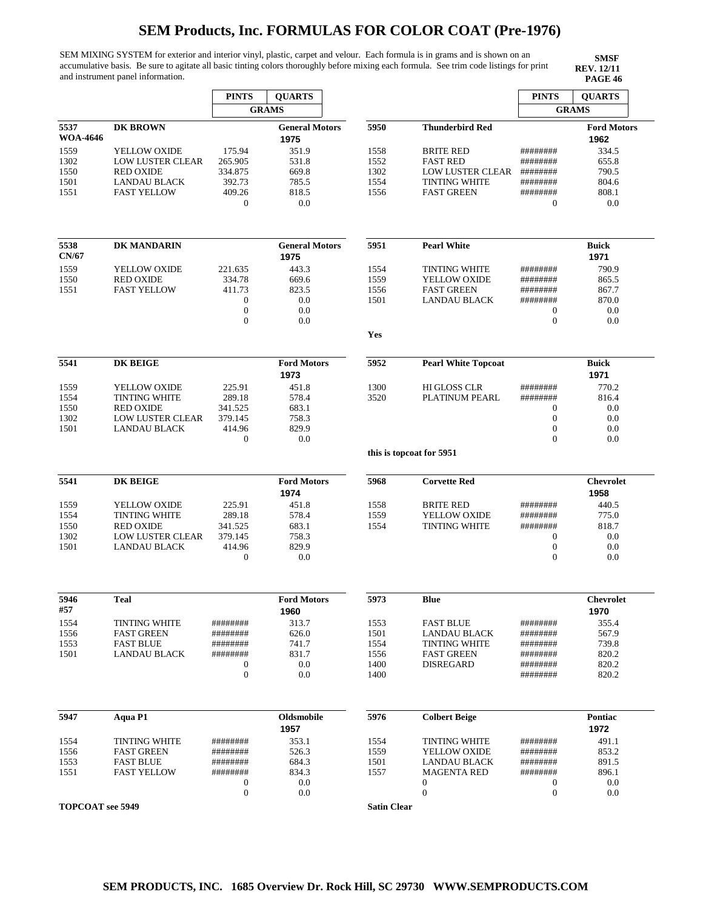SEM MIXING SYSTEM for exterior and interior vinyl, plastic, carpet and velour. Each formula is in grams and is shown on an accumulative basis. Be sure to agitate all basic tinting colors thoroughly before mixing each formula. See trim code listings for print and instrument panel information.

|                         |                         | <b>PINTS</b>                         | <b>QUARTS</b>              |                    |                                  | <b>PINTS</b>                     | <b>QUARTS</b>            |
|-------------------------|-------------------------|--------------------------------------|----------------------------|--------------------|----------------------------------|----------------------------------|--------------------------|
|                         |                         |                                      | <b>GRAMS</b>               |                    |                                  |                                  | <b>GRAMS</b>             |
| 5537                    | <b>DK BROWN</b>         |                                      | <b>General Motors</b>      | 5950               | <b>Thunderbird Red</b>           |                                  | <b>Ford Motors</b>       |
| <b>WOA-4646</b>         |                         |                                      | 1975                       |                    |                                  |                                  | 1962                     |
| 1559                    | YELLOW OXIDE            | 175.94                               | 351.9                      | 1558               | <b>BRITE RED</b>                 | ########                         | 334.5                    |
| 1302                    | <b>LOW LUSTER CLEAR</b> | 265.905                              | 531.8                      | 1552               | <b>FAST RED</b>                  | ########                         | 655.8                    |
| 1550                    | <b>RED OXIDE</b>        | 334.875                              | 669.8                      | 1302               | LOW LUSTER CLEAR                 | ########                         | 790.5                    |
| 1501                    | <b>LANDAU BLACK</b>     | 392.73                               | 785.5                      | 1554               | <b>TINTING WHITE</b>             | ########                         | 804.6                    |
| 1551                    | <b>FAST YELLOW</b>      | 409.26<br>$\overline{0}$             | 818.5<br>0.0               | 1556               | <b>FAST GREEN</b>                | ########<br>0                    | 808.1<br>0.0             |
|                         |                         |                                      |                            |                    |                                  |                                  |                          |
| 5538                    | DK MANDARIN             |                                      | <b>General Motors</b>      | 5951               | <b>Pearl White</b>               |                                  | <b>Buick</b>             |
| CN/67                   |                         |                                      | 1975                       |                    |                                  |                                  | 1971                     |
| 1559                    | YELLOW OXIDE            | 221.635                              | 443.3                      | 1554               | <b>TINTING WHITE</b>             | ########                         | 790.9                    |
| 1550                    | <b>RED OXIDE</b>        | 334.78                               | 669.6                      | 1559               | YELLOW OXIDE                     | ########                         | 865.5                    |
| 1551                    | <b>FAST YELLOW</b>      | 411.73                               | 823.5                      | 1556               | <b>FAST GREEN</b>                | ########                         | 867.7                    |
|                         |                         | $\boldsymbol{0}$                     | 0.0                        | 1501               | <b>LANDAU BLACK</b>              | ########                         | 870.0                    |
|                         |                         | $\boldsymbol{0}$<br>$\mathbf{0}$     | 0.0<br>0.0                 |                    |                                  | $\mathbf{0}$<br>$\boldsymbol{0}$ | 0.0<br>0.0               |
|                         |                         |                                      |                            | Yes                |                                  |                                  |                          |
|                         |                         |                                      |                            |                    |                                  |                                  |                          |
| 5541                    | <b>DK BEIGE</b>         |                                      | <b>Ford Motors</b><br>1973 | 5952               | <b>Pearl White Topcoat</b>       |                                  | <b>Buick</b><br>1971     |
| 1559                    | YELLOW OXIDE            | 225.91                               | 451.8                      | 1300               | <b>HI GLOSS CLR</b>              | ########                         | 770.2                    |
| 1554                    | <b>TINTING WHITE</b>    | 289.18                               | 578.4                      | 3520               | PLATINUM PEARL                   | ########                         | 816.4                    |
| 1550                    | <b>RED OXIDE</b>        | 341.525                              | 683.1                      |                    |                                  | 0                                | 0.0                      |
| 1302                    | <b>LOW LUSTER CLEAR</b> | 379.145                              | 758.3                      |                    |                                  | $\boldsymbol{0}$                 | 0.0                      |
| 1501                    | <b>LANDAU BLACK</b>     | 414.96                               | 829.9                      |                    |                                  | $\boldsymbol{0}$                 | 0.0                      |
|                         |                         | $\boldsymbol{0}$                     | 0.0                        |                    |                                  | $\overline{0}$                   | 0.0                      |
|                         |                         |                                      |                            |                    | this is topcoat for 5951         |                                  |                          |
| 5541                    | <b>DK BEIGE</b>         |                                      | <b>Ford Motors</b><br>1974 | 5968               | <b>Corvette Red</b>              |                                  | <b>Chevrolet</b><br>1958 |
| 1559                    | YELLOW OXIDE            | 225.91                               | 451.8                      | 1558               | <b>BRITE RED</b>                 | ########                         | 440.5                    |
| 1554                    | <b>TINTING WHITE</b>    | 289.18                               | 578.4                      | 1559               | YELLOW OXIDE                     | ########                         | 775.0                    |
| 1550                    | <b>RED OXIDE</b>        | 341.525                              | 683.1                      | 1554               | TINTING WHITE                    | ########                         | 818.7                    |
| 1302                    | <b>LOW LUSTER CLEAR</b> | 379.145                              | 758.3                      |                    |                                  | $\mathbf{0}$                     | 0.0                      |
| 1501                    | <b>LANDAU BLACK</b>     | 414.96                               | 829.9                      |                    |                                  | $\boldsymbol{0}$                 | 0.0                      |
|                         |                         | $\boldsymbol{0}$                     | 0.0                        |                    |                                  | $\boldsymbol{0}$                 | 0.0                      |
| 5946                    | <b>Teal</b>             |                                      | <b>Ford Motors</b>         | 5973               | <b>Blue</b>                      |                                  | <b>Chevrolet</b>         |
| #57                     |                         |                                      | 1960                       |                    |                                  |                                  | 1970                     |
| 1554                    | <b>TINTING WHITE</b>    | ########                             | 313.7                      | 1553               | <b>FAST BLUE</b>                 | ########                         | 355.4                    |
| 1556                    | <b>FAST GREEN</b>       | ########                             | 626.0                      | 1501               | <b>LANDAU BLACK</b>              | ########                         | 567.9                    |
| 1553                    | <b>FAST BLUE</b>        | ########                             | 741.7                      | 1554               | <b>TINTING WHITE</b>             | ########                         | 739.8                    |
| 1501                    | <b>LANDAU BLACK</b>     | ########                             | 831.7                      | 1556               | <b>FAST GREEN</b>                | ########                         | 820.2                    |
|                         |                         | $\boldsymbol{0}$                     | 0.0                        | 1400               | <b>DISREGARD</b>                 | ########                         | 820.2                    |
|                         |                         | $\boldsymbol{0}$                     | 0.0                        | 1400               |                                  | ########                         | 820.2                    |
|                         |                         |                                      |                            |                    |                                  |                                  |                          |
| 5947                    | Aqua P1                 |                                      | Oldsmobile                 | 5976               | <b>Colbert Beige</b>             |                                  | Pontiac                  |
|                         |                         |                                      | 1957                       |                    |                                  |                                  | 1972                     |
| 1554                    | <b>TINTING WHITE</b>    | ########                             | 353.1                      | 1554               | <b>TINTING WHITE</b>             | ########                         | 491.1                    |
| 1556                    | <b>FAST GREEN</b>       | ########                             | 526.3                      | 1559               | YELLOW OXIDE                     | ########                         | 853.2                    |
| 1553                    | <b>FAST BLUE</b>        | ########                             | 684.3                      | 1501               | <b>LANDAU BLACK</b>              | ########                         | 891.5                    |
| 1551                    | <b>FAST YELLOW</b>      | ########                             | 834.3                      | 1557               | <b>MAGENTA RED</b>               | ########                         | 896.1                    |
|                         |                         | $\boldsymbol{0}$<br>$\boldsymbol{0}$ | 0.0<br>0.0                 |                    | $\mathbf{0}$<br>$\boldsymbol{0}$ | 0<br>$\boldsymbol{0}$            | 0.0<br>0.0               |
| <b>TOPCOAT</b> see 5949 |                         |                                      |                            | <b>Satin Clear</b> |                                  |                                  |                          |
|                         |                         |                                      |                            |                    |                                  |                                  |                          |